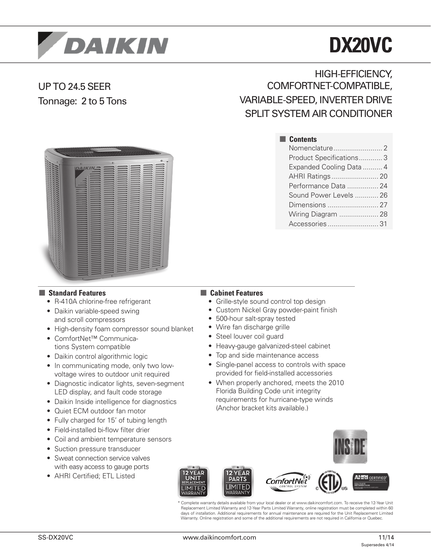

# **DX20VC**

# UP TO 24.5 SEER Tonnage: 2 to 5 Tons

HIGH-EFFICIENCY, COMFORTNET-COMPATIBLE, VARIABLE-SPEED, INVERTER DRIVE SPLIT SYSTEM AIR CONDITIONER

> Nomenclature......................... 2 Product Specifications............ 3 Expanded Cooling Data .......... 4 AHRI Ratings........................ 20 Performance Data ................ 24 Sound Power Levels ............ 26 Dimensions .......................... 27 Wiring Diagram .................... 28 Accessories.......................... 31

■ **Contents**



#### ■ **Standard Features**

- R-410A chlorine-free refrigerant
- Daikin variable-speed swing and scroll compressors
- High-density foam compressor sound blanket
- ComfortNet™ Communications System compatible
- Daikin control algorithmic logic
- In communicating mode, only two lowvoltage wires to outdoor unit required
- Diagnostic indicator lights, seven-segment LED display, and fault code storage
- Daikin Inside intelligence for diagnostics
- Quiet ECM outdoor fan motor
- Fully charged for 15' of tubing length
- Field-installed bi-flow filter drier
- Coil and ambient temperature sensors
- Suction pressure transducer
- Sweat connection service valves with easy access to gauge ports
- AHRI Certified; ETL Listed

#### ■ **Cabinet Features**

- Grille-style sound control top design
- Custom Nickel Gray powder-paint finish
- 500-hour salt-spray tested
- Wire fan discharge grille
- Steel louver coil guard
- Heavy-gauge galvanized-steel cabinet
- Top and side maintenance access
- Single-panel access to controls with space provided for field-installed accessories
- When properly anchored, meets the 2010 Florida Building Code unit integrity requirements for hurricane-type winds (Anchor bracket kits available.)





Complete warranty details available from your local dealer or at www.daikincomfort.com. To receive the 12-Year Unit Replacement Limited Warranty and 12-Year Parts Limited Warranty, online registration must be completed within 60 days of installation. Additional requirements for annual maintenance are required for the Unit Replacement Limited Warranty. Online registration and some of the additional requirements are not required in California or Quebec.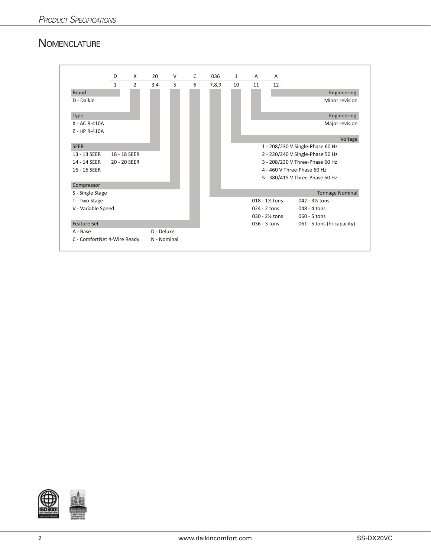#### **NOMENCLATURE**



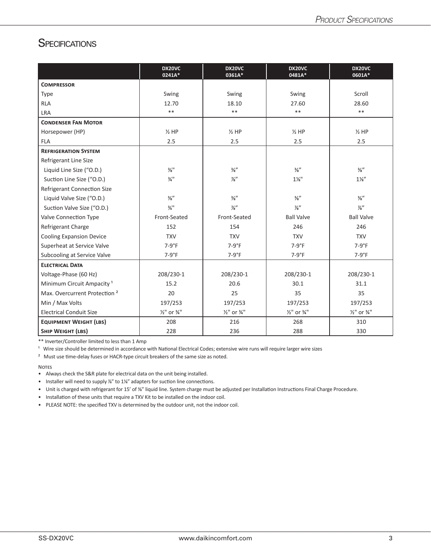#### **SPECIFICATIONS**

|                                          | DX20VC<br>0241A*                   | DX20VC<br>0361A*          | DX20VC<br>0481A*          | DX20VC<br>0601A*                   |
|------------------------------------------|------------------------------------|---------------------------|---------------------------|------------------------------------|
| <b>COMPRESSOR</b>                        |                                    |                           |                           |                                    |
| <b>Type</b>                              | Swing                              | Swing                     | Swing                     | Scroll                             |
| <b>RLA</b>                               | 12.70                              | 18.10                     | 27.60                     | 28.60                              |
| LRA                                      | $***$                              | $***$                     | $**$                      | $***$                              |
| <b>CONDENSER FAN MOTOR</b>               |                                    |                           |                           |                                    |
| Horsepower (HP)                          | $\frac{1}{2}$ HP                   | $\frac{1}{2}$ HP          | $\frac{1}{2}$ HP          | $\frac{1}{2}$ HP                   |
| <b>FLA</b>                               | 2.5                                | 2.5                       | 2.5                       | 2.5                                |
| <b>REFRIGERATION SYSTEM</b>              |                                    |                           |                           |                                    |
| Refrigerant Line Size                    |                                    |                           |                           |                                    |
| Liquid Line Size ("O.D.)                 | $\frac{3}{8}$ <sup>11</sup>        | $\frac{3}{8}$ "           | $\frac{3}{8}$ "           | $\frac{3}{8}$ "                    |
| Suction Line Size ("O.D.)                | $\frac{3}{4}$ <sup>11</sup>        | $\frac{7}{8}$ "           | $1\frac{1}{8}$ "          | $1\frac{1}{8}$                     |
| Refrigerant Connection Size              |                                    |                           |                           |                                    |
| Liquid Valve Size ("O.D.)                | $\frac{3}{8}$ "                    | $\frac{3}{8}$ "           | $\frac{3}{8}$ "           | $\frac{3}{8}$ "                    |
| Suction Valve Size ("O.D.)               | $\frac{3}{4}$ <sup>11</sup>        | $\frac{7}{8}$ "           | $\frac{7}{8}$ "           | $\frac{7}{8}$ "                    |
| Valve Connection Type                    | Front-Seated                       | Front-Seated              | <b>Ball Valve</b>         | <b>Ball Valve</b>                  |
| Refrigerant Charge                       | 152                                | 154                       | 246                       | 246                                |
| <b>Cooling Expansion Device</b>          | <b>TXV</b>                         | <b>TXV</b>                | <b>TXV</b>                | <b>TXV</b>                         |
| Superheat at Service Valve               | $7-9°F$                            | $7-9°F$                   | $7-9°F$                   | $7-9°F$                            |
| Subcooling at Service Valve              | $7-9°F$                            | $7-9°F$                   | $7-9°F$                   | $7-9°F$                            |
| <b>ELECTRICAL DATA</b>                   |                                    |                           |                           |                                    |
| Voltage-Phase (60 Hz)                    | 208/230-1                          | 208/230-1                 | 208/230-1                 | 208/230-1                          |
| Minimum Circuit Ampacity <sup>1</sup>    | 15.2                               | 20.6                      | 30.1                      | 31.1                               |
| Max. Overcurrent Protection <sup>2</sup> | 20                                 | 25                        | 35                        | 35                                 |
| Min / Max Volts                          | 197/253                            | 197/253                   | 197/253                   | 197/253                            |
| <b>Electrical Conduit Size</b>           | $\frac{1}{2}$ " or $\frac{3}{4}$ " | 1/ <sub>2</sub> " or 3/4" | 1/ <sub>2</sub> " or 3/4" | $\frac{1}{2}$ " or $\frac{3}{4}$ " |
| <b>EQUIPMENT WEIGHT (LBS)</b>            | 208                                | 216                       | 268                       | 310                                |
| <b>SHIP WEIGHT (LBS)</b>                 | 228                                | 236                       | 288                       | 330                                |

\*\* Inverter/Controller limited to less than 1 Amp

<sup>1</sup> Wire size should be determined in accordance with National Electrical Codes; extensive wire runs will require larger wire sizes

<sup>2</sup> Must use time-delay fuses or HACR-type circuit breakers of the same size as noted.

**NOTES** 

• Installer will need to supply <sup>7%</sup>" to 1%" adapters for suction line connections.

• Unit is charged with refrigerant for 15' of ⅜" liquid line. System charge must be adjusted per Installation Instructions Final Charge Procedure.

• Installation of these units that require a TXV Kit to be installed on the indoor coil.

• PLEASE NOTE: the specified TXV is determined by the outdoor unit, not the indoor coil.

<sup>•</sup> Always check the S&R plate for electrical data on the unit being installed.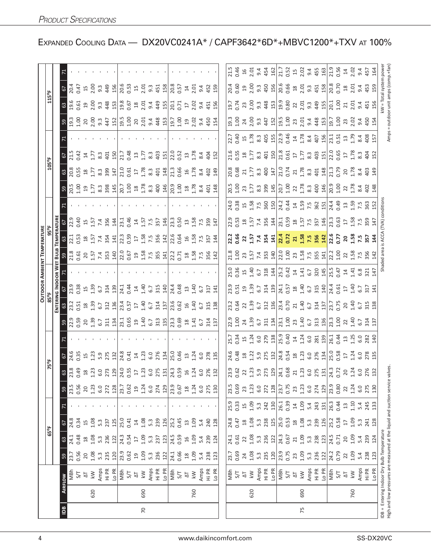|                 |     |                                                                                                         |                  |                  |                  |                |                      |                                                                                                                                                                                                                                                                                                                             |                                                                            |                                                                  |                                                                        |                                                          |                  | <b>OUTDOOR AMBIENT TEMPERATURE</b>                                                                                                                                                                                           |                                                                                                                                                                                                                                                                              |                                                                                                            |                                                                                                                                                                                                                                |                                                                                                                                                                                                                                                                              |                          |      |                                             |                          |                                             |                                                                                     |
|-----------------|-----|---------------------------------------------------------------------------------------------------------|------------------|------------------|------------------|----------------|----------------------|-----------------------------------------------------------------------------------------------------------------------------------------------------------------------------------------------------------------------------------------------------------------------------------------------------------------------------|----------------------------------------------------------------------------|------------------------------------------------------------------|------------------------------------------------------------------------|----------------------------------------------------------|------------------|------------------------------------------------------------------------------------------------------------------------------------------------------------------------------------------------------------------------------|------------------------------------------------------------------------------------------------------------------------------------------------------------------------------------------------------------------------------------------------------------------------------|------------------------------------------------------------------------------------------------------------|--------------------------------------------------------------------------------------------------------------------------------------------------------------------------------------------------------------------------------|------------------------------------------------------------------------------------------------------------------------------------------------------------------------------------------------------------------------------------------------------------------------------|--------------------------|------|---------------------------------------------|--------------------------|---------------------------------------------|-------------------------------------------------------------------------------------|
|                 |     |                                                                                                         |                  |                  | $65^{\circ}$ F   |                |                      | 75°F                                                                                                                                                                                                                                                                                                                        |                                                                            |                                                                  |                                                                        |                                                          |                  |                                                                                                                                                                                                                              |                                                                                                                                                                                                                                                                              |                                                                                                            |                                                                                                                                                                                                                                | 105°F                                                                                                                                                                                                                                                                        |                          |      |                                             | $115^{\circ}$ F          |                                             |                                                                                     |
|                 |     |                                                                                                         |                  |                  |                  |                |                      |                                                                                                                                                                                                                                                                                                                             |                                                                            |                                                                  | <b>ENTER</b>                                                           |                                                          | <b>INDOOR WE</b> | ᇒ                                                                                                                                                                                                                            | <b><i>TEMPERATUR</i></b>                                                                                                                                                                                                                                                     |                                                                                                            |                                                                                                                                                                                                                                |                                                                                                                                                                                                                                                                              |                          |      |                                             |                          |                                             |                                                                                     |
| $\overline{a}$  |     | AIRFLOW                                                                                                 | 59               | 63               | 57               |                | 59                   | $rac{67}{24.6}$                                                                                                                                                                                                                                                                                                             |                                                                            | $3^{23}_{23}$                                                    | $\frac{33}{23}$                                                        | $rac{67}{23.9}$                                          |                  |                                                                                                                                                                                                                              | $\frac{63}{2}$                                                                                                                                                                                                                                                               |                                                                                                            | $\mathbb{S}$                                                                                                                                                                                                                   | 63                                                                                                                                                                                                                                                                           | $rac{67}{215}$           |      |                                             | $\frac{36}{9}$           | $rac{67}{204}$                              |                                                                                     |
|                 |     | NBh                                                                                                     | 23.7             |                  |                  |                |                      |                                                                                                                                                                                                                                                                                                                             |                                                                            |                                                                  |                                                                        |                                                          |                  |                                                                                                                                                                                                                              | $2.1$<br>$0.53$                                                                                                                                                                                                                                                              |                                                                                                            |                                                                                                                                                                                                                                | 20.35                                                                                                                                                                                                                                                                        |                          |      |                                             |                          |                                             |                                                                                     |
|                 |     | 5/7                                                                                                     | 0.56             | 0.48             | 0.34             |                | 0.56                 | 0.35                                                                                                                                                                                                                                                                                                                        |                                                                            |                                                                  |                                                                        | 0.38                                                     |                  |                                                                                                                                                                                                                              |                                                                                                                                                                                                                                                                              | 0.40                                                                                                       |                                                                                                                                                                                                                                |                                                                                                                                                                                                                                                                              | 0.42                     |      |                                             | $-0.61$                  | 0.47                                        |                                                                                     |
|                 | 620 | $\leq$<br>$\overline{\mathcal{L}}$                                                                      | 1.08<br>20       | 1.08<br>$^{28}$  | 1.08<br>15       |                | 1.23<br>20           |                                                                                                                                                                                                                                                                                                                             |                                                                            |                                                                  |                                                                        | $1.39$ 6.7                                               |                  |                                                                                                                                                                                                                              |                                                                                                                                                                                                                                                                              | 1.57                                                                                                       |                                                                                                                                                                                                                                | 1.77                                                                                                                                                                                                                                                                         | 1.77                     |      |                                             | $\frac{9}{2}$            |                                             |                                                                                     |
|                 |     | Amps                                                                                                    | $5.\overline{3}$ | $5.\overline{3}$ | 5.3              |                | 6.0                  |                                                                                                                                                                                                                                                                                                                             |                                                                            |                                                                  |                                                                        |                                                          |                  |                                                                                                                                                                                                                              |                                                                                                                                                                                                                                                                              |                                                                                                            |                                                                                                                                                                                                                                |                                                                                                                                                                                                                                                                              | $8.\overline{3}$         |      |                                             |                          |                                             |                                                                                     |
|                 |     | Hi PR                                                                                                   | 235              | 236              | 237              |                | 272                  |                                                                                                                                                                                                                                                                                                                             |                                                                            |                                                                  |                                                                        |                                                          |                  |                                                                                                                                                                                                                              |                                                                                                                                                                                                                                                                              |                                                                                                            |                                                                                                                                                                                                                                |                                                                                                                                                                                                                                                                              |                          |      |                                             |                          |                                             |                                                                                     |
|                 |     | Lo PR                                                                                                   | 120              | 122              | 125              |                | 128                  |                                                                                                                                                                                                                                                                                                                             |                                                                            | <u>ខ្លះ ក្នុង ប្ដូរខ្លួន ក្នុង ប្ដូរ ក្នុង ប្ដូរ ក្នុង ប្ដូរ</u> | $3\frac{8}{1}$ $\frac{1}{6}$ $\frac{1}{6}$ $\frac{1}{2}$ $\frac{1}{2}$ | 314<br>139                                               |                  | $3.336$ $3.5$ $3.75$ $3.84$ $3.36$ $3.5$ $3.5$ $3.5$ $3.5$ $3.5$ $3.5$ $3.5$ $3.5$ $3.5$ $3.5$ $3.5$ $3.5$ $3.5$ $3.5$ $3.5$ $3.5$ $3.5$ $3.5$ $3.5$ $3.5$ $3.5$ $3.5$ $3.5$ $3.5$ $3.5$ $3.5$ $3.5$ $3.5$ $3.5$ $3.5$ $3.5$ | $3.577$ $\frac{1}{2}$ $\frac{1}{2}$ $\frac{1}{2}$                                                                                                                                                                                                                            | 7.4<br>356<br>144                                                                                          |                                                                                                                                                                                                                                | $\frac{3}{8}$ $\frac{3}{4}$                                                                                                                                                                                                                                                  | 401<br>150               |      |                                             |                          | $15$ 00 3<br>$3$ 3<br>$45$ 4<br>$15$        |                                                                                     |
|                 |     | MBh                                                                                                     |                  | 24.3             | 25.0             |                | 23.7                 |                                                                                                                                                                                                                                                                                                                             |                                                                            |                                                                  |                                                                        |                                                          |                  |                                                                                                                                                                                                                              |                                                                                                                                                                                                                                                                              |                                                                                                            |                                                                                                                                                                                                                                |                                                                                                                                                                                                                                                                              | 21.7                     |      |                                             |                          |                                             |                                                                                     |
|                 |     | 5/7                                                                                                     | 23.9<br>0.62     | 0.54             | 0.41             |                | <u>ດິ</u> ສ          |                                                                                                                                                                                                                                                                                                                             |                                                                            |                                                                  |                                                                        | $24.1$<br>0.44                                           |                  |                                                                                                                                                                                                                              |                                                                                                                                                                                                                                                                              |                                                                                                            |                                                                                                                                                                                                                                |                                                                                                                                                                                                                                                                              |                          |      |                                             |                          |                                             |                                                                                     |
|                 |     | $\overline{\Delta}$                                                                                     | $\overline{1}9$  | $\overline{17}$  | $\overline{1}$   |                |                      |                                                                                                                                                                                                                                                                                                                             |                                                                            |                                                                  |                                                                        |                                                          |                  |                                                                                                                                                                                                                              |                                                                                                                                                                                                                                                                              |                                                                                                            |                                                                                                                                                                                                                                |                                                                                                                                                                                                                                                                              |                          |      |                                             |                          |                                             |                                                                                     |
| $\overline{70}$ | 690 | $\overline{\mathsf{k}}$ W                                                                               | $1.09$<br>5.3    | 1.09             | 1.08             |                | 1.24                 |                                                                                                                                                                                                                                                                                                                             |                                                                            |                                                                  |                                                                        |                                                          |                  |                                                                                                                                                                                                                              |                                                                                                                                                                                                                                                                              |                                                                                                            |                                                                                                                                                                                                                                |                                                                                                                                                                                                                                                                              |                          |      |                                             |                          |                                             |                                                                                     |
|                 |     | Amps                                                                                                    |                  | 5.3              | 5.3              |                | 6.0                  |                                                                                                                                                                                                                                                                                                                             |                                                                            |                                                                  |                                                                        | $140$<br>$-140$                                          |                  |                                                                                                                                                                                                                              |                                                                                                                                                                                                                                                                              |                                                                                                            |                                                                                                                                                                                                                                |                                                                                                                                                                                                                                                                              | $0.48$<br>$1.7$<br>$3.3$ |      |                                             |                          |                                             |                                                                                     |
|                 |     | Hi PR                                                                                                   | 236              | 237              | 239              |                | 274                  | $3.3$ $3.3$ $3.5$ $8.5$ $1.3$ $1.3$ $1.3$ $1.3$ $1.3$ $1.3$ $1.3$ $1.3$ $1.3$ $1.3$ $1.3$ $1.3$ $1.3$ $1.3$ $1.3$ $1.3$ $1.3$ $1.3$ $1.3$ $1.3$ $1.3$ $1.3$ $1.3$ $1.3$ $1.3$ $1.3$ $1.3$ $1.3$ $1.3$ $1.3$ $1.3$ $1.3$ $1.3$                                                                                               |                                                                            |                                                                  |                                                                        | $\frac{14}{140}$                                         |                  |                                                                                                                                                                                                                              | $\begin{array}{ccc} 1.3 & 0.00 & 0.00 & 0.00 & 0.00 & 0.00 & 0.00 & 0.00 & 0.00 & 0.00 & 0.00 & 0.00 & 0.00 & 0.00 & 0.00 & 0.00 & 0.00 & 0.00 & 0.00 & 0.00 & 0.00 & 0.00 & 0.00 & 0.00 & 0.00 & 0.00 & 0.00 & 0.00 & 0.00 & 0.00 & 0.00 & 0.00 & 0.00 & 0.00 & 0.00 & 0.0$ | $23.1$<br>0.46<br>1.5<br>7<br>5<br>2<br>2<br>2<br>2<br>2<br>2<br>2<br>2<br>2<br>2<br>2<br>2<br>2<br>2<br>3 |                                                                                                                                                                                                                                | $\begin{array}{ccc} 1.3 & 0.61 & 0.8 & 0.61 & 0.61 & 0.61 & 0.61 & 0.61 & 0.61 & 0.61 & 0.61 & 0.61 & 0.61 & 0.62 & 0.63 & 0.64 & 0.66 & 0.67 & 0.67 & 0.67 & 0.67 & 0.67 & 0.67 & 0.67 & 0.67 & 0.67 & 0.67 & 0.67 & 0.67 & 0.67 & 0.67 & 0.67 & 0.67 & 0.67 & 0.67 & 0.67$ | $\frac{25}{25}$          |      |                                             |                          |                                             |                                                                                     |
|                 |     | Lo PR                                                                                                   | 122              | 123              | 126              |                | 129                  |                                                                                                                                                                                                                                                                                                                             |                                                                            |                                                                  |                                                                        |                                                          |                  |                                                                                                                                                                                                                              |                                                                                                                                                                                                                                                                              |                                                                                                            |                                                                                                                                                                                                                                |                                                                                                                                                                                                                                                                              |                          |      |                                             |                          |                                             |                                                                                     |
|                 |     | MBh                                                                                                     | 24.1<br>0.66     | 24.5             | 25.2             |                |                      |                                                                                                                                                                                                                                                                                                                             |                                                                            |                                                                  |                                                                        | 24.4<br>0.48                                             |                  |                                                                                                                                                                                                                              |                                                                                                                                                                                                                                                                              | $\frac{3}{3}$ .50                                                                                          |                                                                                                                                                                                                                                |                                                                                                                                                                                                                                                                              |                          |      |                                             |                          | $\frac{8}{25}$ $\frac{5}{4}$ $\frac{4}{25}$ |                                                                                     |
|                 |     | 5/7                                                                                                     |                  | 0.59             | 0.45             |                | $23.9$<br>0.67<br>18 |                                                                                                                                                                                                                                                                                                                             |                                                                            |                                                                  |                                                                        |                                                          |                  |                                                                                                                                                                                                                              |                                                                                                                                                                                                                                                                              |                                                                                                            |                                                                                                                                                                                                                                |                                                                                                                                                                                                                                                                              |                          |      |                                             |                          |                                             |                                                                                     |
|                 |     | $\overline{\Delta}$                                                                                     | $^{28}$          | $\frac{1}{2}$    | $13$             |                |                      |                                                                                                                                                                                                                                                                                                                             |                                                                            |                                                                  |                                                                        |                                                          |                  |                                                                                                                                                                                                                              |                                                                                                                                                                                                                                                                              |                                                                                                            |                                                                                                                                                                                                                                |                                                                                                                                                                                                                                                                              |                          |      |                                             | $\overline{\mathcal{L}}$ |                                             |                                                                                     |
|                 | 760 | $\leq$                                                                                                  | 1.09             | 1.09             | 1.09             |                | 1.24                 | $1.3$<br>$1.24$                                                                                                                                                                                                                                                                                                             |                                                                            |                                                                  |                                                                        | 1.40                                                     |                  |                                                                                                                                                                                                                              |                                                                                                                                                                                                                                                                              |                                                                                                            |                                                                                                                                                                                                                                |                                                                                                                                                                                                                                                                              | 1.78                     |      |                                             | 2.02                     |                                             |                                                                                     |
|                 |     | Amps                                                                                                    | 5.4              | 5.4              | 5.4              |                |                      |                                                                                                                                                                                                                                                                                                                             |                                                                            |                                                                  |                                                                        | 6.7                                                      |                  |                                                                                                                                                                                                                              | $158$<br>$757$<br>$757$<br>$14$                                                                                                                                                                                                                                              | $13.58$<br>$7.59$<br>$7.59$<br>$147$                                                                       |                                                                                                                                                                                                                                |                                                                                                                                                                                                                                                                              | 8.4                      |      |                                             |                          |                                             |                                                                                     |
|                 |     | Hi PR                                                                                                   | 238              | 239              | 240              |                | 6.0<br>275           | G. 0<br>278<br>135                                                                                                                                                                                                                                                                                                          |                                                                            |                                                                  | $6.7$ $3.13$ $8$                                                       | 317                                                      |                  |                                                                                                                                                                                                                              |                                                                                                                                                                                                                                                                              |                                                                                                            |                                                                                                                                                                                                                                | 8.4<br>402<br>149                                                                                                                                                                                                                                                            | 404                      |      |                                             | 9.4<br>451<br>156        | 9.4<br>452<br>159                           |                                                                                     |
|                 |     | LO PR                                                                                                   | 123              | 124              | 128              |                | 130                  |                                                                                                                                                                                                                                                                                                                             |                                                                            |                                                                  |                                                                        | 141                                                      |                  |                                                                                                                                                                                                                              |                                                                                                                                                                                                                                                                              |                                                                                                            |                                                                                                                                                                                                                                |                                                                                                                                                                                                                                                                              | 152                      |      |                                             |                          |                                             |                                                                                     |
|                 |     |                                                                                                         |                  |                  |                  |                |                      |                                                                                                                                                                                                                                                                                                                             |                                                                            |                                                                  |                                                                        |                                                          |                  |                                                                                                                                                                                                                              |                                                                                                                                                                                                                                                                              |                                                                                                            |                                                                                                                                                                                                                                |                                                                                                                                                                                                                                                                              |                          |      |                                             |                          |                                             |                                                                                     |
|                 |     | MBh                                                                                                     | 23.7             | 24.1             | 24.8             | 25.9           |                      |                                                                                                                                                                                                                                                                                                                             | 25.7                                                                       |                                                                  | 23.2                                                                   |                                                          |                  |                                                                                                                                                                                                                              |                                                                                                                                                                                                                                                                              |                                                                                                            |                                                                                                                                                                                                                                |                                                                                                                                                                                                                                                                              |                          |      |                                             | $-50$                    |                                             |                                                                                     |
|                 |     | $5/7$                                                                                                   | 0.69             | 0.61             | 0.47             | 0.33           | 0.69                 | 24.6<br>0.48                                                                                                                                                                                                                                                                                                                |                                                                            |                                                                  |                                                                        |                                                          |                  |                                                                                                                                                                                                                              |                                                                                                                                                                                                                                                                              |                                                                                                            |                                                                                                                                                                                                                                |                                                                                                                                                                                                                                                                              |                          |      |                                             |                          |                                             |                                                                                     |
|                 |     | $\Xi$                                                                                                   | 24               | 22               | $^{28}$          | 15             | 23                   |                                                                                                                                                                                                                                                                                                                             |                                                                            |                                                                  |                                                                        |                                                          |                  |                                                                                                                                                                                                                              |                                                                                                                                                                                                                                                                              |                                                                                                            |                                                                                                                                                                                                                                |                                                                                                                                                                                                                                                                              |                          |      |                                             |                          |                                             |                                                                                     |
|                 | 620 | $\leq$                                                                                                  | 1.08             | 1.08             | 1.08             | 1.09           | 1.23                 |                                                                                                                                                                                                                                                                                                                             |                                                                            |                                                                  |                                                                        |                                                          |                  |                                                                                                                                                                                                                              |                                                                                                                                                                                                                                                                              |                                                                                                            |                                                                                                                                                                                                                                |                                                                                                                                                                                                                                                                              |                          |      |                                             |                          |                                             |                                                                                     |
|                 |     | Amps                                                                                                    | $5.\overline{3}$ | 5.3              | $5.\overline{3}$ | 5.3            | 6.0                  |                                                                                                                                                                                                                                                                                                                             |                                                                            |                                                                  |                                                                        |                                                          |                  |                                                                                                                                                                                                                              |                                                                                                                                                                                                                                                                              |                                                                                                            |                                                                                                                                                                                                                                |                                                                                                                                                                                                                                                                              |                          |      |                                             |                          |                                             |                                                                                     |
|                 |     | Hi PR                                                                                                   | 235              | 236              | 238              | 242            | 272                  |                                                                                                                                                                                                                                                                                                                             |                                                                            |                                                                  |                                                                        |                                                          |                  |                                                                                                                                                                                                                              |                                                                                                                                                                                                                                                                              |                                                                                                            |                                                                                                                                                                                                                                |                                                                                                                                                                                                                                                                              |                          |      |                                             |                          |                                             |                                                                                     |
|                 |     | Lo PR                                                                                                   | 120              | 122              | 125              | 130            | 128                  |                                                                                                                                                                                                                                                                                                                             |                                                                            |                                                                  |                                                                        |                                                          |                  |                                                                                                                                                                                                                              |                                                                                                                                                                                                                                                                              |                                                                                                            |                                                                                                                                                                                                                                |                                                                                                                                                                                                                                                                              |                          |      |                                             |                          |                                             |                                                                                     |
|                 |     | MBh                                                                                                     | 23.9<br>0.75     | 24.3             | 25.0             | 26.1           | 23.7<br>0.75         |                                                                                                                                                                                                                                                                                                                             |                                                                            |                                                                  |                                                                        |                                                          |                  |                                                                                                                                                                                                                              |                                                                                                                                                                                                                                                                              |                                                                                                            |                                                                                                                                                                                                                                |                                                                                                                                                                                                                                                                              |                          |      |                                             |                          |                                             |                                                                                     |
|                 |     | 5/7                                                                                                     |                  | 0.67             | 0.53             | 0.39           |                      |                                                                                                                                                                                                                                                                                                                             |                                                                            |                                                                  |                                                                        |                                                          |                  |                                                                                                                                                                                                                              |                                                                                                                                                                                                                                                                              |                                                                                                            |                                                                                                                                                                                                                                |                                                                                                                                                                                                                                                                              |                          |      |                                             |                          |                                             |                                                                                     |
|                 |     | $\overline{\Delta}$                                                                                     | $23$<br>1.09     | 21               | $^{28}$          | $\overline{1}$ | 23                   |                                                                                                                                                                                                                                                                                                                             |                                                                            |                                                                  |                                                                        |                                                          |                  |                                                                                                                                                                                                                              |                                                                                                                                                                                                                                                                              |                                                                                                            |                                                                                                                                                                                                                                |                                                                                                                                                                                                                                                                              |                          |      |                                             |                          |                                             |                                                                                     |
| 75              | 690 | $\overline{\mathsf{k}}$ W                                                                               |                  | 1.09             | 1.08             | 1.09           | 1.23                 |                                                                                                                                                                                                                                                                                                                             |                                                                            |                                                                  |                                                                        |                                                          |                  |                                                                                                                                                                                                                              |                                                                                                                                                                                                                                                                              |                                                                                                            |                                                                                                                                                                                                                                |                                                                                                                                                                                                                                                                              |                          |      |                                             |                          |                                             |                                                                                     |
|                 |     | Amps                                                                                                    | 236<br>5.3       | $5.\overline{3}$ | 239<br>5.3       | $5.4$<br>243   | 6.0<br>274           |                                                                                                                                                                                                                                                                                                                             |                                                                            |                                                                  |                                                                        |                                                          |                  |                                                                                                                                                                                                                              |                                                                                                                                                                                                                                                                              |                                                                                                            |                                                                                                                                                                                                                                |                                                                                                                                                                                                                                                                              |                          |      |                                             |                          |                                             |                                                                                     |
|                 |     | Hi PR<br>Lo PR                                                                                          | 122              | 238<br>123       | 126              | 131            | 129                  |                                                                                                                                                                                                                                                                                                                             |                                                                            |                                                                  |                                                                        |                                                          |                  |                                                                                                                                                                                                                              |                                                                                                                                                                                                                                                                              |                                                                                                            |                                                                                                                                                                                                                                |                                                                                                                                                                                                                                                                              |                          |      |                                             |                          |                                             |                                                                                     |
|                 |     | MBh                                                                                                     |                  |                  |                  |                |                      | $\begin{array}{c} 235 \\ 255 \\ 265 \\ 275 \\ 285 \\ 295 \\ 205 \\ 215 \\ 225 \\ 235 \\ 245 \\ 255 \\ 265 \\ 275 \\ 285 \\ 295 \\ 215 \\ 225 \\ 235 \\ 245 \\ 255 \\ 275 \\ 295 \\ 215 \\ 225 \\ 235 \\ 245 \\ 255 \\ 255 \\ 275 \\ 285 \\ 295 \\ 295 \\ 215 \\ 225 \\ 235 \\ 245 \\ 255 \\ 255 \\ 255 \\ 255 \\ 255 \\ 25$ | n n n n e b alla d n n e b alla d n n d s a d n n e b alla d n n d s a d n |                                                                  |                                                                        | <u>ន្លំ ជិទ្ធ ដឹង ដាន់ ដឹង មិន ដឹង មិន ដឹង មិន ដឹង ម</u> |                  | 32 3 3 4 5 5 4 6 7 6 7 6 7 7 8 7 7 8 7 7 8 7 7 8 7 7 8 7 7 8 7 7 8 7 7 8 7 7 8 7 7 8 7                                                                                                                                       | $23.96$ $8.97$ $7.37$ $8.41$ $8.27$ $8.27$ $8.41$ $8.27$ $8.41$ $8.27$ $8.27$ $8.27$ $8.27$ $8.27$ $8.27$                                                                                                                                                                    | $23.53$ $25.75$ $35.41$ $35.53$ $35.53$ $35.53$ $35.53$ $35.53$                                            | $20.5$ $25.7$ $25.3$ $35.4$ $25.2$ $35.4$ $35.4$ $35.4$ $35.4$ $35.4$ $35.4$ $35.4$ $35.4$ $35.4$ $35.4$ $35.4$ $35.4$ $35.4$ $35.4$ $35.4$ $35.4$ $35.4$ $35.4$ $35.4$ $35.4$ $35.4$ $35.4$ $35.4$ $35.4$ $35.4$ $35.4$ $35.$ |                                                                                                                                                                                                                                                                              |                          |      | 5 5 4 5 3 4 5 5 5 6 7 5 6 7 6 7 6 7 6 7 7 7 |                          |                                             | $21.5$<br>$21.5$ $33.5$ $42$<br>$51.5$ $32.5$ $23.5$ $35.5$<br>$35.5$ $37.5$ $37.5$ |
|                 |     | 5/7                                                                                                     | 24.2<br>0.79     | 24.5<br>0.71     | 25.2<br>0.58     | 26.3<br>0.44   | $\frac{23.9}{0.80}$  |                                                                                                                                                                                                                                                                                                                             |                                                                            |                                                                  |                                                                        |                                                          |                  |                                                                                                                                                                                                                              |                                                                                                                                                                                                                                                                              |                                                                                                            |                                                                                                                                                                                                                                |                                                                                                                                                                                                                                                                              |                          |      |                                             |                          |                                             |                                                                                     |
|                 |     | $\overline{\Delta}$                                                                                     | 22               | $\overline{20}$  | $\overline{1}$   | $13$           | 22                   |                                                                                                                                                                                                                                                                                                                             |                                                                            |                                                                  |                                                                        |                                                          |                  |                                                                                                                                                                                                                              |                                                                                                                                                                                                                                                                              |                                                                                                            |                                                                                                                                                                                                                                |                                                                                                                                                                                                                                                                              |                          |      |                                             |                          | 30.5345                                     |                                                                                     |
|                 | 760 | $\leq$                                                                                                  | 1.09             | 1.09             | 1.09             | 1.10           | 1.24                 |                                                                                                                                                                                                                                                                                                                             |                                                                            |                                                                  |                                                                        |                                                          |                  |                                                                                                                                                                                                                              |                                                                                                                                                                                                                                                                              |                                                                                                            |                                                                                                                                                                                                                                |                                                                                                                                                                                                                                                                              |                          |      |                                             | 2.01                     |                                             |                                                                                     |
|                 |     | Amps                                                                                                    | 5.4              | 5.4              | 5.3              | 5.4            | 6.0                  |                                                                                                                                                                                                                                                                                                                             |                                                                            |                                                                  |                                                                        |                                                          |                  |                                                                                                                                                                                                                              |                                                                                                                                                                                                                                                                              |                                                                                                            |                                                                                                                                                                                                                                |                                                                                                                                                                                                                                                                              |                          |      | 9.4<br>450<br>154                           | $9.4$ 51                 |                                             | $14$<br>$2.02$<br>$457$<br>$454$                                                    |
|                 |     | Hi PR                                                                                                   | 238              | 239              | 241              | 245            | 275                  |                                                                                                                                                                                                                                                                                                                             |                                                                            |                                                                  |                                                                        |                                                          |                  |                                                                                                                                                                                                                              |                                                                                                                                                                                                                                                                              |                                                                                                            |                                                                                                                                                                                                                                |                                                                                                                                                                                                                                                                              |                          |      |                                             |                          |                                             |                                                                                     |
|                 |     | Lo PR                                                                                                   | 123              | 124              | 128              | 133            | 130                  |                                                                                                                                                                                                                                                                                                                             |                                                                            |                                                                  |                                                                        |                                                          |                  |                                                                                                                                                                                                                              | $\vec{a}$                                                                                                                                                                                                                                                                    |                                                                                                            |                                                                                                                                                                                                                                |                                                                                                                                                                                                                                                                              |                          |      |                                             |                          |                                             |                                                                                     |
| DВ              |     | High and low pressures are measured at the liquid and suction<br>= Entering Indoor Dry Bulb Temperature |                  |                  |                  |                |                      |                                                                                                                                                                                                                                                                                                                             |                                                                            |                                                                  |                                                                        |                                                          |                  | Shaded area is ACCA                                                                                                                                                                                                          |                                                                                                                                                                                                                                                                              | (TVA) condition                                                                                            |                                                                                                                                                                                                                                |                                                                                                                                                                                                                                                                              |                          | Amp: |                                             |                          | syster                                      | powe                                                                                |

EXPANDED COOLING DATA - DX20VC0241A\* / CAPF3642\*6D\*+MBVC1200\*+TXV AT 100%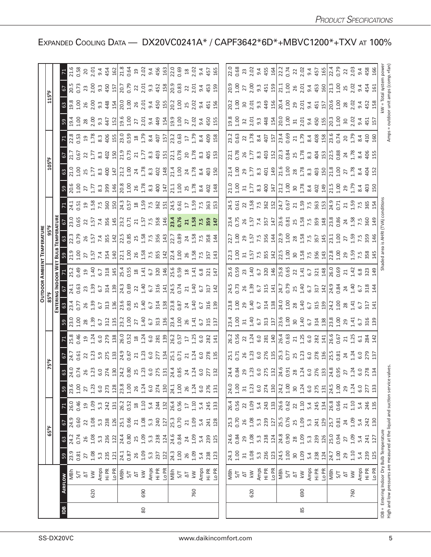|                                                                              |                         |                         |                  |                                    |                   |                                                                                                                                                                                                                                                                                                                                                                                                                                                                 |  |                                                              | OUTDOOR AMBIENT TEMPERATU                                                                                                                                                                                                                                                                                                                                |                                                                                                               |                                                                                                                                                                                                                                                                                                           |                                                                                                                                                                                                                                |                                                                                                                                                                                                                                                                                                                     |                                                                                                                                                                                                                                |                                                                                                                                                                                                                                |                                                                                                                                                                                                                                                                                                                            |                                                                                                                                                                                                |                                                                                                                                                                                                                                |                 |                                                                                                                                                                                                                                |
|------------------------------------------------------------------------------|-------------------------|-------------------------|------------------|------------------------------------|-------------------|-----------------------------------------------------------------------------------------------------------------------------------------------------------------------------------------------------------------------------------------------------------------------------------------------------------------------------------------------------------------------------------------------------------------------------------------------------------------|--|--------------------------------------------------------------|----------------------------------------------------------------------------------------------------------------------------------------------------------------------------------------------------------------------------------------------------------------------------------------------------------------------------------------------------------|---------------------------------------------------------------------------------------------------------------|-----------------------------------------------------------------------------------------------------------------------------------------------------------------------------------------------------------------------------------------------------------------------------------------------------------|--------------------------------------------------------------------------------------------------------------------------------------------------------------------------------------------------------------------------------|---------------------------------------------------------------------------------------------------------------------------------------------------------------------------------------------------------------------------------------------------------------------------------------------------------------------|--------------------------------------------------------------------------------------------------------------------------------------------------------------------------------------------------------------------------------|--------------------------------------------------------------------------------------------------------------------------------------------------------------------------------------------------------------------------------|----------------------------------------------------------------------------------------------------------------------------------------------------------------------------------------------------------------------------------------------------------------------------------------------------------------------------|------------------------------------------------------------------------------------------------------------------------------------------------------------------------------------------------|--------------------------------------------------------------------------------------------------------------------------------------------------------------------------------------------------------------------------------|-----------------|--------------------------------------------------------------------------------------------------------------------------------------------------------------------------------------------------------------------------------|
|                                                                              |                         |                         | 65°F             |                                    |                   |                                                                                                                                                                                                                                                                                                                                                                                                                                                                 |  |                                                              |                                                                                                                                                                                                                                                                                                                                                          |                                                                                                               |                                                                                                                                                                                                                                                                                                           |                                                                                                                                                                                                                                |                                                                                                                                                                                                                                                                                                                     |                                                                                                                                                                                                                                |                                                                                                                                                                                                                                |                                                                                                                                                                                                                                                                                                                            |                                                                                                                                                                                                |                                                                                                                                                                                                                                |                 |                                                                                                                                                                                                                                |
|                                                                              |                         |                         |                  |                                    |                   |                                                                                                                                                                                                                                                                                                                                                                                                                                                                 |  |                                                              |                                                                                                                                                                                                                                                                                                                                                          |                                                                                                               |                                                                                                                                                                                                                                                                                                           |                                                                                                                                                                                                                                |                                                                                                                                                                                                                                                                                                                     |                                                                                                                                                                                                                                |                                                                                                                                                                                                                                |                                                                                                                                                                                                                                                                                                                            |                                                                                                                                                                                                |                                                                                                                                                                                                                                |                 |                                                                                                                                                                                                                                |
| ြို့<br><b>AIRFLOW</b>                                                       |                         | $\mathbb{G}$            | $\mathcal{C}$    |                                    |                   |                                                                                                                                                                                                                                                                                                                                                                                                                                                                 |  |                                                              |                                                                                                                                                                                                                                                                                                                                                          |                                                                                                               |                                                                                                                                                                                                                                                                                                           |                                                                                                                                                                                                                                |                                                                                                                                                                                                                                                                                                                     |                                                                                                                                                                                                                                |                                                                                                                                                                                                                                |                                                                                                                                                                                                                                                                                                                            |                                                                                                                                                                                                |                                                                                                                                                                                                                                |                 |                                                                                                                                                                                                                                |
| 23.9<br>0.81<br>5/7                                                          |                         | 0.74<br>24.2            | 24.9<br>0.60     | 0.46<br>26.0                       | 60                |                                                                                                                                                                                                                                                                                                                                                                                                                                                                 |  | <u>ូន មិន នាង ដើម្បី មិន មិន មិន ម</u> ាយ មិន អ្នក មិន មិន ម |                                                                                                                                                                                                                                                                                                                                                          | $7.239$ $2.334$ $3.41$ $3.59$ $3.41$ $3.59$ $3.41$ $3.41$ $3.41$ $3.41$ $3.41$ $3.41$ $3.41$ $3.41$           | B di di vi u su di gi di su su di sultanti di sultanti di sultanti di sultanti di sultanti di sultanti di sult<br>B di di vi u sultanti di sultanti di sultanti di sultanti di sultanti di sultanti di sultanti di sultanti di s                                                                          | $32.3$ $35.4$ $57.5$ $32.5$ $32.5$ $33.5$ $34.5$ $35.5$ $35.5$ $35.5$ $35.5$ $35.5$ $35.5$ $35.5$ $35.5$ $35.5$ $35.5$ $35.5$ $35.5$ $35.5$ $35.5$ $35.5$ $35.5$ $35.5$ $35.5$ $35.5$ $35.5$ $35.5$ $35.5$ $35.5$ $35.5$ $35.$ | $53.58$ $257.58$ $21.75$ $27.58$ $29.8$ $21.75$ $25.8$ $29.7$ $25.7$ $25.7$ $25.7$ $25.7$ $25.7$ $25.7$ $25.7$ $25.7$ $25.7$ $25.7$ $25.7$ $25.7$ $25.7$ $25.7$ $25.7$ $25.7$ $25.7$ $25.7$ $25.7$ $25.7$ $25.7$ $25.7$ $25.7$                                                                                      | $30.6$ $30.7$ $7.7$ $3.8$ $3.4$ $8.6$ $3.6$ $3.6$ $3.6$ $3.6$ $3.6$ $3.6$ $3.6$ $3.6$ $3.6$ $3.6$ $3.6$ $3.6$ $3.6$ $3.6$ $3.6$ $3.6$ $3.6$ $3.6$ $3.6$ $3.6$ $3.6$ $3.6$ $3.6$ $3.6$ $3.6$ $3.6$ $3.6$ $3.6$ $3.6$ $3.6$ $3.$ | $3.58$ $3.53$ $3.53$ $4.53$ $5.53$ $5.53$ $5.53$ $5.53$ $5.53$ $5.53$ $5.53$ $5.53$ $5.53$ $5.53$ $5.53$ $5.53$ $5.53$ $5.53$ $5.53$ $5.53$ $5.53$ $5.53$ $5.53$ $5.53$ $5.53$ $5.53$ $5.53$ $5.53$ $5.53$ $5.53$ $5.53$ $5.5$ | $5\frac{1}{2}$ ; $5\frac{1}{2}$ $2\frac{1}{2}$ ; $3\frac{1}{2}$ $3\frac{1}{2}$ ; $3\frac{1}{2}$ ; $3\frac{1}{2}$ ; $3\frac{1}{2}$ ; $3\frac{1}{2}$ ; $3\frac{1}{2}$ ; $3\frac{1}{2}$ ; $3\frac{1}{2}$ ; $3\frac{1}{2}$ ; $3\frac{1}{2}$ ; $3\frac{1}{2}$ ; $3\frac{1}{2}$ ; $3\frac{1}{2}$ ; $3\frac{1}{2}$ ; $3\frac{1}{$ | <u>ទង្គី មន្ត្រី មន្ត្រី មន្ត្រី មន្ត្រី មន្ត្រី មន្ត្រី មន្ត្រី មន្ត្រី</u><br>ស្តី មន្ត្រី មន្ត្រី មន្ត្រី មន្ត្រី មន្ត្រី មន្ត្រី មន្ត្រី មន្ត្រី មន្ត្រី មន្ត្រី មន្ត្រី មន្ត្រី មន្ត្រី ម |                                                                                                                                                                                                                                |                 |                                                                                                                                                                                                                                |
| 27<br>$\overline{\Delta}$                                                    |                         | 26                      | 22               | 19                                 | 27                |                                                                                                                                                                                                                                                                                                                                                                                                                                                                 |  |                                                              |                                                                                                                                                                                                                                                                                                                                                          |                                                                                                               |                                                                                                                                                                                                                                                                                                           |                                                                                                                                                                                                                                |                                                                                                                                                                                                                                                                                                                     |                                                                                                                                                                                                                                |                                                                                                                                                                                                                                |                                                                                                                                                                                                                                                                                                                            |                                                                                                                                                                                                |                                                                                                                                                                                                                                |                 |                                                                                                                                                                                                                                |
| 1.08<br>$\lesssim$                                                           |                         | 1.08                    | 1.08             | 09                                 | 1.23              |                                                                                                                                                                                                                                                                                                                                                                                                                                                                 |  |                                                              |                                                                                                                                                                                                                                                                                                                                                          |                                                                                                               |                                                                                                                                                                                                                                                                                                           |                                                                                                                                                                                                                                |                                                                                                                                                                                                                                                                                                                     |                                                                                                                                                                                                                                |                                                                                                                                                                                                                                |                                                                                                                                                                                                                                                                                                                            |                                                                                                                                                                                                |                                                                                                                                                                                                                                |                 |                                                                                                                                                                                                                                |
| 5.3<br>Amps<br>Hi PR                                                         |                         | 5.3                     | 5.3              | $5.\overline{3}$<br>242            | 6.0               |                                                                                                                                                                                                                                                                                                                                                                                                                                                                 |  |                                                              |                                                                                                                                                                                                                                                                                                                                                          |                                                                                                               |                                                                                                                                                                                                                                                                                                           |                                                                                                                                                                                                                                |                                                                                                                                                                                                                                                                                                                     |                                                                                                                                                                                                                                |                                                                                                                                                                                                                                |                                                                                                                                                                                                                                                                                                                            |                                                                                                                                                                                                |                                                                                                                                                                                                                                |                 |                                                                                                                                                                                                                                |
|                                                                              | 235                     | 236                     | 238              |                                    | 273               |                                                                                                                                                                                                                                                                                                                                                                                                                                                                 |  |                                                              |                                                                                                                                                                                                                                                                                                                                                          |                                                                                                               |                                                                                                                                                                                                                                                                                                           |                                                                                                                                                                                                                                |                                                                                                                                                                                                                                                                                                                     |                                                                                                                                                                                                                                |                                                                                                                                                                                                                                |                                                                                                                                                                                                                                                                                                                            |                                                                                                                                                                                                |                                                                                                                                                                                                                                |                 |                                                                                                                                                                                                                                |
| Lo PR                                                                        | 121                     | 122                     | 126              | 131                                |                   |                                                                                                                                                                                                                                                                                                                                                                                                                                                                 |  |                                                              |                                                                                                                                                                                                                                                                                                                                                          |                                                                                                               |                                                                                                                                                                                                                                                                                                           |                                                                                                                                                                                                                                |                                                                                                                                                                                                                                                                                                                     |                                                                                                                                                                                                                                |                                                                                                                                                                                                                                |                                                                                                                                                                                                                                                                                                                            |                                                                                                                                                                                                |                                                                                                                                                                                                                                |                 |                                                                                                                                                                                                                                |
| NBh<br>S/T<br>AT                                                             | 24.1<br>0.87            | 24.4<br>0.80            | 25.1<br>0.66     | 26.2<br>0.52<br>18                 | $\frac{28}{23.8}$ |                                                                                                                                                                                                                                                                                                                                                                                                                                                                 |  |                                                              |                                                                                                                                                                                                                                                                                                                                                          |                                                                                                               |                                                                                                                                                                                                                                                                                                           |                                                                                                                                                                                                                                |                                                                                                                                                                                                                                                                                                                     |                                                                                                                                                                                                                                |                                                                                                                                                                                                                                |                                                                                                                                                                                                                                                                                                                            |                                                                                                                                                                                                |                                                                                                                                                                                                                                |                 |                                                                                                                                                                                                                                |
|                                                                              | 26                      | 25                      | 21               |                                    | 26                |                                                                                                                                                                                                                                                                                                                                                                                                                                                                 |  |                                                              |                                                                                                                                                                                                                                                                                                                                                          |                                                                                                               |                                                                                                                                                                                                                                                                                                           |                                                                                                                                                                                                                                |                                                                                                                                                                                                                                                                                                                     |                                                                                                                                                                                                                                |                                                                                                                                                                                                                                |                                                                                                                                                                                                                                                                                                                            |                                                                                                                                                                                                |                                                                                                                                                                                                                                |                 |                                                                                                                                                                                                                                |
| $\overline{\mathsf{k}}$                                                      |                         |                         |                  | 1.10                               | 1.24              |                                                                                                                                                                                                                                                                                                                                                                                                                                                                 |  |                                                              |                                                                                                                                                                                                                                                                                                                                                          |                                                                                                               |                                                                                                                                                                                                                                                                                                           |                                                                                                                                                                                                                                |                                                                                                                                                                                                                                                                                                                     |                                                                                                                                                                                                                                |                                                                                                                                                                                                                                |                                                                                                                                                                                                                                                                                                                            |                                                                                                                                                                                                |                                                                                                                                                                                                                                |                 |                                                                                                                                                                                                                                |
|                                                                              | $1.09$<br>$5.3$         | $1.09$<br>5.3           | $1.08$<br>5.3    | 5.4                                | 6.0               |                                                                                                                                                                                                                                                                                                                                                                                                                                                                 |  |                                                              |                                                                                                                                                                                                                                                                                                                                                          |                                                                                                               |                                                                                                                                                                                                                                                                                                           |                                                                                                                                                                                                                                |                                                                                                                                                                                                                                                                                                                     |                                                                                                                                                                                                                                |                                                                                                                                                                                                                                |                                                                                                                                                                                                                                                                                                                            |                                                                                                                                                                                                |                                                                                                                                                                                                                                |                 |                                                                                                                                                                                                                                |
| Amps<br>Hi PR<br>Lo PR                                                       | 237                     | 238                     | 240              | 244                                |                   |                                                                                                                                                                                                                                                                                                                                                                                                                                                                 |  |                                                              |                                                                                                                                                                                                                                                                                                                                                          |                                                                                                               |                                                                                                                                                                                                                                                                                                           |                                                                                                                                                                                                                                |                                                                                                                                                                                                                                                                                                                     |                                                                                                                                                                                                                                |                                                                                                                                                                                                                                |                                                                                                                                                                                                                                                                                                                            |                                                                                                                                                                                                |                                                                                                                                                                                                                                |                 |                                                                                                                                                                                                                                |
|                                                                              | 122                     | 124                     | 127              | 132                                | 274<br>130        |                                                                                                                                                                                                                                                                                                                                                                                                                                                                 |  |                                                              |                                                                                                                                                                                                                                                                                                                                                          |                                                                                                               |                                                                                                                                                                                                                                                                                                           |                                                                                                                                                                                                                                |                                                                                                                                                                                                                                                                                                                     |                                                                                                                                                                                                                                |                                                                                                                                                                                                                                |                                                                                                                                                                                                                                                                                                                            |                                                                                                                                                                                                |                                                                                                                                                                                                                                |                 |                                                                                                                                                                                                                                |
| 동<br>이후                                                                      | 24.3                    | 24.6                    | 25.3             | 26.4<br>0.56                       | 24.1              |                                                                                                                                                                                                                                                                                                                                                                                                                                                                 |  |                                                              |                                                                                                                                                                                                                                                                                                                                                          |                                                                                                               |                                                                                                                                                                                                                                                                                                           |                                                                                                                                                                                                                                |                                                                                                                                                                                                                                                                                                                     |                                                                                                                                                                                                                                |                                                                                                                                                                                                                                |                                                                                                                                                                                                                                                                                                                            |                                                                                                                                                                                                |                                                                                                                                                                                                                                |                 |                                                                                                                                                                                                                                |
|                                                                              | 1.00                    | 0.84                    | 0.70             |                                    | 1.00              |                                                                                                                                                                                                                                                                                                                                                                                                                                                                 |  |                                                              |                                                                                                                                                                                                                                                                                                                                                          |                                                                                                               |                                                                                                                                                                                                                                                                                                           |                                                                                                                                                                                                                                |                                                                                                                                                                                                                                                                                                                     |                                                                                                                                                                                                                                |                                                                                                                                                                                                                                |                                                                                                                                                                                                                                                                                                                            |                                                                                                                                                                                                |                                                                                                                                                                                                                                |                 |                                                                                                                                                                                                                                |
| $\overline{\Delta}$                                                          | 26                      | 24                      | 21               | $\overline{\mathbb{L}}$            | 26                |                                                                                                                                                                                                                                                                                                                                                                                                                                                                 |  |                                                              |                                                                                                                                                                                                                                                                                                                                                          |                                                                                                               |                                                                                                                                                                                                                                                                                                           |                                                                                                                                                                                                                                |                                                                                                                                                                                                                                                                                                                     |                                                                                                                                                                                                                                |                                                                                                                                                                                                                                |                                                                                                                                                                                                                                                                                                                            |                                                                                                                                                                                                |                                                                                                                                                                                                                                |                 |                                                                                                                                                                                                                                |
| $\leq$                                                                       | 1.09                    | 1.09                    | 1.09             | 1.10                               | 1.24              |                                                                                                                                                                                                                                                                                                                                                                                                                                                                 |  |                                                              |                                                                                                                                                                                                                                                                                                                                                          |                                                                                                               |                                                                                                                                                                                                                                                                                                           |                                                                                                                                                                                                                                |                                                                                                                                                                                                                                                                                                                     |                                                                                                                                                                                                                                |                                                                                                                                                                                                                                |                                                                                                                                                                                                                                                                                                                            |                                                                                                                                                                                                |                                                                                                                                                                                                                                |                 |                                                                                                                                                                                                                                |
|                                                                              |                         | 5.4                     | 5.4              | 5.4                                | 6.0               |                                                                                                                                                                                                                                                                                                                                                                                                                                                                 |  |                                                              |                                                                                                                                                                                                                                                                                                                                                          |                                                                                                               |                                                                                                                                                                                                                                                                                                           |                                                                                                                                                                                                                                |                                                                                                                                                                                                                                                                                                                     |                                                                                                                                                                                                                                |                                                                                                                                                                                                                                |                                                                                                                                                                                                                                                                                                                            |                                                                                                                                                                                                |                                                                                                                                                                                                                                |                 |                                                                                                                                                                                                                                |
| Amps<br>Hi PR                                                                | $5.\overline{4}$<br>238 | 239                     | 241              | 245                                | 276               |                                                                                                                                                                                                                                                                                                                                                                                                                                                                 |  |                                                              |                                                                                                                                                                                                                                                                                                                                                          |                                                                                                               |                                                                                                                                                                                                                                                                                                           |                                                                                                                                                                                                                                |                                                                                                                                                                                                                                                                                                                     |                                                                                                                                                                                                                                |                                                                                                                                                                                                                                |                                                                                                                                                                                                                                                                                                                            |                                                                                                                                                                                                |                                                                                                                                                                                                                                |                 |                                                                                                                                                                                                                                |
| Lo PR                                                                        | 123                     | 125                     | 128              | 133                                | 131               |                                                                                                                                                                                                                                                                                                                                                                                                                                                                 |  |                                                              |                                                                                                                                                                                                                                                                                                                                                          |                                                                                                               |                                                                                                                                                                                                                                                                                                           |                                                                                                                                                                                                                                |                                                                                                                                                                                                                                                                                                                     |                                                                                                                                                                                                                                |                                                                                                                                                                                                                                |                                                                                                                                                                                                                                                                                                                            |                                                                                                                                                                                                |                                                                                                                                                                                                                                |                 |                                                                                                                                                                                                                                |
|                                                                              |                         |                         |                  |                                    |                   |                                                                                                                                                                                                                                                                                                                                                                                                                                                                 |  |                                                              |                                                                                                                                                                                                                                                                                                                                                          |                                                                                                               |                                                                                                                                                                                                                                                                                                           |                                                                                                                                                                                                                                |                                                                                                                                                                                                                                                                                                                     |                                                                                                                                                                                                                                |                                                                                                                                                                                                                                |                                                                                                                                                                                                                                                                                                                            |                                                                                                                                                                                                |                                                                                                                                                                                                                                |                 |                                                                                                                                                                                                                                |
|                                                                              |                         |                         |                  |                                    | 24.0              |                                                                                                                                                                                                                                                                                                                                                                                                                                                                 |  |                                                              |                                                                                                                                                                                                                                                                                                                                                          |                                                                                                               |                                                                                                                                                                                                                                                                                                           |                                                                                                                                                                                                                                |                                                                                                                                                                                                                                                                                                                     |                                                                                                                                                                                                                                |                                                                                                                                                                                                                                |                                                                                                                                                                                                                                                                                                                            |                                                                                                                                                                                                |                                                                                                                                                                                                                                |                 |                                                                                                                                                                                                                                |
| 지<br>이                                                                       | 24.3<br>1.00            | 24.6<br>0.84            | 25.3<br>0.70     | 26.4<br>0.56                       | 001               |                                                                                                                                                                                                                                                                                                                                                                                                                                                                 |  |                                                              |                                                                                                                                                                                                                                                                                                                                                          |                                                                                                               |                                                                                                                                                                                                                                                                                                           |                                                                                                                                                                                                                                |                                                                                                                                                                                                                                                                                                                     |                                                                                                                                                                                                                                |                                                                                                                                                                                                                                |                                                                                                                                                                                                                                                                                                                            |                                                                                                                                                                                                |                                                                                                                                                                                                                                |                 |                                                                                                                                                                                                                                |
| $\overline{\Delta}$                                                          | 31                      | 29                      | 26               | 22                                 | $\overline{31}$   |                                                                                                                                                                                                                                                                                                                                                                                                                                                                 |  |                                                              |                                                                                                                                                                                                                                                                                                                                                          |                                                                                                               |                                                                                                                                                                                                                                                                                                           |                                                                                                                                                                                                                                |                                                                                                                                                                                                                                                                                                                     |                                                                                                                                                                                                                                |                                                                                                                                                                                                                                |                                                                                                                                                                                                                                                                                                                            |                                                                                                                                                                                                |                                                                                                                                                                                                                                |                 |                                                                                                                                                                                                                                |
| kW                                                                           | 1.08                    | 1.08                    | 1.08             | 0.1                                | 1.23              |                                                                                                                                                                                                                                                                                                                                                                                                                                                                 |  |                                                              |                                                                                                                                                                                                                                                                                                                                                          |                                                                                                               |                                                                                                                                                                                                                                                                                                           |                                                                                                                                                                                                                                |                                                                                                                                                                                                                                                                                                                     |                                                                                                                                                                                                                                |                                                                                                                                                                                                                                |                                                                                                                                                                                                                                                                                                                            |                                                                                                                                                                                                |                                                                                                                                                                                                                                |                 |                                                                                                                                                                                                                                |
|                                                                              | $5.\overline{3}$        | 5.3                     | $5.\overline{3}$ |                                    | 6.0               |                                                                                                                                                                                                                                                                                                                                                                                                                                                                 |  |                                                              |                                                                                                                                                                                                                                                                                                                                                          |                                                                                                               |                                                                                                                                                                                                                                                                                                           |                                                                                                                                                                                                                                |                                                                                                                                                                                                                                                                                                                     |                                                                                                                                                                                                                                |                                                                                                                                                                                                                                |                                                                                                                                                                                                                                                                                                                            |                                                                                                                                                                                                |                                                                                                                                                                                                                                |                 |                                                                                                                                                                                                                                |
|                                                                              | 236                     | 238                     | 239              |                                    | 274               |                                                                                                                                                                                                                                                                                                                                                                                                                                                                 |  |                                                              |                                                                                                                                                                                                                                                                                                                                                          |                                                                                                               |                                                                                                                                                                                                                                                                                                           |                                                                                                                                                                                                                                |                                                                                                                                                                                                                                                                                                                     |                                                                                                                                                                                                                                |                                                                                                                                                                                                                                |                                                                                                                                                                                                                                                                                                                            |                                                                                                                                                                                                |                                                                                                                                                                                                                                |                 |                                                                                                                                                                                                                                |
| Amps<br>Hi PR<br><u>Lo</u> PR                                                | 123                     | 124                     | 127              |                                    | 130               |                                                                                                                                                                                                                                                                                                                                                                                                                                                                 |  |                                                              |                                                                                                                                                                                                                                                                                                                                                          |                                                                                                               |                                                                                                                                                                                                                                                                                                           |                                                                                                                                                                                                                                |                                                                                                                                                                                                                                                                                                                     |                                                                                                                                                                                                                                |                                                                                                                                                                                                                                |                                                                                                                                                                                                                                                                                                                            |                                                                                                                                                                                                |                                                                                                                                                                                                                                |                 |                                                                                                                                                                                                                                |
| $MBD$<br>S/T                                                                 | 24.5<br>1.00            | 24.8<br>0.90            | 25.5             |                                    | 24.2              |                                                                                                                                                                                                                                                                                                                                                                                                                                                                 |  |                                                              |                                                                                                                                                                                                                                                                                                                                                          |                                                                                                               |                                                                                                                                                                                                                                                                                                           |                                                                                                                                                                                                                                |                                                                                                                                                                                                                                                                                                                     |                                                                                                                                                                                                                                |                                                                                                                                                                                                                                |                                                                                                                                                                                                                                                                                                                            |                                                                                                                                                                                                |                                                                                                                                                                                                                                |                 |                                                                                                                                                                                                                                |
|                                                                              |                         |                         | 0.76             |                                    | 1.00              |                                                                                                                                                                                                                                                                                                                                                                                                                                                                 |  |                                                              |                                                                                                                                                                                                                                                                                                                                                          |                                                                                                               |                                                                                                                                                                                                                                                                                                           |                                                                                                                                                                                                                                |                                                                                                                                                                                                                                                                                                                     |                                                                                                                                                                                                                                |                                                                                                                                                                                                                                |                                                                                                                                                                                                                                                                                                                            |                                                                                                                                                                                                |                                                                                                                                                                                                                                |                 |                                                                                                                                                                                                                                |
| $\Delta\mathsf{T}$                                                           | 30                      | 28                      | 25               | 22                                 | $30\,$            |                                                                                                                                                                                                                                                                                                                                                                                                                                                                 |  |                                                              |                                                                                                                                                                                                                                                                                                                                                          |                                                                                                               |                                                                                                                                                                                                                                                                                                           |                                                                                                                                                                                                                                |                                                                                                                                                                                                                                                                                                                     |                                                                                                                                                                                                                                |                                                                                                                                                                                                                                |                                                                                                                                                                                                                                                                                                                            |                                                                                                                                                                                                |                                                                                                                                                                                                                                |                 |                                                                                                                                                                                                                                |
| $\leq$                                                                       | 1.09                    | 1.09                    | 1.09             |                                    | 1.24              |                                                                                                                                                                                                                                                                                                                                                                                                                                                                 |  |                                                              |                                                                                                                                                                                                                                                                                                                                                          |                                                                                                               |                                                                                                                                                                                                                                                                                                           |                                                                                                                                                                                                                                |                                                                                                                                                                                                                                                                                                                     |                                                                                                                                                                                                                                |                                                                                                                                                                                                                                |                                                                                                                                                                                                                                                                                                                            |                                                                                                                                                                                                |                                                                                                                                                                                                                                |                 |                                                                                                                                                                                                                                |
| Amps<br>Hi PR                                                                | 5.4<br>238              | 5.3                     | $5.\overline{3}$ |                                    | 6.0               |                                                                                                                                                                                                                                                                                                                                                                                                                                                                 |  |                                                              |                                                                                                                                                                                                                                                                                                                                                          |                                                                                                               |                                                                                                                                                                                                                                                                                                           |                                                                                                                                                                                                                                |                                                                                                                                                                                                                                                                                                                     |                                                                                                                                                                                                                                |                                                                                                                                                                                                                                |                                                                                                                                                                                                                                                                                                                            |                                                                                                                                                                                                |                                                                                                                                                                                                                                |                 |                                                                                                                                                                                                                                |
|                                                                              |                         | 239                     | 241              | $1.10$<br>$5.4$<br>$2.45$<br>$134$ | 275               |                                                                                                                                                                                                                                                                                                                                                                                                                                                                 |  |                                                              |                                                                                                                                                                                                                                                                                                                                                          |                                                                                                               |                                                                                                                                                                                                                                                                                                           |                                                                                                                                                                                                                                |                                                                                                                                                                                                                                                                                                                     |                                                                                                                                                                                                                                |                                                                                                                                                                                                                                |                                                                                                                                                                                                                                                                                                                            |                                                                                                                                                                                                |                                                                                                                                                                                                                                |                 |                                                                                                                                                                                                                                |
| Lo PR                                                                        | 124                     | 126                     | 129              |                                    |                   |                                                                                                                                                                                                                                                                                                                                                                                                                                                                 |  |                                                              |                                                                                                                                                                                                                                                                                                                                                          |                                                                                                               |                                                                                                                                                                                                                                                                                                           |                                                                                                                                                                                                                                |                                                                                                                                                                                                                                                                                                                     |                                                                                                                                                                                                                                |                                                                                                                                                                                                                                |                                                                                                                                                                                                                                                                                                                            |                                                                                                                                                                                                |                                                                                                                                                                                                                                |                 |                                                                                                                                                                                                                                |
| MBh                                                                          | 24.7                    | 25.0                    | 25.7             | 26.8<br>0.66                       | 24.5              |                                                                                                                                                                                                                                                                                                                                                                                                                                                                 |  |                                                              |                                                                                                                                                                                                                                                                                                                                                          |                                                                                                               |                                                                                                                                                                                                                                                                                                           |                                                                                                                                                                                                                                |                                                                                                                                                                                                                                                                                                                     |                                                                                                                                                                                                                                |                                                                                                                                                                                                                                |                                                                                                                                                                                                                                                                                                                            |                                                                                                                                                                                                |                                                                                                                                                                                                                                |                 |                                                                                                                                                                                                                                |
| 5/7                                                                          | 1.00                    | 0.94                    | 0.81             |                                    | 1.00              |                                                                                                                                                                                                                                                                                                                                                                                                                                                                 |  |                                                              |                                                                                                                                                                                                                                                                                                                                                          |                                                                                                               |                                                                                                                                                                                                                                                                                                           |                                                                                                                                                                                                                                |                                                                                                                                                                                                                                                                                                                     |                                                                                                                                                                                                                                |                                                                                                                                                                                                                                |                                                                                                                                                                                                                                                                                                                            |                                                                                                                                                                                                |                                                                                                                                                                                                                                |                 |                                                                                                                                                                                                                                |
| $\overline{\Delta}$                                                          | 29                      | 27                      | 24               | 21                                 | 29                |                                                                                                                                                                                                                                                                                                                                                                                                                                                                 |  |                                                              |                                                                                                                                                                                                                                                                                                                                                          |                                                                                                               |                                                                                                                                                                                                                                                                                                           |                                                                                                                                                                                                                                |                                                                                                                                                                                                                                                                                                                     |                                                                                                                                                                                                                                |                                                                                                                                                                                                                                |                                                                                                                                                                                                                                                                                                                            |                                                                                                                                                                                                |                                                                                                                                                                                                                                |                 |                                                                                                                                                                                                                                |
| $\leq$                                                                       | 1.10                    | 1.09                    | 09               | 1.10                               | 1.24              |                                                                                                                                                                                                                                                                                                                                                                                                                                                                 |  |                                                              |                                                                                                                                                                                                                                                                                                                                                          |                                                                                                               |                                                                                                                                                                                                                                                                                                           |                                                                                                                                                                                                                                |                                                                                                                                                                                                                                                                                                                     |                                                                                                                                                                                                                                |                                                                                                                                                                                                                                |                                                                                                                                                                                                                                                                                                                            |                                                                                                                                                                                                |                                                                                                                                                                                                                                |                 |                                                                                                                                                                                                                                |
| Amps                                                                         | 5.4                     | 5.4                     | 5.4              | 5.4                                | 6.0               |                                                                                                                                                                                                                                                                                                                                                                                                                                                                 |  |                                                              |                                                                                                                                                                                                                                                                                                                                                          |                                                                                                               |                                                                                                                                                                                                                                                                                                           |                                                                                                                                                                                                                                |                                                                                                                                                                                                                                                                                                                     |                                                                                                                                                                                                                                |                                                                                                                                                                                                                                |                                                                                                                                                                                                                                                                                                                            |                                                                                                                                                                                                |                                                                                                                                                                                                                                |                 |                                                                                                                                                                                                                                |
| Hi PR                                                                        | 239                     | 241                     | 242<br>130       | 246<br>135                         | 277               | $\begin{array}{l} \mathcal{A} \ \mathcal{A} \ \mathcal{B} \ \mathcal{C} \ \mathcal{C} \ \mathcal{C} \ \mathcal{C} \ \mathcal{C} \ \mathcal{C} \ \mathcal{C} \ \mathcal{C} \ \mathcal{C} \ \mathcal{C} \ \mathcal{C} \ \mathcal{C} \ \mathcal{C} \ \mathcal{C} \ \mathcal{C} \ \mathcal{C} \ \mathcal{C} \ \mathcal{C} \ \mathcal{C} \ \mathcal{C} \ \mathcal{C} \ \mathcal{C} \ \mathcal{C} \ \mathcal{C} \ \mathcal{C} \ \mathcal{C} \ \mathcal{C} \ \mathcal$ |  |                                                              | $\begin{array}{cccccccccc} x_{15} & x_{16} & x_{17} & x_{18} & x_{19} & x_{10} & x_{11} & x_{10} & x_{11} & x_{10} & x_{11} & x_{12} & x_{13} & x_{14} & x_{15} & x_{16} & x_{17} & x_{18} & x_{19} & x_{11} & x_{10} & x_{11} & x_{12} & x_{13} & x_{14} & x_{15} & x_{16} & x_{17} & x_{18} & x_{19} & x_{11} & x_{10} & x_{11} & x_{12} & x_{13} & x$ | 15.93 m q c c g s q l m s c z q c c z q s m q l c s c z q c c z q s m q l c c z q c s m q l c c z q c s m q l | $\frac{23}{21}$ $\frac{25}{21}$ $\frac{15}{21}$ $\frac{17}{21}$ $\frac{23}{21}$ $\frac{23}{21}$ $\frac{23}{21}$ $\frac{23}{21}$ $\frac{23}{21}$ $\frac{23}{21}$ $\frac{23}{21}$ $\frac{23}{21}$ $\frac{23}{21}$ $\frac{23}{21}$ $\frac{23}{21}$ $\frac{23}{21}$ $\frac{23}{21}$ $\frac{23}{21}$ $\frac{2$ |                                                                                                                                                                                                                                | $\begin{array}{ccccccccc}\n3.5 & 2 & 5 & 7 & 7 & 8 & 7 & 7 & 8 & 7 & 7 & 8 & 7 & 7 & 8 & 7 & 8 & 7 & 8 & 7 & 7 & 8 & 7 & 8 & 7 & 8 & 7 & 8 & 7 & 8 & 7 & 8 & 7 & 8 & 7 & 8 & 7 & 8 & 7 & 8 & 7 & 8 & 7 & 8 & 7 & 8 & 7 & 8 & 7 & 8 & 7 & 8 & 7 & 8 & 7 & 8 & 7 & 8 & 7 & 8 & 7 & 8 & 7 & 8 & 7 & 8 & 7 & 8 & 7 & 8$ | $21.9$ $35.3$ $32.4$ $33.4$ $34.4$ $35.4$ $36.4$ $37.4$ $38.4$ $39.4$ $39.4$ $39.4$ $39.4$ $39.4$ $39.4$ $39.4$ $39.4$ $39.4$ $39.4$ $39.4$ $39.4$ $39.4$ $39.4$ $39.4$ $39.4$ $39.4$ $39.4$ $39.4$ $39.4$ $39.4$ $39.4$ $39.$ | $71.59$ and $71.53$ and $71.59$ and $71.59$ and $71.59$ and $71.59$ and $71.59$ and $71.59$ and $71.59$ and $71.59$ and $71.59$ and $71.59$ and $71.59$ and $71.59$ and $71.59$ and $71.59$ and $71.59$ and $71.59$ and $71.5$ |                                                                                                                                                                                                                                                                                                                            |                                                                                                                                                                                                | $20.5$ $3.5$ $3.4$ $3.5$ $3.5$ $3.5$ $3.5$ $3.5$ $3.5$ $3.5$ $3.5$ $3.5$ $3.5$ $3.5$ $3.5$ $3.5$ $3.5$ $3.5$ $3.5$ $3.5$ $3.5$ $3.5$ $3.5$ $3.5$ $3.5$ $3.5$ $3.5$ $3.5$ $3.5$ $3.5$ $3.5$ $3.5$ $3.5$ $3.5$ $3.5$ $3.5$ $3.5$ |                 | $23.89$ $73.3$ $3.4$ $5.4$ $7.4$ $7.4$ $7.5$ $7.4$ $7.5$ $7.4$ $7.5$ $7.5$ $7.5$ $7.5$ $7.5$ $7.5$ $7.5$ $7.5$ $7.5$ $7.5$ $7.5$ $7.5$ $7.5$ $7.5$ $7.5$ $7.5$ $7.5$ $7.5$ $7.5$ $7.5$ $7.5$ $7.5$ $7.5$ $7.5$ $7.5$ $7.5$ $7$ |
| PR <sub>O</sub>                                                              | 125                     | 127                     |                  |                                    | 133               |                                                                                                                                                                                                                                                                                                                                                                                                                                                                 |  |                                                              |                                                                                                                                                                                                                                                                                                                                                          |                                                                                                               |                                                                                                                                                                                                                                                                                                           |                                                                                                                                                                                                                                |                                                                                                                                                                                                                                                                                                                     |                                                                                                                                                                                                                                |                                                                                                                                                                                                                                |                                                                                                                                                                                                                                                                                                                            |                                                                                                                                                                                                |                                                                                                                                                                                                                                |                 |                                                                                                                                                                                                                                |
| IDB = Entering Indoor Dry                                                    |                         | <b>Bulb Temperature</b> |                  |                                    |                   |                                                                                                                                                                                                                                                                                                                                                                                                                                                                 |  |                                                              |                                                                                                                                                                                                                                                                                                                                                          |                                                                                                               |                                                                                                                                                                                                                                                                                                           |                                                                                                                                                                                                                                |                                                                                                                                                                                                                                                                                                                     |                                                                                                                                                                                                                                |                                                                                                                                                                                                                                |                                                                                                                                                                                                                                                                                                                            |                                                                                                                                                                                                |                                                                                                                                                                                                                                |                 |                                                                                                                                                                                                                                |
| High and low pressures are measured at the liquid and suction service valves |                         |                         |                  |                                    |                   |                                                                                                                                                                                                                                                                                                                                                                                                                                                                 |  |                                                              |                                                                                                                                                                                                                                                                                                                                                          |                                                                                                               |                                                                                                                                                                                                                                                                                                           |                                                                                                                                                                                                                                |                                                                                                                                                                                                                                                                                                                     |                                                                                                                                                                                                                                |                                                                                                                                                                                                                                |                                                                                                                                                                                                                                                                                                                            | outdoor unit                                                                                                                                                                                   |                                                                                                                                                                                                                                | amps (comp.+fan |                                                                                                                                                                                                                                |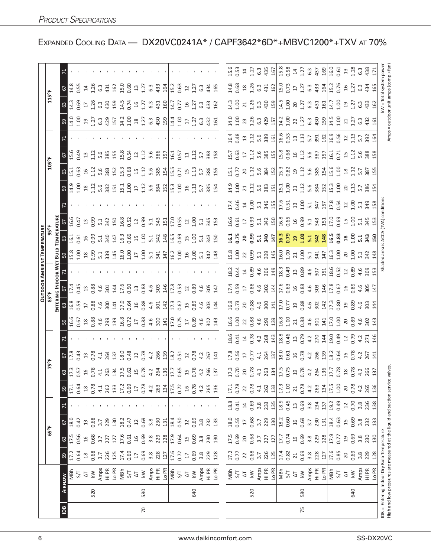|                |     |                                                                                                                           |                           |                        |                        |                                    |                  |               |                                                                                                               |     |                                                                                                                                                                                                                                                                                                               |                                                                                                                                                                                                                                |                                   |       | <b>OUTDOOR AMBIENT TEMPERATURE</b>                |                                                                                                                                                                                    |                                                                                                    |                                                       |                                                                                                                                                                                                                                |                                                |                                                                                                                                                                   |                   |                                                                                                                                                                                                                                 |                                                                                                                                                               |                                                                                                                                                                                                                                                                                                                              |       |
|----------------|-----|---------------------------------------------------------------------------------------------------------------------------|---------------------------|------------------------|------------------------|------------------------------------|------------------|---------------|---------------------------------------------------------------------------------------------------------------|-----|---------------------------------------------------------------------------------------------------------------------------------------------------------------------------------------------------------------------------------------------------------------------------------------------------------------|--------------------------------------------------------------------------------------------------------------------------------------------------------------------------------------------------------------------------------|-----------------------------------|-------|---------------------------------------------------|------------------------------------------------------------------------------------------------------------------------------------------------------------------------------------|----------------------------------------------------------------------------------------------------|-------------------------------------------------------|--------------------------------------------------------------------------------------------------------------------------------------------------------------------------------------------------------------------------------|------------------------------------------------|-------------------------------------------------------------------------------------------------------------------------------------------------------------------|-------------------|---------------------------------------------------------------------------------------------------------------------------------------------------------------------------------------------------------------------------------|---------------------------------------------------------------------------------------------------------------------------------------------------------------|------------------------------------------------------------------------------------------------------------------------------------------------------------------------------------------------------------------------------------------------------------------------------------------------------------------------------|-------|
|                |     |                                                                                                                           |                           | 65°F                   |                        |                                    |                  |               | 75°F                                                                                                          |     |                                                                                                                                                                                                                                                                                                               |                                                                                                                                                                                                                                |                                   |       |                                                   |                                                                                                                                                                                    |                                                                                                    |                                                       |                                                                                                                                                                                                                                | 105°F                                          |                                                                                                                                                                   |                   |                                                                                                                                                                                                                                 | 115°F                                                                                                                                                         |                                                                                                                                                                                                                                                                                                                              |       |
|                |     |                                                                                                                           |                           |                        |                        |                                    |                  |               |                                                                                                               |     |                                                                                                                                                                                                                                                                                                               | ENTERI                                                                                                                                                                                                                         | ani pni                           | OOR W |                                                   | <b>TEMPERATURI</b>                                                                                                                                                                 |                                                                                                    |                                                       |                                                                                                                                                                                                                                |                                                |                                                                                                                                                                   |                   |                                                                                                                                                                                                                                 |                                                                                                                                                               |                                                                                                                                                                                                                                                                                                                              |       |
| $\overline{B}$ |     | AIRFLOW                                                                                                                   | 59                        | යි                     | 57                     |                                    | 59               |               | 67<br>17.8                                                                                                    |     | S9                                                                                                                                                                                                                                                                                                            | $\frac{63}{168}$                                                                                                                                                                                                               | 67                                |       | $\frac{59}{15.8}$                                 | 63                                                                                                                                                                                 |                                                                                                    |                                                       | 59                                                                                                                                                                                                                             | 63                                             | $rac{67}{15.6}$                                                                                                                                                   |                   | ဌာ                                                                                                                                                                                                                              | $\frac{63}{4}$                                                                                                                                                | $rac{67}{14.8}$                                                                                                                                                                                                                                                                                                              |       |
|                |     | NBh                                                                                                                       | 17.2                      | 17.5                   | 18.0                   |                                    | 17.1             |               |                                                                                                               |     | 16.6                                                                                                                                                                                                                                                                                                          |                                                                                                                                                                                                                                | 17.4                              |       |                                                   | 16.1                                                                                                                                                                               | 16.6                                                                                               |                                                       |                                                                                                                                                                                                                                | 15.1                                           |                                                                                                                                                                   |                   | 14.0                                                                                                                                                                                                                            |                                                                                                                                                               |                                                                                                                                                                                                                                                                                                                              |       |
|                |     | 5/7                                                                                                                       | 0.64                      | 0.56                   | 0.42                   |                                    | <b>0.64</b>      |               | 0.43                                                                                                          |     |                                                                                                                                                                                                                                                                                                               | 0.59                                                                                                                                                                                                                           | 0.45                              |       |                                                   | 0.61                                                                                                                                                                               | 0.47                                                                                               |                                                       |                                                                                                                                                                                                                                | 0.63                                           | 0.49                                                                                                                                                              |                   |                                                                                                                                                                                                                                 | 0.69                                                                                                                                                          | <b>0.55</b>                                                                                                                                                                                                                                                                                                                  |       |
|                | 520 | $\lesssim$<br>$\overline{\mathcal{L}}$                                                                                    | 0.68<br>$\frac{8}{10}$    | 0.68<br>16             | 0.68<br>$13$           |                                    | 0.78<br>$^{18}$  |               | $13^{0.78}$                                                                                                   |     |                                                                                                                                                                                                                                                                                                               | 0.88<br>$\overline{1}$                                                                                                                                                                                                         | 0.88<br>13                        |       |                                                   | 16 <sup>15</sup>                                                                                                                                                                   | 0.99<br>$\mathfrak{U}$                                                                             |                                                       |                                                                                                                                                                                                                                | 16                                             | 1.12<br>$\Xi$                                                                                                                                                     |                   |                                                                                                                                                                                                                                 | 1.26<br>$\overline{\mathbb{L}}$                                                                                                                               | 1.26                                                                                                                                                                                                                                                                                                                         |       |
|                |     | Amps                                                                                                                      |                           | 3.7                    | 3.7                    |                                    | 4.1              | $\frac{3}{2}$ | 4.1                                                                                                           |     | $\frac{1}{6}$ $\frac{8}{3}$ $\frac{8}{4}$ $\frac{6}{3}$ $\frac{8}{3}$ $\frac{9}{12}$                                                                                                                                                                                                                          |                                                                                                                                                                                                                                |                                   |       | 5 a 9 a 3 a 4 a 5 a 5 a 5 a 4 4 a 6 a 6 a 7 a 4 a |                                                                                                                                                                                    | 5.1                                                                                                |                                                       | $23.8$ $25.8$ $35.4$ $11.5$ $25.2$ $12.6$ $8.8$ $12.1$ $13.6$ $12.5$ $12.5$ $12.5$ $12.5$ $12.5$ $12.5$ $12.5$ $12.5$ $12.5$ $12.5$ $12.5$ $12.5$ $12.5$ $12.5$ $12.5$ $12.5$ $12.5$ $12.5$ $12.5$ $12.5$ $12.5$ $12.5$ $12.5$ | $\frac{12}{15}$ $\frac{6}{38}$ $\frac{51}{21}$ | 5.6                                                                                                                                                               |                   |                                                                                                                                                                                                                                 |                                                                                                                                                               |                                                                                                                                                                                                                                                                                                                              |       |
|                |     | Hi PR                                                                                                                     | $3.7$<br>$226$            | 227                    | 229                    |                                    | 262              |               | 264                                                                                                           |     |                                                                                                                                                                                                                                                                                                               | $4.6$<br>300                                                                                                                                                                                                                   | $4.6$<br>301                      |       |                                                   | $5.\overline{3}$                                                                                                                                                                   | 342                                                                                                |                                                       |                                                                                                                                                                                                                                |                                                |                                                                                                                                                                   |                   |                                                                                                                                                                                                                                 |                                                                                                                                                               |                                                                                                                                                                                                                                                                                                                              |       |
|                |     | L <sub>O</sub> PR                                                                                                         | 125                       | 127                    | 130                    |                                    | 133              |               | 137                                                                                                           |     |                                                                                                                                                                                                                                                                                                               | 141                                                                                                                                                                                                                            | 144                               |       |                                                   | 147                                                                                                                                                                                | 150                                                                                                |                                                       |                                                                                                                                                                                                                                |                                                | $\frac{385}{155}$                                                                                                                                                 |                   |                                                                                                                                                                                                                                 | 398                                                                                                                                                           | $6.3$ 431                                                                                                                                                                                                                                                                                                                    |       |
|                |     | MBh                                                                                                                       | 17.4                      | 17.6                   | 18.2                   |                                    |                  |               |                                                                                                               |     | $\begin{array}{c} \n 8.5 & 2.5 & 2.5 & 2.5 & 2.5 & 2.5 & 2.5 & 2.5 & 2.5 & 2.5 & 2.5 & 2.5 & 2.5 & 2.5 & 2.5 & 2.5 & 2.5 & 2.5 & 2.5 & 2.5 & 2.5 & 2.5 & 2.5 & 2.5 & 2.5 & 2.5 & 2.5 & 2.5 & 2.5 & 2.5 & $                                                                                                    |                                                                                                                                                                                                                                |                                   |       |                                                   |                                                                                                                                                                                    | $\frac{8}{0.52}$                                                                                   |                                                       |                                                                                                                                                                                                                                |                                                | 15.8<br>0.54                                                                                                                                                      |                   |                                                                                                                                                                                                                                 | $\frac{15}{14}$ $\frac{5}{14}$ $\frac{5}{14}$ $\frac{25}{14}$ $\frac{35}{14}$ $\frac{35}{14}$ $\frac{35}{14}$ $\frac{35}{14}$ $\frac{35}{14}$ $\frac{35}{14}$ |                                                                                                                                                                                                                                                                                                                              |       |
|                |     |                                                                                                                           | $0.69$<br>17              | 0.61                   | 0.47                   |                                    | 17.2<br>0.69     |               |                                                                                                               |     |                                                                                                                                                                                                                                                                                                               |                                                                                                                                                                                                                                | $\frac{17.6}{0.50}$               |       |                                                   |                                                                                                                                                                                    |                                                                                                    |                                                       |                                                                                                                                                                                                                                |                                                |                                                                                                                                                                   |                   |                                                                                                                                                                                                                                 |                                                                                                                                                               |                                                                                                                                                                                                                                                                                                                              |       |
|                |     | $5/7$ $\Delta$                                                                                                            |                           | $\frac{1}{6}$          | $12$                   |                                    | $\overline{17}$  |               | 18.0<br>0.48<br>12<br>0.78                                                                                    |     |                                                                                                                                                                                                                                                                                                               |                                                                                                                                                                                                                                |                                   |       |                                                   |                                                                                                                                                                                    |                                                                                                    |                                                       |                                                                                                                                                                                                                                |                                                |                                                                                                                                                                   |                   |                                                                                                                                                                                                                                 |                                                                                                                                                               |                                                                                                                                                                                                                                                                                                                              |       |
| 20             | 580 | $\overline{\mathsf{k}}\mathsf{W}$                                                                                         | 0.69<br>3.8               | 0.69                   | 0.69                   |                                    | 0.78             |               |                                                                                                               |     |                                                                                                                                                                                                                                                                                                               |                                                                                                                                                                                                                                |                                   |       |                                                   |                                                                                                                                                                                    |                                                                                                    |                                                       |                                                                                                                                                                                                                                |                                                |                                                                                                                                                                   |                   |                                                                                                                                                                                                                                 |                                                                                                                                                               |                                                                                                                                                                                                                                                                                                                              |       |
|                |     | Amps                                                                                                                      |                           | $3.\overline{8}$       | 3.8                    |                                    | 4.2              |               |                                                                                                               |     |                                                                                                                                                                                                                                                                                                               |                                                                                                                                                                                                                                |                                   |       |                                                   |                                                                                                                                                                                    |                                                                                                    |                                                       |                                                                                                                                                                                                                                |                                                |                                                                                                                                                                   |                   |                                                                                                                                                                                                                                 |                                                                                                                                                               |                                                                                                                                                                                                                                                                                                                              |       |
|                |     | Hi PR                                                                                                                     | 228                       | 229                    | 230                    |                                    | 263              |               | 4.266                                                                                                         |     |                                                                                                                                                                                                                                                                                                               | $\begin{array}{c}\n 17.3 \\  0.64 \\  0.88 \\  4.5 \\  7.3 \\  17.3 \\  0.67\n \end{array}$                                                                                                                                    | $0.88$<br>$4.9$<br>$4.9$<br>$4.9$ |       |                                                   |                                                                                                                                                                                    | $\frac{8}{5}$ $\frac{3}{5}$ $\frac{43}{5}$ $\frac{1}{5}$ $\frac{1}{5}$ $\frac{1}{5}$ $\frac{5}{5}$ |                                                       |                                                                                                                                                                                                                                |                                                | $\frac{12}{15}$ $\frac{6}{38}$ $\frac{5}{2}$                                                                                                                      |                   |                                                                                                                                                                                                                                 |                                                                                                                                                               | $\begin{bmatrix} 1 & 1 & 1 & 1 & 1 \\ 1 & 1 & 1 & 1 & 1 \\ 1 & 1 & 1 & 1 & 1 \\ 1 & 1 & 1 & 1 & 1 \\ 1 & 1 & 1 & 1 & 1 \\ 1 & 1 & 1 & 1 & 1 \\ 1 & 1 & 1 & 1 & 1 \\ 1 & 1 & 1 & 1 & 1 \\ 1 & 1 & 1 & 1 & 1 \\ 1 & 1 & 1 & 1 & 1 \\ 1 & 1 & 1 & 1 & 1 \\ 1 & 1 & 1 & 1 & 1 \\ 1 & 1 & 1 & 1 & 1 \\ 1 & 1 & 1 & 1 & 1 \\ 1 & $ |       |
|                |     | LO PR                                                                                                                     | 127                       | 128                    | 131                    |                                    | 134              |               |                                                                                                               |     |                                                                                                                                                                                                                                                                                                               |                                                                                                                                                                                                                                |                                   |       |                                                   |                                                                                                                                                                                    |                                                                                                    |                                                       |                                                                                                                                                                                                                                |                                                |                                                                                                                                                                   |                   |                                                                                                                                                                                                                                 |                                                                                                                                                               |                                                                                                                                                                                                                                                                                                                              |       |
|                |     | MBh                                                                                                                       | 17.6<br>0.72              | 17.9                   | 18.4                   |                                    | 17.5<br>0.72     |               | $\frac{18.3}{0.51}$                                                                                           |     |                                                                                                                                                                                                                                                                                                               |                                                                                                                                                                                                                                | $17.8$<br>0.53                    |       |                                                   |                                                                                                                                                                                    |                                                                                                    |                                                       |                                                                                                                                                                                                                                |                                                | $16.1$<br>0.57                                                                                                                                                    |                   |                                                                                                                                                                                                                                 |                                                                                                                                                               |                                                                                                                                                                                                                                                                                                                              |       |
|                |     | 5/7                                                                                                                       |                           | 0.64                   | 0.50                   |                                    |                  |               |                                                                                                               |     |                                                                                                                                                                                                                                                                                                               |                                                                                                                                                                                                                                |                                   |       |                                                   |                                                                                                                                                                                    |                                                                                                    |                                                       |                                                                                                                                                                                                                                |                                                |                                                                                                                                                                   |                   |                                                                                                                                                                                                                                 |                                                                                                                                                               |                                                                                                                                                                                                                                                                                                                              |       |
|                |     | $\overline{\Delta}$                                                                                                       | $\overline{\Omega}$       | 15                     | $2 \overline{1}$       |                                    | $\frac{1}{6}$    |               |                                                                                                               |     |                                                                                                                                                                                                                                                                                                               |                                                                                                                                                                                                                                | $\overline{\mathfrak{c}}$         |       |                                                   |                                                                                                                                                                                    |                                                                                                    |                                                       |                                                                                                                                                                                                                                | 15                                             | $\Xi$                                                                                                                                                             |                   |                                                                                                                                                                                                                                 |                                                                                                                                                               | $12$                                                                                                                                                                                                                                                                                                                         |       |
|                | 640 | $\lesssim$                                                                                                                | 0.69                      | 0.69                   | 0.69                   |                                    | 0.78             |               | $12^{17}$                                                                                                     |     |                                                                                                                                                                                                                                                                                                               | $15^{0.89}$                                                                                                                                                                                                                    | 0.89                              |       |                                                   | 15 <sub>1.00</sub>                                                                                                                                                                 | 1.00                                                                                               |                                                       |                                                                                                                                                                                                                                | 1.13                                           | $\frac{12}{1}$                                                                                                                                                    |                   |                                                                                                                                                                                                                                 | 1.27                                                                                                                                                          | 1.27                                                                                                                                                                                                                                                                                                                         |       |
|                |     | Amps                                                                                                                      | 3.8                       | 3.8                    | 3.8                    |                                    | 4.2              |               | 4.2                                                                                                           |     | 4.6<br>302                                                                                                                                                                                                                                                                                                    |                                                                                                                                                                                                                                |                                   |       |                                                   |                                                                                                                                                                                    |                                                                                                    |                                                       |                                                                                                                                                                                                                                |                                                | 5.7                                                                                                                                                               |                   |                                                                                                                                                                                                                                 | 6340                                                                                                                                                          | $6.\overline{3}$                                                                                                                                                                                                                                                                                                             |       |
|                |     | Hi PR                                                                                                                     | 229                       | 230                    | 232                    |                                    | 265              |               | 267                                                                                                           |     |                                                                                                                                                                                                                                                                                                               | 4.6<br>303                                                                                                                                                                                                                     | 4.6<br>305                        |       |                                                   | $\frac{1}{3}$ $\frac{3}{4}$ $\frac{5}{10}$                                                                                                                                         | $\frac{1}{3}$ $\frac{45}{13}$                                                                      |                                                       |                                                                                                                                                                                                                                | 5.786                                          | 388<br>158                                                                                                                                                        |                   |                                                                                                                                                                                                                                 | 434<br>165                                                                                                                                                    |                                                                                                                                                                                                                                                                                                                              |       |
|                |     | Lo PR                                                                                                                     | 128                       | 130                    | 133                    |                                    | 136              |               | 141                                                                                                           |     | 143                                                                                                                                                                                                                                                                                                           | 144                                                                                                                                                                                                                            | 147                               |       |                                                   |                                                                                                                                                                                    |                                                                                                    |                                                       |                                                                                                                                                                                                                                |                                                |                                                                                                                                                                   |                   |                                                                                                                                                                                                                                 |                                                                                                                                                               |                                                                                                                                                                                                                                                                                                                              |       |
|                |     |                                                                                                                           |                           |                        |                        |                                    |                  |               |                                                                                                               |     |                                                                                                                                                                                                                                                                                                               |                                                                                                                                                                                                                                |                                   |       |                                                   |                                                                                                                                                                                    |                                                                                                    |                                                       |                                                                                                                                                                                                                                |                                                |                                                                                                                                                                   |                   |                                                                                                                                                                                                                                 |                                                                                                                                                               |                                                                                                                                                                                                                                                                                                                              |       |
|                |     | ng<br>S/T                                                                                                                 | 17.2                      | 17.5                   | 18.0                   | $18.8$<br>0.41                     | 17.1<br>0.78     |               |                                                                                                               |     |                                                                                                                                                                                                                                                                                                               |                                                                                                                                                                                                                                |                                   |       |                                                   |                                                                                                                                                                                    |                                                                                                    |                                                       |                                                                                                                                                                                                                                |                                                | 15.7                                                                                                                                                              |                   |                                                                                                                                                                                                                                 |                                                                                                                                                               |                                                                                                                                                                                                                                                                                                                              |       |
|                |     |                                                                                                                           | 0.77                      | 0.69                   | 0.55                   |                                    |                  |               |                                                                                                               |     |                                                                                                                                                                                                                                                                                                               |                                                                                                                                                                                                                                | 17.4<br>0.59<br>17                |       |                                                   |                                                                                                                                                                                    | $16.6$<br>0.61<br>17                                                                               |                                                       |                                                                                                                                                                                                                                |                                                | 0.63                                                                                                                                                              |                   |                                                                                                                                                                                                                                 |                                                                                                                                                               |                                                                                                                                                                                                                                                                                                                              |       |
|                |     | $\overline{\Delta}$                                                                                                       | 22                        | 20                     | $17$                   |                                    | 22               |               |                                                                                                               |     |                                                                                                                                                                                                                                                                                                               |                                                                                                                                                                                                                                |                                   |       |                                                   |                                                                                                                                                                                    |                                                                                                    |                                                       |                                                                                                                                                                                                                                |                                                |                                                                                                                                                                   |                   |                                                                                                                                                                                                                                 |                                                                                                                                                               |                                                                                                                                                                                                                                                                                                                              |       |
|                | 520 | $\lesssim$                                                                                                                | 0.68                      | 0.68                   | 0.68                   |                                    | 0.78             |               |                                                                                                               |     |                                                                                                                                                                                                                                                                                                               |                                                                                                                                                                                                                                |                                   |       |                                                   |                                                                                                                                                                                    |                                                                                                    |                                                       |                                                                                                                                                                                                                                |                                                |                                                                                                                                                                   |                   |                                                                                                                                                                                                                                 |                                                                                                                                                               |                                                                                                                                                                                                                                                                                                                              |       |
|                |     | Amps<br>Hi PR                                                                                                             | 3.7                       |                        | 3.7                    | $14$ 0.69 3.33<br>3.33<br>$23$ 135 | 4.1              |               |                                                                                                               |     |                                                                                                                                                                                                                                                                                                               |                                                                                                                                                                                                                                |                                   |       |                                                   |                                                                                                                                                                                    |                                                                                                    |                                                       |                                                                                                                                                                                                                                |                                                |                                                                                                                                                                   |                   |                                                                                                                                                                                                                                 |                                                                                                                                                               |                                                                                                                                                                                                                                                                                                                              |       |
|                |     |                                                                                                                           | 226                       | 227                    | 229                    |                                    | 262              |               |                                                                                                               |     |                                                                                                                                                                                                                                                                                                               |                                                                                                                                                                                                                                |                                   |       |                                                   |                                                                                                                                                                                    |                                                                                                    |                                                       |                                                                                                                                                                                                                                |                                                |                                                                                                                                                                   |                   |                                                                                                                                                                                                                                 |                                                                                                                                                               |                                                                                                                                                                                                                                                                                                                              |       |
|                |     | Lo PR                                                                                                                     | 125                       | 127                    | $\frac{50}{2}$         |                                    | 133              |               |                                                                                                               |     |                                                                                                                                                                                                                                                                                                               |                                                                                                                                                                                                                                |                                   |       |                                                   |                                                                                                                                                                                    |                                                                                                    |                                                       |                                                                                                                                                                                                                                |                                                |                                                                                                                                                                   |                   |                                                                                                                                                                                                                                 |                                                                                                                                                               |                                                                                                                                                                                                                                                                                                                              |       |
|                |     | NBh<br>S/T                                                                                                                | $\frac{17.4}{0.82}$       | 17.7<br>0.74           | 18.2                   | 18.9                               | $17.3$<br>$1.00$ |               |                                                                                                               |     |                                                                                                                                                                                                                                                                                                               |                                                                                                                                                                                                                                |                                   |       |                                                   |                                                                                                                                                                                    |                                                                                                    |                                                       |                                                                                                                                                                                                                                |                                                |                                                                                                                                                                   |                   |                                                                                                                                                                                                                                 |                                                                                                                                                               |                                                                                                                                                                                                                                                                                                                              |       |
|                |     |                                                                                                                           |                           |                        | 0.60                   | 0.45                               |                  |               |                                                                                                               |     |                                                                                                                                                                                                                                                                                                               |                                                                                                                                                                                                                                |                                   |       |                                                   |                                                                                                                                                                                    |                                                                                                    |                                                       |                                                                                                                                                                                                                                |                                                |                                                                                                                                                                   |                   |                                                                                                                                                                                                                                 |                                                                                                                                                               |                                                                                                                                                                                                                                                                                                                              |       |
| 75             | 580 | $\overline{\Delta}$<br>$\leq$                                                                                             | 0.69<br>21                | 0.69<br>$\overline{0}$ | 0.69<br>$\frac{16}{1}$ | $23$                               | 0.78<br>21       |               |                                                                                                               |     |                                                                                                                                                                                                                                                                                                               |                                                                                                                                                                                                                                |                                   |       |                                                   |                                                                                                                                                                                    |                                                                                                    |                                                       |                                                                                                                                                                                                                                |                                                |                                                                                                                                                                   |                   |                                                                                                                                                                                                                                 |                                                                                                                                                               |                                                                                                                                                                                                                                                                                                                              |       |
|                |     | Amps                                                                                                                      |                           |                        | 3.7                    | 0.69<br>3.8<br>234<br>137          | 4.2              |               | 2 3 5 5 5 4 5 5 6 7 6 7 6 7 7 8 7 7 7 7 8 7 7 7 7 8 7 7 8 7 7 8 7 7 8 7 7 8 7 7 8 7 7 7 7 7 7 7 7 7 7 7 7 7 7 |     |                                                                                                                                                                                                                                                                                                               | $16.78$ $28.48$ $37.72$ $59.88$ $48.72$ $11.88$ $12.80$ $13.80$ $15.80$ $15.80$ $15.80$ $15.80$ $15.80$ $15.80$ $15.80$ $15.80$ $15.80$ $15.80$ $15.80$ $15.80$ $15.80$ $15.80$ $15.80$ $15.80$ $15.80$ $15.80$ $15.80$ $15.8$ |                                   |       |                                                   |                                                                                                                                                                                    |                                                                                                    |                                                       |                                                                                                                                                                                                                                |                                                | $\frac{12}{15}$ $\frac{6}{5}$ $\frac{8}{5}$ $\frac{10}{15}$ $\frac{8}{5}$ $\frac{6}{5}$ $\frac{6}{5}$ $\frac{11}{15}$ $\frac{6}{5}$ $\frac{8}{5}$ $\frac{11}{15}$ |                   | $13.6$ $25.7$ $3.8$ $3.9$ $3.11$ $3.2$ $3.2$ $3.3$ $3.4$ $3.5$ $3.5$ $3.5$ $3.5$ $3.5$ $3.5$ $3.5$ $3.5$ $3.5$ $3.5$ $3.5$ $3.5$ $3.5$ $3.5$ $3.5$ $3.5$ $3.5$ $3.5$ $3.5$ $3.5$ $3.5$ $3.5$ $3.5$ $3.5$ $3.5$ $3.5$ $3.5$ $3.$ | 11.00 12.00 12.00 12.00 12.00 12.00 12.00 12.00 12.00 12.00 12.00 12.00 13.00 14.1                                                                            |                                                                                                                                                                                                                                                                                                                              |       |
|                |     | Hi PR                                                                                                                     | $3.\overline{8}$<br>$228$ | $3.8$<br>229<br>128    | 230                    |                                    |                  |               |                                                                                                               |     |                                                                                                                                                                                                                                                                                                               |                                                                                                                                                                                                                                |                                   |       |                                                   |                                                                                                                                                                                    |                                                                                                    |                                                       |                                                                                                                                                                                                                                |                                                |                                                                                                                                                                   |                   |                                                                                                                                                                                                                                 |                                                                                                                                                               |                                                                                                                                                                                                                                                                                                                              |       |
|                |     | Lo PR                                                                                                                     | 127                       |                        | 131                    |                                    | 263<br>134       |               |                                                                                                               |     |                                                                                                                                                                                                                                                                                                               |                                                                                                                                                                                                                                |                                   |       |                                                   |                                                                                                                                                                                    |                                                                                                    |                                                       |                                                                                                                                                                                                                                |                                                |                                                                                                                                                                   |                   |                                                                                                                                                                                                                                 |                                                                                                                                                               |                                                                                                                                                                                                                                                                                                                              |       |
|                |     | MBh                                                                                                                       | 17.6<br>0.85              | 17.9                   | 18.4                   | 19.2                               | $17.5$<br>$1.00$ |               |                                                                                                               |     |                                                                                                                                                                                                                                                                                                               |                                                                                                                                                                                                                                |                                   |       |                                                   |                                                                                                                                                                                    |                                                                                                    |                                                       |                                                                                                                                                                                                                                |                                                | $\frac{16.1}{0.71}$                                                                                                                                               |                   | $14.5$<br>$1.00$                                                                                                                                                                                                                | 14.7                                                                                                                                                          | 15.2<br>0.76                                                                                                                                                                                                                                                                                                                 |       |
|                |     | 5/7                                                                                                                       |                           | 0.77                   | 0.63                   | 0.49                               |                  |               |                                                                                                               |     |                                                                                                                                                                                                                                                                                                               |                                                                                                                                                                                                                                |                                   |       |                                                   |                                                                                                                                                                                    |                                                                                                    |                                                       |                                                                                                                                                                                                                                |                                                |                                                                                                                                                                   |                   |                                                                                                                                                                                                                                 | 001                                                                                                                                                           |                                                                                                                                                                                                                                                                                                                              |       |
|                |     | $\overline{\mathcal{L}}$                                                                                                  | 20                        | $\overline{c}$         | 15                     | $22$                               | 20               |               |                                                                                                               |     |                                                                                                                                                                                                                                                                                                               |                                                                                                                                                                                                                                |                                   |       | 200113                                            |                                                                                                                                                                                    |                                                                                                    |                                                       |                                                                                                                                                                                                                                |                                                |                                                                                                                                                                   |                   | $\frac{21}{1.27}$                                                                                                                                                                                                               | 1.27                                                                                                                                                          |                                                                                                                                                                                                                                                                                                                              |       |
|                | 640 | $\leq$                                                                                                                    | 0.69                      | 0.69                   | 0.69                   | 0.70                               | 0.78             |               |                                                                                                               |     |                                                                                                                                                                                                                                                                                                               |                                                                                                                                                                                                                                |                                   |       |                                                   |                                                                                                                                                                                    |                                                                                                    |                                                       |                                                                                                                                                                                                                                |                                                |                                                                                                                                                                   |                   |                                                                                                                                                                                                                                 |                                                                                                                                                               |                                                                                                                                                                                                                                                                                                                              |       |
|                |     | Amps<br>Hi PR                                                                                                             | 3.8                       | 3.8                    | 3.8                    | 3.8                                | 4.2              |               |                                                                                                               |     |                                                                                                                                                                                                                                                                                                               |                                                                                                                                                                                                                                |                                   |       |                                                   |                                                                                                                                                                                    |                                                                                                    |                                                       |                                                                                                                                                                                                                                |                                                |                                                                                                                                                                   |                   |                                                                                                                                                                                                                                 |                                                                                                                                                               |                                                                                                                                                                                                                                                                                                                              |       |
|                |     |                                                                                                                           | 229                       | 230                    | 232                    | 236                                | 265<br>136       |               | 4.2<br>267<br>141                                                                                             |     | $\begin{array}{l} 46.6 \\ 46.7 \\ 56.8 \\ 67.8 \\ 68.4 \\ 69.8 \\ 61.8 \\ 63.1 \\ 64.8 \\ 65.1 \\ 66.1 \\ 67.1 \\ 68.1 \\ 69.1 \\ 61.1 \\ 62.1 \\ 63.1 \\ 64.1 \\ 65.1 \\ 67.1 \\ 68.1 \\ 69.1 \\ 69.1 \\ 61.1 \\ 62.1 \\ 63.1 \\ 64.1 \\ 65.1 \\ 67.1 \\ 68.1 \\ 69.1 \\ 69.1 \\ 69.1 \\ 69.1 \\ 69.1 \\ 69$ | $4.6$<br>303<br>14                                                                                                                                                                                                             | 0.8643417669986489417669984877    |       |                                                   | ជ្មី ក្ដី ខ្លួ ដូ មី មី ដូ មី ដូ មី ដូ មី ដូ មី ដូ មី ដូ មី ដូ មី ដូ មី ដូ មី ដូ មី ដូ មី ដូ<br>ក្ដី ដូ មី មី ដូ មី ដូ មី ដូ មី ដូ មី ដូ មី ដូ មី ដូ មី ដូ មី ដូ មី ដូ មី ដូ មី ដូ |                                                                                                    | r 3 4 5 5 3 4 5 5 5 5 5 5 5 5 6 7 6 7 6 7 6 7 8 7 9 7 |                                                                                                                                                                                                                                |                                                | $13.388$<br>$13.688$<br>$15.88$                                                                                                                                   | 5.7<br>392<br>164 | 6345                                                                                                                                                                                                                            | G3<br>433<br>162                                                                                                                                              | ដូ <u>ន ដូ ដូ នូ ងូ គ្នាន</u> ្លី ដូ ដូ ដូ នូ ងូ គ្នាន្រី ដូ នូ ងូ ដូ ដូ<br>ដូ នូ ដូ ដូ នូ ងូ គ្នាន្រី នូ ដូ ដូ នូ ងូ គ្នាន្រី នូ ដូ នូ ងូ ដូ<br>$15340$<br>$450$<br>$45$                                                                                                                                                    |       |
|                |     | Lo PR                                                                                                                     | 128                       | 130                    | 133                    | 138                                |                  |               |                                                                                                               | 146 |                                                                                                                                                                                                                                                                                                               |                                                                                                                                                                                                                                |                                   |       | 148                                               |                                                                                                                                                                                    |                                                                                                    |                                                       |                                                                                                                                                                                                                                |                                                |                                                                                                                                                                   |                   |                                                                                                                                                                                                                                 |                                                                                                                                                               |                                                                                                                                                                                                                                                                                                                              |       |
|                |     | High and low pressures are measured at the liquid and suction service valves<br>DB = Entering Indoor Dry Bulb Temperature |                           |                        |                        |                                    |                  |               |                                                                                                               |     |                                                                                                                                                                                                                                                                                                               |                                                                                                                                                                                                                                |                                   |       | Shaded area                                       | is ACCA                                                                                                                                                                            | (TVA) condition                                                                                    |                                                       |                                                                                                                                                                                                                                |                                                |                                                                                                                                                                   | Amps              | = outdoor unit amps (comp.+fan)                                                                                                                                                                                                 | <w =="" system<="" th="" total=""><th></th><th>power</th></w>                                                                                                 |                                                                                                                                                                                                                                                                                                                              | power |

EXPANDED COOLING DATA - DX20VC0241A\* / CAPF3642\*6D\*+MBVC1200\*+TXV AT 70%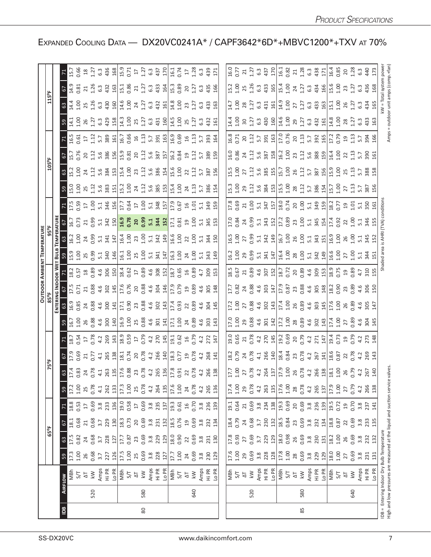|                |     |                                                                                                 |                                                                                                                                                                                                                               |                                                         | 65°F                                                        |                                             |                                                                                                                                                                                                                                                                                                                      |                                                                                                                                                                                                                                                                                                                                                                          |               |                                                                                                                                                                                                                 |                                                                                                                                                                                                                                                                                                 |                                                                                                                                                                                                                                                                                 |                                                                                                          |                                                                                                                                          |                                                                                                               |                                                                                                                                                       |                                                                                                                                                                                                                                        |                                                                                                                                                                                                                                                                                                             |                                                                                                                                                                                                                                  |  |                                                                                                                                                                                                                                                                                                                                                                                                                             |  |
|----------------|-----|-------------------------------------------------------------------------------------------------|-------------------------------------------------------------------------------------------------------------------------------------------------------------------------------------------------------------------------------|---------------------------------------------------------|-------------------------------------------------------------|---------------------------------------------|----------------------------------------------------------------------------------------------------------------------------------------------------------------------------------------------------------------------------------------------------------------------------------------------------------------------|--------------------------------------------------------------------------------------------------------------------------------------------------------------------------------------------------------------------------------------------------------------------------------------------------------------------------------------------------------------------------|---------------|-----------------------------------------------------------------------------------------------------------------------------------------------------------------------------------------------------------------|-------------------------------------------------------------------------------------------------------------------------------------------------------------------------------------------------------------------------------------------------------------------------------------------------|---------------------------------------------------------------------------------------------------------------------------------------------------------------------------------------------------------------------------------------------------------------------------------|----------------------------------------------------------------------------------------------------------|------------------------------------------------------------------------------------------------------------------------------------------|---------------------------------------------------------------------------------------------------------------|-------------------------------------------------------------------------------------------------------------------------------------------------------|----------------------------------------------------------------------------------------------------------------------------------------------------------------------------------------------------------------------------------------|-------------------------------------------------------------------------------------------------------------------------------------------------------------------------------------------------------------------------------------------------------------------------------------------------------------|----------------------------------------------------------------------------------------------------------------------------------------------------------------------------------------------------------------------------------|--|-----------------------------------------------------------------------------------------------------------------------------------------------------------------------------------------------------------------------------------------------------------------------------------------------------------------------------------------------------------------------------------------------------------------------------|--|
|                |     |                                                                                                 |                                                                                                                                                                                                                               |                                                         |                                                             |                                             |                                                                                                                                                                                                                                                                                                                      |                                                                                                                                                                                                                                                                                                                                                                          |               |                                                                                                                                                                                                                 |                                                                                                                                                                                                                                                                                                 |                                                                                                                                                                                                                                                                                 |                                                                                                          |                                                                                                                                          |                                                                                                               |                                                                                                                                                       |                                                                                                                                                                                                                                        |                                                                                                                                                                                                                                                                                                             |                                                                                                                                                                                                                                  |  |                                                                                                                                                                                                                                                                                                                                                                                                                             |  |
| $\overline{a}$ |     | <b>AIRFLOW</b>                                                                                  | 59                                                                                                                                                                                                                            | 63                                                      |                                                             |                                             |                                                                                                                                                                                                                                                                                                                      |                                                                                                                                                                                                                                                                                                                                                                          |               |                                                                                                                                                                                                                 |                                                                                                                                                                                                                                                                                                 |                                                                                                                                                                                                                                                                                 |                                                                                                          |                                                                                                                                          |                                                                                                               |                                                                                                                                                       |                                                                                                                                                                                                                                        |                                                                                                                                                                                                                                                                                                             |                                                                                                                                                                                                                                  |  |                                                                                                                                                                                                                                                                                                                                                                                                                             |  |
|                |     |                                                                                                 |                                                                                                                                                                                                                               |                                                         |                                                             |                                             |                                                                                                                                                                                                                                                                                                                      |                                                                                                                                                                                                                                                                                                                                                                          |               |                                                                                                                                                                                                                 |                                                                                                                                                                                                                                                                                                 |                                                                                                                                                                                                                                                                                 |                                                                                                          |                                                                                                                                          |                                                                                                               |                                                                                                                                                       |                                                                                                                                                                                                                                        |                                                                                                                                                                                                                                                                                                             |                                                                                                                                                                                                                                  |  |                                                                                                                                                                                                                                                                                                                                                                                                                             |  |
|                |     |                                                                                                 |                                                                                                                                                                                                                               |                                                         |                                                             |                                             |                                                                                                                                                                                                                                                                                                                      |                                                                                                                                                                                                                                                                                                                                                                          |               |                                                                                                                                                                                                                 |                                                                                                                                                                                                                                                                                                 |                                                                                                                                                                                                                                                                                 |                                                                                                          |                                                                                                                                          |                                                                                                               |                                                                                                                                                       |                                                                                                                                                                                                                                        |                                                                                                                                                                                                                                                                                                             |                                                                                                                                                                                                                                  |  |                                                                                                                                                                                                                                                                                                                                                                                                                             |  |
|                |     |                                                                                                 |                                                                                                                                                                                                                               |                                                         |                                                             |                                             |                                                                                                                                                                                                                                                                                                                      |                                                                                                                                                                                                                                                                                                                                                                          |               |                                                                                                                                                                                                                 |                                                                                                                                                                                                                                                                                                 |                                                                                                                                                                                                                                                                                 |                                                                                                          |                                                                                                                                          |                                                                                                               |                                                                                                                                                       |                                                                                                                                                                                                                                        |                                                                                                                                                                                                                                                                                                             |                                                                                                                                                                                                                                  |  |                                                                                                                                                                                                                                                                                                                                                                                                                             |  |
|                | 520 |                                                                                                 |                                                                                                                                                                                                                               |                                                         |                                                             |                                             |                                                                                                                                                                                                                                                                                                                      |                                                                                                                                                                                                                                                                                                                                                                          |               |                                                                                                                                                                                                                 |                                                                                                                                                                                                                                                                                                 |                                                                                                                                                                                                                                                                                 |                                                                                                          |                                                                                                                                          |                                                                                                               |                                                                                                                                                       |                                                                                                                                                                                                                                        |                                                                                                                                                                                                                                                                                                             |                                                                                                                                                                                                                                  |  |                                                                                                                                                                                                                                                                                                                                                                                                                             |  |
|                |     |                                                                                                 |                                                                                                                                                                                                                               |                                                         |                                                             |                                             |                                                                                                                                                                                                                                                                                                                      |                                                                                                                                                                                                                                                                                                                                                                          |               |                                                                                                                                                                                                                 |                                                                                                                                                                                                                                                                                                 |                                                                                                                                                                                                                                                                                 |                                                                                                          |                                                                                                                                          |                                                                                                               |                                                                                                                                                       |                                                                                                                                                                                                                                        |                                                                                                                                                                                                                                                                                                             |                                                                                                                                                                                                                                  |  |                                                                                                                                                                                                                                                                                                                                                                                                                             |  |
|                |     | 8<br>2 2 4 3 동문 리아스 2 3 동문 리우스<br>8 2 4 3 동문 리아스 2 3 동문 리오스 2 1                                 |                                                                                                                                                                                                                               |                                                         |                                                             |                                             | $3\frac{1}{2}$ $\frac{1}{2}$ $\frac{1}{6}$ $\frac{1}{6}$ $\frac{1}{6}$ $\frac{1}{6}$ $\frac{1}{6}$ $\frac{1}{6}$ $\frac{1}{6}$ $\frac{1}{6}$ $\frac{1}{6}$ $\frac{1}{6}$ $\frac{1}{6}$ $\frac{1}{6}$ $\frac{1}{6}$ $\frac{1}{6}$ $\frac{1}{6}$ $\frac{1}{6}$ $\frac{1}{6}$ $\frac{1}{6}$ $\frac{1}{6}$ $\frac{1}{6}$ | $\frac{3}{12} \frac{1}{32} \frac{3}{32} \frac{4}{32} \frac{8}{12} \frac{1}{32} \frac{1}{32} \frac{1}{32} \frac{1}{32} \frac{1}{32} \frac{1}{32} \frac{1}{32} \frac{1}{32} \frac{1}{32} \frac{1}{32} \frac{1}{32} \frac{1}{32} \frac{1}{32} \frac{1}{32} \frac{1}{32} \frac{1}{32} \frac{1}{32} \frac{1}{32} \frac{1}{32} \frac{1}{32} \frac{1}{32} \frac{1}{32} \frac{1$ | $\frac{1}{2}$ |                                                                                                                                                                                                                 |                                                                                                                                                                                                                                                                                                 |                                                                                                                                                                                                                                                                                 |                                                                                                          | <mark>ិ</mark> ន ដូន មិន អូ មី ដូន មី ដូន មី ដូន មី ដូន មី ដូន មី ដូន មី ដូ<br>ស្រី ដូន មី ដូន ដូច ដូន មី ដូន មី ដូន មី ដូន មី ដូន អូ ដូ | 8 G S 3 8 G S 3 F S O 8 G S 3 G S 3 G S 3 G S 3 G S 3 G S 4 G S 4 G S 4 G S 4 G S 4 G S 4 G S 4 G S 4 G S 4 G | <mark>ទ ថ្ងៃ ដូន ដូន ដូ<mark>ន និ ទ ទី ដូ ង ដូ</mark>ម្បី ខ្លី ង ដូ ង ដូ<br/>ក្នុង ដូន ដូន ដូ<mark>ន និ ទ ទី ដូ ង ដូ</mark>ម្បី ខ្លី ង ដូ ង ដូ</mark> | <u>ទ ក្នុ</u> ំ ក្នុង ក្នុង និង ក្នុង ក្នុង ក្នុង ក្នុង ក្នុង ក្នុង ក្នុង ក្នុង ក្នុង ក្នុង ក្នុង ក្នុង ក្នុង ក្នុង ក<br>ស្រុក ក្នុង ក្នុង ក្នុង ក្នុង ក្នុង ក្នុង ក្នុង ក្នុង ក្នុង ក្នុង ក្នុង ក្នុង ក្នុង ក្នុង ក្នុង ក្នុង ក្នុង ក | $3\frac{1}{2}$ $3\frac{1}{2}$ $3\frac{1}{2}$ $3\frac{1}{2}$ $3\frac{1}{2}$ $3\frac{1}{2}$ $3\frac{1}{2}$ $3\frac{1}{2}$ $3\frac{1}{2}$ $3\frac{1}{2}$ $3\frac{1}{2}$ $3\frac{1}{2}$ $3\frac{1}{2}$ $3\frac{1}{2}$ $3\frac{1}{2}$ $3\frac{1}{2}$ $3\frac{1}{2}$ $3\frac{1}{2}$ $3\frac{1}{2}$ $3\frac{1}{2}$ |                                                                                                                                                                                                                                  |  | $\frac{1}{12}$<br>$5\frac{3}{2}$ $\frac{3}{2}$ $\frac{3}{2}$ $\frac{1}{2}$ $\frac{3}{2}$ $\frac{3}{2}$ $\frac{3}{2}$ $\frac{1}{2}$ $\frac{3}{2}$ $\frac{3}{2}$ $\frac{3}{2}$ $\frac{1}{2}$ $\frac{3}{2}$ $\frac{3}{2}$ $\frac{3}{2}$ $\frac{3}{2}$ $\frac{3}{2}$ $\frac{3}{2}$ $\frac{3}{2}$ $\frac{3}{2}$ $\frac{3}{2}$ $\frac{3}{2}$                                                                                      |  |
|                |     |                                                                                                 |                                                                                                                                                                                                                               |                                                         |                                                             |                                             |                                                                                                                                                                                                                                                                                                                      |                                                                                                                                                                                                                                                                                                                                                                          |               |                                                                                                                                                                                                                 |                                                                                                                                                                                                                                                                                                 |                                                                                                                                                                                                                                                                                 |                                                                                                          |                                                                                                                                          |                                                                                                               |                                                                                                                                                       |                                                                                                                                                                                                                                        |                                                                                                                                                                                                                                                                                                             |                                                                                                                                                                                                                                  |  |                                                                                                                                                                                                                                                                                                                                                                                                                             |  |
|                |     |                                                                                                 |                                                                                                                                                                                                                               |                                                         |                                                             |                                             |                                                                                                                                                                                                                                                                                                                      |                                                                                                                                                                                                                                                                                                                                                                          |               |                                                                                                                                                                                                                 |                                                                                                                                                                                                                                                                                                 |                                                                                                                                                                                                                                                                                 |                                                                                                          |                                                                                                                                          |                                                                                                               |                                                                                                                                                       |                                                                                                                                                                                                                                        |                                                                                                                                                                                                                                                                                                             |                                                                                                                                                                                                                                  |  |                                                                                                                                                                                                                                                                                                                                                                                                                             |  |
|                |     |                                                                                                 |                                                                                                                                                                                                                               |                                                         |                                                             |                                             |                                                                                                                                                                                                                                                                                                                      |                                                                                                                                                                                                                                                                                                                                                                          |               |                                                                                                                                                                                                                 |                                                                                                                                                                                                                                                                                                 |                                                                                                                                                                                                                                                                                 |                                                                                                          |                                                                                                                                          |                                                                                                               |                                                                                                                                                       |                                                                                                                                                                                                                                        |                                                                                                                                                                                                                                                                                                             |                                                                                                                                                                                                                                  |  |                                                                                                                                                                                                                                                                                                                                                                                                                             |  |
|                |     |                                                                                                 |                                                                                                                                                                                                                               |                                                         |                                                             |                                             |                                                                                                                                                                                                                                                                                                                      |                                                                                                                                                                                                                                                                                                                                                                          |               |                                                                                                                                                                                                                 |                                                                                                                                                                                                                                                                                                 |                                                                                                                                                                                                                                                                                 |                                                                                                          |                                                                                                                                          |                                                                                                               |                                                                                                                                                       |                                                                                                                                                                                                                                        |                                                                                                                                                                                                                                                                                                             |                                                                                                                                                                                                                                  |  |                                                                                                                                                                                                                                                                                                                                                                                                                             |  |
| 80             | 580 |                                                                                                 |                                                                                                                                                                                                                               |                                                         |                                                             |                                             |                                                                                                                                                                                                                                                                                                                      |                                                                                                                                                                                                                                                                                                                                                                          |               |                                                                                                                                                                                                                 |                                                                                                                                                                                                                                                                                                 |                                                                                                                                                                                                                                                                                 |                                                                                                          |                                                                                                                                          |                                                                                                               |                                                                                                                                                       |                                                                                                                                                                                                                                        |                                                                                                                                                                                                                                                                                                             |                                                                                                                                                                                                                                  |  |                                                                                                                                                                                                                                                                                                                                                                                                                             |  |
|                |     |                                                                                                 |                                                                                                                                                                                                                               |                                                         |                                                             |                                             |                                                                                                                                                                                                                                                                                                                      |                                                                                                                                                                                                                                                                                                                                                                          |               |                                                                                                                                                                                                                 |                                                                                                                                                                                                                                                                                                 |                                                                                                                                                                                                                                                                                 |                                                                                                          |                                                                                                                                          |                                                                                                               |                                                                                                                                                       |                                                                                                                                                                                                                                        |                                                                                                                                                                                                                                                                                                             |                                                                                                                                                                                                                                  |  |                                                                                                                                                                                                                                                                                                                                                                                                                             |  |
|                |     |                                                                                                 |                                                                                                                                                                                                                               |                                                         |                                                             |                                             |                                                                                                                                                                                                                                                                                                                      |                                                                                                                                                                                                                                                                                                                                                                          |               |                                                                                                                                                                                                                 |                                                                                                                                                                                                                                                                                                 |                                                                                                                                                                                                                                                                                 |                                                                                                          |                                                                                                                                          |                                                                                                               |                                                                                                                                                       |                                                                                                                                                                                                                                        |                                                                                                                                                                                                                                                                                                             |                                                                                                                                                                                                                                  |  |                                                                                                                                                                                                                                                                                                                                                                                                                             |  |
|                |     |                                                                                                 |                                                                                                                                                                                                                               |                                                         |                                                             |                                             |                                                                                                                                                                                                                                                                                                                      |                                                                                                                                                                                                                                                                                                                                                                          |               |                                                                                                                                                                                                                 |                                                                                                                                                                                                                                                                                                 |                                                                                                                                                                                                                                                                                 |                                                                                                          |                                                                                                                                          |                                                                                                               |                                                                                                                                                       |                                                                                                                                                                                                                                        |                                                                                                                                                                                                                                                                                                             |                                                                                                                                                                                                                                  |  |                                                                                                                                                                                                                                                                                                                                                                                                                             |  |
|                |     |                                                                                                 |                                                                                                                                                                                                                               |                                                         |                                                             |                                             |                                                                                                                                                                                                                                                                                                                      |                                                                                                                                                                                                                                                                                                                                                                          |               |                                                                                                                                                                                                                 |                                                                                                                                                                                                                                                                                                 |                                                                                                                                                                                                                                                                                 |                                                                                                          |                                                                                                                                          |                                                                                                               |                                                                                                                                                       |                                                                                                                                                                                                                                        |                                                                                                                                                                                                                                                                                                             |                                                                                                                                                                                                                                  |  |                                                                                                                                                                                                                                                                                                                                                                                                                             |  |
|                |     |                                                                                                 |                                                                                                                                                                                                                               |                                                         |                                                             |                                             |                                                                                                                                                                                                                                                                                                                      |                                                                                                                                                                                                                                                                                                                                                                          |               |                                                                                                                                                                                                                 |                                                                                                                                                                                                                                                                                                 |                                                                                                                                                                                                                                                                                 |                                                                                                          |                                                                                                                                          |                                                                                                               |                                                                                                                                                       |                                                                                                                                                                                                                                        |                                                                                                                                                                                                                                                                                                             |                                                                                                                                                                                                                                  |  |                                                                                                                                                                                                                                                                                                                                                                                                                             |  |
|                |     |                                                                                                 |                                                                                                                                                                                                                               |                                                         |                                                             |                                             |                                                                                                                                                                                                                                                                                                                      |                                                                                                                                                                                                                                                                                                                                                                          |               |                                                                                                                                                                                                                 |                                                                                                                                                                                                                                                                                                 |                                                                                                                                                                                                                                                                                 |                                                                                                          |                                                                                                                                          |                                                                                                               |                                                                                                                                                       |                                                                                                                                                                                                                                        |                                                                                                                                                                                                                                                                                                             |                                                                                                                                                                                                                                  |  |                                                                                                                                                                                                                                                                                                                                                                                                                             |  |
|                | 640 | $\lesssim$                                                                                      |                                                                                                                                                                                                                               |                                                         |                                                             |                                             |                                                                                                                                                                                                                                                                                                                      |                                                                                                                                                                                                                                                                                                                                                                          |               |                                                                                                                                                                                                                 |                                                                                                                                                                                                                                                                                                 |                                                                                                                                                                                                                                                                                 |                                                                                                          |                                                                                                                                          |                                                                                                               |                                                                                                                                                       |                                                                                                                                                                                                                                        |                                                                                                                                                                                                                                                                                                             |                                                                                                                                                                                                                                  |  |                                                                                                                                                                                                                                                                                                                                                                                                                             |  |
|                |     |                                                                                                 |                                                                                                                                                                                                                               |                                                         |                                                             |                                             |                                                                                                                                                                                                                                                                                                                      |                                                                                                                                                                                                                                                                                                                                                                          |               |                                                                                                                                                                                                                 |                                                                                                                                                                                                                                                                                                 |                                                                                                                                                                                                                                                                                 |                                                                                                          |                                                                                                                                          |                                                                                                               |                                                                                                                                                       |                                                                                                                                                                                                                                        |                                                                                                                                                                                                                                                                                                             |                                                                                                                                                                                                                                  |  |                                                                                                                                                                                                                                                                                                                                                                                                                             |  |
|                |     | Amps<br>Hi PR<br>Lo PR                                                                          |                                                                                                                                                                                                                               |                                                         |                                                             |                                             |                                                                                                                                                                                                                                                                                                                      |                                                                                                                                                                                                                                                                                                                                                                          |               |                                                                                                                                                                                                                 |                                                                                                                                                                                                                                                                                                 |                                                                                                                                                                                                                                                                                 |                                                                                                          |                                                                                                                                          |                                                                                                               |                                                                                                                                                       |                                                                                                                                                                                                                                        |                                                                                                                                                                                                                                                                                                             |                                                                                                                                                                                                                                  |  |                                                                                                                                                                                                                                                                                                                                                                                                                             |  |
|                |     |                                                                                                 |                                                                                                                                                                                                                               |                                                         |                                                             |                                             |                                                                                                                                                                                                                                                                                                                      |                                                                                                                                                                                                                                                                                                                                                                          |               |                                                                                                                                                                                                                 |                                                                                                                                                                                                                                                                                                 |                                                                                                                                                                                                                                                                                 |                                                                                                          |                                                                                                                                          |                                                                                                               |                                                                                                                                                       |                                                                                                                                                                                                                                        |                                                                                                                                                                                                                                                                                                             |                                                                                                                                                                                                                                  |  |                                                                                                                                                                                                                                                                                                                                                                                                                             |  |
|                |     |                                                                                                 |                                                                                                                                                                                                                               |                                                         |                                                             |                                             |                                                                                                                                                                                                                                                                                                                      |                                                                                                                                                                                                                                                                                                                                                                          |               |                                                                                                                                                                                                                 |                                                                                                                                                                                                                                                                                                 |                                                                                                                                                                                                                                                                                 |                                                                                                          |                                                                                                                                          |                                                                                                               |                                                                                                                                                       |                                                                                                                                                                                                                                        |                                                                                                                                                                                                                                                                                                             |                                                                                                                                                                                                                                  |  |                                                                                                                                                                                                                                                                                                                                                                                                                             |  |
|                |     |                                                                                                 |                                                                                                                                                                                                                               |                                                         |                                                             |                                             |                                                                                                                                                                                                                                                                                                                      |                                                                                                                                                                                                                                                                                                                                                                          |               |                                                                                                                                                                                                                 |                                                                                                                                                                                                                                                                                                 |                                                                                                                                                                                                                                                                                 |                                                                                                          |                                                                                                                                          |                                                                                                               |                                                                                                                                                       |                                                                                                                                                                                                                                        |                                                                                                                                                                                                                                                                                                             |                                                                                                                                                                                                                                  |  |                                                                                                                                                                                                                                                                                                                                                                                                                             |  |
|                |     |                                                                                                 |                                                                                                                                                                                                                               |                                                         | $18.4$<br>0.79                                              |                                             |                                                                                                                                                                                                                                                                                                                      |                                                                                                                                                                                                                                                                                                                                                                          |               |                                                                                                                                                                                                                 |                                                                                                                                                                                                                                                                                                 |                                                                                                                                                                                                                                                                                 |                                                                                                          |                                                                                                                                          |                                                                                                               |                                                                                                                                                       |                                                                                                                                                                                                                                        |                                                                                                                                                                                                                                                                                                             |                                                                                                                                                                                                                                  |  |                                                                                                                                                                                                                                                                                                                                                                                                                             |  |
|                |     |                                                                                                 |                                                                                                                                                                                                                               |                                                         |                                                             |                                             |                                                                                                                                                                                                                                                                                                                      |                                                                                                                                                                                                                                                                                                                                                                          |               |                                                                                                                                                                                                                 |                                                                                                                                                                                                                                                                                                 |                                                                                                                                                                                                                                                                                 |                                                                                                          |                                                                                                                                          |                                                                                                               |                                                                                                                                                       |                                                                                                                                                                                                                                        |                                                                                                                                                                                                                                                                                                             |                                                                                                                                                                                                                                  |  |                                                                                                                                                                                                                                                                                                                                                                                                                             |  |
|                |     |                                                                                                 |                                                                                                                                                                                                                               |                                                         |                                                             |                                             |                                                                                                                                                                                                                                                                                                                      |                                                                                                                                                                                                                                                                                                                                                                          |               |                                                                                                                                                                                                                 |                                                                                                                                                                                                                                                                                                 |                                                                                                                                                                                                                                                                                 |                                                                                                          |                                                                                                                                          |                                                                                                               |                                                                                                                                                       |                                                                                                                                                                                                                                        |                                                                                                                                                                                                                                                                                                             |                                                                                                                                                                                                                                  |  |                                                                                                                                                                                                                                                                                                                                                                                                                             |  |
|                | 520 |                                                                                                 |                                                                                                                                                                                                                               |                                                         |                                                             |                                             |                                                                                                                                                                                                                                                                                                                      |                                                                                                                                                                                                                                                                                                                                                                          |               |                                                                                                                                                                                                                 |                                                                                                                                                                                                                                                                                                 |                                                                                                                                                                                                                                                                                 |                                                                                                          |                                                                                                                                          |                                                                                                               |                                                                                                                                                       |                                                                                                                                                                                                                                        |                                                                                                                                                                                                                                                                                                             |                                                                                                                                                                                                                                  |  |                                                                                                                                                                                                                                                                                                                                                                                                                             |  |
|                |     |                                                                                                 |                                                                                                                                                                                                                               |                                                         |                                                             |                                             |                                                                                                                                                                                                                                                                                                                      |                                                                                                                                                                                                                                                                                                                                                                          |               |                                                                                                                                                                                                                 |                                                                                                                                                                                                                                                                                                 |                                                                                                                                                                                                                                                                                 |                                                                                                          |                                                                                                                                          |                                                                                                               |                                                                                                                                                       |                                                                                                                                                                                                                                        |                                                                                                                                                                                                                                                                                                             |                                                                                                                                                                                                                                  |  |                                                                                                                                                                                                                                                                                                                                                                                                                             |  |
|                |     |                                                                                                 |                                                                                                                                                                                                                               |                                                         |                                                             |                                             |                                                                                                                                                                                                                                                                                                                      |                                                                                                                                                                                                                                                                                                                                                                          |               |                                                                                                                                                                                                                 |                                                                                                                                                                                                                                                                                                 |                                                                                                                                                                                                                                                                                 |                                                                                                          |                                                                                                                                          |                                                                                                               |                                                                                                                                                       |                                                                                                                                                                                                                                        |                                                                                                                                                                                                                                                                                                             |                                                                                                                                                                                                                                  |  |                                                                                                                                                                                                                                                                                                                                                                                                                             |  |
|                |     |                                                                                                 |                                                                                                                                                                                                                               |                                                         |                                                             |                                             |                                                                                                                                                                                                                                                                                                                      |                                                                                                                                                                                                                                                                                                                                                                          |               |                                                                                                                                                                                                                 |                                                                                                                                                                                                                                                                                                 |                                                                                                                                                                                                                                                                                 |                                                                                                          |                                                                                                                                          |                                                                                                               |                                                                                                                                                       |                                                                                                                                                                                                                                        |                                                                                                                                                                                                                                                                                                             |                                                                                                                                                                                                                                  |  |                                                                                                                                                                                                                                                                                                                                                                                                                             |  |
|                |     |                                                                                                 |                                                                                                                                                                                                                               |                                                         |                                                             |                                             |                                                                                                                                                                                                                                                                                                                      |                                                                                                                                                                                                                                                                                                                                                                          |               |                                                                                                                                                                                                                 |                                                                                                                                                                                                                                                                                                 |                                                                                                                                                                                                                                                                                 |                                                                                                          |                                                                                                                                          |                                                                                                               |                                                                                                                                                       |                                                                                                                                                                                                                                        |                                                                                                                                                                                                                                                                                                             |                                                                                                                                                                                                                                  |  |                                                                                                                                                                                                                                                                                                                                                                                                                             |  |
|                |     |                                                                                                 |                                                                                                                                                                                                                               |                                                         |                                                             |                                             |                                                                                                                                                                                                                                                                                                                      |                                                                                                                                                                                                                                                                                                                                                                          |               |                                                                                                                                                                                                                 |                                                                                                                                                                                                                                                                                                 |                                                                                                                                                                                                                                                                                 |                                                                                                          |                                                                                                                                          |                                                                                                               |                                                                                                                                                       |                                                                                                                                                                                                                                        |                                                                                                                                                                                                                                                                                                             |                                                                                                                                                                                                                                  |  |                                                                                                                                                                                                                                                                                                                                                                                                                             |  |
|                |     |                                                                                                 |                                                                                                                                                                                                                               |                                                         |                                                             |                                             |                                                                                                                                                                                                                                                                                                                      |                                                                                                                                                                                                                                                                                                                                                                          |               |                                                                                                                                                                                                                 |                                                                                                                                                                                                                                                                                                 |                                                                                                                                                                                                                                                                                 |                                                                                                          |                                                                                                                                          |                                                                                                               |                                                                                                                                                       |                                                                                                                                                                                                                                        |                                                                                                                                                                                                                                                                                                             |                                                                                                                                                                                                                                  |  |                                                                                                                                                                                                                                                                                                                                                                                                                             |  |
| 85             | 580 |                                                                                                 |                                                                                                                                                                                                                               |                                                         |                                                             |                                             |                                                                                                                                                                                                                                                                                                                      |                                                                                                                                                                                                                                                                                                                                                                          |               |                                                                                                                                                                                                                 |                                                                                                                                                                                                                                                                                                 |                                                                                                                                                                                                                                                                                 |                                                                                                          |                                                                                                                                          |                                                                                                               |                                                                                                                                                       |                                                                                                                                                                                                                                        |                                                                                                                                                                                                                                                                                                             |                                                                                                                                                                                                                                  |  |                                                                                                                                                                                                                                                                                                                                                                                                                             |  |
|                |     |                                                                                                 |                                                                                                                                                                                                                               |                                                         |                                                             |                                             |                                                                                                                                                                                                                                                                                                                      |                                                                                                                                                                                                                                                                                                                                                                          |               |                                                                                                                                                                                                                 |                                                                                                                                                                                                                                                                                                 |                                                                                                                                                                                                                                                                                 |                                                                                                          |                                                                                                                                          |                                                                                                               |                                                                                                                                                       |                                                                                                                                                                                                                                        |                                                                                                                                                                                                                                                                                                             |                                                                                                                                                                                                                                  |  |                                                                                                                                                                                                                                                                                                                                                                                                                             |  |
|                |     | MBh<br>S/T<br>S/T<br>S/T<br>S/T<br>S/T<br>S/T<br>S/R<br>S/F<br>S/R<br>S/R<br>S/R<br>D<br>D<br>R | $17.39$ and a set of the set of the set of the set of the set of the set of the set of the set of the set of the set of the set of the set of the set of the set of the set of the set of the set of the set of the set of th |                                                         |                                                             |                                             |                                                                                                                                                                                                                                                                                                                      | $\begin{array}{l} 17.8 \\ 17.9 \\ 19.8 \\ 19.3 \\ 19.4 \\ 19.6 \\ 19.6 \\ 19.6 \\ 19.6 \\ 19.6 \\ 19.6 \\ 19.6 \\ 19.6 \\ 19.6 \\ 19.6 \\ 19.6 \\ 19.6 \\ 19.6 \\ 19.6 \\ 19.6 \\ 19.6 \\ 19.6 \\ 19.6 \\ 19.6 \\ 19.6 \\ 19.6 \\ 19.6 \\ 19.6 \\ 19.6 \\ 19.6 \\ 19.6 \\ 19.6 \\ 19.6 \\ 19.6 \\ 19.6 \\ 19$                                                            |               | $\vec{C}$ 5 9 8 $\vec{a}$ 4 $\vec{c}$ 5 4 9 8 9 4 9 4 9 4 5 6 7 8 9 4 9 4 9 4 9 5 6 7 8 9 4 9 4 9 4 9 6 7 8 9 4 9 4 9 4 9 6 7 8 9 4 9 4 9 4 9 6 7 8 9 4 9 4 9 4 9 6 7 8 9 4 9 4 9 4 9 6 7 8 9 4 9 4 9 $\vec{c}$ | $\frac{17}{25}$ 5 $\frac{18}{25}$ $\frac{6}{25}$ $\frac{11}{25}$ 5 $\frac{1}{25}$ 8 $\frac{1}{25}$ 6 $\frac{1}{25}$ 6 $\frac{1}{25}$ 6 $\frac{1}{25}$ 6 $\frac{1}{25}$ 6 $\frac{1}{25}$ 6 $\frac{1}{25}$ 6 $\frac{1}{25}$ 6 $\frac{1}{25}$ 7 $\frac{1}{25}$ 6 $\frac{1}{25}$ 6 $\frac{1}{25}$ 7 | $\begin{array}{l} 12.81 & 24.86 & 25.86 \\ 25.82 & 25.86 & 25.86 \\ 25.83 & 25.86 & 25.86 \\ 25.84 & 25.86 & 25.86 \\ 25.85 & 25.86 & 25.86 \\ 25.86 & 25.86 & 25.86 \\ 25.87 & 25.86 & 25.86 \\ 25.87 & 25.86 & 25.86 \\ 25.87 & 25.86 & 25.86 \\ 25.87 & 25.86 & 25.86 \\ 25$ | $\frac{13}{12}$ 12 12 13 14 15 16 17 17 18 19 10 11 12 12 13 14 16 17 18 18 19 19 19 19 19 19 19 19 19 1 |                                                                                                                                          |                                                                                                               |                                                                                                                                                       |                                                                                                                                                                                                                                        |                                                                                                                                                                                                                                                                                                             | sension of the sense of the sense of the sense of the sense of the sense of the sense of the sense of the sense<br>Sense of the sense of the sense of the sense of the sense of the sense of the sense of the sense of the sense |  | $\frac{16}{16}$ $\frac{17}{12}$ $\frac{17}{12}$ $\frac{17}{12}$ $\frac{18}{12}$ $\frac{19}{12}$ $\frac{19}{12}$ $\frac{19}{12}$ $\frac{19}{12}$ $\frac{19}{12}$ $\frac{19}{12}$ $\frac{19}{12}$ $\frac{19}{12}$ $\frac{19}{12}$ $\frac{19}{12}$ $\frac{19}{12}$ $\frac{19}{12}$ $\frac{19}{12}$ $\frac{1$<br>ti 0 5 5 6 5 6 5 6 7 6 7 6 7 6 7 7 7 8 7 7 7 8 7 7 7 8 7 7 8 7 7 8 7 7 7 8 7 7 8 7 7 7 8 7 7 7 8 7 7 7 8 7 7 7 |  |
|                |     |                                                                                                 |                                                                                                                                                                                                                               |                                                         |                                                             |                                             |                                                                                                                                                                                                                                                                                                                      |                                                                                                                                                                                                                                                                                                                                                                          |               |                                                                                                                                                                                                                 |                                                                                                                                                                                                                                                                                                 |                                                                                                                                                                                                                                                                                 |                                                                                                          |                                                                                                                                          |                                                                                                               |                                                                                                                                                       |                                                                                                                                                                                                                                        |                                                                                                                                                                                                                                                                                                             |                                                                                                                                                                                                                                  |  |                                                                                                                                                                                                                                                                                                                                                                                                                             |  |
|                |     | MBh<br>S/T<br>AT<br>Amps<br>Hi PR                                                               |                                                                                                                                                                                                                               | $\frac{1}{2}$ $\frac{3}{2}$ $\frac{6}{6}$ $\frac{6}{6}$ |                                                             |                                             |                                                                                                                                                                                                                                                                                                                      |                                                                                                                                                                                                                                                                                                                                                                          |               |                                                                                                                                                                                                                 |                                                                                                                                                                                                                                                                                                 |                                                                                                                                                                                                                                                                                 |                                                                                                          |                                                                                                                                          |                                                                                                               |                                                                                                                                                       |                                                                                                                                                                                                                                        |                                                                                                                                                                                                                                                                                                             |                                                                                                                                                                                                                                  |  |                                                                                                                                                                                                                                                                                                                                                                                                                             |  |
|                |     |                                                                                                 |                                                                                                                                                                                                                               |                                                         |                                                             |                                             |                                                                                                                                                                                                                                                                                                                      |                                                                                                                                                                                                                                                                                                                                                                          |               |                                                                                                                                                                                                                 |                                                                                                                                                                                                                                                                                                 |                                                                                                                                                                                                                                                                                 |                                                                                                          |                                                                                                                                          |                                                                                                               |                                                                                                                                                       |                                                                                                                                                                                                                                        |                                                                                                                                                                                                                                                                                                             |                                                                                                                                                                                                                                  |  |                                                                                                                                                                                                                                                                                                                                                                                                                             |  |
|                |     |                                                                                                 |                                                                                                                                                                                                                               |                                                         |                                                             |                                             |                                                                                                                                                                                                                                                                                                                      |                                                                                                                                                                                                                                                                                                                                                                          |               |                                                                                                                                                                                                                 |                                                                                                                                                                                                                                                                                                 |                                                                                                                                                                                                                                                                                 |                                                                                                          |                                                                                                                                          |                                                                                                               |                                                                                                                                                       |                                                                                                                                                                                                                                        |                                                                                                                                                                                                                                                                                                             |                                                                                                                                                                                                                                  |  |                                                                                                                                                                                                                                                                                                                                                                                                                             |  |
|                | 640 |                                                                                                 |                                                                                                                                                                                                                               |                                                         |                                                             |                                             |                                                                                                                                                                                                                                                                                                                      |                                                                                                                                                                                                                                                                                                                                                                          |               |                                                                                                                                                                                                                 |                                                                                                                                                                                                                                                                                                 |                                                                                                                                                                                                                                                                                 |                                                                                                          |                                                                                                                                          |                                                                                                               |                                                                                                                                                       |                                                                                                                                                                                                                                        |                                                                                                                                                                                                                                                                                                             |                                                                                                                                                                                                                                  |  |                                                                                                                                                                                                                                                                                                                                                                                                                             |  |
|                |     |                                                                                                 | $3.\overline{8}$<br>231                                                                                                                                                                                                       | $3.8$<br>$232$                                          |                                                             |                                             |                                                                                                                                                                                                                                                                                                                      |                                                                                                                                                                                                                                                                                                                                                                          |               |                                                                                                                                                                                                                 |                                                                                                                                                                                                                                                                                                 |                                                                                                                                                                                                                                                                                 |                                                                                                          |                                                                                                                                          |                                                                                                               |                                                                                                                                                       |                                                                                                                                                                                                                                        |                                                                                                                                                                                                                                                                                                             |                                                                                                                                                                                                                                  |  |                                                                                                                                                                                                                                                                                                                                                                                                                             |  |
|                |     |                                                                                                 |                                                                                                                                                                                                                               |                                                         | 18.87<br>0.87<br>0.69<br>0.87<br>31<br>31<br>31<br>31<br>31 | 19.5<br>0.72<br>0.70<br>0.73<br>3,71<br>141 |                                                                                                                                                                                                                                                                                                                      |                                                                                                                                                                                                                                                                                                                                                                          |               |                                                                                                                                                                                                                 |                                                                                                                                                                                                                                                                                                 |                                                                                                                                                                                                                                                                                 |                                                                                                          |                                                                                                                                          |                                                                                                               |                                                                                                                                                       |                                                                                                                                                                                                                                        |                                                                                                                                                                                                                                                                                                             |                                                                                                                                                                                                                                  |  |                                                                                                                                                                                                                                                                                                                                                                                                                             |  |
|                |     | Lo PR                                                                                           | 131                                                                                                                                                                                                                           | 132                                                     |                                                             |                                             |                                                                                                                                                                                                                                                                                                                      |                                                                                                                                                                                                                                                                                                                                                                          |               |                                                                                                                                                                                                                 |                                                                                                                                                                                                                                                                                                 |                                                                                                                                                                                                                                                                                 |                                                                                                          |                                                                                                                                          |                                                                                                               |                                                                                                                                                       |                                                                                                                                                                                                                                        |                                                                                                                                                                                                                                                                                                             |                                                                                                                                                                                                                                  |  |                                                                                                                                                                                                                                                                                                                                                                                                                             |  |
|                |     | IDB = Entering Indoor Dry Bulb Temperature                                                      |                                                                                                                                                                                                                               |                                                         |                                                             |                                             |                                                                                                                                                                                                                                                                                                                      |                                                                                                                                                                                                                                                                                                                                                                          |               |                                                                                                                                                                                                                 |                                                                                                                                                                                                                                                                                                 |                                                                                                                                                                                                                                                                                 |                                                                                                          |                                                                                                                                          |                                                                                                               |                                                                                                                                                       |                                                                                                                                                                                                                                        |                                                                                                                                                                                                                                                                                                             |                                                                                                                                                                                                                                  |  |                                                                                                                                                                                                                                                                                                                                                                                                                             |  |
|                |     | High and low pressures are measured at the liquid and suction service                           |                                                                                                                                                                                                                               |                                                         |                                                             |                                             |                                                                                                                                                                                                                                                                                                                      | valves                                                                                                                                                                                                                                                                                                                                                                   |               |                                                                                                                                                                                                                 |                                                                                                                                                                                                                                                                                                 |                                                                                                                                                                                                                                                                                 |                                                                                                          |                                                                                                                                          |                                                                                                               |                                                                                                                                                       |                                                                                                                                                                                                                                        |                                                                                                                                                                                                                                                                                                             |                                                                                                                                                                                                                                  |  |                                                                                                                                                                                                                                                                                                                                                                                                                             |  |

EXPANDED COOLING DATA - DX20VC0241A\* / CAPF3642\*6D\*+MBVC1200\*+TXV AT 70%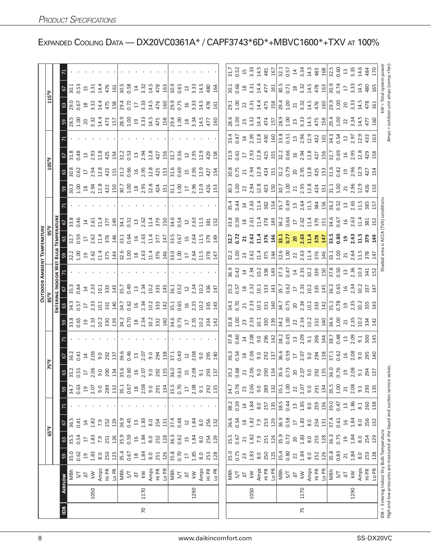| ខ្លួន ដូ ដូ ដូ ដៀន 2 ង ដូ ដូ ដូ ងៀន 2 ដូ ដូ ងូ ដូ ងូ ងូ ងូ<br><u>o 8 8 a 3 4 5 8 1 8 5 5 8 3 5 6 6 9 8 5 6 8 3 5 6 7</u><br><u>ទ ដូន ដូន ដូង ដ្ឋាយ ជិន ដូន ដូច ដូច ដូន ដូន ដូ</u><br>ខ្លួន ដូន ដូន ដូ <mark>ន</mark> ដូន ដូន ដូន ដូច ដូន ដូន ដូន ដូ<br>105°F<br><u>o g g d z g g g d g j j j g</u> e e g g g g g j j g g e g g g z g j<br>TEMPEI<br>22 22 32 32 32 32 33 34 35 36 37 38 39 30 31 32 34 35 36 37 38 39 30 31 32 33 4 34 35 36 37 37 38 39 30 31 32<br>$3.795$ $2.4841$ $3.495$ $4.495$ $3.427$ $4.495$ $3.495$ $3.495$ $3.495$ $3.495$ $3.495$ $3.495$ $3.495$ $3.495$ $3.495$ $3.495$ $3.495$ $3.495$ $3.495$ $3.495$ $3.495$ $3.495$ $3.495$ $3.495$ $3.495$ $3.495$ $3.495$ $3.4$<br>Вuц<br>35 26 36 36 36 36 36 36 36 36 37 38 37 38 37 40 36 37 40 36 37 40 37 40 38 40 30 40 40 40 40 40 40 40 40 40 40<br>$\frac{67}{25}$<br><u>e di ci di ci di ci di ci di ci di ci di ci di ci di ci di ci di ci di ci di ci di ci di ci di ci di ci di ci </u><br>$3.885$ $3.323$ $3.375$ $3.475$ $3.475$ $3.475$ $3.475$ $3.475$ $3.475$ $3.475$ $3.475$<br>2010 10:00 10:00 10:00 10:00 10:00 10:00 10:00 10:00 10:00 10:00 10:00 10:00 10:00 10:00 10:00 10:00 10:00 10:<br>2010 10:00 10:00 10:00 10:00 10:00 10:00 10:00 10:00 10:00 10:00 10:00 10:00 10:00 10:00 10:00 10:00 10:00 10:<br>$\begin{array}{l} 36.35 & \text{if} \ \text{if} \ \text{if} \ \text{if} \ \text{if} \ \text{if} \ \text{if} \ \text{if} \ \text{if} \ \text{if} \ \text{if} \ \text{if} \ \text{if} \ \text{if} \ \text{if} \ \text{if} \ \text{if} \ \text{if} \ \text{if} \ \text{if} \ \text{if} \ \text{if} \ \text{if} \ \text{if} \ \text{if} \ \text{if} \ \text{if} \ \text{if} \ \text{if} \ \text{if} \ \text{if} \ \text{if} \ \text{if} \ \text{if} \ \text$<br>$5\frac{1}{8}$ $\frac{1}{8}$ $\frac{1}{5}$ $\frac{1}{4}$ $\frac{1}{8}$ $\frac{1}{8}$ $\frac{1}{8}$ $\frac{1}{5}$ $\frac{1}{5}$ $\frac{1}{5}$ $\frac{1}{5}$ $\frac{1}{5}$ $\frac{1}{5}$ $\frac{1}{5}$ $\frac{1}{5}$ $\frac{1}{5}$ $\frac{1}{5}$ $\frac{1}{5}$ $\frac{1}{5}$ $\frac{1}{5}$ $\frac{1}{5}$ $\frac{1}{5}$ $\frac{1}{5}$ $\frac{1}{5}$ $\frac{$<br>75°F<br><mark>ទ</mark> ឃុំ ឃុំ ដូ ដូ ខ្លួ ខ្លួ ឃុំ ឃុំ ខ្លួ ម ខ្លួ ខ្លួ ឃុំ ឃុំ មិន ខ្លួ ដូ ឡូ ខ្លួ ដូ ឡូ ដូ ឡូ ដូ ឡូ ដ<br>នៅ ដូ ដូ ដូ ទី ខ្លួ ដូ ដូ ដូ ឡូ ដូ ដូ ឡូ ដូ ឡូ ដូ ឡូ ដូ ឡូ ដូ ឡូ ដូ ឡូ ដូ ឡូ ដូ ឡូ ដូ<br>$\begin{array}{l} 13.68 \\ 13.69 \\ 14.69 \\ 15.69 \\ 16.60 \\ 17.60 \\ 18.60 \\ 19.60 \\ 19.60 \\ 10.70 \\ 19.60 \\ 19.60 \\ 19.60 \\ 19.60 \\ 19.60 \\ 19.60 \\ 19.60 \\ 19.60 \\ 19.60 \\ 19.60 \\ 19.60 \\ 19.60 \\ 19.60 \\ 19.60 \\ 19.60 \\ 19.60 \\ 19.60 \\ 19.60 \\ 19.60 \\ 19.60 \\ 19$<br>$18$<br>$2.08$<br>0.76<br>2.06<br>1.00<br>1.00<br>2.08<br>$\overline{\frac{35.5}{}}$<br>0.70<br>34.7<br>2.07<br>35.5<br>34.7<br>0.63<br>289<br>35.1<br>0.67<br>134<br>2.08<br>289<br>35.1<br>134<br>293<br>2.07<br>132<br>9.0<br>291<br>9.0<br>132<br>9.0<br>291<br>135<br>9.0<br>292<br>135<br>$\overline{a}$<br>9.1<br>23<br>9.1<br>$\overline{2}$<br>21<br>59<br>$\overline{17}$<br>39.0<br>38.5<br>0.44<br>1.85<br>1.86<br>38.2<br>0.39<br>259<br>0.47<br>1.84<br>136<br>257<br>135<br>8.0<br>260<br>8.0<br>138<br>$\Xi$<br>$13$<br>8.1<br>$\overline{4}$<br>36.9<br>0.58<br>37.4<br>36.9<br>1.84<br>36.6<br>1.83<br>1.84<br>36.5<br>0.45<br>1.83<br>37.4<br>0.48<br>0.54<br>0.61<br>256<br>129<br>254<br>1.82<br>253<br>129<br>254<br>0.41<br>1.82<br>252<br>8.0<br>256<br>8.0<br>132<br>7.9<br>131<br>8.0<br>7.9<br>131<br>8.0<br>$\Xi$<br>132<br>$^{28}$<br>16<br>14<br>$22$<br>$\overline{\mathbb{L}}$<br>5<br>$65^{\circ}$ F | $\begin{array}{l} 3,67\\ 3,72,7\\ 2,8,8\\ 3,6,9\\ 6,10\\ 3,6,10\\ 3,6,10\\ 3,6,10\\ 3,6,10\\ 3,6,10\\ 3,6,10\\ 3,6,10\\ 3,6,10\\ 3,6,10\\ 3,6,10\\ 3,6,10\\ 3,6,10\\ 3,6,10\\ 3,6,10\\ 3,6,10\\ 3,6,10\\ 3,6,10\\ 3,6,10\\ 3,6,10\\ 3,6,10\\ 3,6,10\\ 3,6,10\\ 3,$<br>$\begin{array}{c} 2156 \\ 2165 \\ 2256 \\ 2366 \\ 2456 \\ 2566 \\ 2666 \\ 2766 \\ 2866 \\ 2166 \\ 22566 \\ 2366 \\ 2456 \\ 2456 \\ 2566 \\ 2666 \\ 2666 \\ 2766 \\ 2866 \\ 2966 \\ 2966 \\ 2966 \\ 2966 \\ 2966 \\ 2966 \\ 2966 \\ 2966 \\ 2966 \\ 2966 \\ 2966 \\ 2966 \\ 2966 \\ 2966 \\ 2966 \\ 2966 \\ 2$<br>(TVA)<br>$32.5$ $3.6$ $3.7$ $3.7$ $3.7$ $3.7$ $3.7$ $3.7$ $3.7$ $3.7$ $3.7$ $3.7$ $3.7$ $3.7$ $3.7$ $3.7$ $3.7$ $3.7$ $3.7$ $3.7$ $3.7$ $3.7$ $3.7$ $3.7$ $3.7$ $3.7$ $3.7$ $3.7$ $3.7$ $3.7$ $3.7$ $3.7$ $3.7$ $3.7$ $3.7$ $3.7$ $3.7$<br>IDB = Entering Indoor Dry Bulb Temperature<br>35.9<br>35.5<br>35.9<br>1.84<br>0.72<br>1.83<br>36.3<br>0.75<br>1.83<br>252<br>128<br>126<br>128<br>254<br>0.62<br>0.67<br>1.82<br>8.0<br>253<br>129<br>251<br>129<br>7.9<br>251<br>8.0<br>7.9<br>20<br>15<br>$\overline{a}$<br>$\overline{17}$<br>21<br>යි | kW = Total system power<br> - outdoor unit amps (comp.+fan<br>Amps<br>valves<br>High and low pressures are measured at the liquid and suction service |                                                        |  |  |  |  |  |  |  | <b>OUTDOOR AMBIENT TEMPERATURE</b> |  |  |  | 115°F |  |
|------------------------------------------------------------------------------------------------------------------------------------------------------------------------------------------------------------------------------------------------------------------------------------------------------------------------------------------------------------------------------------------------------------------------------------------------------------------------------------------------------------------------------------------------------------------------------------------------------------------------------------------------------------------------------------------------------------------------------------------------------------------------------------------------------------------------------------------------------------------------------------------------------------------------------------------------------------------------------------------------------------------------------------------------------------------------------------------------------------------------------------------------------------------------------------------------------------------------------------------------------------------------------------------------------------------------------------------------------------------------------------------------------------------------------------------------------------------------------------------------------------------------------------------------------------------------------------------------------------------------------------------------------------------------------------------------------------------------------------------------------------------------------------------------------------------------------------------------------------------------------------------------------------------------------------------------------------------------------------------------------------------------------------------------------------------------------------------------------------------------------------------------------------------------------------------------------------------------------------------------------------------------------------------------------------------------------------------------------------------------------------------------------------------------------------------------------------------------------------------------------------------------------------------------------------------------------------------------------------------------------------------------------------------------------------------------------------------------------------------------------------------------------------------------------------------------------------------------------------------------------------------------------------------------------------------------------------------------------------------------------------------------------------------------------------------------------------------------------------------------------------------------------------------------------------------------------------------------------------------------------------------------------------------------------------------------------------------------------------------------------------------------------------------------------------------------------------------------------------------------------------------------------------------------------------------------------------------------------|---------------------------------------------------------------------------------------------------------------------------------------------------------------------------------------------------------------------------------------------------------------------------------------------------------------------------------------------------------------------------------------------------------------------------------------------------------------------------------------------------------------------------------------------------------------------------------------------------------------------------------------------------------------------------------------------------------------------------------------------------------------------------------------------------------------------------------------------------------------------------------------------------------------------------------------------------------------------------------------------------------------------------------------------------------------------------------------------------------------------------------------------|-------------------------------------------------------------------------------------------------------------------------------------------------------|--------------------------------------------------------|--|--|--|--|--|--|--|------------------------------------|--|--|--|-------|--|
|                                                                                                                                                                                                                                                                                                                                                                                                                                                                                                                                                                                                                                                                                                                                                                                                                                                                                                                                                                                                                                                                                                                                                                                                                                                                                                                                                                                                                                                                                                                                                                                                                                                                                                                                                                                                                                                                                                                                                                                                                                                                                                                                                                                                                                                                                                                                                                                                                                                                                                                                                                                                                                                                                                                                                                                                                                                                                                                                                                                                                                                                                                                                                                                                                                                                                                                                                                                                                                                                                                                                                                                                      |                                                                                                                                                                                                                                                                                                                                                                                                                                                                                                                                                                                                                                                                                                                                                                                                                                                                                                                                                                                                                                                                                                                                             |                                                                                                                                                       |                                                        |  |  |  |  |  |  |  |                                    |  |  |  |       |  |
|                                                                                                                                                                                                                                                                                                                                                                                                                                                                                                                                                                                                                                                                                                                                                                                                                                                                                                                                                                                                                                                                                                                                                                                                                                                                                                                                                                                                                                                                                                                                                                                                                                                                                                                                                                                                                                                                                                                                                                                                                                                                                                                                                                                                                                                                                                                                                                                                                                                                                                                                                                                                                                                                                                                                                                                                                                                                                                                                                                                                                                                                                                                                                                                                                                                                                                                                                                                                                                                                                                                                                                                                      |                                                                                                                                                                                                                                                                                                                                                                                                                                                                                                                                                                                                                                                                                                                                                                                                                                                                                                                                                                                                                                                                                                                                             |                                                                                                                                                       | 59<br>AIRFLOW                                          |  |  |  |  |  |  |  |                                    |  |  |  |       |  |
|                                                                                                                                                                                                                                                                                                                                                                                                                                                                                                                                                                                                                                                                                                                                                                                                                                                                                                                                                                                                                                                                                                                                                                                                                                                                                                                                                                                                                                                                                                                                                                                                                                                                                                                                                                                                                                                                                                                                                                                                                                                                                                                                                                                                                                                                                                                                                                                                                                                                                                                                                                                                                                                                                                                                                                                                                                                                                                                                                                                                                                                                                                                                                                                                                                                                                                                                                                                                                                                                                                                                                                                                      |                                                                                                                                                                                                                                                                                                                                                                                                                                                                                                                                                                                                                                                                                                                                                                                                                                                                                                                                                                                                                                                                                                                                             |                                                                                                                                                       | 35.5<br>35.0<br>MBh                                    |  |  |  |  |  |  |  |                                    |  |  |  |       |  |
|                                                                                                                                                                                                                                                                                                                                                                                                                                                                                                                                                                                                                                                                                                                                                                                                                                                                                                                                                                                                                                                                                                                                                                                                                                                                                                                                                                                                                                                                                                                                                                                                                                                                                                                                                                                                                                                                                                                                                                                                                                                                                                                                                                                                                                                                                                                                                                                                                                                                                                                                                                                                                                                                                                                                                                                                                                                                                                                                                                                                                                                                                                                                                                                                                                                                                                                                                                                                                                                                                                                                                                                                      |                                                                                                                                                                                                                                                                                                                                                                                                                                                                                                                                                                                                                                                                                                                                                                                                                                                                                                                                                                                                                                                                                                                                             |                                                                                                                                                       | 0.54<br>0.62<br>5/7                                    |  |  |  |  |  |  |  |                                    |  |  |  |       |  |
|                                                                                                                                                                                                                                                                                                                                                                                                                                                                                                                                                                                                                                                                                                                                                                                                                                                                                                                                                                                                                                                                                                                                                                                                                                                                                                                                                                                                                                                                                                                                                                                                                                                                                                                                                                                                                                                                                                                                                                                                                                                                                                                                                                                                                                                                                                                                                                                                                                                                                                                                                                                                                                                                                                                                                                                                                                                                                                                                                                                                                                                                                                                                                                                                                                                                                                                                                                                                                                                                                                                                                                                                      |                                                                                                                                                                                                                                                                                                                                                                                                                                                                                                                                                                                                                                                                                                                                                                                                                                                                                                                                                                                                                                                                                                                                             |                                                                                                                                                       | $\overline{1}9$<br>$\overline{\Delta}$                 |  |  |  |  |  |  |  |                                    |  |  |  |       |  |
|                                                                                                                                                                                                                                                                                                                                                                                                                                                                                                                                                                                                                                                                                                                                                                                                                                                                                                                                                                                                                                                                                                                                                                                                                                                                                                                                                                                                                                                                                                                                                                                                                                                                                                                                                                                                                                                                                                                                                                                                                                                                                                                                                                                                                                                                                                                                                                                                                                                                                                                                                                                                                                                                                                                                                                                                                                                                                                                                                                                                                                                                                                                                                                                                                                                                                                                                                                                                                                                                                                                                                                                                      |                                                                                                                                                                                                                                                                                                                                                                                                                                                                                                                                                                                                                                                                                                                                                                                                                                                                                                                                                                                                                                                                                                                                             |                                                                                                                                                       | 1.83<br>kW                                             |  |  |  |  |  |  |  |                                    |  |  |  |       |  |
|                                                                                                                                                                                                                                                                                                                                                                                                                                                                                                                                                                                                                                                                                                                                                                                                                                                                                                                                                                                                                                                                                                                                                                                                                                                                                                                                                                                                                                                                                                                                                                                                                                                                                                                                                                                                                                                                                                                                                                                                                                                                                                                                                                                                                                                                                                                                                                                                                                                                                                                                                                                                                                                                                                                                                                                                                                                                                                                                                                                                                                                                                                                                                                                                                                                                                                                                                                                                                                                                                                                                                                                                      |                                                                                                                                                                                                                                                                                                                                                                                                                                                                                                                                                                                                                                                                                                                                                                                                                                                                                                                                                                                                                                                                                                                                             |                                                                                                                                                       | 250<br>8.0                                             |  |  |  |  |  |  |  |                                    |  |  |  |       |  |
|                                                                                                                                                                                                                                                                                                                                                                                                                                                                                                                                                                                                                                                                                                                                                                                                                                                                                                                                                                                                                                                                                                                                                                                                                                                                                                                                                                                                                                                                                                                                                                                                                                                                                                                                                                                                                                                                                                                                                                                                                                                                                                                                                                                                                                                                                                                                                                                                                                                                                                                                                                                                                                                                                                                                                                                                                                                                                                                                                                                                                                                                                                                                                                                                                                                                                                                                                                                                                                                                                                                                                                                                      |                                                                                                                                                                                                                                                                                                                                                                                                                                                                                                                                                                                                                                                                                                                                                                                                                                                                                                                                                                                                                                                                                                                                             |                                                                                                                                                       | 126<br>125<br>Amps<br>Hi PR<br>Lo PR                   |  |  |  |  |  |  |  |                                    |  |  |  |       |  |
|                                                                                                                                                                                                                                                                                                                                                                                                                                                                                                                                                                                                                                                                                                                                                                                                                                                                                                                                                                                                                                                                                                                                                                                                                                                                                                                                                                                                                                                                                                                                                                                                                                                                                                                                                                                                                                                                                                                                                                                                                                                                                                                                                                                                                                                                                                                                                                                                                                                                                                                                                                                                                                                                                                                                                                                                                                                                                                                                                                                                                                                                                                                                                                                                                                                                                                                                                                                                                                                                                                                                                                                                      |                                                                                                                                                                                                                                                                                                                                                                                                                                                                                                                                                                                                                                                                                                                                                                                                                                                                                                                                                                                                                                                                                                                                             |                                                                                                                                                       | 35.4<br>MBh                                            |  |  |  |  |  |  |  |                                    |  |  |  |       |  |
|                                                                                                                                                                                                                                                                                                                                                                                                                                                                                                                                                                                                                                                                                                                                                                                                                                                                                                                                                                                                                                                                                                                                                                                                                                                                                                                                                                                                                                                                                                                                                                                                                                                                                                                                                                                                                                                                                                                                                                                                                                                                                                                                                                                                                                                                                                                                                                                                                                                                                                                                                                                                                                                                                                                                                                                                                                                                                                                                                                                                                                                                                                                                                                                                                                                                                                                                                                                                                                                                                                                                                                                                      |                                                                                                                                                                                                                                                                                                                                                                                                                                                                                                                                                                                                                                                                                                                                                                                                                                                                                                                                                                                                                                                                                                                                             |                                                                                                                                                       | 0.59<br>0.67<br>5/7                                    |  |  |  |  |  |  |  |                                    |  |  |  |       |  |
|                                                                                                                                                                                                                                                                                                                                                                                                                                                                                                                                                                                                                                                                                                                                                                                                                                                                                                                                                                                                                                                                                                                                                                                                                                                                                                                                                                                                                                                                                                                                                                                                                                                                                                                                                                                                                                                                                                                                                                                                                                                                                                                                                                                                                                                                                                                                                                                                                                                                                                                                                                                                                                                                                                                                                                                                                                                                                                                                                                                                                                                                                                                                                                                                                                                                                                                                                                                                                                                                                                                                                                                                      |                                                                                                                                                                                                                                                                                                                                                                                                                                                                                                                                                                                                                                                                                                                                                                                                                                                                                                                                                                                                                                                                                                                                             |                                                                                                                                                       | $\frac{1}{2}$<br>$\frac{8}{10}$<br>$\overline{\Delta}$ |  |  |  |  |  |  |  |                                    |  |  |  |       |  |
|                                                                                                                                                                                                                                                                                                                                                                                                                                                                                                                                                                                                                                                                                                                                                                                                                                                                                                                                                                                                                                                                                                                                                                                                                                                                                                                                                                                                                                                                                                                                                                                                                                                                                                                                                                                                                                                                                                                                                                                                                                                                                                                                                                                                                                                                                                                                                                                                                                                                                                                                                                                                                                                                                                                                                                                                                                                                                                                                                                                                                                                                                                                                                                                                                                                                                                                                                                                                                                                                                                                                                                                                      |                                                                                                                                                                                                                                                                                                                                                                                                                                                                                                                                                                                                                                                                                                                                                                                                                                                                                                                                                                                                                                                                                                                                             |                                                                                                                                                       | 1.84<br>1.84<br>$\leq$                                 |  |  |  |  |  |  |  |                                    |  |  |  |       |  |
|                                                                                                                                                                                                                                                                                                                                                                                                                                                                                                                                                                                                                                                                                                                                                                                                                                                                                                                                                                                                                                                                                                                                                                                                                                                                                                                                                                                                                                                                                                                                                                                                                                                                                                                                                                                                                                                                                                                                                                                                                                                                                                                                                                                                                                                                                                                                                                                                                                                                                                                                                                                                                                                                                                                                                                                                                                                                                                                                                                                                                                                                                                                                                                                                                                                                                                                                                                                                                                                                                                                                                                                                      |                                                                                                                                                                                                                                                                                                                                                                                                                                                                                                                                                                                                                                                                                                                                                                                                                                                                                                                                                                                                                                                                                                                                             |                                                                                                                                                       | 8.0<br>8.0<br>Amps<br>Hi PR                            |  |  |  |  |  |  |  |                                    |  |  |  |       |  |
|                                                                                                                                                                                                                                                                                                                                                                                                                                                                                                                                                                                                                                                                                                                                                                                                                                                                                                                                                                                                                                                                                                                                                                                                                                                                                                                                                                                                                                                                                                                                                                                                                                                                                                                                                                                                                                                                                                                                                                                                                                                                                                                                                                                                                                                                                                                                                                                                                                                                                                                                                                                                                                                                                                                                                                                                                                                                                                                                                                                                                                                                                                                                                                                                                                                                                                                                                                                                                                                                                                                                                                                                      |                                                                                                                                                                                                                                                                                                                                                                                                                                                                                                                                                                                                                                                                                                                                                                                                                                                                                                                                                                                                                                                                                                                                             |                                                                                                                                                       | 251                                                    |  |  |  |  |  |  |  |                                    |  |  |  |       |  |
|                                                                                                                                                                                                                                                                                                                                                                                                                                                                                                                                                                                                                                                                                                                                                                                                                                                                                                                                                                                                                                                                                                                                                                                                                                                                                                                                                                                                                                                                                                                                                                                                                                                                                                                                                                                                                                                                                                                                                                                                                                                                                                                                                                                                                                                                                                                                                                                                                                                                                                                                                                                                                                                                                                                                                                                                                                                                                                                                                                                                                                                                                                                                                                                                                                                                                                                                                                                                                                                                                                                                                                                                      |                                                                                                                                                                                                                                                                                                                                                                                                                                                                                                                                                                                                                                                                                                                                                                                                                                                                                                                                                                                                                                                                                                                                             |                                                                                                                                                       | 126<br>Lo PR                                           |  |  |  |  |  |  |  |                                    |  |  |  |       |  |
|                                                                                                                                                                                                                                                                                                                                                                                                                                                                                                                                                                                                                                                                                                                                                                                                                                                                                                                                                                                                                                                                                                                                                                                                                                                                                                                                                                                                                                                                                                                                                                                                                                                                                                                                                                                                                                                                                                                                                                                                                                                                                                                                                                                                                                                                                                                                                                                                                                                                                                                                                                                                                                                                                                                                                                                                                                                                                                                                                                                                                                                                                                                                                                                                                                                                                                                                                                                                                                                                                                                                                                                                      |                                                                                                                                                                                                                                                                                                                                                                                                                                                                                                                                                                                                                                                                                                                                                                                                                                                                                                                                                                                                                                                                                                                                             |                                                                                                                                                       | 36.3<br>35.8<br>MBh                                    |  |  |  |  |  |  |  |                                    |  |  |  |       |  |
|                                                                                                                                                                                                                                                                                                                                                                                                                                                                                                                                                                                                                                                                                                                                                                                                                                                                                                                                                                                                                                                                                                                                                                                                                                                                                                                                                                                                                                                                                                                                                                                                                                                                                                                                                                                                                                                                                                                                                                                                                                                                                                                                                                                                                                                                                                                                                                                                                                                                                                                                                                                                                                                                                                                                                                                                                                                                                                                                                                                                                                                                                                                                                                                                                                                                                                                                                                                                                                                                                                                                                                                                      |                                                                                                                                                                                                                                                                                                                                                                                                                                                                                                                                                                                                                                                                                                                                                                                                                                                                                                                                                                                                                                                                                                                                             |                                                                                                                                                       | 0.70<br>5/7                                            |  |  |  |  |  |  |  |                                    |  |  |  |       |  |
|                                                                                                                                                                                                                                                                                                                                                                                                                                                                                                                                                                                                                                                                                                                                                                                                                                                                                                                                                                                                                                                                                                                                                                                                                                                                                                                                                                                                                                                                                                                                                                                                                                                                                                                                                                                                                                                                                                                                                                                                                                                                                                                                                                                                                                                                                                                                                                                                                                                                                                                                                                                                                                                                                                                                                                                                                                                                                                                                                                                                                                                                                                                                                                                                                                                                                                                                                                                                                                                                                                                                                                                                      |                                                                                                                                                                                                                                                                                                                                                                                                                                                                                                                                                                                                                                                                                                                                                                                                                                                                                                                                                                                                                                                                                                                                             |                                                                                                                                                       | $\overline{17}$<br>$\overline{\mathcal{L}}$            |  |  |  |  |  |  |  |                                    |  |  |  |       |  |
|                                                                                                                                                                                                                                                                                                                                                                                                                                                                                                                                                                                                                                                                                                                                                                                                                                                                                                                                                                                                                                                                                                                                                                                                                                                                                                                                                                                                                                                                                                                                                                                                                                                                                                                                                                                                                                                                                                                                                                                                                                                                                                                                                                                                                                                                                                                                                                                                                                                                                                                                                                                                                                                                                                                                                                                                                                                                                                                                                                                                                                                                                                                                                                                                                                                                                                                                                                                                                                                                                                                                                                                                      |                                                                                                                                                                                                                                                                                                                                                                                                                                                                                                                                                                                                                                                                                                                                                                                                                                                                                                                                                                                                                                                                                                                                             |                                                                                                                                                       | 1.84<br>1.85<br>$\leq$                                 |  |  |  |  |  |  |  |                                    |  |  |  |       |  |
|                                                                                                                                                                                                                                                                                                                                                                                                                                                                                                                                                                                                                                                                                                                                                                                                                                                                                                                                                                                                                                                                                                                                                                                                                                                                                                                                                                                                                                                                                                                                                                                                                                                                                                                                                                                                                                                                                                                                                                                                                                                                                                                                                                                                                                                                                                                                                                                                                                                                                                                                                                                                                                                                                                                                                                                                                                                                                                                                                                                                                                                                                                                                                                                                                                                                                                                                                                                                                                                                                                                                                                                                      |                                                                                                                                                                                                                                                                                                                                                                                                                                                                                                                                                                                                                                                                                                                                                                                                                                                                                                                                                                                                                                                                                                                                             |                                                                                                                                                       | 8.0<br>8.0                                             |  |  |  |  |  |  |  |                                    |  |  |  |       |  |
|                                                                                                                                                                                                                                                                                                                                                                                                                                                                                                                                                                                                                                                                                                                                                                                                                                                                                                                                                                                                                                                                                                                                                                                                                                                                                                                                                                                                                                                                                                                                                                                                                                                                                                                                                                                                                                                                                                                                                                                                                                                                                                                                                                                                                                                                                                                                                                                                                                                                                                                                                                                                                                                                                                                                                                                                                                                                                                                                                                                                                                                                                                                                                                                                                                                                                                                                                                                                                                                                                                                                                                                                      |                                                                                                                                                                                                                                                                                                                                                                                                                                                                                                                                                                                                                                                                                                                                                                                                                                                                                                                                                                                                                                                                                                                                             |                                                                                                                                                       | 254<br>253<br>Amps<br>Hi PR                            |  |  |  |  |  |  |  |                                    |  |  |  |       |  |
|                                                                                                                                                                                                                                                                                                                                                                                                                                                                                                                                                                                                                                                                                                                                                                                                                                                                                                                                                                                                                                                                                                                                                                                                                                                                                                                                                                                                                                                                                                                                                                                                                                                                                                                                                                                                                                                                                                                                                                                                                                                                                                                                                                                                                                                                                                                                                                                                                                                                                                                                                                                                                                                                                                                                                                                                                                                                                                                                                                                                                                                                                                                                                                                                                                                                                                                                                                                                                                                                                                                                                                                                      |                                                                                                                                                                                                                                                                                                                                                                                                                                                                                                                                                                                                                                                                                                                                                                                                                                                                                                                                                                                                                                                                                                                                             |                                                                                                                                                       | 128<br>Lo PR                                           |  |  |  |  |  |  |  |                                    |  |  |  |       |  |
|                                                                                                                                                                                                                                                                                                                                                                                                                                                                                                                                                                                                                                                                                                                                                                                                                                                                                                                                                                                                                                                                                                                                                                                                                                                                                                                                                                                                                                                                                                                                                                                                                                                                                                                                                                                                                                                                                                                                                                                                                                                                                                                                                                                                                                                                                                                                                                                                                                                                                                                                                                                                                                                                                                                                                                                                                                                                                                                                                                                                                                                                                                                                                                                                                                                                                                                                                                                                                                                                                                                                                                                                      |                                                                                                                                                                                                                                                                                                                                                                                                                                                                                                                                                                                                                                                                                                                                                                                                                                                                                                                                                                                                                                                                                                                                             |                                                                                                                                                       |                                                        |  |  |  |  |  |  |  |                                    |  |  |  |       |  |
|                                                                                                                                                                                                                                                                                                                                                                                                                                                                                                                                                                                                                                                                                                                                                                                                                                                                                                                                                                                                                                                                                                                                                                                                                                                                                                                                                                                                                                                                                                                                                                                                                                                                                                                                                                                                                                                                                                                                                                                                                                                                                                                                                                                                                                                                                                                                                                                                                                                                                                                                                                                                                                                                                                                                                                                                                                                                                                                                                                                                                                                                                                                                                                                                                                                                                                                                                                                                                                                                                                                                                                                                      |                                                                                                                                                                                                                                                                                                                                                                                                                                                                                                                                                                                                                                                                                                                                                                                                                                                                                                                                                                                                                                                                                                                                             |                                                                                                                                                       | 35.0<br>MBh                                            |  |  |  |  |  |  |  |                                    |  |  |  |       |  |
|                                                                                                                                                                                                                                                                                                                                                                                                                                                                                                                                                                                                                                                                                                                                                                                                                                                                                                                                                                                                                                                                                                                                                                                                                                                                                                                                                                                                                                                                                                                                                                                                                                                                                                                                                                                                                                                                                                                                                                                                                                                                                                                                                                                                                                                                                                                                                                                                                                                                                                                                                                                                                                                                                                                                                                                                                                                                                                                                                                                                                                                                                                                                                                                                                                                                                                                                                                                                                                                                                                                                                                                                      |                                                                                                                                                                                                                                                                                                                                                                                                                                                                                                                                                                                                                                                                                                                                                                                                                                                                                                                                                                                                                                                                                                                                             |                                                                                                                                                       | 0.75<br>5/7                                            |  |  |  |  |  |  |  |                                    |  |  |  |       |  |
|                                                                                                                                                                                                                                                                                                                                                                                                                                                                                                                                                                                                                                                                                                                                                                                                                                                                                                                                                                                                                                                                                                                                                                                                                                                                                                                                                                                                                                                                                                                                                                                                                                                                                                                                                                                                                                                                                                                                                                                                                                                                                                                                                                                                                                                                                                                                                                                                                                                                                                                                                                                                                                                                                                                                                                                                                                                                                                                                                                                                                                                                                                                                                                                                                                                                                                                                                                                                                                                                                                                                                                                                      |                                                                                                                                                                                                                                                                                                                                                                                                                                                                                                                                                                                                                                                                                                                                                                                                                                                                                                                                                                                                                                                                                                                                             |                                                                                                                                                       | 23<br>$\overline{\Delta}$                              |  |  |  |  |  |  |  |                                    |  |  |  |       |  |
|                                                                                                                                                                                                                                                                                                                                                                                                                                                                                                                                                                                                                                                                                                                                                                                                                                                                                                                                                                                                                                                                                                                                                                                                                                                                                                                                                                                                                                                                                                                                                                                                                                                                                                                                                                                                                                                                                                                                                                                                                                                                                                                                                                                                                                                                                                                                                                                                                                                                                                                                                                                                                                                                                                                                                                                                                                                                                                                                                                                                                                                                                                                                                                                                                                                                                                                                                                                                                                                                                                                                                                                                      |                                                                                                                                                                                                                                                                                                                                                                                                                                                                                                                                                                                                                                                                                                                                                                                                                                                                                                                                                                                                                                                                                                                                             |                                                                                                                                                       | 1.83<br>$\overline{\mathsf{k}}$                        |  |  |  |  |  |  |  |                                    |  |  |  |       |  |
|                                                                                                                                                                                                                                                                                                                                                                                                                                                                                                                                                                                                                                                                                                                                                                                                                                                                                                                                                                                                                                                                                                                                                                                                                                                                                                                                                                                                                                                                                                                                                                                                                                                                                                                                                                                                                                                                                                                                                                                                                                                                                                                                                                                                                                                                                                                                                                                                                                                                                                                                                                                                                                                                                                                                                                                                                                                                                                                                                                                                                                                                                                                                                                                                                                                                                                                                                                                                                                                                                                                                                                                                      |                                                                                                                                                                                                                                                                                                                                                                                                                                                                                                                                                                                                                                                                                                                                                                                                                                                                                                                                                                                                                                                                                                                                             |                                                                                                                                                       | 8.0                                                    |  |  |  |  |  |  |  |                                    |  |  |  |       |  |
|                                                                                                                                                                                                                                                                                                                                                                                                                                                                                                                                                                                                                                                                                                                                                                                                                                                                                                                                                                                                                                                                                                                                                                                                                                                                                                                                                                                                                                                                                                                                                                                                                                                                                                                                                                                                                                                                                                                                                                                                                                                                                                                                                                                                                                                                                                                                                                                                                                                                                                                                                                                                                                                                                                                                                                                                                                                                                                                                                                                                                                                                                                                                                                                                                                                                                                                                                                                                                                                                                                                                                                                                      |                                                                                                                                                                                                                                                                                                                                                                                                                                                                                                                                                                                                                                                                                                                                                                                                                                                                                                                                                                                                                                                                                                                                             |                                                                                                                                                       | 250<br>Amps<br>Hi PR<br>Lo PR                          |  |  |  |  |  |  |  |                                    |  |  |  |       |  |
|                                                                                                                                                                                                                                                                                                                                                                                                                                                                                                                                                                                                                                                                                                                                                                                                                                                                                                                                                                                                                                                                                                                                                                                                                                                                                                                                                                                                                                                                                                                                                                                                                                                                                                                                                                                                                                                                                                                                                                                                                                                                                                                                                                                                                                                                                                                                                                                                                                                                                                                                                                                                                                                                                                                                                                                                                                                                                                                                                                                                                                                                                                                                                                                                                                                                                                                                                                                                                                                                                                                                                                                                      |                                                                                                                                                                                                                                                                                                                                                                                                                                                                                                                                                                                                                                                                                                                                                                                                                                                                                                                                                                                                                                                                                                                                             |                                                                                                                                                       | 125                                                    |  |  |  |  |  |  |  |                                    |  |  |  |       |  |
|                                                                                                                                                                                                                                                                                                                                                                                                                                                                                                                                                                                                                                                                                                                                                                                                                                                                                                                                                                                                                                                                                                                                                                                                                                                                                                                                                                                                                                                                                                                                                                                                                                                                                                                                                                                                                                                                                                                                                                                                                                                                                                                                                                                                                                                                                                                                                                                                                                                                                                                                                                                                                                                                                                                                                                                                                                                                                                                                                                                                                                                                                                                                                                                                                                                                                                                                                                                                                                                                                                                                                                                                      |                                                                                                                                                                                                                                                                                                                                                                                                                                                                                                                                                                                                                                                                                                                                                                                                                                                                                                                                                                                                                                                                                                                                             |                                                                                                                                                       | 35.4<br>MBh                                            |  |  |  |  |  |  |  |                                    |  |  |  |       |  |
|                                                                                                                                                                                                                                                                                                                                                                                                                                                                                                                                                                                                                                                                                                                                                                                                                                                                                                                                                                                                                                                                                                                                                                                                                                                                                                                                                                                                                                                                                                                                                                                                                                                                                                                                                                                                                                                                                                                                                                                                                                                                                                                                                                                                                                                                                                                                                                                                                                                                                                                                                                                                                                                                                                                                                                                                                                                                                                                                                                                                                                                                                                                                                                                                                                                                                                                                                                                                                                                                                                                                                                                                      |                                                                                                                                                                                                                                                                                                                                                                                                                                                                                                                                                                                                                                                                                                                                                                                                                                                                                                                                                                                                                                                                                                                                             |                                                                                                                                                       | 0.80<br>5/7                                            |  |  |  |  |  |  |  |                                    |  |  |  |       |  |
|                                                                                                                                                                                                                                                                                                                                                                                                                                                                                                                                                                                                                                                                                                                                                                                                                                                                                                                                                                                                                                                                                                                                                                                                                                                                                                                                                                                                                                                                                                                                                                                                                                                                                                                                                                                                                                                                                                                                                                                                                                                                                                                                                                                                                                                                                                                                                                                                                                                                                                                                                                                                                                                                                                                                                                                                                                                                                                                                                                                                                                                                                                                                                                                                                                                                                                                                                                                                                                                                                                                                                                                                      |                                                                                                                                                                                                                                                                                                                                                                                                                                                                                                                                                                                                                                                                                                                                                                                                                                                                                                                                                                                                                                                                                                                                             |                                                                                                                                                       | 1.84<br>$\overline{2}$<br>$\overline{\Delta}$          |  |  |  |  |  |  |  |                                    |  |  |  |       |  |
|                                                                                                                                                                                                                                                                                                                                                                                                                                                                                                                                                                                                                                                                                                                                                                                                                                                                                                                                                                                                                                                                                                                                                                                                                                                                                                                                                                                                                                                                                                                                                                                                                                                                                                                                                                                                                                                                                                                                                                                                                                                                                                                                                                                                                                                                                                                                                                                                                                                                                                                                                                                                                                                                                                                                                                                                                                                                                                                                                                                                                                                                                                                                                                                                                                                                                                                                                                                                                                                                                                                                                                                                      |                                                                                                                                                                                                                                                                                                                                                                                                                                                                                                                                                                                                                                                                                                                                                                                                                                                                                                                                                                                                                                                                                                                                             |                                                                                                                                                       | 8.0<br>$\overline{\mathsf{k}}$                         |  |  |  |  |  |  |  |                                    |  |  |  |       |  |
|                                                                                                                                                                                                                                                                                                                                                                                                                                                                                                                                                                                                                                                                                                                                                                                                                                                                                                                                                                                                                                                                                                                                                                                                                                                                                                                                                                                                                                                                                                                                                                                                                                                                                                                                                                                                                                                                                                                                                                                                                                                                                                                                                                                                                                                                                                                                                                                                                                                                                                                                                                                                                                                                                                                                                                                                                                                                                                                                                                                                                                                                                                                                                                                                                                                                                                                                                                                                                                                                                                                                                                                                      |                                                                                                                                                                                                                                                                                                                                                                                                                                                                                                                                                                                                                                                                                                                                                                                                                                                                                                                                                                                                                                                                                                                                             |                                                                                                                                                       | 252<br>Amps<br>Hi PR                                   |  |  |  |  |  |  |  |                                    |  |  |  |       |  |
|                                                                                                                                                                                                                                                                                                                                                                                                                                                                                                                                                                                                                                                                                                                                                                                                                                                                                                                                                                                                                                                                                                                                                                                                                                                                                                                                                                                                                                                                                                                                                                                                                                                                                                                                                                                                                                                                                                                                                                                                                                                                                                                                                                                                                                                                                                                                                                                                                                                                                                                                                                                                                                                                                                                                                                                                                                                                                                                                                                                                                                                                                                                                                                                                                                                                                                                                                                                                                                                                                                                                                                                                      |                                                                                                                                                                                                                                                                                                                                                                                                                                                                                                                                                                                                                                                                                                                                                                                                                                                                                                                                                                                                                                                                                                                                             |                                                                                                                                                       | 126<br>Lo PR                                           |  |  |  |  |  |  |  |                                    |  |  |  |       |  |
|                                                                                                                                                                                                                                                                                                                                                                                                                                                                                                                                                                                                                                                                                                                                                                                                                                                                                                                                                                                                                                                                                                                                                                                                                                                                                                                                                                                                                                                                                                                                                                                                                                                                                                                                                                                                                                                                                                                                                                                                                                                                                                                                                                                                                                                                                                                                                                                                                                                                                                                                                                                                                                                                                                                                                                                                                                                                                                                                                                                                                                                                                                                                                                                                                                                                                                                                                                                                                                                                                                                                                                                                      |                                                                                                                                                                                                                                                                                                                                                                                                                                                                                                                                                                                                                                                                                                                                                                                                                                                                                                                                                                                                                                                                                                                                             |                                                                                                                                                       | 35.8<br>MBh                                            |  |  |  |  |  |  |  |                                    |  |  |  |       |  |
|                                                                                                                                                                                                                                                                                                                                                                                                                                                                                                                                                                                                                                                                                                                                                                                                                                                                                                                                                                                                                                                                                                                                                                                                                                                                                                                                                                                                                                                                                                                                                                                                                                                                                                                                                                                                                                                                                                                                                                                                                                                                                                                                                                                                                                                                                                                                                                                                                                                                                                                                                                                                                                                                                                                                                                                                                                                                                                                                                                                                                                                                                                                                                                                                                                                                                                                                                                                                                                                                                                                                                                                                      |                                                                                                                                                                                                                                                                                                                                                                                                                                                                                                                                                                                                                                                                                                                                                                                                                                                                                                                                                                                                                                                                                                                                             |                                                                                                                                                       | 0.83<br>5/7                                            |  |  |  |  |  |  |  |                                    |  |  |  |       |  |
|                                                                                                                                                                                                                                                                                                                                                                                                                                                                                                                                                                                                                                                                                                                                                                                                                                                                                                                                                                                                                                                                                                                                                                                                                                                                                                                                                                                                                                                                                                                                                                                                                                                                                                                                                                                                                                                                                                                                                                                                                                                                                                                                                                                                                                                                                                                                                                                                                                                                                                                                                                                                                                                                                                                                                                                                                                                                                                                                                                                                                                                                                                                                                                                                                                                                                                                                                                                                                                                                                                                                                                                                      |                                                                                                                                                                                                                                                                                                                                                                                                                                                                                                                                                                                                                                                                                                                                                                                                                                                                                                                                                                                                                                                                                                                                             |                                                                                                                                                       | 21<br>$\overline{\Delta}$                              |  |  |  |  |  |  |  |                                    |  |  |  |       |  |
|                                                                                                                                                                                                                                                                                                                                                                                                                                                                                                                                                                                                                                                                                                                                                                                                                                                                                                                                                                                                                                                                                                                                                                                                                                                                                                                                                                                                                                                                                                                                                                                                                                                                                                                                                                                                                                                                                                                                                                                                                                                                                                                                                                                                                                                                                                                                                                                                                                                                                                                                                                                                                                                                                                                                                                                                                                                                                                                                                                                                                                                                                                                                                                                                                                                                                                                                                                                                                                                                                                                                                                                                      |                                                                                                                                                                                                                                                                                                                                                                                                                                                                                                                                                                                                                                                                                                                                                                                                                                                                                                                                                                                                                                                                                                                                             |                                                                                                                                                       | 1.84<br>$\leq$                                         |  |  |  |  |  |  |  |                                    |  |  |  |       |  |
|                                                                                                                                                                                                                                                                                                                                                                                                                                                                                                                                                                                                                                                                                                                                                                                                                                                                                                                                                                                                                                                                                                                                                                                                                                                                                                                                                                                                                                                                                                                                                                                                                                                                                                                                                                                                                                                                                                                                                                                                                                                                                                                                                                                                                                                                                                                                                                                                                                                                                                                                                                                                                                                                                                                                                                                                                                                                                                                                                                                                                                                                                                                                                                                                                                                                                                                                                                                                                                                                                                                                                                                                      |                                                                                                                                                                                                                                                                                                                                                                                                                                                                                                                                                                                                                                                                                                                                                                                                                                                                                                                                                                                                                                                                                                                                             |                                                                                                                                                       | 8.0<br>Amps                                            |  |  |  |  |  |  |  |                                    |  |  |  |       |  |
|                                                                                                                                                                                                                                                                                                                                                                                                                                                                                                                                                                                                                                                                                                                                                                                                                                                                                                                                                                                                                                                                                                                                                                                                                                                                                                                                                                                                                                                                                                                                                                                                                                                                                                                                                                                                                                                                                                                                                                                                                                                                                                                                                                                                                                                                                                                                                                                                                                                                                                                                                                                                                                                                                                                                                                                                                                                                                                                                                                                                                                                                                                                                                                                                                                                                                                                                                                                                                                                                                                                                                                                                      |                                                                                                                                                                                                                                                                                                                                                                                                                                                                                                                                                                                                                                                                                                                                                                                                                                                                                                                                                                                                                                                                                                                                             |                                                                                                                                                       | 253<br>Hi PR                                           |  |  |  |  |  |  |  |                                    |  |  |  |       |  |
|                                                                                                                                                                                                                                                                                                                                                                                                                                                                                                                                                                                                                                                                                                                                                                                                                                                                                                                                                                                                                                                                                                                                                                                                                                                                                                                                                                                                                                                                                                                                                                                                                                                                                                                                                                                                                                                                                                                                                                                                                                                                                                                                                                                                                                                                                                                                                                                                                                                                                                                                                                                                                                                                                                                                                                                                                                                                                                                                                                                                                                                                                                                                                                                                                                                                                                                                                                                                                                                                                                                                                                                                      |                                                                                                                                                                                                                                                                                                                                                                                                                                                                                                                                                                                                                                                                                                                                                                                                                                                                                                                                                                                                                                                                                                                                             |                                                                                                                                                       | 128<br>Lo PR                                           |  |  |  |  |  |  |  |                                    |  |  |  |       |  |

Expanded Cooling Data — DX20VC0361A\* / CAPF3743\*6D\*+MBVC1600\*+TXV at 100%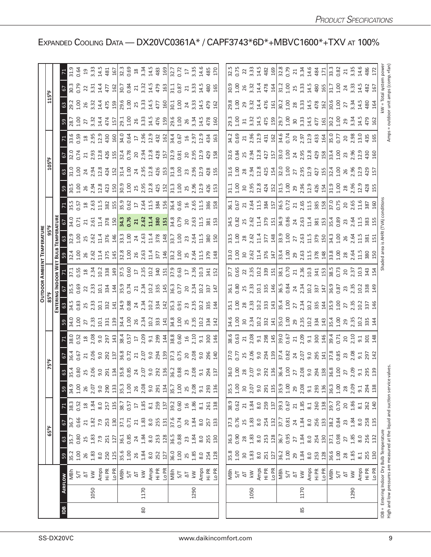|                |      |                                                                       |                                                                              |                                                          |                                                           |                                   |                                                                                                                                                                                                                                |                                                                                                                                                                                                                                                                                                                       |                                                                                                                                                                                                                                                                                                                                 |                                                                                                                                                                                                                                                                                                                              |                                                                                                                                                                                                                               |                                                                                                                                                                                                                                                                                                                      | DOOR |                                                                                                                                                                                                                                |                |                                                                                                                                                                                                                                        |                 |                                                                                                                                                                                                                                                                                               |                 |                                                                                                                                                                                                                                                                                                           |                                                                                                                                                                                                                                                                                                             |                                                                                                                                                                                                                                                                                                                                                                                                                                                                                                                                                                                                                                                                     |                                                                                                                                                                                                                                                                                                                      |  |
|----------------|------|-----------------------------------------------------------------------|------------------------------------------------------------------------------|----------------------------------------------------------|-----------------------------------------------------------|-----------------------------------|--------------------------------------------------------------------------------------------------------------------------------------------------------------------------------------------------------------------------------|-----------------------------------------------------------------------------------------------------------------------------------------------------------------------------------------------------------------------------------------------------------------------------------------------------------------------|---------------------------------------------------------------------------------------------------------------------------------------------------------------------------------------------------------------------------------------------------------------------------------------------------------------------------------|------------------------------------------------------------------------------------------------------------------------------------------------------------------------------------------------------------------------------------------------------------------------------------------------------------------------------|-------------------------------------------------------------------------------------------------------------------------------------------------------------------------------------------------------------------------------|----------------------------------------------------------------------------------------------------------------------------------------------------------------------------------------------------------------------------------------------------------------------------------------------------------------------|------|--------------------------------------------------------------------------------------------------------------------------------------------------------------------------------------------------------------------------------|----------------|----------------------------------------------------------------------------------------------------------------------------------------------------------------------------------------------------------------------------------------|-----------------|-----------------------------------------------------------------------------------------------------------------------------------------------------------------------------------------------------------------------------------------------------------------------------------------------|-----------------|-----------------------------------------------------------------------------------------------------------------------------------------------------------------------------------------------------------------------------------------------------------------------------------------------------------|-------------------------------------------------------------------------------------------------------------------------------------------------------------------------------------------------------------------------------------------------------------------------------------------------------------|---------------------------------------------------------------------------------------------------------------------------------------------------------------------------------------------------------------------------------------------------------------------------------------------------------------------------------------------------------------------------------------------------------------------------------------------------------------------------------------------------------------------------------------------------------------------------------------------------------------------------------------------------------------------|----------------------------------------------------------------------------------------------------------------------------------------------------------------------------------------------------------------------------------------------------------------------------------------------------------------------|--|
|                |      |                                                                       |                                                                              |                                                          | 65°F                                                      |                                   |                                                                                                                                                                                                                                |                                                                                                                                                                                                                                                                                                                       |                                                                                                                                                                                                                                                                                                                                 |                                                                                                                                                                                                                                                                                                                              |                                                                                                                                                                                                                               |                                                                                                                                                                                                                                                                                                                      |      |                                                                                                                                                                                                                                |                |                                                                                                                                                                                                                                        |                 |                                                                                                                                                                                                                                                                                               | $105^{\circ}$ F |                                                                                                                                                                                                                                                                                                           |                                                                                                                                                                                                                                                                                                             |                                                                                                                                                                                                                                                                                                                                                                                                                                                                                                                                                                                                                                                                     |                                                                                                                                                                                                                                                                                                                      |  |
|                |      |                                                                       |                                                                              |                                                          |                                                           |                                   |                                                                                                                                                                                                                                |                                                                                                                                                                                                                                                                                                                       |                                                                                                                                                                                                                                                                                                                                 |                                                                                                                                                                                                                                                                                                                              |                                                                                                                                                                                                                               |                                                                                                                                                                                                                                                                                                                      |      |                                                                                                                                                                                                                                |                |                                                                                                                                                                                                                                        |                 |                                                                                                                                                                                                                                                                                               |                 |                                                                                                                                                                                                                                                                                                           |                                                                                                                                                                                                                                                                                                             |                                                                                                                                                                                                                                                                                                                                                                                                                                                                                                                                                                                                                                                                     |                                                                                                                                                                                                                                                                                                                      |  |
| $\overline{a}$ |      | AIRFLOW                                                               | $59$                                                                         | $\mathbb{G}^3$                                           | 57                                                        |                                   |                                                                                                                                                                                                                                |                                                                                                                                                                                                                                                                                                                       |                                                                                                                                                                                                                                                                                                                                 |                                                                                                                                                                                                                                                                                                                              |                                                                                                                                                                                                                               |                                                                                                                                                                                                                                                                                                                      |      |                                                                                                                                                                                                                                |                |                                                                                                                                                                                                                                        |                 |                                                                                                                                                                                                                                                                                               |                 |                                                                                                                                                                                                                                                                                                           |                                                                                                                                                                                                                                                                                                             |                                                                                                                                                                                                                                                                                                                                                                                                                                                                                                                                                                                                                                                                     |                                                                                                                                                                                                                                                                                                                      |  |
|                |      |                                                                       | 35.2<br>1.00                                                                 | $\frac{1}{35.7}$                                         | 36.7<br>0.66                                              | 38.3<br>0.52                      |                                                                                                                                                                                                                                |                                                                                                                                                                                                                                                                                                                       |                                                                                                                                                                                                                                                                                                                                 |                                                                                                                                                                                                                                                                                                                              |                                                                                                                                                                                                                               |                                                                                                                                                                                                                                                                                                                      |      |                                                                                                                                                                                                                                |                |                                                                                                                                                                                                                                        |                 |                                                                                                                                                                                                                                                                                               |                 |                                                                                                                                                                                                                                                                                                           |                                                                                                                                                                                                                                                                                                             |                                                                                                                                                                                                                                                                                                                                                                                                                                                                                                                                                                                                                                                                     |                                                                                                                                                                                                                                                                                                                      |  |
|                |      | 5/7                                                                   |                                                                              |                                                          |                                                           |                                   | 00                                                                                                                                                                                                                             |                                                                                                                                                                                                                                                                                                                       |                                                                                                                                                                                                                                                                                                                                 |                                                                                                                                                                                                                                                                                                                              |                                                                                                                                                                                                                               |                                                                                                                                                                                                                                                                                                                      |      |                                                                                                                                                                                                                                |                |                                                                                                                                                                                                                                        |                 |                                                                                                                                                                                                                                                                                               |                 |                                                                                                                                                                                                                                                                                                           |                                                                                                                                                                                                                                                                                                             |                                                                                                                                                                                                                                                                                                                                                                                                                                                                                                                                                                                                                                                                     |                                                                                                                                                                                                                                                                                                                      |  |
|                |      | $\overline{\Delta}$                                                   | $26$<br>$1.83$                                                               | $25$<br>$1.83$<br>$7.9$<br>$251$                         | 21                                                        | $1.84$<br>$1.84$                  |                                                                                                                                                                                                                                |                                                                                                                                                                                                                                                                                                                       |                                                                                                                                                                                                                                                                                                                                 |                                                                                                                                                                                                                                                                                                                              |                                                                                                                                                                                                                               |                                                                                                                                                                                                                                                                                                                      |      |                                                                                                                                                                                                                                |                |                                                                                                                                                                                                                                        |                 |                                                                                                                                                                                                                                                                                               |                 |                                                                                                                                                                                                                                                                                                           |                                                                                                                                                                                                                                                                                                             |                                                                                                                                                                                                                                                                                                                                                                                                                                                                                                                                                                                                                                                                     |                                                                                                                                                                                                                                                                                                                      |  |
|                | 1050 | $\overline{\mathsf{k}}$                                               |                                                                              |                                                          |                                                           |                                   |                                                                                                                                                                                                                                |                                                                                                                                                                                                                                                                                                                       |                                                                                                                                                                                                                                                                                                                                 |                                                                                                                                                                                                                                                                                                                              |                                                                                                                                                                                                                               |                                                                                                                                                                                                                                                                                                                      |      |                                                                                                                                                                                                                                |                |                                                                                                                                                                                                                                        |                 |                                                                                                                                                                                                                                                                                               |                 |                                                                                                                                                                                                                                                                                                           |                                                                                                                                                                                                                                                                                                             |                                                                                                                                                                                                                                                                                                                                                                                                                                                                                                                                                                                                                                                                     |                                                                                                                                                                                                                                                                                                                      |  |
|                |      |                                                                       | 8.0<br>250                                                                   |                                                          | 1.82<br>7.9<br>253                                        | 8.0<br>257                        |                                                                                                                                                                                                                                |                                                                                                                                                                                                                                                                                                                       |                                                                                                                                                                                                                                                                                                                                 |                                                                                                                                                                                                                                                                                                                              |                                                                                                                                                                                                                               |                                                                                                                                                                                                                                                                                                                      |      |                                                                                                                                                                                                                                |                |                                                                                                                                                                                                                                        |                 |                                                                                                                                                                                                                                                                                               |                 |                                                                                                                                                                                                                                                                                                           |                                                                                                                                                                                                                                                                                                             |                                                                                                                                                                                                                                                                                                                                                                                                                                                                                                                                                                                                                                                                     |                                                                                                                                                                                                                                                                                                                      |  |
|                |      | Amps<br>Hi PR<br><u>Lo PI</u><br>S/T<br>S/T                           | 125                                                                          |                                                          | 130                                                       | 135                               |                                                                                                                                                                                                                                |                                                                                                                                                                                                                                                                                                                       | $\frac{1}{6}$                                                                                                                                                                                                                                                                                                                   | $7\frac{8}{33}$ $\frac{8}{35}$ $\frac{8}{35}$ $\frac{8}{35}$ $\frac{25}{35}$ $\frac{1}{35}$ $\frac{1}{35}$ $\frac{1}{35}$ $\frac{1}{35}$ $\frac{1}{35}$ $\frac{1}{35}$ $\frac{1}{35}$ $\frac{1}{35}$ $\frac{1}{35}$ $\frac{1}{35}$ $\frac{1}{35}$ $\frac{1}{35}$ $\frac{1}{35}$ $\frac{1}{35}$ $\frac{1}{35}$ $\frac{1}{35}$ |                                                                                                                                                                                                                               | $3\frac{1}{3}$ $\frac{3}{3}$ $\frac{8}{3}$ $\frac{1}{3}$ $\frac{3}{3}$ $\frac{3}{3}$ $\frac{3}{3}$ $\frac{4}{3}$ $\frac{3}{3}$ $\frac{3}{3}$ $\frac{3}{3}$ $\frac{1}{3}$ $\frac{3}{3}$ $\frac{3}{3}$ $\frac{1}{3}$ $\frac{3}{3}$ $\frac{3}{3}$ $\frac{3}{3}$ $\frac{3}{3}$ $\frac{3}{3}$ $\frac{3}{3}$ $\frac{3}{3}$ |      |                                                                                                                                                                                                                                | $\frac{3}{22}$ | <b>pandida di sebagai di sebagai di sebagai di sebagai di sebagai di sebagai di sebagai di sebagai di sebagai d<br/>Sebagai di sebagai di sebagai di sebagai di sebagai di sebagai di sebagai di sebagai di sebagai di sebagai di </b> |                 |                                                                                                                                                                                                                                                                                               |                 | $5.237$ $7.3323$ $8.413$ $7.82$ $8.332$ $8.51$ $7.3323$ $8.413$ $7.823$ $8.332$ $8.332$ $8.332$ $8.332$ $8.332$ $8.332$ $8.332$ $8.332$ $8.332$ $8.332$ $8.332$ $8.332$ $8.332$ $8.332$ $8.332$ $8.332$ $8.332$ $8.332$ $8.33$                                                                            | $\frac{1}{2}$ $\frac{16}{22}$ $\frac{5}{22}$ $\frac{3}{21}$ $\frac{3}{23}$ $\frac{3}{21}$ $\frac{3}{23}$ $\frac{3}{24}$ $\frac{3}{25}$ $\frac{3}{25}$ $\frac{3}{27}$ $\frac{3}{28}$ $\frac{3}{21}$ $\frac{3}{21}$ $\frac{3}{21}$ $\frac{3}{21}$ $\frac{3}{21}$ $\frac{3}{21}$ $\frac{3}{21}$ $\frac{3}{21}$ | $5\frac{3}{2}$ $2\frac{3}{2}$ $2\frac{3}{2}$ $3\frac{4}{2}$ $5\frac{3}{2}$ $5\frac{3}{2}$ $5\frac{3}{2}$ $5\frac{3}{2}$ $5\frac{3}{2}$ $5\frac{3}{2}$ $5\frac{3}{2}$ $5\frac{3}{2}$ $5\frac{3}{2}$ $5\frac{3}{2}$ $5\frac{3}{2}$ $5\frac{3}{2}$ $5\frac{3}{2}$ $5\frac{3}{2}$ $5\frac{3}{2}$ $5\frac{3}{2}$<br>$3\overline{)}$ 3 $\overline{)}$ 3 $\overline{)}$ 3 $\overline{)}$ 3 $\overline{)}$ 3 $\overline{)}$ 3 $\overline{)}$ 3 $\overline{)}$ 3 $\overline{)}$ 3 $\overline{)}$ 3 $\overline{)}$ 3 $\overline{)}$ 3 $\overline{)}$ 3 $\overline{)}$ 3 $\overline{)}$ 3 $\overline{)}$ 3 $\overline{)}$ 3 $\overline{)}$ 3 $\overline{)}$ 3 $\overline{)}$ 3 | $7\frac{1}{2}$ $\frac{3}{2}$ $\frac{3}{2}$ $\frac{4}{2}$ $\frac{3}{2}$ $\frac{4}{2}$ $\frac{5}{2}$ $\frac{3}{2}$ $\frac{4}{2}$ $\frac{3}{2}$ $\frac{4}{2}$ $\frac{5}{2}$ $\frac{3}{2}$ $\frac{4}{2}$ $\frac{3}{2}$ $\frac{4}{2}$ $\frac{3}{2}$ $\frac{4}{2}$ $\frac{3}{2}$ $\frac{4}{2}$ $\frac{3}{2}$ $\frac{4}{2}$ |  |
|                |      |                                                                       |                                                                              |                                                          |                                                           |                                   |                                                                                                                                                                                                                                |                                                                                                                                                                                                                                                                                                                       |                                                                                                                                                                                                                                                                                                                                 |                                                                                                                                                                                                                                                                                                                              |                                                                                                                                                                                                                               |                                                                                                                                                                                                                                                                                                                      |      |                                                                                                                                                                                                                                |                |                                                                                                                                                                                                                                        |                 |                                                                                                                                                                                                                                                                                               |                 |                                                                                                                                                                                                                                                                                                           |                                                                                                                                                                                                                                                                                                             |                                                                                                                                                                                                                                                                                                                                                                                                                                                                                                                                                                                                                                                                     |                                                                                                                                                                                                                                                                                                                      |  |
|                |      |                                                                       | 35.6<br>1.00<br>26                                                           | $\frac{27}{36.1}$ 85                                     | $\frac{1}{27.1}$                                          | $\frac{7}{38.7}$<br>0.57          | $\frac{33}{35}$<br>$\frac{3}{5}$<br>$\frac{3}{5}$<br>$\frac{8}{5}$                                                                                                                                                             |                                                                                                                                                                                                                                                                                                                       |                                                                                                                                                                                                                                                                                                                                 |                                                                                                                                                                                                                                                                                                                              |                                                                                                                                                                                                                               |                                                                                                                                                                                                                                                                                                                      |      |                                                                                                                                                                                                                                |                |                                                                                                                                                                                                                                        |                 |                                                                                                                                                                                                                                                                                               |                 |                                                                                                                                                                                                                                                                                                           |                                                                                                                                                                                                                                                                                                             |                                                                                                                                                                                                                                                                                                                                                                                                                                                                                                                                                                                                                                                                     |                                                                                                                                                                                                                                                                                                                      |  |
|                |      |                                                                       |                                                                              |                                                          | 21                                                        |                                   |                                                                                                                                                                                                                                |                                                                                                                                                                                                                                                                                                                       |                                                                                                                                                                                                                                                                                                                                 |                                                                                                                                                                                                                                                                                                                              |                                                                                                                                                                                                                               |                                                                                                                                                                                                                                                                                                                      |      |                                                                                                                                                                                                                                |                |                                                                                                                                                                                                                                        |                 |                                                                                                                                                                                                                                                                                               |                 |                                                                                                                                                                                                                                                                                                           |                                                                                                                                                                                                                                                                                                             |                                                                                                                                                                                                                                                                                                                                                                                                                                                                                                                                                                                                                                                                     |                                                                                                                                                                                                                                                                                                                      |  |
| 80             | 1170 | $\lesssim$                                                            | 1.84                                                                         |                                                          | 1.83                                                      | 1.85                              |                                                                                                                                                                                                                                |                                                                                                                                                                                                                                                                                                                       |                                                                                                                                                                                                                                                                                                                                 |                                                                                                                                                                                                                                                                                                                              |                                                                                                                                                                                                                               |                                                                                                                                                                                                                                                                                                                      |      |                                                                                                                                                                                                                                |                |                                                                                                                                                                                                                                        |                 |                                                                                                                                                                                                                                                                                               |                 |                                                                                                                                                                                                                                                                                                           |                                                                                                                                                                                                                                                                                                             |                                                                                                                                                                                                                                                                                                                                                                                                                                                                                                                                                                                                                                                                     |                                                                                                                                                                                                                                                                                                                      |  |
|                |      |                                                                       | $rac{6}{8}$ $rac{1}{2}$                                                      | $1.84$<br>8.0                                            | $8.0\,$                                                   | $\overline{8.1}$                  | 9.0                                                                                                                                                                                                                            |                                                                                                                                                                                                                                                                                                                       |                                                                                                                                                                                                                                                                                                                                 |                                                                                                                                                                                                                                                                                                                              |                                                                                                                                                                                                                               |                                                                                                                                                                                                                                                                                                                      |      |                                                                                                                                                                                                                                |                |                                                                                                                                                                                                                                        |                 |                                                                                                                                                                                                                                                                                               |                 |                                                                                                                                                                                                                                                                                                           |                                                                                                                                                                                                                                                                                                             |                                                                                                                                                                                                                                                                                                                                                                                                                                                                                                                                                                                                                                                                     |                                                                                                                                                                                                                                                                                                                      |  |
|                |      |                                                                       |                                                                              | 253                                                      | 25 <sup>5</sup>                                           | 259                               | 291                                                                                                                                                                                                                            |                                                                                                                                                                                                                                                                                                                       |                                                                                                                                                                                                                                                                                                                                 |                                                                                                                                                                                                                                                                                                                              |                                                                                                                                                                                                                               |                                                                                                                                                                                                                                                                                                                      |      |                                                                                                                                                                                                                                |                |                                                                                                                                                                                                                                        |                 |                                                                                                                                                                                                                                                                                               |                 |                                                                                                                                                                                                                                                                                                           |                                                                                                                                                                                                                                                                                                             |                                                                                                                                                                                                                                                                                                                                                                                                                                                                                                                                                                                                                                                                     |                                                                                                                                                                                                                                                                                                                      |  |
|                |      |                                                                       |                                                                              |                                                          |                                                           |                                   |                                                                                                                                                                                                                                |                                                                                                                                                                                                                                                                                                                       |                                                                                                                                                                                                                                                                                                                                 |                                                                                                                                                                                                                                                                                                                              |                                                                                                                                                                                                                               |                                                                                                                                                                                                                                                                                                                      |      |                                                                                                                                                                                                                                |                |                                                                                                                                                                                                                                        |                 |                                                                                                                                                                                                                                                                                               |                 |                                                                                                                                                                                                                                                                                                           |                                                                                                                                                                                                                                                                                                             |                                                                                                                                                                                                                                                                                                                                                                                                                                                                                                                                                                                                                                                                     |                                                                                                                                                                                                                                                                                                                      |  |
|                |      | Amps<br>Hi PR<br><u>니어</u><br>S 시<br>시                                | 36.0<br>1.00<br>25                                                           | 36.5<br>0.88<br>23                                       | 37.6<br>0.74                                              | 39.2                              | $\frac{134}{35.7}$<br>1.00<br>2.08                                                                                                                                                                                             |                                                                                                                                                                                                                                                                                                                       |                                                                                                                                                                                                                                                                                                                                 |                                                                                                                                                                                                                                                                                                                              |                                                                                                                                                                                                                               |                                                                                                                                                                                                                                                                                                                      |      |                                                                                                                                                                                                                                |                |                                                                                                                                                                                                                                        |                 |                                                                                                                                                                                                                                                                                               |                 |                                                                                                                                                                                                                                                                                                           |                                                                                                                                                                                                                                                                                                             |                                                                                                                                                                                                                                                                                                                                                                                                                                                                                                                                                                                                                                                                     |                                                                                                                                                                                                                                                                                                                      |  |
|                |      |                                                                       |                                                                              |                                                          |                                                           | 0.60                              |                                                                                                                                                                                                                                |                                                                                                                                                                                                                                                                                                                       |                                                                                                                                                                                                                                                                                                                                 |                                                                                                                                                                                                                                                                                                                              |                                                                                                                                                                                                                               |                                                                                                                                                                                                                                                                                                                      |      |                                                                                                                                                                                                                                |                |                                                                                                                                                                                                                                        |                 |                                                                                                                                                                                                                                                                                               |                 |                                                                                                                                                                                                                                                                                                           |                                                                                                                                                                                                                                                                                                             |                                                                                                                                                                                                                                                                                                                                                                                                                                                                                                                                                                                                                                                                     |                                                                                                                                                                                                                                                                                                                      |  |
|                |      |                                                                       |                                                                              |                                                          | 20                                                        |                                   |                                                                                                                                                                                                                                |                                                                                                                                                                                                                                                                                                                       |                                                                                                                                                                                                                                                                                                                                 |                                                                                                                                                                                                                                                                                                                              |                                                                                                                                                                                                                               |                                                                                                                                                                                                                                                                                                                      |      |                                                                                                                                                                                                                                |                |                                                                                                                                                                                                                                        |                 |                                                                                                                                                                                                                                                                                               |                 |                                                                                                                                                                                                                                                                                                           |                                                                                                                                                                                                                                                                                                             |                                                                                                                                                                                                                                                                                                                                                                                                                                                                                                                                                                                                                                                                     |                                                                                                                                                                                                                                                                                                                      |  |
|                | 1290 | $\lesssim$                                                            | 1.85                                                                         | 1.84                                                     | 1.84                                                      | 1.86                              |                                                                                                                                                                                                                                |                                                                                                                                                                                                                                                                                                                       |                                                                                                                                                                                                                                                                                                                                 |                                                                                                                                                                                                                                                                                                                              |                                                                                                                                                                                                                               |                                                                                                                                                                                                                                                                                                                      |      |                                                                                                                                                                                                                                |                |                                                                                                                                                                                                                                        |                 |                                                                                                                                                                                                                                                                                               |                 |                                                                                                                                                                                                                                                                                                           |                                                                                                                                                                                                                                                                                                             |                                                                                                                                                                                                                                                                                                                                                                                                                                                                                                                                                                                                                                                                     |                                                                                                                                                                                                                                                                                                                      |  |
|                |      |                                                                       | 8.0                                                                          |                                                          |                                                           | $\approx$ 1                       | 9.1                                                                                                                                                                                                                            |                                                                                                                                                                                                                                                                                                                       |                                                                                                                                                                                                                                                                                                                                 |                                                                                                                                                                                                                                                                                                                              |                                                                                                                                                                                                                               |                                                                                                                                                                                                                                                                                                                      |      |                                                                                                                                                                                                                                |                |                                                                                                                                                                                                                                        |                 |                                                                                                                                                                                                                                                                                               |                 |                                                                                                                                                                                                                                                                                                           |                                                                                                                                                                                                                                                                                                             |                                                                                                                                                                                                                                                                                                                                                                                                                                                                                                                                                                                                                                                                     |                                                                                                                                                                                                                                                                                                                      |  |
|                |      | Amps<br>Hi PR<br>Lo PR                                                | 254                                                                          | 8.0<br>255<br>2130                                       | 8.0<br>257<br>233                                         | 261                               | 293                                                                                                                                                                                                                            |                                                                                                                                                                                                                                                                                                                       |                                                                                                                                                                                                                                                                                                                                 |                                                                                                                                                                                                                                                                                                                              |                                                                                                                                                                                                                               |                                                                                                                                                                                                                                                                                                                      |      |                                                                                                                                                                                                                                |                |                                                                                                                                                                                                                                        |                 |                                                                                                                                                                                                                                                                                               |                 |                                                                                                                                                                                                                                                                                                           |                                                                                                                                                                                                                                                                                                             |                                                                                                                                                                                                                                                                                                                                                                                                                                                                                                                                                                                                                                                                     |                                                                                                                                                                                                                                                                                                                      |  |
|                |      |                                                                       | 128                                                                          |                                                          |                                                           | 138                               | 136                                                                                                                                                                                                                            |                                                                                                                                                                                                                                                                                                                       |                                                                                                                                                                                                                                                                                                                                 |                                                                                                                                                                                                                                                                                                                              |                                                                                                                                                                                                                               |                                                                                                                                                                                                                                                                                                                      |      |                                                                                                                                                                                                                                |                |                                                                                                                                                                                                                                        |                 |                                                                                                                                                                                                                                                                                               |                 |                                                                                                                                                                                                                                                                                                           |                                                                                                                                                                                                                                                                                                             |                                                                                                                                                                                                                                                                                                                                                                                                                                                                                                                                                                                                                                                                     |                                                                                                                                                                                                                                                                                                                      |  |
|                |      |                                                                       |                                                                              |                                                          |                                                           |                                   |                                                                                                                                                                                                                                |                                                                                                                                                                                                                                                                                                                       |                                                                                                                                                                                                                                                                                                                                 |                                                                                                                                                                                                                                                                                                                              |                                                                                                                                                                                                                               |                                                                                                                                                                                                                                                                                                                      |      |                                                                                                                                                                                                                                |                |                                                                                                                                                                                                                                        |                 |                                                                                                                                                                                                                                                                                               |                 |                                                                                                                                                                                                                                                                                                           |                                                                                                                                                                                                                                                                                                             |                                                                                                                                                                                                                                                                                                                                                                                                                                                                                                                                                                                                                                                                     |                                                                                                                                                                                                                                                                                                                      |  |
|                |      |                                                                       |                                                                              | 36.3<br>0.90                                             |                                                           |                                   | 35.5<br>1.00                                                                                                                                                                                                                   |                                                                                                                                                                                                                                                                                                                       |                                                                                                                                                                                                                                                                                                                                 |                                                                                                                                                                                                                                                                                                                              |                                                                                                                                                                                                                               |                                                                                                                                                                                                                                                                                                                      |      |                                                                                                                                                                                                                                |                |                                                                                                                                                                                                                                        |                 |                                                                                                                                                                                                                                                                                               |                 |                                                                                                                                                                                                                                                                                                           |                                                                                                                                                                                                                                                                                                             |                                                                                                                                                                                                                                                                                                                                                                                                                                                                                                                                                                                                                                                                     |                                                                                                                                                                                                                                                                                                                      |  |
|                |      | 지<br>아이                                                               |                                                                              |                                                          | 37.3<br>0.76                                              | $38.9$<br>$0.62$<br>$21$          |                                                                                                                                                                                                                                |                                                                                                                                                                                                                                                                                                                       |                                                                                                                                                                                                                                                                                                                                 |                                                                                                                                                                                                                                                                                                                              |                                                                                                                                                                                                                               |                                                                                                                                                                                                                                                                                                                      |      |                                                                                                                                                                                                                                |                |                                                                                                                                                                                                                                        |                 |                                                                                                                                                                                                                                                                                               |                 |                                                                                                                                                                                                                                                                                                           |                                                                                                                                                                                                                                                                                                             |                                                                                                                                                                                                                                                                                                                                                                                                                                                                                                                                                                                                                                                                     |                                                                                                                                                                                                                                                                                                                      |  |
|                |      |                                                                       |                                                                              |                                                          | $25$<br>$1.83$                                            |                                   | 30                                                                                                                                                                                                                             |                                                                                                                                                                                                                                                                                                                       |                                                                                                                                                                                                                                                                                                                                 |                                                                                                                                                                                                                                                                                                                              |                                                                                                                                                                                                                               |                                                                                                                                                                                                                                                                                                                      |      |                                                                                                                                                                                                                                |                |                                                                                                                                                                                                                                        |                 |                                                                                                                                                                                                                                                                                               |                 |                                                                                                                                                                                                                                                                                                           |                                                                                                                                                                                                                                                                                                             |                                                                                                                                                                                                                                                                                                                                                                                                                                                                                                                                                                                                                                                                     |                                                                                                                                                                                                                                                                                                                      |  |
|                | 1050 | $\lesssim$                                                            |                                                                              |                                                          |                                                           |                                   |                                                                                                                                                                                                                                |                                                                                                                                                                                                                                                                                                                       |                                                                                                                                                                                                                                                                                                                                 |                                                                                                                                                                                                                                                                                                                              |                                                                                                                                                                                                                               |                                                                                                                                                                                                                                                                                                                      |      |                                                                                                                                                                                                                                |                |                                                                                                                                                                                                                                        |                 |                                                                                                                                                                                                                                                                                               |                 |                                                                                                                                                                                                                                                                                                           |                                                                                                                                                                                                                                                                                                             |                                                                                                                                                                                                                                                                                                                                                                                                                                                                                                                                                                                                                                                                     |                                                                                                                                                                                                                                                                                                                      |  |
|                |      |                                                                       | $\begin{array}{c} 35.8 \\ 1.00 \\ 3.81 \\ 8.0 \\ 1.21 \\ \hline \end{array}$ | $8\frac{2}{3}$ $\frac{2}{3}$ $\frac{2}{3}$ $\frac{2}{3}$ |                                                           | $1.84$<br>$8.0$<br>$259$<br>$137$ |                                                                                                                                                                                                                                |                                                                                                                                                                                                                                                                                                                       |                                                                                                                                                                                                                                                                                                                                 |                                                                                                                                                                                                                                                                                                                              |                                                                                                                                                                                                                               |                                                                                                                                                                                                                                                                                                                      |      |                                                                                                                                                                                                                                |                |                                                                                                                                                                                                                                        |                 |                                                                                                                                                                                                                                                                                               |                 |                                                                                                                                                                                                                                                                                                           |                                                                                                                                                                                                                                                                                                             |                                                                                                                                                                                                                                                                                                                                                                                                                                                                                                                                                                                                                                                                     |                                                                                                                                                                                                                                                                                                                      |  |
|                |      |                                                                       |                                                                              |                                                          |                                                           |                                   |                                                                                                                                                                                                                                |                                                                                                                                                                                                                                                                                                                       |                                                                                                                                                                                                                                                                                                                                 |                                                                                                                                                                                                                                                                                                                              |                                                                                                                                                                                                                               |                                                                                                                                                                                                                                                                                                                      |      |                                                                                                                                                                                                                                |                |                                                                                                                                                                                                                                        |                 |                                                                                                                                                                                                                                                                                               |                 |                                                                                                                                                                                                                                                                                                           |                                                                                                                                                                                                                                                                                                             |                                                                                                                                                                                                                                                                                                                                                                                                                                                                                                                                                                                                                                                                     |                                                                                                                                                                                                                                                                                                                      |  |
|                |      |                                                                       |                                                                              |                                                          |                                                           |                                   |                                                                                                                                                                                                                                |                                                                                                                                                                                                                                                                                                                       |                                                                                                                                                                                                                                                                                                                                 |                                                                                                                                                                                                                                                                                                                              |                                                                                                                                                                                                                               |                                                                                                                                                                                                                                                                                                                      |      |                                                                                                                                                                                                                                |                |                                                                                                                                                                                                                                        |                 |                                                                                                                                                                                                                                                                                               |                 |                                                                                                                                                                                                                                                                                                           |                                                                                                                                                                                                                                                                                                             |                                                                                                                                                                                                                                                                                                                                                                                                                                                                                                                                                                                                                                                                     |                                                                                                                                                                                                                                                                                                                      |  |
|                |      | Amps<br>Hi PR<br><u>Lo</u> PI<br>S/T<br>S/T                           | $36.2$<br>$1.00$<br>$29$                                                     | 36.7<br>0.95                                             | $rac{8.0}{254}$ $rac{13}{25}$ $rac{17}{25}$ $rac{37}{24}$ |                                   |                                                                                                                                                                                                                                |                                                                                                                                                                                                                                                                                                                       |                                                                                                                                                                                                                                                                                                                                 |                                                                                                                                                                                                                                                                                                                              |                                                                                                                                                                                                                               |                                                                                                                                                                                                                                                                                                                      |      |                                                                                                                                                                                                                                |                |                                                                                                                                                                                                                                        |                 |                                                                                                                                                                                                                                                                                               |                 |                                                                                                                                                                                                                                                                                                           |                                                                                                                                                                                                                                                                                                             |                                                                                                                                                                                                                                                                                                                                                                                                                                                                                                                                                                                                                                                                     |                                                                                                                                                                                                                                                                                                                      |  |
|                |      |                                                                       |                                                                              |                                                          |                                                           |                                   |                                                                                                                                                                                                                                |                                                                                                                                                                                                                                                                                                                       |                                                                                                                                                                                                                                                                                                                                 |                                                                                                                                                                                                                                                                                                                              |                                                                                                                                                                                                                               |                                                                                                                                                                                                                                                                                                                      |      |                                                                                                                                                                                                                                |                |                                                                                                                                                                                                                                        |                 |                                                                                                                                                                                                                                                                                               |                 |                                                                                                                                                                                                                                                                                                           |                                                                                                                                                                                                                                                                                                             |                                                                                                                                                                                                                                                                                                                                                                                                                                                                                                                                                                                                                                                                     |                                                                                                                                                                                                                                                                                                                      |  |
|                |      |                                                                       |                                                                              | $\overline{27}$                                          |                                                           |                                   |                                                                                                                                                                                                                                |                                                                                                                                                                                                                                                                                                                       |                                                                                                                                                                                                                                                                                                                                 |                                                                                                                                                                                                                                                                                                                              |                                                                                                                                                                                                                               |                                                                                                                                                                                                                                                                                                                      |      |                                                                                                                                                                                                                                |                |                                                                                                                                                                                                                                        |                 |                                                                                                                                                                                                                                                                                               |                 |                                                                                                                                                                                                                                                                                                           |                                                                                                                                                                                                                                                                                                             |                                                                                                                                                                                                                                                                                                                                                                                                                                                                                                                                                                                                                                                                     |                                                                                                                                                                                                                                                                                                                      |  |
| 85             | 1170 | $\lesssim$                                                            |                                                                              | $1.84$<br>$8.0$<br>$254$                                 | 1.84                                                      |                                   |                                                                                                                                                                                                                                |                                                                                                                                                                                                                                                                                                                       |                                                                                                                                                                                                                                                                                                                                 |                                                                                                                                                                                                                                                                                                                              |                                                                                                                                                                                                                               |                                                                                                                                                                                                                                                                                                                      |      |                                                                                                                                                                                                                                |                |                                                                                                                                                                                                                                        |                 |                                                                                                                                                                                                                                                                                               |                 |                                                                                                                                                                                                                                                                                                           |                                                                                                                                                                                                                                                                                                             |                                                                                                                                                                                                                                                                                                                                                                                                                                                                                                                                                                                                                                                                     |                                                                                                                                                                                                                                                                                                                      |  |
|                |      |                                                                       |                                                                              |                                                          |                                                           |                                   |                                                                                                                                                                                                                                |                                                                                                                                                                                                                                                                                                                       |                                                                                                                                                                                                                                                                                                                                 |                                                                                                                                                                                                                                                                                                                              |                                                                                                                                                                                                                               |                                                                                                                                                                                                                                                                                                                      |      |                                                                                                                                                                                                                                |                |                                                                                                                                                                                                                                        |                 |                                                                                                                                                                                                                                                                                               |                 |                                                                                                                                                                                                                                                                                                           |                                                                                                                                                                                                                                                                                                             |                                                                                                                                                                                                                                                                                                                                                                                                                                                                                                                                                                                                                                                                     |                                                                                                                                                                                                                                                                                                                      |  |
|                |      | Amps<br>Hi PR<br>Lo PR                                                | $1.84$<br>$8.0$<br>$253$<br>$128$                                            |                                                          | $\frac{8.0}{256}$                                         |                                   |                                                                                                                                                                                                                                |                                                                                                                                                                                                                                                                                                                       |                                                                                                                                                                                                                                                                                                                                 |                                                                                                                                                                                                                                                                                                                              |                                                                                                                                                                                                                               |                                                                                                                                                                                                                                                                                                                      |      |                                                                                                                                                                                                                                |                |                                                                                                                                                                                                                                        |                 |                                                                                                                                                                                                                                                                                               |                 |                                                                                                                                                                                                                                                                                                           |                                                                                                                                                                                                                                                                                                             |                                                                                                                                                                                                                                                                                                                                                                                                                                                                                                                                                                                                                                                                     |                                                                                                                                                                                                                                                                                                                      |  |
|                |      |                                                                       |                                                                              | 130                                                      |                                                           |                                   | $2.95$ $3.51$ $3.52$ $3.53$ $3.53$ $3.53$ $3.53$ $3.53$ $3.53$ $3.53$ $3.53$ $3.53$ $3.53$ $3.53$ $3.53$ $3.53$ $3.53$ $3.53$ $3.53$ $3.53$ $3.53$ $3.53$ $3.53$ $3.53$ $3.53$ $3.53$ $3.53$ $3.53$ $3.53$ $3.53$ $3.53$ $3.5$ | $\frac{1}{36}$ $\frac{2}{3}$ $\frac{8}{3}$ $\frac{5}{3}$ $\frac{1}{3}$ $\frac{8}{3}$ $\frac{10}{3}$ $\frac{1}{3}$ $\frac{2}{3}$ $\frac{8}{3}$ $\frac{8}{3}$ $\frac{10}{3}$ $\frac{8}{3}$ $\frac{10}{3}$ $\frac{8}{3}$ $\frac{10}{3}$ $\frac{8}{3}$ $\frac{10}{3}$ $\frac{8}{3}$ $\frac{10}{3}$ $\frac{10}{3}$ $\frac$ | $\frac{1}{2}$ , $\frac{1}{2}$ , $\frac{1}{2}$ , $\frac{1}{2}$ , $\frac{1}{2}$ , $\frac{1}{2}$ , $\frac{1}{2}$ , $\frac{1}{2}$ , $\frac{1}{2}$ , $\frac{1}{2}$ , $\frac{1}{2}$ , $\frac{1}{2}$ , $\frac{1}{2}$ , $\frac{1}{2}$ , $\frac{1}{2}$ , $\frac{1}{2}$ , $\frac{1}{2}$ , $\frac{1}{2}$ , $\frac{1}{2}$ , $\frac{1}{2}$ , |                                                                                                                                                                                                                                                                                                                              | $3.5$ $3.3$ $3.3$ $3.4$ $1.5$ $3.5$ $3.5$ $3.5$ $3.5$ $3.5$ $3.5$ $3.5$ $3.5$ $3.5$ $3.5$ $3.5$ $3.5$ $3.5$ $3.5$ $3.5$ $3.5$ $3.5$ $3.5$ $3.5$ $3.5$ $3.5$ $3.5$ $3.5$ $3.5$ $3.5$ $3.5$ $3.5$ $3.5$ $3.5$ $3.5$ $3.5$ $3.5$ |                                                                                                                                                                                                                                                                                                                      |      | $3.083$ $3.084$ $3.084$ $3.084$ $3.084$ $3.084$ $3.084$ $3.084$ $3.084$ $3.084$ $3.084$ $3.084$ $3.084$ $3.084$ $3.084$ $3.084$ $3.084$ $3.084$ $3.084$ $3.084$ $3.084$ $3.084$ $3.084$ $3.084$ $3.084$ $3.084$ $3.084$ $3.08$ |                |                                                                                                                                                                                                                                        | $\frac{16}{25}$ | $\frac{11}{21}$ 5 $\frac{10}{21}$ 8 $\frac{10}{21}$ 5 $\frac{11}{21}$ 5 $\frac{10}{21}$ 8 $\frac{10}{21}$ 5 $\frac{10}{21}$ 5 $\frac{10}{21}$ 5 $\frac{10}{21}$ 5 $\frac{10}{21}$ 5 $\frac{10}{21}$ 5 $\frac{10}{21}$ 5 $\frac{10}{21}$ 5 $\frac{10}{21}$ 5 $\frac{10}{21}$ 5 $\frac{10}{21}$ |                 | $\frac{16}{22}$ $\frac{16}{22}$ $\frac{16}{22}$ $\frac{16}{22}$ $\frac{16}{22}$ $\frac{16}{22}$ $\frac{16}{22}$ $\frac{16}{22}$ $\frac{16}{22}$ $\frac{16}{22}$ $\frac{16}{22}$ $\frac{16}{22}$ $\frac{16}{22}$ $\frac{16}{22}$ $\frac{16}{22}$ $\frac{16}{22}$ $\frac{16}{22}$ $\frac{16}{22}$ $\frac{1$ |                                                                                                                                                                                                                                                                                                             |                                                                                                                                                                                                                                                                                                                                                                                                                                                                                                                                                                                                                                                                     | $\begin{array}{c} 23.55 & 23.37 & 24.38 & 25.37 \\ 25.21 & 23.37 & 24.37 & 25.37 \\ 25.22 & 25.37 & 25.37 & 25.37 \\ 25.23 & 25.37 & 25.37 & 25.37 \\ 25.24 & 25.37 & 25.37 & 25.37 \\ 25.25 & 25.37 & 25.37 & 25.37 \\ 25.25 & 25.37 & 25.37 & 25.37 \\ 25.25 & 25.37 & 25$                                         |  |
|                |      | MBh<br>S/T                                                            | 36.6<br>1.00                                                                 | 37.1<br>0.98                                             | 38.2<br>0.84                                              |                                   |                                                                                                                                                                                                                                |                                                                                                                                                                                                                                                                                                                       |                                                                                                                                                                                                                                                                                                                                 |                                                                                                                                                                                                                                                                                                                              |                                                                                                                                                                                                                               |                                                                                                                                                                                                                                                                                                                      |      |                                                                                                                                                                                                                                |                |                                                                                                                                                                                                                                        |                 |                                                                                                                                                                                                                                                                                               |                 |                                                                                                                                                                                                                                                                                                           |                                                                                                                                                                                                                                                                                                             |                                                                                                                                                                                                                                                                                                                                                                                                                                                                                                                                                                                                                                                                     |                                                                                                                                                                                                                                                                                                                      |  |
|                |      | $\Xi$                                                                 | $28$                                                                         | 27                                                       |                                                           |                                   |                                                                                                                                                                                                                                |                                                                                                                                                                                                                                                                                                                       |                                                                                                                                                                                                                                                                                                                                 |                                                                                                                                                                                                                                                                                                                              |                                                                                                                                                                                                                               |                                                                                                                                                                                                                                                                                                                      |      |                                                                                                                                                                                                                                |                |                                                                                                                                                                                                                                        |                 |                                                                                                                                                                                                                                                                                               |                 |                                                                                                                                                                                                                                                                                                           |                                                                                                                                                                                                                                                                                                             |                                                                                                                                                                                                                                                                                                                                                                                                                                                                                                                                                                                                                                                                     |                                                                                                                                                                                                                                                                                                                      |  |
|                | 1290 | $\overline{\mathsf{k}}$                                               | 1.85                                                                         | 1.85                                                     | $23^{1.84}$                                               | $20^{1.86}$                       | 28<br>2.09                                                                                                                                                                                                                     |                                                                                                                                                                                                                                                                                                                       |                                                                                                                                                                                                                                                                                                                                 |                                                                                                                                                                                                                                                                                                                              |                                                                                                                                                                                                                               |                                                                                                                                                                                                                                                                                                                      |      |                                                                                                                                                                                                                                |                |                                                                                                                                                                                                                                        |                 |                                                                                                                                                                                                                                                                                               |                 |                                                                                                                                                                                                                                                                                                           |                                                                                                                                                                                                                                                                                                             |                                                                                                                                                                                                                                                                                                                                                                                                                                                                                                                                                                                                                                                                     |                                                                                                                                                                                                                                                                                                                      |  |
|                |      |                                                                       | 8.1                                                                          | 8.0                                                      | 8.0                                                       | $\approx$ <sup>1</sup>            | 9.1                                                                                                                                                                                                                            |                                                                                                                                                                                                                                                                                                                       |                                                                                                                                                                                                                                                                                                                                 |                                                                                                                                                                                                                                                                                                                              |                                                                                                                                                                                                                               |                                                                                                                                                                                                                                                                                                                      |      |                                                                                                                                                                                                                                |                |                                                                                                                                                                                                                                        |                 |                                                                                                                                                                                                                                                                                               |                 |                                                                                                                                                                                                                                                                                                           |                                                                                                                                                                                                                                                                                                             |                                                                                                                                                                                                                                                                                                                                                                                                                                                                                                                                                                                                                                                                     |                                                                                                                                                                                                                                                                                                                      |  |
|                |      | Amps<br>Hi PR                                                         | 255                                                                          | 256                                                      |                                                           |                                   | 294                                                                                                                                                                                                                            |                                                                                                                                                                                                                                                                                                                       |                                                                                                                                                                                                                                                                                                                                 |                                                                                                                                                                                                                                                                                                                              |                                                                                                                                                                                                                               |                                                                                                                                                                                                                                                                                                                      |      |                                                                                                                                                                                                                                |                |                                                                                                                                                                                                                                        |                 |                                                                                                                                                                                                                                                                                               |                 |                                                                                                                                                                                                                                                                                                           |                                                                                                                                                                                                                                                                                                             |                                                                                                                                                                                                                                                                                                                                                                                                                                                                                                                                                                                                                                                                     |                                                                                                                                                                                                                                                                                                                      |  |
|                |      | L <sub>O</sub> PR                                                     | 130                                                                          | 132                                                      | 258<br>135                                                | 262<br>140                        | 138                                                                                                                                                                                                                            |                                                                                                                                                                                                                                                                                                                       |                                                                                                                                                                                                                                                                                                                                 |                                                                                                                                                                                                                                                                                                                              |                                                                                                                                                                                                                               |                                                                                                                                                                                                                                                                                                                      |      |                                                                                                                                                                                                                                |                |                                                                                                                                                                                                                                        |                 |                                                                                                                                                                                                                                                                                               |                 |                                                                                                                                                                                                                                                                                                           |                                                                                                                                                                                                                                                                                                             |                                                                                                                                                                                                                                                                                                                                                                                                                                                                                                                                                                                                                                                                     |                                                                                                                                                                                                                                                                                                                      |  |
|                |      | IDB = Entering Indoor Dry Bulb Temperature                            |                                                                              |                                                          |                                                           |                                   |                                                                                                                                                                                                                                |                                                                                                                                                                                                                                                                                                                       |                                                                                                                                                                                                                                                                                                                                 |                                                                                                                                                                                                                                                                                                                              |                                                                                                                                                                                                                               |                                                                                                                                                                                                                                                                                                                      |      |                                                                                                                                                                                                                                |                |                                                                                                                                                                                                                                        |                 |                                                                                                                                                                                                                                                                                               |                 |                                                                                                                                                                                                                                                                                                           |                                                                                                                                                                                                                                                                                                             |                                                                                                                                                                                                                                                                                                                                                                                                                                                                                                                                                                                                                                                                     |                                                                                                                                                                                                                                                                                                                      |  |
|                |      | High and low pressures are measured at the liquid and suction service |                                                                              |                                                          |                                                           |                                   |                                                                                                                                                                                                                                | valves                                                                                                                                                                                                                                                                                                                |                                                                                                                                                                                                                                                                                                                                 |                                                                                                                                                                                                                                                                                                                              |                                                                                                                                                                                                                               |                                                                                                                                                                                                                                                                                                                      |      |                                                                                                                                                                                                                                |                |                                                                                                                                                                                                                                        |                 |                                                                                                                                                                                                                                                                                               |                 |                                                                                                                                                                                                                                                                                                           |                                                                                                                                                                                                                                                                                                             |                                                                                                                                                                                                                                                                                                                                                                                                                                                                                                                                                                                                                                                                     |                                                                                                                                                                                                                                                                                                                      |  |

Expanded Cooling Data — DX20VC0361A\* / CAPF3743\*6D\*+MBVC1600\*+TXV at 100%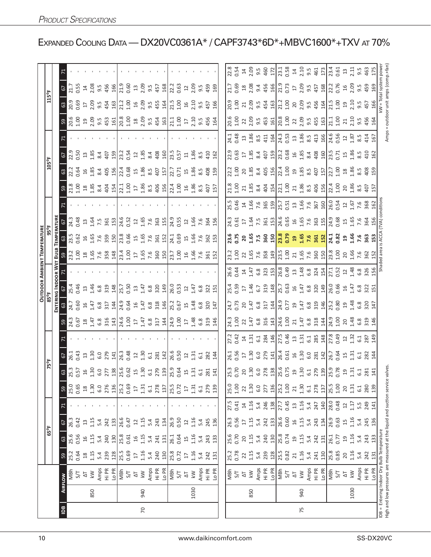|                 |      |                                                                                                                           |                                           |                                   |                         |                                                                           |                                                                  |            |                                             |                                                         |                                                                                      |                              |                          |                                                                                                                                                                                                                                                                                                                        | <b>OUTDOOR AMBIENT TEMPERATURE</b>                                                       |                                  |                                                           |                                                                                     |                                                                                      |                              |                                                                                                                                                                                                                                                                                                                         |                                           |                          |                                                              |                  |  |
|-----------------|------|---------------------------------------------------------------------------------------------------------------------------|-------------------------------------------|-----------------------------------|-------------------------|---------------------------------------------------------------------------|------------------------------------------------------------------|------------|---------------------------------------------|---------------------------------------------------------|--------------------------------------------------------------------------------------|------------------------------|--------------------------|------------------------------------------------------------------------------------------------------------------------------------------------------------------------------------------------------------------------------------------------------------------------------------------------------------------------|------------------------------------------------------------------------------------------|----------------------------------|-----------------------------------------------------------|-------------------------------------------------------------------------------------|--------------------------------------------------------------------------------------|------------------------------|-------------------------------------------------------------------------------------------------------------------------------------------------------------------------------------------------------------------------------------------------------------------------------------------------------------------------|-------------------------------------------|--------------------------|--------------------------------------------------------------|------------------|--|
|                 |      |                                                                                                                           |                                           |                                   | 65°F                    |                                                                           |                                                                  |            | 75°F                                        |                                                         |                                                                                      |                              | 85°F                     |                                                                                                                                                                                                                                                                                                                        |                                                                                          | $95^{\circ}$ F                   |                                                           |                                                                                     |                                                                                      | 105°F                        |                                                                                                                                                                                                                                                                                                                         |                                           |                          | 115°F                                                        |                  |  |
|                 |      |                                                                                                                           |                                           |                                   |                         |                                                                           |                                                                  |            |                                             |                                                         |                                                                                      | ENTERI                       | <b>NG INDOOR WET</b>     |                                                                                                                                                                                                                                                                                                                        | BULB                                                                                     | <b>TEMPERATUR</b>                |                                                           |                                                                                     |                                                                                      |                              |                                                                                                                                                                                                                                                                                                                         |                                           |                          |                                                              |                  |  |
| $\overline{5}$  |      | <b>AIRFLOW</b>                                                                                                            | 59                                        | $63\,$                            | 67                      | $\mathsf{z}$                                                              | 35.65                                                            | යි         | 57                                          |                                                         | 59                                                                                   | 63                           | 67                       |                                                                                                                                                                                                                                                                                                                        | 59                                                                                       | 63                               | 6                                                         |                                                                                     | ဌာ                                                                                   | 63                           | 57                                                                                                                                                                                                                                                                                                                      |                                           | 59                       | 67<br>63                                                     |                  |  |
|                 |      | MBh                                                                                                                       | 25.2<br>0.64                              | 25.6                              | 26.3                    |                                                                           |                                                                  |            | 26.1<br>0.43                                |                                                         | 24.3<br>0.67                                                                         | 24.7                         | 25.4                     |                                                                                                                                                                                                                                                                                                                        | 23.2<br>1.00                                                                             | 23.5                             | 24.3                                                      |                                                                                     | 21.8<br>1.00                                                                         | 22.2                         | $\frac{1}{22.9}$                                                                                                                                                                                                                                                                                                        |                                           | $\frac{6}{20.6}$         | 71.7<br>$\frac{9}{0.69}$                                     |                  |  |
|                 |      | 5/7                                                                                                                       |                                           | 0.56                              | 0.42                    |                                                                           |                                                                  |            |                                             |                                                         |                                                                                      | 0.60                         | 0.46                     |                                                                                                                                                                                                                                                                                                                        |                                                                                          | 0.62                             | 0.48                                                      |                                                                                     |                                                                                      | <b>0.64</b>                  | 0.50                                                                                                                                                                                                                                                                                                                    |                                           |                          | 0.55                                                         |                  |  |
|                 |      | $\frac{\Delta T}{k}$                                                                                                      | $\begin{array}{c} 18 \\ 1.15 \end{array}$ | $\frac{16}{1}$                    | $\frac{1}{2}$           |                                                                           | $^{28}$                                                          |            | 13                                          |                                                         | 1.47                                                                                 | 16                           | $\overline{13}$          |                                                                                                                                                                                                                                                                                                                        | $\begin{array}{c}\n 1.65 \\  -1.65\n \end{array}$                                        | 1.65                             | $13$                                                      |                                                                                     | 18.5                                                                                 | 16                           | $13$                                                                                                                                                                                                                                                                                                                    |                                           | 2.09                     | $\Xi$<br>$\Gamma$                                            |                  |  |
|                 | 850  |                                                                                                                           |                                           | 1.15                              | 1.15                    |                                                                           |                                                                  |            | 1.30                                        |                                                         |                                                                                      | 1.47                         | 1.46                     |                                                                                                                                                                                                                                                                                                                        |                                                                                          |                                  | 1.64                                                      |                                                                                     |                                                                                      | 1.85                         | 1.85                                                                                                                                                                                                                                                                                                                    |                                           |                          | 2.08<br>2.09                                                 |                  |  |
|                 |      | Amps<br>Hi PR                                                                                                             | 5.4<br>239                                | 5.4                               | 5.4                     |                                                                           |                                                                  |            | 6.0                                         |                                                         | 6.8<br>316                                                                           | 6.8                          | 6.8                      |                                                                                                                                                                                                                                                                                                                        | 7.6<br>358                                                                               | 7.6                              | 7.5                                                       |                                                                                     | 8.4                                                                                  | 8.4                          | 8.4                                                                                                                                                                                                                                                                                                                     |                                           | $9.5$<br>453             | 9.5<br>9.5                                                   |                  |  |
|                 |      |                                                                                                                           | 128                                       | 240<br>130                        | 133<br>242              |                                                                           | $1.30$<br>$6.0$<br>$276$<br>$130$<br>$7.3$<br>$0.69$             |            | 279<br>141                                  |                                                         |                                                                                      | 317<br>144                   | 319<br>148               |                                                                                                                                                                                                                                                                                                                        | $\frac{48}{3}$                                                                           | 359<br>150                       | 153<br>361                                                |                                                                                     | $404$<br>$154$                                                                       | 405<br>156                   | 159<br>407                                                                                                                                                                                                                                                                                                              |                                           | 161                      | 456<br>166<br>454<br>163                                     |                  |  |
|                 |      |                                                                                                                           |                                           |                                   |                         |                                                                           |                                                                  |            |                                             |                                                         |                                                                                      | 24.9                         | 25.7                     |                                                                                                                                                                                                                                                                                                                        |                                                                                          |                                  |                                                           |                                                                                     |                                                                                      |                              | 23.2                                                                                                                                                                                                                                                                                                                    |                                           |                          | 21.9<br>21.2                                                 |                  |  |
|                 |      |                                                                                                                           | 25.5<br>0.69                              | 25.8<br>0.61                      | 26.6<br>0.47            |                                                                           |                                                                  |            | 26.3<br>0.48                                |                                                         |                                                                                      | 0.64                         | 0.50                     |                                                                                                                                                                                                                                                                                                                        |                                                                                          | 23.8<br>0.66                     | 24.6<br>0.52                                              |                                                                                     |                                                                                      | 22.4                         | 0.54                                                                                                                                                                                                                                                                                                                    |                                           |                          | 0.60<br>1.00                                                 |                  |  |
|                 |      |                                                                                                                           | $\overline{\mathbb{L}}$                   |                                   | $22$                    |                                                                           | $\overline{\mathbb{1}}$                                          |            |                                             |                                                         |                                                                                      | $\frac{1}{6}$                | $13$                     |                                                                                                                                                                                                                                                                                                                        |                                                                                          |                                  |                                                           |                                                                                     |                                                                                      | 15                           | $22$                                                                                                                                                                                                                                                                                                                    |                                           |                          | $13$<br>16                                                   |                  |  |
| $\overline{70}$ | 940  | $\frac{10}{100}$<br>$\frac{10}{100}$<br>$\frac{10}{100}$                                                                  |                                           | $1.15$<br>$5.4$<br>$5.41$         | 1.15                    |                                                                           |                                                                  |            | $\begin{array}{c} 1.30 \\ 1.30 \end{array}$ |                                                         | $\frac{143}{24.6}$<br>$\frac{143}{24.7}$<br>$\frac{143}{24.8}$<br>$\frac{143}{24.8}$ | 1.47                         | 1.47                     |                                                                                                                                                                                                                                                                                                                        |                                                                                          | $1.65$                           | $\begin{array}{c}\n 1.65 \\  \hline\n 1.65\n \end{array}$ |                                                                                     |                                                                                      | 1.86                         | 1.85                                                                                                                                                                                                                                                                                                                    |                                           |                          | 2.09<br>2.09                                                 |                  |  |
|                 |      | Amps                                                                                                                      |                                           |                                   | 5.4                     |                                                                           |                                                                  |            | 6.1                                         |                                                         |                                                                                      | 6.8                          | 6.8                      |                                                                                                                                                                                                                                                                                                                        |                                                                                          |                                  | 7.6                                                       |                                                                                     |                                                                                      | 8.5                          | 8.4                                                                                                                                                                                                                                                                                                                     |                                           |                          | 9.5<br>9.5                                                   |                  |  |
|                 |      | Hi PR                                                                                                                     | $1.16$<br>$5.4$<br>$240$<br>$130$         |                                   | 243                     |                                                                           | $1.31$<br>$6.1$<br>$278$<br>$137$                                |            | 281                                         |                                                         |                                                                                      | 318                          | 320                      |                                                                                                                                                                                                                                                                                                                        | $\frac{13.4}{21.00}$ 27 56 56 56                                                         | 7.6<br>361                       | 363                                                       |                                                                                     | $21.30$<br>$1.36$<br>$1.86$<br>$4.56$<br>$4.56$                                      | 407                          | 408                                                                                                                                                                                                                                                                                                                     |                                           | 2020 303 452             | 457<br>455                                                   |                  |  |
|                 |      | LO <sub>PR</sub>                                                                                                          |                                           | 131                               | 134                     |                                                                           |                                                                  |            | 142                                         |                                                         | 144                                                                                  | 146                          | 149                      |                                                                                                                                                                                                                                                                                                                        |                                                                                          | 152                              | 155                                                       |                                                                                     |                                                                                      | 157                          | 160                                                                                                                                                                                                                                                                                                                     |                                           |                          | 168<br>164                                                   |                  |  |
|                 |      | NBh<br>S/T<br>AT                                                                                                          | 25.8                                      | 26.1                              | 26.9                    |                                                                           | $\frac{25.5}{0.72}$                                              |            | 26.6<br>0.50                                |                                                         | 24.9<br>1.00<br>17                                                                   | 25.2                         | 26.0                     |                                                                                                                                                                                                                                                                                                                        | 23.7                                                                                     | 24.1                             | 24.9                                                      |                                                                                     | $\frac{22.4}{1.00}$                                                                  | 22.7                         | 23.5                                                                                                                                                                                                                                                                                                                    |                                           | 21.1                     | 22.2<br>$\frac{1}{21.5}$                                     |                  |  |
|                 |      |                                                                                                                           |                                           | 0.64                              | 0.50                    |                                                                           |                                                                  |            |                                             |                                                         |                                                                                      | 0.67                         | 0.53                     |                                                                                                                                                                                                                                                                                                                        |                                                                                          | 0.69                             | 0.55                                                      |                                                                                     |                                                                                      | 0.71                         | 0.57                                                                                                                                                                                                                                                                                                                    |                                           | 1.00                     | 0.63<br>1.00                                                 |                  |  |
|                 |      |                                                                                                                           | $\overline{17}$                           | 15                                | $22$                    |                                                                           | $\overline{17}$                                                  |            | 12                                          |                                                         |                                                                                      | 15                           | 12                       |                                                                                                                                                                                                                                                                                                                        | 1.00                                                                                     | 15                               | 12                                                        |                                                                                     | 1.86                                                                                 | 15                           | $\Xi$                                                                                                                                                                                                                                                                                                                   |                                           |                          | $\overline{12}$<br>16                                        |                  |  |
|                 | 1030 | $\overline{\mathsf{k}}$ W                                                                                                 | 1.16                                      | 1.16                              | 1.16                    |                                                                           |                                                                  |            | $\overline{131}$                            |                                                         | $1.48$<br>$6.8$                                                                      | 1.48                         | 1.47                     |                                                                                                                                                                                                                                                                                                                        | 1.66                                                                                     | 1.66                             | 1.66                                                      |                                                                                     |                                                                                      | 1.86                         | 1.86                                                                                                                                                                                                                                                                                                                    |                                           | 2.10                     | 2.09<br>2.10                                                 |                  |  |
|                 |      |                                                                                                                           | 5.4<br>242<br>131                         | 5.4<br>243<br>133                 | 5.4                     |                                                                           | $1.31$<br>$6.1$<br>$279$<br>$139$                                |            | 6.1                                         |                                                         |                                                                                      | 6.8                          | 6.8                      |                                                                                                                                                                                                                                                                                                                        | 7.6                                                                                      | 7.6                              | 7.6                                                       |                                                                                     | 8.5                                                                                  | 8.5                          | 8.5                                                                                                                                                                                                                                                                                                                     |                                           | 9.5                      | 9.5<br>9.5                                                   |                  |  |
|                 |      | Amps<br>Hi PR<br>Lo PR                                                                                                    |                                           |                                   | 245<br>136              |                                                                           |                                                                  | 281<br>141 | 282                                         |                                                         | 319                                                                                  | 320                          | 322                      |                                                                                                                                                                                                                                                                                                                        | 361<br>152                                                                               | 362<br>153                       | 364                                                       |                                                                                     | 407                                                                                  | 408                          | 410                                                                                                                                                                                                                                                                                                                     |                                           | 456<br>164               | 459<br>457                                                   |                  |  |
|                 |      |                                                                                                                           |                                           |                                   |                         |                                                                           |                                                                  |            | $\overline{4}$                              |                                                         | 146                                                                                  | 147                          | 151                      |                                                                                                                                                                                                                                                                                                                        |                                                                                          |                                  | 156                                                       |                                                                                     | 157                                                                                  | 159                          | 162                                                                                                                                                                                                                                                                                                                     |                                           |                          | 169<br>166                                                   |                  |  |
|                 |      |                                                                                                                           |                                           |                                   |                         |                                                                           |                                                                  |            |                                             |                                                         |                                                                                      |                              |                          |                                                                                                                                                                                                                                                                                                                        |                                                                                          |                                  |                                                           |                                                                                     |                                                                                      |                              |                                                                                                                                                                                                                                                                                                                         |                                           |                          |                                                              |                  |  |
|                 |      |                                                                                                                           |                                           | 25.6<br>0.70                      |                         |                                                                           | 25.0<br>1.00                                                     |            |                                             | 27.2<br>0.42                                            | 24.3<br>1.00                                                                         | 24.7<br>0.73                 | 25.4<br>0.59             | 26.6<br>0.44                                                                                                                                                                                                                                                                                                           | 23.2<br>1.00                                                                             | 23.6<br>0.75                     | 24.3                                                      |                                                                                     | 21.8<br>1.00                                                                         | 22.2<br>1.00                 | 22.9<br>0.63                                                                                                                                                                                                                                                                                                            |                                           | 20.6                     | 21.7<br>20.9                                                 | 22.8<br>0.54     |  |
|                 |      | Wa<br>27<br>27<br>27                                                                                                      | 25.2<br>0.78<br>22 5.4<br>5.23<br>22      |                                   | 26.3<br>0.56            | 27.5<br>0.41 1.16<br>1.16 2.46<br>2.83                                    |                                                                  |            | 26.1<br>0.56<br>17                          |                                                         |                                                                                      |                              |                          |                                                                                                                                                                                                                                                                                                                        |                                                                                          |                                  | 0.61                                                      | 25.5<br>0.46                                                                        |                                                                                      |                              |                                                                                                                                                                                                                                                                                                                         | 24.3<br>0.48<br>1.86<br>2.5<br>2.4<br>2.4 | 001                      | 0.69<br>001                                                  |                  |  |
|                 |      |                                                                                                                           |                                           | $20\,$                            | $\overline{\mathbb{L}}$ |                                                                           | 22                                                               |            |                                             | 1.31                                                    | 22                                                                                   | 20                           | $\overline{\mathbb{L}}$  |                                                                                                                                                                                                                                                                                                                        | 22                                                                                       |                                  | $\overline{\mathbb{L}}$                                   |                                                                                     | $\frac{21}{1.85}$                                                                    | 20                           | $17^{1.85}$                                                                                                                                                                                                                                                                                                             |                                           | 22                       | $\frac{18}{2.08}$<br>21                                      | $14$             |  |
|                 | 850  |                                                                                                                           |                                           |                                   | 1.15                    |                                                                           |                                                                  |            |                                             |                                                         |                                                                                      |                              | 1.46<br>6.7              |                                                                                                                                                                                                                                                                                                                        |                                                                                          |                                  |                                                           |                                                                                     |                                                                                      |                              |                                                                                                                                                                                                                                                                                                                         |                                           | 2.09                     | 2.09                                                         | 2.09             |  |
|                 |      | Amps<br>Hi PR                                                                                                             |                                           | $1.15$<br>$5.4$<br>$240$<br>$130$ | 5.4<br>242<br>133       |                                                                           | $1.30$<br>$6.0$<br>$277$<br>$136$                                |            | $1.30$<br>$6.0$<br>$279$                    | $\frac{1}{6}$ $\frac{1}{2}$ $\frac{1}{2}$ $\frac{1}{2}$ | 1.47<br>6.8<br>3143                                                                  | 1.47<br>6.8<br>317           |                          |                                                                                                                                                                                                                                                                                                                        |                                                                                          | 20<br>1.65<br>7.5<br>30<br>150   | $1.54$ 7.55 $25$                                          | $1466$<br>$766$<br>$765$<br>$559$                                                   | s <sub>4</sub> 4<br>4<br>4<br>4<br>4                                                 | 1.85<br>8.4<br>405<br>156    | $\begin{array}{c} 8.4 \\ 4.07 \\ 159 \end{array}$                                                                                                                                                                                                                                                                       |                                           | 9.5<br>453<br>161        | 9.4<br>456<br>166<br>9.5                                     | 9.5              |  |
|                 |      |                                                                                                                           |                                           |                                   |                         |                                                                           |                                                                  |            |                                             |                                                         |                                                                                      |                              | 319<br>148               |                                                                                                                                                                                                                                                                                                                        |                                                                                          |                                  |                                                           |                                                                                     |                                                                                      |                              |                                                                                                                                                                                                                                                                                                                         |                                           |                          | 454<br>163                                                   | 460              |  |
|                 |      | Lo PR                                                                                                                     |                                           |                                   |                         |                                                                           |                                                                  |            | 141                                         |                                                         |                                                                                      | 144                          |                          |                                                                                                                                                                                                                                                                                                                        | $\begin{array}{c} 1.65 \\ 7.6 \\ 3.58 \\ 1.9 \\ 2.51 \\ 1.00 \\ 1.01 \\ 2.1 \end{array}$ |                                  |                                                           |                                                                                     |                                                                                      |                              |                                                                                                                                                                                                                                                                                                                         |                                           |                          |                                                              | 172              |  |
|                 |      |                                                                                                                           | $\frac{25.5}{0.82}$                       | 25.8<br>0.74                      | 26.6<br>0.60            |                                                                           |                                                                  |            |                                             | 27.5                                                    | $\frac{24.6}{1.00}$                                                                  | $\frac{1}{24.9}$             | $\frac{1}{25.7}$         |                                                                                                                                                                                                                                                                                                                        |                                                                                          | $\frac{8}{13.8}$                 | $\frac{4.6}{0.65}$                                        |                                                                                     | 22.1                                                                                 | 22.4                         | 23.2                                                                                                                                                                                                                                                                                                                    |                                           | $20.8$<br>$1.00$         | 21.9<br>21.2                                                 | 23.1             |  |
|                 |      | 호수<br>지                                                                                                                   |                                           |                                   |                         | $7.7$<br>0.45<br>13                                                       | $\frac{25.2}{1.00}$                                              |            |                                             | 0.46                                                    |                                                                                      | 0.77                         | 0.63                     |                                                                                                                                                                                                                                                                                                                        |                                                                                          |                                  |                                                           |                                                                                     |                                                                                      | 1.00                         | 0.68                                                                                                                                                                                                                                                                                                                    |                                           |                          | 0.73<br>1.00                                                 | 0.58             |  |
|                 |      |                                                                                                                           | $21$                                      | $\Xi$                             | $\frac{91}{2}$          |                                                                           |                                                                  |            |                                             | $\Xi$                                                   | 21                                                                                   | $\overline{c}$               | $\frac{16}{2}$           |                                                                                                                                                                                                                                                                                                                        |                                                                                          |                                  |                                                           |                                                                                     |                                                                                      |                              |                                                                                                                                                                                                                                                                                                                         |                                           |                          | $\overline{\mathbb{L}}$                                      | $\overline{4}$   |  |
| 75              | 940  | $k$ W                                                                                                                     | $1.16$<br>$5.4$<br>$241$<br>$130$         | $1.15$                            | $1.15$                  |                                                                           | 1.30                                                             |            | $26.4$<br>0.61<br>1.30<br>6.0               | $1.31$<br>$6.1$                                         | $1.47$<br>6.8<br>313<br>144                                                          | $1.47$<br>6.8<br>31.9<br>146 | $1.47$<br>$6.8$<br>$320$ | $\begin{array}{c}\n 47.788 \\  47.488 \\  47.583 \\  47.683 \\  47.683 \\  47.683 \\  47.683 \\  47.683 \\  47.683 \\  47.683 \\  47.683 \\  47.683 \\  47.683 \\  47.683 \\  47.683 \\  47.683 \\  47.683 \\  47.683 \\  47.683 \\  47.683 \\  47.683 \\  47.683 \\  47.683 \\  47.683 \\  47.683 \\  47.683 \\  47.$ | $1.65$<br>7.6<br>360                                                                     | $1.65$<br>$7.6$<br>$7.6$<br>$15$ | $1.65$<br>$7.6$<br>$7.63$<br>$1.5$                        | $\frac{15.7}{0.51}$ $\frac{15}{1.6}$ $\frac{6}{1.6}$ $\frac{6}{8}$ $\frac{10}{1.6}$ | $\frac{1}{2}$ $\frac{3}{4}$ $\frac{3}{8}$ $\frac{3}{4}$ $\frac{6}{4}$ $\frac{5}{12}$ | $19.85$<br>$407$<br>$457$    | $\begin{bmatrix} 6 & 2 & 3 & 4 & 6 \\ 1 & 2 & 3 & 4 & 6 \\ 1 & 2 & 4 & 5 & 6 \\ 1 & 2 & 5 & 6 & 6 \\ 1 & 2 & 5 & 6 & 6 \\ 1 & 2 & 5 & 6 & 6 \\ 1 & 2 & 5 & 6 & 6 \\ 2 & 3 & 6 & 6 & 6 \\ 2 & 4 & 6 & 6 & 6 \\ 3 & 5 & 6 & 6 & 6 \\ 4 & 6 & 6 & 6 & 6 \\ 10 & 10 & 10 & 10 & 10 \\ 21 & 10 & 10 & 10 & 10 \\ 22 & 10 & $ | 24.3<br>0.53<br>12 8 5 4 15<br>16<br>16   |                          | 2.09<br>20<br>2.09<br>9.5                                    | 2.10             |  |
|                 |      |                                                                                                                           |                                           |                                   | 5.4<br>243              |                                                                           |                                                                  |            |                                             |                                                         |                                                                                      |                              |                          |                                                                                                                                                                                                                                                                                                                        |                                                                                          |                                  |                                                           |                                                                                     |                                                                                      |                              |                                                                                                                                                                                                                                                                                                                         |                                           |                          |                                                              | 9.5              |  |
|                 |      | Amps<br>Hi PR<br>Lo PR                                                                                                    |                                           | 5.4<br>242<br>131                 |                         |                                                                           |                                                                  |            | 281                                         | 285                                                     |                                                                                      |                              |                          |                                                                                                                                                                                                                                                                                                                        |                                                                                          |                                  |                                                           |                                                                                     |                                                                                      |                              |                                                                                                                                                                                                                                                                                                                         |                                           |                          | $9.57$<br>457<br>456                                         | 461              |  |
|                 |      |                                                                                                                           |                                           |                                   | 134                     | $\begin{array}{c} 1.16 \\ 5.4 \\ 2.47 \\ 140 \\ 28.0 \\ 0.48 \end{array}$ | $\begin{array}{c} 6.1 \\ 278 \\ 137 \\ 15.5 \\ 1.00 \end{array}$ |            | 142                                         |                                                         |                                                                                      |                              | 149                      |                                                                                                                                                                                                                                                                                                                        |                                                                                          |                                  |                                                           |                                                                                     |                                                                                      |                              |                                                                                                                                                                                                                                                                                                                         |                                           |                          | 164                                                          | 173              |  |
|                 |      | MBh                                                                                                                       |                                           | 26.1<br>0.77                      | 26.9<br>0.63            |                                                                           |                                                                  |            |                                             | 27.8<br>0.49                                            | 24.9<br>1.00                                                                         | 25.2<br>0.80                 | 26.0<br>0.66             | 27.1<br>0.52                                                                                                                                                                                                                                                                                                           | 23.8<br>1.00                                                                             | 24.1<br>0.82                     | 24.9                                                      |                                                                                     | $22.4$<br>$1.00$                                                                     | 22.7                         | 23.5<br>0.71                                                                                                                                                                                                                                                                                                            | 24.6<br>0.56                              | 21.1                     | 22.2<br>0.76<br>21.5                                         | $\frac{1}{23.4}$ |  |
|                 |      | $\frac{1}{\sqrt{2}}$                                                                                                      | 25.8<br>0.85<br>20                        |                                   |                         |                                                                           |                                                                  |            | 26.7<br>0.64<br>15                          |                                                         |                                                                                      |                              |                          |                                                                                                                                                                                                                                                                                                                        |                                                                                          |                                  | 0.68                                                      | $26.0$<br>0.54<br>1.67<br>1.67                                                      |                                                                                      | 1.00                         |                                                                                                                                                                                                                                                                                                                         |                                           | $\frac{5}{100}$          | 1.00                                                         | $0.61$<br>$13$   |  |
|                 |      |                                                                                                                           |                                           | $^{29}$                           | 1.16                    | $\ensuremath{\mathop{\mathsf{2}}}\xspace$                                 | $20$                                                             |            |                                             | $\overline{\mathfrak{c}}$                               | 20                                                                                   |                              | $16$                     | $\overline{1}$                                                                                                                                                                                                                                                                                                         | 20                                                                                       | <b>29</b><br>1.66                | $\begin{array}{c}\n1.65 \\ 1.65\n\end{array}$             |                                                                                     | 20                                                                                   |                              | 1.86                                                                                                                                                                                                                                                                                                                    | $22$                                      | 21                       | $16^{2}$<br>$\overline{c}$                                   |                  |  |
|                 | 1030 | $\overline{k}$                                                                                                            | 1.16                                      | 1.16                              |                         | 1.17                                                                      | 1.31                                                             |            | 1.31                                        | 1.32                                                    |                                                                                      |                              |                          | 1.48                                                                                                                                                                                                                                                                                                                   | 1.66                                                                                     |                                  |                                                           |                                                                                     | 1.86                                                                                 |                              |                                                                                                                                                                                                                                                                                                                         | 1.87                                      | 2.10                     | 2.10                                                         | 2.11             |  |
|                 |      | Amps                                                                                                                      | $5.4$<br>242                              |                                   |                         |                                                                           | 6.1                                                              |            | 61                                          | 6.1                                                     |                                                                                      |                              |                          | 6.8                                                                                                                                                                                                                                                                                                                    | 7.6                                                                                      | 7.6                              | 7.6                                                       |                                                                                     |                                                                                      |                              | 8.5                                                                                                                                                                                                                                                                                                                     | 8.5                                       | 9.5<br>456               | 9.59<br>9.5                                                  | 9.5              |  |
|                 |      | Hi PR                                                                                                                     |                                           | 5.4<br>243<br>133                 | 5.4<br>245<br>136       | 5.5<br>249<br>141                                                         | 280<br>139                                                       |            | 282<br>144                                  | 287<br>149                                              | $1.48$<br>$6.8$<br>$3.46$                                                            | $948$<br>$0.38$<br>$0.47$    | $1.47$<br>$6.8$ $3.21$   | 326<br>156                                                                                                                                                                                                                                                                                                             | 362                                                                                      | 363                              | 364                                                       | 7.68                                                                                | 8.5<br>407<br>157                                                                    | $285.89$<br>$28.58$<br>$429$ | 410<br>162                                                                                                                                                                                                                                                                                                              | 414<br>167                                |                          | 457                                                          | 463              |  |
|                 |      | Lo PR                                                                                                                     | 131                                       |                                   |                         |                                                                           |                                                                  |            |                                             |                                                         |                                                                                      |                              |                          |                                                                                                                                                                                                                                                                                                                        | 152                                                                                      | 153                              | 156                                                       |                                                                                     |                                                                                      |                              |                                                                                                                                                                                                                                                                                                                         |                                           | 164                      | 169<br>166                                                   | 175              |  |
|                 |      | High and low pressures are measured at the liquid and suction service valves<br>DB = Entering Indoor Dry Bulb Temperature |                                           |                                   |                         |                                                                           |                                                                  |            |                                             |                                                         |                                                                                      |                              |                          |                                                                                                                                                                                                                                                                                                                        | Shaded area                                                                              | <b>is ACCA</b>                   | (TVA) condition                                           |                                                                                     |                                                                                      |                              |                                                                                                                                                                                                                                                                                                                         | Amps                                      | = outdoor unit amps (con | <w =="" system<="" td="" total=""><td>powe</td><td></td></w> | powe             |  |

EXPANDED COOLING DATA — DX20VC0361A\* / CAPF3743\*6D\*+MBVC1600\*+TXV AT 70%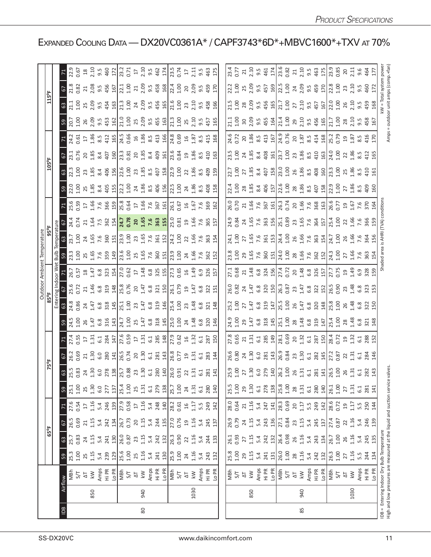|                |      |                                                                              |              |              |                |                           |            |                                                                                                               |                                                                                                                                                                                                                                                                                                                                               |                                                                                   | Outdoor Ambient Temperatur |                                                                                                                               |                                                                                                                                                                                                                                                                                               |                                                                                                                                                                                                                                |                                                                                                                                                                                                                                |                                                                                                                                                                                                                                                                                                           |                                                                                                                                                                                                                                                                                                                      |                                                                                                                                                                                                                                |                                                                                                                                                                                                                                |                                                                                                                                                                                                                                                                                                           |                                                                                                                                                                                                                                                                                                                                                            |                                                                                                                                                                                                                                                                                                                                 |
|----------------|------|------------------------------------------------------------------------------|--------------|--------------|----------------|---------------------------|------------|---------------------------------------------------------------------------------------------------------------|-----------------------------------------------------------------------------------------------------------------------------------------------------------------------------------------------------------------------------------------------------------------------------------------------------------------------------------------------|-----------------------------------------------------------------------------------|----------------------------|-------------------------------------------------------------------------------------------------------------------------------|-----------------------------------------------------------------------------------------------------------------------------------------------------------------------------------------------------------------------------------------------------------------------------------------------|--------------------------------------------------------------------------------------------------------------------------------------------------------------------------------------------------------------------------------|--------------------------------------------------------------------------------------------------------------------------------------------------------------------------------------------------------------------------------|-----------------------------------------------------------------------------------------------------------------------------------------------------------------------------------------------------------------------------------------------------------------------------------------------------------|----------------------------------------------------------------------------------------------------------------------------------------------------------------------------------------------------------------------------------------------------------------------------------------------------------------------|--------------------------------------------------------------------------------------------------------------------------------------------------------------------------------------------------------------------------------|--------------------------------------------------------------------------------------------------------------------------------------------------------------------------------------------------------------------------------|-----------------------------------------------------------------------------------------------------------------------------------------------------------------------------------------------------------------------------------------------------------------------------------------------------------|------------------------------------------------------------------------------------------------------------------------------------------------------------------------------------------------------------------------------------------------------------------------------------------------------------------------------------------------------------|---------------------------------------------------------------------------------------------------------------------------------------------------------------------------------------------------------------------------------------------------------------------------------------------------------------------------------|
|                |      |                                                                              |              | 65°F         |                |                           |            |                                                                                                               |                                                                                                                                                                                                                                                                                                                                               |                                                                                   |                            |                                                                                                                               |                                                                                                                                                                                                                                                                                               |                                                                                                                                                                                                                                |                                                                                                                                                                                                                                |                                                                                                                                                                                                                                                                                                           |                                                                                                                                                                                                                                                                                                                      |                                                                                                                                                                                                                                |                                                                                                                                                                                                                                |                                                                                                                                                                                                                                                                                                           |                                                                                                                                                                                                                                                                                                                                                            |                                                                                                                                                                                                                                                                                                                                 |
|                |      |                                                                              |              |              |                |                           |            |                                                                                                               |                                                                                                                                                                                                                                                                                                                                               |                                                                                   |                            |                                                                                                                               |                                                                                                                                                                                                                                                                                               |                                                                                                                                                                                                                                |                                                                                                                                                                                                                                |                                                                                                                                                                                                                                                                                                           |                                                                                                                                                                                                                                                                                                                      |                                                                                                                                                                                                                                |                                                                                                                                                                                                                                |                                                                                                                                                                                                                                                                                                           |                                                                                                                                                                                                                                                                                                                                                            |                                                                                                                                                                                                                                                                                                                                 |
| $\overline{B}$ |      | Airflow                                                                      | 59           | $63\,$       | 67             |                           | 59         |                                                                                                               |                                                                                                                                                                                                                                                                                                                                               |                                                                                   |                            |                                                                                                                               |                                                                                                                                                                                                                                                                                               |                                                                                                                                                                                                                                |                                                                                                                                                                                                                                |                                                                                                                                                                                                                                                                                                           |                                                                                                                                                                                                                                                                                                                      |                                                                                                                                                                                                                                |                                                                                                                                                                                                                                |                                                                                                                                                                                                                                                                                                           |                                                                                                                                                                                                                                                                                                                                                            |                                                                                                                                                                                                                                                                                                                                 |
|                |      | MBh                                                                          | 25.3         | 25.7         | 26.5           | 27.6                      | 25.1       |                                                                                                               |                                                                                                                                                                                                                                                                                                                                               |                                                                                   |                            |                                                                                                                               |                                                                                                                                                                                                                                                                                               |                                                                                                                                                                                                                                |                                                                                                                                                                                                                                |                                                                                                                                                                                                                                                                                                           |                                                                                                                                                                                                                                                                                                                      |                                                                                                                                                                                                                                |                                                                                                                                                                                                                                |                                                                                                                                                                                                                                                                                                           |                                                                                                                                                                                                                                                                                                                                                            |                                                                                                                                                                                                                                                                                                                                 |
|                |      | 5/7                                                                          | 00           | 0.83         | 0.69           | 0.54                      | 001.00     |                                                                                                               |                                                                                                                                                                                                                                                                                                                                               |                                                                                   |                            |                                                                                                                               |                                                                                                                                                                                                                                                                                               |                                                                                                                                                                                                                                |                                                                                                                                                                                                                                |                                                                                                                                                                                                                                                                                                           |                                                                                                                                                                                                                                                                                                                      |                                                                                                                                                                                                                                |                                                                                                                                                                                                                                |                                                                                                                                                                                                                                                                                                           |                                                                                                                                                                                                                                                                                                                                                            |                                                                                                                                                                                                                                                                                                                                 |
|                |      | $\leq$<br>$\overline{\Delta}$                                                | 1.15<br>25   | 1.15<br>24   | 1.15<br>21     | 1.16<br>$\overline{17}$   | 1.30<br>25 |                                                                                                               |                                                                                                                                                                                                                                                                                                                                               |                                                                                   |                            |                                                                                                                               |                                                                                                                                                                                                                                                                                               |                                                                                                                                                                                                                                |                                                                                                                                                                                                                                |                                                                                                                                                                                                                                                                                                           |                                                                                                                                                                                                                                                                                                                      |                                                                                                                                                                                                                                |                                                                                                                                                                                                                                |                                                                                                                                                                                                                                                                                                           |                                                                                                                                                                                                                                                                                                                                                            |                                                                                                                                                                                                                                                                                                                                 |
|                | 850  |                                                                              | 5.4          | 5.4          | 5.4            | 5.4                       | 6.0        |                                                                                                               |                                                                                                                                                                                                                                                                                                                                               |                                                                                   |                            |                                                                                                                               |                                                                                                                                                                                                                                                                                               |                                                                                                                                                                                                                                |                                                                                                                                                                                                                                |                                                                                                                                                                                                                                                                                                           |                                                                                                                                                                                                                                                                                                                      |                                                                                                                                                                                                                                |                                                                                                                                                                                                                                |                                                                                                                                                                                                                                                                                                           |                                                                                                                                                                                                                                                                                                                                                            |                                                                                                                                                                                                                                                                                                                                 |
|                |      | Amps<br>Hi PR                                                                | 239          | 241          | 242            | 246                       | 277        |                                                                                                               |                                                                                                                                                                                                                                                                                                                                               |                                                                                   |                            |                                                                                                                               |                                                                                                                                                                                                                                                                                               |                                                                                                                                                                                                                                |                                                                                                                                                                                                                                |                                                                                                                                                                                                                                                                                                           |                                                                                                                                                                                                                                                                                                                      |                                                                                                                                                                                                                                |                                                                                                                                                                                                                                |                                                                                                                                                                                                                                                                                                           |                                                                                                                                                                                                                                                                                                                                                            |                                                                                                                                                                                                                                                                                                                                 |
|                |      | L <sub>O</sub> PR                                                            | 129          | 130          | 134            | 139                       | 137        | 0 3 3 3 4 5 6 8 6 7 6 7 6 7 6 7 7 8 7 7 8 7 7 7 8 7 7 8 7 7 8 7 7 8 7 7 8 7 7 7 7 7 7 7 7 7 7 7 7 7 7 7 7 7 7 | $3\frac{1}{2}$<br>$3\frac{1}{2}$<br>$3\frac{1}{2}$<br>$3\frac{1}{2}$<br>$3\frac{1}{2}$<br>$3\frac{1}{2}$<br>$3\frac{1}{2}$<br>$3\frac{1}{2}$<br>$3\frac{1}{2}$<br>$3\frac{1}{2}$<br>$3\frac{1}{2}$<br>$3\frac{1}{2}$<br>$3\frac{1}{2}$<br>$3\frac{1}{2}$<br>$3\frac{1}{2}$<br>$3\frac{1}{2}$<br>$3\frac{1}{2}$<br>$3\frac{1}{2}$<br>$3\frac{$ | <u>្ឋ</u><br>ចូន និង ដូន និង ដីន្ទ្រី ដី ទី ង ដូន មី ដី ទី ង ដី និង ដី និង ដី និង |                            | <u>ទាំង ទី ង កូ ទី ង ង ដ្ឋាន ទី ង កូ ទី ង ដ្ឋាន ន</u><br>ស្ព័ ដូ ង កូ ដូ ង ង ដ្ឋាន នី ង កូ ដូ មី ង ដូ មី ង កូ នី ង កូ នី ង ដូ | <u>ទ ដី ទី វី ដី ទី ទី ដី ដី ទី វី ដី ទី ដី ដី ដី ទី វី ដី ទី វី ដី ដី ដី ដី</u>                                                                                                                                                                                                              | <b><u>្រង់ ដូច និងប្រឹង ខ្លួន ដូច និង ដូច និង ម</u>ួយ និង អ្នក</b><br>ក្នុង ដូច និង ដូ <mark>ម និង ដូច និង ដូ</mark> ម និង ដូច និង ដូច និង ដូ                                                                                  |                                                                                                                                                                                                                                | $32.3$ $23.4$ $34.4$ $35.4$ $36.4$ $37.4$ $38.4$ $39.4$ $39.4$ $39.4$ $39.4$ $39.4$ $39.4$ $39.4$ $39.4$ $39.4$ $39.4$ $39.4$ $39.4$ $39.4$ $39.4$ $39.4$ $39.4$ $39.4$ $39.4$ $39.4$ $39.4$ $39.4$ $39.4$ $39.4$ $39.4$ $39.$                                                                            | $5\frac{1}{2}$ $\frac{1}{2}$ $\frac{1}{6}$ $\frac{1}{6}$ $\frac{1}{6}$ $\frac{1}{6}$ $\frac{1}{6}$ $\frac{1}{6}$ $\frac{1}{6}$ $\frac{1}{6}$ $\frac{1}{6}$ $\frac{1}{6}$ $\frac{1}{6}$ $\frac{1}{6}$ $\frac{1}{6}$ $\frac{1}{6}$ $\frac{1}{6}$ $\frac{1}{6}$ $\frac{1}{6}$ $\frac{1}{6}$ $\frac{1}{6}$ $\frac{1}{6}$ | r 3 d = 8 g 3 d = 9 d = 9 d = 9 d = 9 d = 9 d = 9 d = 9 d = 9 d = 9 d = 9 d = 9 d = 9 d = 9 d = 9 d = 9 d = 9<br>L 3 d = 5 d = 9 d = 9 d = 9 d = 9 d = 9 d = 9 d = 9 d = 9 d = 9 d = 9 d = 9 d = 9 d = 9 d = 9 d = 9 d = 9 d = |                                                                                                                                                                                                                                | $3\frac{1}{21}$ $3\frac{1}{21}$ $3\frac{1}{21}$ $3\frac{1}{21}$ $3\frac{1}{21}$ $3\frac{1}{21}$ $3\frac{1}{21}$ $3\frac{1}{21}$ $3\frac{1}{21}$ $3\frac{1}{21}$ $3\frac{1}{21}$ $3\frac{1}{21}$ $3\frac{1}{21}$ $3\frac{1}{21}$ $3\frac{1}{21}$ $3\frac{1}{21}$ $3\frac{1}{21}$ $3\frac{1}{21}$ $3\frac{$ | $\frac{1}{6} \sum_{11}^{8} \frac{1}{12} \sum_{11}^{8} \frac{1}{12} \sum_{11}^{8} \frac{1}{12} \sum_{11}^{11} \frac{1}{12} \sum_{11}^{11} \frac{1}{12} \sum_{11}^{11} \frac{1}{12} \sum_{11}^{11} \frac{1}{12} \sum_{11}^{11} \frac{1}{12} \sum_{11}^{11} \frac{1}{12} \sum_{11}^{11} \frac{1}{12} \sum_{11}^{11} \frac{1}{12} \sum_{11}^{11} \frac{1}{12}$ | $\frac{1}{2}$ $\frac{3}{22}$ $\frac{5}{22}$ $\frac{8}{22}$ $\frac{1}{22}$ $\frac{1}{22}$ $\frac{1}{22}$ $\frac{1}{22}$ $\frac{1}{22}$ $\frac{1}{22}$ $\frac{1}{22}$ $\frac{1}{22}$ $\frac{1}{22}$ $\frac{1}{22}$ $\frac{1}{22}$ $\frac{1}{22}$ $\frac{1}{22}$ $\frac{1}{22}$ $\frac{1}{22}$ $\frac{1}{22}$ $\$                  |
|                |      |                                                                              |              | 26.0         | 26.7           |                           | 25.4       |                                                                                                               |                                                                                                                                                                                                                                                                                                                                               |                                                                                   |                            |                                                                                                                               |                                                                                                                                                                                                                                                                                               |                                                                                                                                                                                                                                |                                                                                                                                                                                                                                |                                                                                                                                                                                                                                                                                                           |                                                                                                                                                                                                                                                                                                                      |                                                                                                                                                                                                                                |                                                                                                                                                                                                                                |                                                                                                                                                                                                                                                                                                           |                                                                                                                                                                                                                                                                                                                                                            |                                                                                                                                                                                                                                                                                                                                 |
|                |      | 다 기<br>55                                                                    | 25.6<br>1.00 | 0.87         | 0.73           | $\frac{27.9}{0.58}$       | 1.00       |                                                                                                               |                                                                                                                                                                                                                                                                                                                                               |                                                                                   |                            |                                                                                                                               |                                                                                                                                                                                                                                                                                               |                                                                                                                                                                                                                                |                                                                                                                                                                                                                                |                                                                                                                                                                                                                                                                                                           |                                                                                                                                                                                                                                                                                                                      |                                                                                                                                                                                                                                |                                                                                                                                                                                                                                |                                                                                                                                                                                                                                                                                                           |                                                                                                                                                                                                                                                                                                                                                            |                                                                                                                                                                                                                                                                                                                                 |
|                |      |                                                                              | 25           | 23           | $20\,$         | $\overline{\mathfrak{U}}$ | 25         |                                                                                                               |                                                                                                                                                                                                                                                                                                                                               |                                                                                   |                            |                                                                                                                               |                                                                                                                                                                                                                                                                                               |                                                                                                                                                                                                                                |                                                                                                                                                                                                                                |                                                                                                                                                                                                                                                                                                           |                                                                                                                                                                                                                                                                                                                      |                                                                                                                                                                                                                                |                                                                                                                                                                                                                                |                                                                                                                                                                                                                                                                                                           |                                                                                                                                                                                                                                                                                                                                                            |                                                                                                                                                                                                                                                                                                                                 |
| 80             | 940  | $\leq$                                                                       | 1.16         | 1.15         | 1.15           | 1.16                      | 1.31       |                                                                                                               |                                                                                                                                                                                                                                                                                                                                               |                                                                                   |                            |                                                                                                                               |                                                                                                                                                                                                                                                                                               |                                                                                                                                                                                                                                |                                                                                                                                                                                                                                |                                                                                                                                                                                                                                                                                                           |                                                                                                                                                                                                                                                                                                                      |                                                                                                                                                                                                                                |                                                                                                                                                                                                                                |                                                                                                                                                                                                                                                                                                           |                                                                                                                                                                                                                                                                                                                                                            |                                                                                                                                                                                                                                                                                                                                 |
|                |      |                                                                              | 5.4          | 5.4          | 5.4            | 5.4                       | 6.1        |                                                                                                               |                                                                                                                                                                                                                                                                                                                                               |                                                                                   |                            |                                                                                                                               |                                                                                                                                                                                                                                                                                               |                                                                                                                                                                                                                                |                                                                                                                                                                                                                                |                                                                                                                                                                                                                                                                                                           |                                                                                                                                                                                                                                                                                                                      |                                                                                                                                                                                                                                |                                                                                                                                                                                                                                |                                                                                                                                                                                                                                                                                                           |                                                                                                                                                                                                                                                                                                                                                            |                                                                                                                                                                                                                                                                                                                                 |
|                |      | Amps<br>Hi PR                                                                | 241          | 242          | 244            | 248                       | 279        |                                                                                                               |                                                                                                                                                                                                                                                                                                                                               |                                                                                   |                            |                                                                                                                               |                                                                                                                                                                                                                                                                                               |                                                                                                                                                                                                                                |                                                                                                                                                                                                                                |                                                                                                                                                                                                                                                                                                           |                                                                                                                                                                                                                                                                                                                      |                                                                                                                                                                                                                                |                                                                                                                                                                                                                                |                                                                                                                                                                                                                                                                                                           |                                                                                                                                                                                                                                                                                                                                                            |                                                                                                                                                                                                                                                                                                                                 |
|                |      | Lo PR                                                                        | 130          | 132          | 135            | 140                       | 138        |                                                                                                               |                                                                                                                                                                                                                                                                                                                                               |                                                                                   |                            |                                                                                                                               |                                                                                                                                                                                                                                                                                               |                                                                                                                                                                                                                                |                                                                                                                                                                                                                                |                                                                                                                                                                                                                                                                                                           |                                                                                                                                                                                                                                                                                                                      |                                                                                                                                                                                                                                |                                                                                                                                                                                                                                |                                                                                                                                                                                                                                                                                                           |                                                                                                                                                                                                                                                                                                                                                            |                                                                                                                                                                                                                                                                                                                                 |
|                |      | MBh                                                                          | 25.9         | 26.3         | 27.0           | 28.2                      | 25.7       |                                                                                                               |                                                                                                                                                                                                                                                                                                                                               |                                                                                   |                            |                                                                                                                               |                                                                                                                                                                                                                                                                                               |                                                                                                                                                                                                                                |                                                                                                                                                                                                                                |                                                                                                                                                                                                                                                                                                           |                                                                                                                                                                                                                                                                                                                      |                                                                                                                                                                                                                                |                                                                                                                                                                                                                                |                                                                                                                                                                                                                                                                                                           |                                                                                                                                                                                                                                                                                                                                                            |                                                                                                                                                                                                                                                                                                                                 |
|                |      | 5/7                                                                          | 1.00         | 0.90         | 0.76           | 0.61                      | 1.00       |                                                                                                               |                                                                                                                                                                                                                                                                                                                                               |                                                                                   |                            |                                                                                                                               |                                                                                                                                                                                                                                                                                               |                                                                                                                                                                                                                                |                                                                                                                                                                                                                                |                                                                                                                                                                                                                                                                                                           |                                                                                                                                                                                                                                                                                                                      |                                                                                                                                                                                                                                |                                                                                                                                                                                                                                |                                                                                                                                                                                                                                                                                                           |                                                                                                                                                                                                                                                                                                                                                            |                                                                                                                                                                                                                                                                                                                                 |
|                |      | $\overline{\mathbb{Q}}$                                                      | 24           | 22           | $\overline{a}$ | $16$                      | 24         |                                                                                                               |                                                                                                                                                                                                                                                                                                                                               |                                                                                   |                            |                                                                                                                               |                                                                                                                                                                                                                                                                                               |                                                                                                                                                                                                                                |                                                                                                                                                                                                                                |                                                                                                                                                                                                                                                                                                           |                                                                                                                                                                                                                                                                                                                      |                                                                                                                                                                                                                                |                                                                                                                                                                                                                                |                                                                                                                                                                                                                                                                                                           |                                                                                                                                                                                                                                                                                                                                                            |                                                                                                                                                                                                                                                                                                                                 |
|                | 1030 | $\leq$                                                                       | 1.16         | 1.16         | 1.16           | 1.17                      | 1.31       |                                                                                                               |                                                                                                                                                                                                                                                                                                                                               |                                                                                   |                            |                                                                                                                               |                                                                                                                                                                                                                                                                                               |                                                                                                                                                                                                                                |                                                                                                                                                                                                                                |                                                                                                                                                                                                                                                                                                           |                                                                                                                                                                                                                                                                                                                      |                                                                                                                                                                                                                                |                                                                                                                                                                                                                                |                                                                                                                                                                                                                                                                                                           |                                                                                                                                                                                                                                                                                                                                                            |                                                                                                                                                                                                                                                                                                                                 |
|                |      | Amps                                                                         | 5.4          | 5.4          | 5.4            | 5.5                       | 61         |                                                                                                               |                                                                                                                                                                                                                                                                                                                                               |                                                                                   |                            |                                                                                                                               |                                                                                                                                                                                                                                                                                               |                                                                                                                                                                                                                                |                                                                                                                                                                                                                                |                                                                                                                                                                                                                                                                                                           |                                                                                                                                                                                                                                                                                                                      |                                                                                                                                                                                                                                |                                                                                                                                                                                                                                |                                                                                                                                                                                                                                                                                                           |                                                                                                                                                                                                                                                                                                                                                            |                                                                                                                                                                                                                                                                                                                                 |
|                |      | Hi PR                                                                        | 243          | 244          | 245            | 249                       | 280        |                                                                                                               |                                                                                                                                                                                                                                                                                                                                               |                                                                                   |                            |                                                                                                                               |                                                                                                                                                                                                                                                                                               |                                                                                                                                                                                                                                |                                                                                                                                                                                                                                |                                                                                                                                                                                                                                                                                                           |                                                                                                                                                                                                                                                                                                                      |                                                                                                                                                                                                                                |                                                                                                                                                                                                                                |                                                                                                                                                                                                                                                                                                           |                                                                                                                                                                                                                                                                                                                                                            |                                                                                                                                                                                                                                                                                                                                 |
|                |      | Lo PR                                                                        | 132          | 133          | 137            | 142                       | 140        |                                                                                                               |                                                                                                                                                                                                                                                                                                                                               |                                                                                   |                            |                                                                                                                               |                                                                                                                                                                                                                                                                                               |                                                                                                                                                                                                                                |                                                                                                                                                                                                                                |                                                                                                                                                                                                                                                                                                           |                                                                                                                                                                                                                                                                                                                      |                                                                                                                                                                                                                                |                                                                                                                                                                                                                                |                                                                                                                                                                                                                                                                                                           |                                                                                                                                                                                                                                                                                                                                                            |                                                                                                                                                                                                                                                                                                                                 |
|                |      |                                                                              |              |              |                |                           |            |                                                                                                               |                                                                                                                                                                                                                                                                                                                                               |                                                                                   |                            |                                                                                                                               |                                                                                                                                                                                                                                                                                               |                                                                                                                                                                                                                                |                                                                                                                                                                                                                                |                                                                                                                                                                                                                                                                                                           |                                                                                                                                                                                                                                                                                                                      |                                                                                                                                                                                                                                |                                                                                                                                                                                                                                |                                                                                                                                                                                                                                                                                                           |                                                                                                                                                                                                                                                                                                                                                            |                                                                                                                                                                                                                                                                                                                                 |
|                |      | MBh                                                                          | 25.8<br>1.00 | 26.1         | 26.9           |                           | 25.5       |                                                                                                               |                                                                                                                                                                                                                                                                                                                                               |                                                                                   |                            |                                                                                                                               |                                                                                                                                                                                                                                                                                               |                                                                                                                                                                                                                                |                                                                                                                                                                                                                                |                                                                                                                                                                                                                                                                                                           |                                                                                                                                                                                                                                                                                                                      |                                                                                                                                                                                                                                |                                                                                                                                                                                                                                |                                                                                                                                                                                                                                                                                                           |                                                                                                                                                                                                                                                                                                                                                            |                                                                                                                                                                                                                                                                                                                                 |
|                |      | 5/7                                                                          |              | 0.93         | 0.79           | 28.0<br>0.64              | 1.00       |                                                                                                               |                                                                                                                                                                                                                                                                                                                                               |                                                                                   |                            |                                                                                                                               |                                                                                                                                                                                                                                                                                               |                                                                                                                                                                                                                                |                                                                                                                                                                                                                                |                                                                                                                                                                                                                                                                                                           |                                                                                                                                                                                                                                                                                                                      |                                                                                                                                                                                                                                |                                                                                                                                                                                                                                |                                                                                                                                                                                                                                                                                                           |                                                                                                                                                                                                                                                                                                                                                            |                                                                                                                                                                                                                                                                                                                                 |
|                |      | $\overline{\Delta}$                                                          | 29           | 27           | 24             | 21                        | 29         |                                                                                                               |                                                                                                                                                                                                                                                                                                                                               |                                                                                   |                            |                                                                                                                               |                                                                                                                                                                                                                                                                                               |                                                                                                                                                                                                                                |                                                                                                                                                                                                                                |                                                                                                                                                                                                                                                                                                           |                                                                                                                                                                                                                                                                                                                      |                                                                                                                                                                                                                                |                                                                                                                                                                                                                                |                                                                                                                                                                                                                                                                                                           |                                                                                                                                                                                                                                                                                                                                                            |                                                                                                                                                                                                                                                                                                                                 |
|                | 850  | $\lesssim$                                                                   | 1.15         | 1.15         | 1.15           | 1.16                      | 1.30       |                                                                                                               |                                                                                                                                                                                                                                                                                                                                               |                                                                                   |                            |                                                                                                                               |                                                                                                                                                                                                                                                                                               |                                                                                                                                                                                                                                |                                                                                                                                                                                                                                |                                                                                                                                                                                                                                                                                                           |                                                                                                                                                                                                                                                                                                                      |                                                                                                                                                                                                                                |                                                                                                                                                                                                                                |                                                                                                                                                                                                                                                                                                           |                                                                                                                                                                                                                                                                                                                                                            |                                                                                                                                                                                                                                                                                                                                 |
|                |      |                                                                              | 5.4          | 5.4          | 5.4            | 5.4                       | 6.1        |                                                                                                               |                                                                                                                                                                                                                                                                                                                                               |                                                                                   |                            |                                                                                                                               |                                                                                                                                                                                                                                                                                               |                                                                                                                                                                                                                                |                                                                                                                                                                                                                                |                                                                                                                                                                                                                                                                                                           |                                                                                                                                                                                                                                                                                                                      |                                                                                                                                                                                                                                |                                                                                                                                                                                                                                |                                                                                                                                                                                                                                                                                                           |                                                                                                                                                                                                                                                                                                                                                            |                                                                                                                                                                                                                                                                                                                                 |
|                |      | Amps<br>Hi PR                                                                | 241          | 242          | 243            | 247                       | 278        |                                                                                                               |                                                                                                                                                                                                                                                                                                                                               |                                                                                   |                            |                                                                                                                               |                                                                                                                                                                                                                                                                                               |                                                                                                                                                                                                                                |                                                                                                                                                                                                                                |                                                                                                                                                                                                                                                                                                           |                                                                                                                                                                                                                                                                                                                      |                                                                                                                                                                                                                                |                                                                                                                                                                                                                                |                                                                                                                                                                                                                                                                                                           |                                                                                                                                                                                                                                                                                                                                                            |                                                                                                                                                                                                                                                                                                                                 |
|                |      | LO PR                                                                        | 131          | 132          | 136            | 141                       | 138        |                                                                                                               |                                                                                                                                                                                                                                                                                                                                               |                                                                                   |                            |                                                                                                                               |                                                                                                                                                                                                                                                                                               |                                                                                                                                                                                                                                |                                                                                                                                                                                                                                |                                                                                                                                                                                                                                                                                                           |                                                                                                                                                                                                                                                                                                                      |                                                                                                                                                                                                                                |                                                                                                                                                                                                                                |                                                                                                                                                                                                                                                                                                           |                                                                                                                                                                                                                                                                                                                                                            |                                                                                                                                                                                                                                                                                                                                 |
|                |      | $\frac{27}{148}$                                                             | 26.0<br>1.00 | 26.4<br>0.98 | 27.1           | 28.3                      | 25.8       |                                                                                                               |                                                                                                                                                                                                                                                                                                                                               |                                                                                   |                            |                                                                                                                               |                                                                                                                                                                                                                                                                                               |                                                                                                                                                                                                                                |                                                                                                                                                                                                                                |                                                                                                                                                                                                                                                                                                           |                                                                                                                                                                                                                                                                                                                      |                                                                                                                                                                                                                                |                                                                                                                                                                                                                                |                                                                                                                                                                                                                                                                                                           |                                                                                                                                                                                                                                                                                                                                                            |                                                                                                                                                                                                                                                                                                                                 |
|                |      |                                                                              |              |              | 0.84           | 0.69                      | 1.00       |                                                                                                               |                                                                                                                                                                                                                                                                                                                                               |                                                                                   |                            |                                                                                                                               |                                                                                                                                                                                                                                                                                               |                                                                                                                                                                                                                                |                                                                                                                                                                                                                                |                                                                                                                                                                                                                                                                                                           |                                                                                                                                                                                                                                                                                                                      |                                                                                                                                                                                                                                |                                                                                                                                                                                                                                |                                                                                                                                                                                                                                                                                                           |                                                                                                                                                                                                                                                                                                                                                            |                                                                                                                                                                                                                                                                                                                                 |
|                |      | $\overline{\Delta}$                                                          | $28$         | 26           | 23             | 20                        | 28         |                                                                                                               |                                                                                                                                                                                                                                                                                                                                               |                                                                                   |                            |                                                                                                                               |                                                                                                                                                                                                                                                                                               |                                                                                                                                                                                                                                |                                                                                                                                                                                                                                |                                                                                                                                                                                                                                                                                                           |                                                                                                                                                                                                                                                                                                                      |                                                                                                                                                                                                                                |                                                                                                                                                                                                                                |                                                                                                                                                                                                                                                                                                           |                                                                                                                                                                                                                                                                                                                                                            |                                                                                                                                                                                                                                                                                                                                 |
| 85             | 940  | $\leq$                                                                       | 1.16         | 1.16         | 1.15           | 1.17                      | 1.31       |                                                                                                               |                                                                                                                                                                                                                                                                                                                                               |                                                                                   |                            |                                                                                                                               |                                                                                                                                                                                                                                                                                               |                                                                                                                                                                                                                                |                                                                                                                                                                                                                                |                                                                                                                                                                                                                                                                                                           |                                                                                                                                                                                                                                                                                                                      |                                                                                                                                                                                                                                |                                                                                                                                                                                                                                |                                                                                                                                                                                                                                                                                                           |                                                                                                                                                                                                                                                                                                                                                            |                                                                                                                                                                                                                                                                                                                                 |
|                |      | Amps<br>Hi PR                                                                | 5.4          | 5.4          | 5.4            | 5.5                       | 6.1        |                                                                                                               |                                                                                                                                                                                                                                                                                                                                               |                                                                                   |                            |                                                                                                                               |                                                                                                                                                                                                                                                                                               |                                                                                                                                                                                                                                |                                                                                                                                                                                                                                |                                                                                                                                                                                                                                                                                                           |                                                                                                                                                                                                                                                                                                                      |                                                                                                                                                                                                                                |                                                                                                                                                                                                                                |                                                                                                                                                                                                                                                                                                           |                                                                                                                                                                                                                                                                                                                                                            |                                                                                                                                                                                                                                                                                                                                 |
|                |      |                                                                              | 242          | 243          | 245            | 249                       | 280        |                                                                                                               |                                                                                                                                                                                                                                                                                                                                               |                                                                                   |                            |                                                                                                                               |                                                                                                                                                                                                                                                                                               |                                                                                                                                                                                                                                |                                                                                                                                                                                                                                |                                                                                                                                                                                                                                                                                                           |                                                                                                                                                                                                                                                                                                                      |                                                                                                                                                                                                                                |                                                                                                                                                                                                                                |                                                                                                                                                                                                                                                                                                           |                                                                                                                                                                                                                                                                                                                                                            |                                                                                                                                                                                                                                                                                                                                 |
|                |      | Lo PR                                                                        | 132          | 134          | 137            | 142                       | 140        |                                                                                                               |                                                                                                                                                                                                                                                                                                                                               |                                                                                   |                            |                                                                                                                               |                                                                                                                                                                                                                                                                                               |                                                                                                                                                                                                                                |                                                                                                                                                                                                                                |                                                                                                                                                                                                                                                                                                           |                                                                                                                                                                                                                                                                                                                      |                                                                                                                                                                                                                                |                                                                                                                                                                                                                                |                                                                                                                                                                                                                                                                                                           |                                                                                                                                                                                                                                                                                                                                                            |                                                                                                                                                                                                                                                                                                                                 |
|                |      | MBh                                                                          | 26.3         | 26.7         | 27.4           | 28.6                      | 26.1       |                                                                                                               |                                                                                                                                                                                                                                                                                                                                               |                                                                                   |                            |                                                                                                                               |                                                                                                                                                                                                                                                                                               |                                                                                                                                                                                                                                |                                                                                                                                                                                                                                |                                                                                                                                                                                                                                                                                                           |                                                                                                                                                                                                                                                                                                                      |                                                                                                                                                                                                                                |                                                                                                                                                                                                                                |                                                                                                                                                                                                                                                                                                           |                                                                                                                                                                                                                                                                                                                                                            |                                                                                                                                                                                                                                                                                                                                 |
|                |      | 5/7                                                                          | 1.00         | 1.00         | 0.87           | 0.72                      | 1.00       |                                                                                                               |                                                                                                                                                                                                                                                                                                                                               |                                                                                   |                            |                                                                                                                               |                                                                                                                                                                                                                                                                                               |                                                                                                                                                                                                                                |                                                                                                                                                                                                                                |                                                                                                                                                                                                                                                                                                           |                                                                                                                                                                                                                                                                                                                      |                                                                                                                                                                                                                                |                                                                                                                                                                                                                                |                                                                                                                                                                                                                                                                                                           |                                                                                                                                                                                                                                                                                                                                                            |                                                                                                                                                                                                                                                                                                                                 |
|                |      | $\overline{\Delta}$                                                          | 27           | 26           | 22             | $\overline{a}$            | 27         |                                                                                                               |                                                                                                                                                                                                                                                                                                                                               |                                                                                   |                            |                                                                                                                               |                                                                                                                                                                                                                                                                                               |                                                                                                                                                                                                                                |                                                                                                                                                                                                                                |                                                                                                                                                                                                                                                                                                           |                                                                                                                                                                                                                                                                                                                      |                                                                                                                                                                                                                                |                                                                                                                                                                                                                                |                                                                                                                                                                                                                                                                                                           |                                                                                                                                                                                                                                                                                                                                                            |                                                                                                                                                                                                                                                                                                                                 |
|                | 1030 | $\leq$                                                                       | 1.16         | 1.16         | 1.16           | 1.17                      | 1.31       |                                                                                                               |                                                                                                                                                                                                                                                                                                                                               |                                                                                   |                            |                                                                                                                               |                                                                                                                                                                                                                                                                                               |                                                                                                                                                                                                                                |                                                                                                                                                                                                                                |                                                                                                                                                                                                                                                                                                           |                                                                                                                                                                                                                                                                                                                      |                                                                                                                                                                                                                                |                                                                                                                                                                                                                                |                                                                                                                                                                                                                                                                                                           |                                                                                                                                                                                                                                                                                                                                                            |                                                                                                                                                                                                                                                                                                                                 |
|                |      | Amps                                                                         | 5.5          | 5.4          | 5.4            | 5.5                       | 6.1        |                                                                                                               |                                                                                                                                                                                                                                                                                                                                               |                                                                                   |                            |                                                                                                                               |                                                                                                                                                                                                                                                                                               |                                                                                                                                                                                                                                |                                                                                                                                                                                                                                |                                                                                                                                                                                                                                                                                                           |                                                                                                                                                                                                                                                                                                                      |                                                                                                                                                                                                                                |                                                                                                                                                                                                                                |                                                                                                                                                                                                                                                                                                           |                                                                                                                                                                                                                                                                                                                                                            |                                                                                                                                                                                                                                                                                                                                 |
|                |      | Hi PR                                                                        | 244          | 245          | 246            | 250                       | 281        |                                                                                                               | $23.59$ $25.8$ $25.8$ $35.4$ $10.5$ $25.8$ $35.4$ $11.5$ $25.8$ $35.4$ $35.4$ $35.4$ $35.4$ $35.4$ $35.4$ $35.4$ $35.4$ $35.4$ $35.4$ $35.4$ $35.4$ $35.4$ $35.4$ $35.4$ $35.4$ $35.4$ $35.4$ $35.4$ $35.4$ $35.4$ $35.4$ $35$                                                                                                                |                                                                                   |                            |                                                                                                                               | $\frac{1}{24}$ 19 $\frac{1}{2}$ 19 $\frac{1}{2}$ 19 $\frac{1}{24}$ 19 $\frac{1}{24}$ 19 $\frac{1}{24}$ 19 $\frac{1}{24}$ 19 $\frac{1}{24}$ 19 $\frac{1}{24}$ 19 $\frac{1}{24}$ 10 $\frac{1}{24}$ 10 $\frac{1}{24}$ 10 $\frac{1}{24}$ 10 $\frac{1}{24}$ 10 $\frac{1}{24}$ 10 $\frac{1}{24}$ 10 | $23.8$ $3.4$ $5.6$ $5.8$ $5.6$ $5.8$ $5.8$ $5.8$ $5.8$ $5.8$ $5.8$ $5.8$ $5.8$ $5.8$ $5.8$ $5.8$ $5.8$ $5.8$ $5.8$ $5.8$ $5.8$ $5.8$ $5.8$ $5.8$ $5.8$ $5.8$ $5.8$ $5.8$ $5.8$ $5.8$ $5.8$ $5.8$ $5.8$ $5.8$ $5.8$ $5.8$ $5.8$ | $26.7$ $7.8$ $-6.6$ $-6.6$ $-6.6$ $-6.6$ $-6.6$ $-6.6$ $-6.6$ $-6.6$ $-6.6$ $-6.6$ $-6.6$ $-6.6$ $-6.6$ $-6.6$ $-6.6$ $-6.6$ $-6.6$ $-6.6$ $-6.6$ $-6.6$ $-6.6$ $-6.6$ $-6.6$ $-6.6$ $-6.6$ $-6.6$ $-6.6$ $-6.6$ $-6.6$ $-6.6$ | $\frac{25}{21}$ $\frac{25}{27}$ $\frac{25}{27}$ $\frac{25}{27}$ $\frac{25}{27}$ $\frac{25}{27}$ $\frac{25}{27}$ $\frac{25}{27}$ $\frac{25}{27}$ $\frac{25}{27}$ $\frac{25}{27}$ $\frac{25}{27}$ $\frac{25}{27}$ $\frac{25}{27}$ $\frac{25}{27}$ $\frac{25}{27}$ $\frac{25}{27}$ $\frac{25}{27}$ $\frac{2$ |                                                                                                                                                                                                                                                                                                                      |                                                                                                                                                                                                                                | $71.9$ $8.9$ $8.9$ $8.9$ $8.9$ $8.9$ $8.9$ $8.9$ $8.9$ $8.9$ $8.9$ $8.9$ $8.9$ $8.9$ $8.9$ $8.9$ $8.9$ $8.9$ $8.9$ $8.9$ $8.9$ $8.9$ $8.9$ $8.9$ $8.9$ $8.9$ $8.9$ $8.9$ $8.9$ $8.9$ $8.9$ $8.9$ $8.9$ $8.9$ $8.9$ $8.9$ $8.9$ | $\begin{array}{l} 1.136 \\ 1.168 \\ 1.179 \\ 1.180 \\ 1.190 \\ 1.190 \\ 1.190 \\ 1.190 \\ 1.190 \\ 1.190 \\ 1.190 \\ 1.190 \\ 1.190 \\ 1.190 \\ 1.190 \\ 1.190 \\ 1.190 \\ 1.190 \\ 1.190 \\ 1.190 \\ 1.190 \\ 1.190 \\ 1.190 \\ 1.190 \\ 1.190 \\ 1.190 \\ 1.190 \\ 1.190 \\ 1.190 \\ 1.190 \\ 1.$       | $23.58$ $25.8$ $3.58$ $3.58$ $4.58$ $1/2.5$ $3.58$ $3.58$ $2/2.5$ $3.58$ $2/2.5$ $3.58$ $3.58$ $3.58$ $3.58$ $3.58$ $3.58$ $3.58$ $3.58$ $3.58$ $3.58$ $3.58$ $3.58$ $3.58$ $3.58$ $3.58$ $3.58$ $3.58$ $3.58$ $3.58$ $3.58$                                                                                                                               | $\frac{3}{2}$ , $\frac{1}{2}$ , $\frac{1}{2}$ , $\frac{1}{2}$ , $\frac{1}{2}$ , $\frac{1}{2}$ , $\frac{1}{2}$ , $\frac{1}{2}$ , $\frac{1}{2}$ , $\frac{1}{2}$ , $\frac{1}{2}$ , $\frac{1}{2}$ , $\frac{1}{2}$ , $\frac{1}{2}$ , $\frac{1}{2}$ , $\frac{1}{2}$ , $\frac{1}{2}$ , $\frac{1}{2}$ , $\frac{1}{2}$ , $\frac{1}{2}$ , |
|                |      | Lo PR                                                                        | 134          | 135          | 139            | 144                       | 141        |                                                                                                               |                                                                                                                                                                                                                                                                                                                                               |                                                                                   |                            |                                                                                                                               |                                                                                                                                                                                                                                                                                               |                                                                                                                                                                                                                                |                                                                                                                                                                                                                                |                                                                                                                                                                                                                                                                                                           |                                                                                                                                                                                                                                                                                                                      |                                                                                                                                                                                                                                |                                                                                                                                                                                                                                |                                                                                                                                                                                                                                                                                                           |                                                                                                                                                                                                                                                                                                                                                            |                                                                                                                                                                                                                                                                                                                                 |
|                |      | IDB = Entering Indoor Dry Bulb Temperature                                   |              |              |                |                           |            |                                                                                                               |                                                                                                                                                                                                                                                                                                                                               |                                                                                   |                            |                                                                                                                               |                                                                                                                                                                                                                                                                                               |                                                                                                                                                                                                                                |                                                                                                                                                                                                                                |                                                                                                                                                                                                                                                                                                           |                                                                                                                                                                                                                                                                                                                      |                                                                                                                                                                                                                                |                                                                                                                                                                                                                                | kW = Total system power<br>outdoor unit amps (comp.+fan                                                                                                                                                                                                                                                   |                                                                                                                                                                                                                                                                                                                                                            |                                                                                                                                                                                                                                                                                                                                 |
|                |      | High and low pressures are measured at the liquid and suction service valves |              |              |                |                           |            |                                                                                                               |                                                                                                                                                                                                                                                                                                                                               |                                                                                   |                            |                                                                                                                               |                                                                                                                                                                                                                                                                                               |                                                                                                                                                                                                                                |                                                                                                                                                                                                                                |                                                                                                                                                                                                                                                                                                           |                                                                                                                                                                                                                                                                                                                      |                                                                                                                                                                                                                                |                                                                                                                                                                                                                                |                                                                                                                                                                                                                                                                                                           |                                                                                                                                                                                                                                                                                                                                                            |                                                                                                                                                                                                                                                                                                                                 |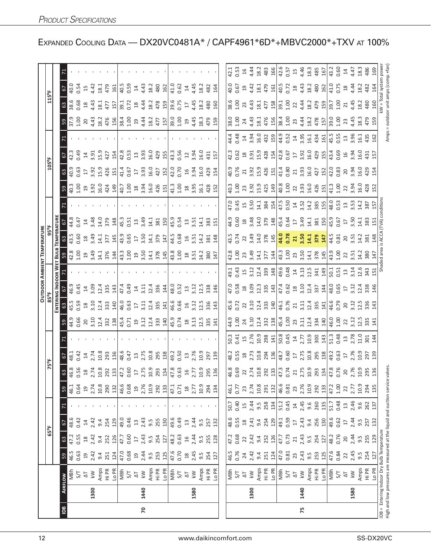|                |      |                                                                         |                    |                  |                 |              |                  |                                                                                                                                                                                                                                                                                                               |                         |                |                     |                 |                                        |                          | <b>OUTDOOR AMBIENT TEMPERATURE</b>                                  |                         |                                                   |                                     |                           |                 |                   |              |                                    |                   |                      |  |
|----------------|------|-------------------------------------------------------------------------|--------------------|------------------|-----------------|--------------|------------------|---------------------------------------------------------------------------------------------------------------------------------------------------------------------------------------------------------------------------------------------------------------------------------------------------------------|-------------------------|----------------|---------------------|-----------------|----------------------------------------|--------------------------|---------------------------------------------------------------------|-------------------------|---------------------------------------------------|-------------------------------------|---------------------------|-----------------|-------------------|--------------|------------------------------------|-------------------|----------------------|--|
|                |      |                                                                         |                    |                  | $65^{\circ}$ F  |              |                  |                                                                                                                                                                                                                                                                                                               | 75°F                    |                |                     | 85°F            |                                        |                          |                                                                     | 95°F                    |                                                   |                                     |                           | $105^{\circ}$ F |                   |              |                                    | 115°F             |                      |  |
|                |      |                                                                         |                    |                  |                 |              |                  |                                                                                                                                                                                                                                                                                                               |                         |                |                     |                 | ENTERING INDOOR WET BULB               |                          |                                                                     | <b>TEMPERATUR</b>       |                                                   |                                     |                           |                 |                   |              |                                    |                   |                      |  |
| $\overline{5}$ |      | AIRFLOW                                                                 | 59                 | 63               | 67              |              | 59               | 63                                                                                                                                                                                                                                                                                                            | $\sqrt{9}$              |                | 59                  | යි              | 5                                      |                          | 59                                                                  | යි                      | 5                                                 |                                     | 59                        | 63              | 67                |              | $\frac{63}{2}$<br>59               | 57                |                      |  |
|                |      | MBh                                                                     | 46.5               | 47.2             | 48.6            |              | 46.1             | 46.8                                                                                                                                                                                                                                                                                                          | 48.1                    |                | 44.9                | 45.5<br>0.59    | 46.9                                   |                          | 42.8<br>1.00                                                        | 43.5<br>0.60            | 44.8                                              |                                     | 40.3                      | 40.9            | 42.3              |              | 37.9                               | 40.0<br>38.6      |                      |  |
|                |      | 5/7                                                                     | 0.63               | 0.55             | 0.42            |              | 0.64             |                                                                                                                                                                                                                                                                                                               | 0.42                    |                | 0.66                |                 | 0.45                                   |                          |                                                                     |                         | 0.47                                              |                                     | 00                        | 0.63            | 0.49              |              | 1.00                               | 0.54<br>0.68      |                      |  |
|                |      | $\overline{\Delta}$                                                     | $\overline{51}$    | $\frac{8}{10}$   | $\overline{1}$  |              | $\overline{a}$   |                                                                                                                                                                                                                                                                                                               | $\overline{1}$          |                | $\overline{c}$      | $\frac{8}{16}$  | $\overline{1}$                         |                          | $\overline{a}$                                                      | $^{28}$                 | $\overline{4}$                                    |                                     | $\Xi$                     | $17$            | $\overline{1}$    |              | 20                                 | 15<br>$^{28}$     |                      |  |
|                | 1300 | $\lesssim$                                                              | 2.42               | 2.42             | 2.42            |              | 2.74             |                                                                                                                                                                                                                                                                                                               | 2.74                    |                | 3.10                | 3.10            | 3.09                                   |                          | 3.49<br>14.1<br>376                                                 | 3.49                    | 3.48                                              |                                     | $3.92$<br>$16.0$<br>$424$ | 3.92            | 3.91              |              | 4.43                               | 4.42<br>4.43      |                      |  |
|                |      | Amps                                                                    | 9.4                | 9.4              | 9.4             |              | 10.8             |                                                                                                                                                                                                                                                                                                               | 10.8                    |                | 12.4                | 12.4            | 12.4                                   |                          |                                                                     | 14.1                    | 14.0                                              |                                     |                           | 15.9            | 15.9              |              | 18.2                               | 18.1<br>18.1      |                      |  |
|                |      | Hi PR                                                                   | 124<br>251         | 126<br>252       | 129<br>254      |              | 290<br>132       | $\begin{array}{l} 0.56 \\ 0.87 \\ 0.71 \\ 0.87 \\ 0.98 \\ 0.01 \\ 0.01 \\ 0.01 \\ 0.01 \\ 0.01 \\ 0.01 \\ 0.01 \\ 0.01 \\ 0.01 \\ 0.01 \\ 0.01 \\ 0.01 \\ 0.01 \\ 0.01 \\ 0.01 \\ 0.01 \\ 0.01 \\ 0.01 \\ 0.01 \\ 0.01 \\ 0.01 \\ 0.01 \\ 0.01 \\ 0.01 \\ 0.01 \\ 0.01 \\ 0.01 \\ 0.01 \\ 0.01 \\ 0.01 \\ 0.$ | 293<br>136              |                | 332<br>138          | 333<br>140      | 335<br>143                             |                          | 144                                                                 | 145<br>377              | 379<br>148                                        |                                     | 149                       | 426<br>151      | 427<br>154        |              | 477<br>157<br>476<br>156           | 479<br>161        |                      |  |
|                |      | Lo PR                                                                   |                    |                  |                 |              |                  |                                                                                                                                                                                                                                                                                                               |                         |                |                     |                 |                                        |                          |                                                                     |                         |                                                   |                                     |                           |                 |                   |              |                                    |                   |                      |  |
|                |      | MBh                                                                     | 47.0<br>0.68       | 47.7             | 49.0            |              | 46.6             |                                                                                                                                                                                                                                                                                                               | 48.6                    |                | 45.4<br>0.71        | 46.0            | 47.4                                   |                          | 43.3<br>1.00                                                        | 43.9<br>0.65            | 45.3                                              |                                     | 40.7<br>1.00              | 41.4<br>0.67    | 42.8<br>0.53      |              | 39.1<br>38.4<br>1.00               | 40.59<br>0.59     |                      |  |
|                |      | 5/7                                                                     |                    | 0.60             | 0.46            |              | 0.68             |                                                                                                                                                                                                                                                                                                               | 0.47                    |                |                     | 0.63            | 0.49                                   |                          |                                                                     |                         | 0.51                                              |                                     |                           |                 |                   |              | 0.72                               |                   |                      |  |
|                |      | $\overline{\Delta}$                                                     | $\overline{a}$     | $\overline{17}$  | $\Xi$           |              | $\overline{c}$   |                                                                                                                                                                                                                                                                                                               | $13$<br>$2.75$          |                | $19$<br>3.12        | $17$            | $\overline{1}$                         |                          |                                                                     | $\overline{\mathbb{L}}$ | $13$                                              |                                     |                           | $17$            | $13$              |              | $_{29}$                            | $14$<br>$^{28}$   |                      |  |
| 20             | 1440 | $\overline{\mathsf{k}}$ W                                               | 2.44               | 2.43             | 2.43            |              | 2.76             |                                                                                                                                                                                                                                                                                                               |                         |                |                     | 3.11            | 3.11                                   |                          |                                                                     | 3.50<br>14.1            | 3.49                                              |                                     | $18$<br>3.94<br>16.0      | 3.93            | 3.93              |              | 4.44                               | 4.43<br>4.44      |                      |  |
|                |      | Amps                                                                    | 9.5                | 9.5              | 9.5             |              | 10.9             |                                                                                                                                                                                                                                                                                                               | 10.8                    |                | 12.4                | 12.4            | 12.4                                   |                          |                                                                     |                         | 14.1                                              |                                     |                           | 16.0            | 16.0              |              | 18.2                               | 18.2<br>18.2      |                      |  |
|                |      | Hi PR                                                                   | 253                | 254              | 255             |              | 292              |                                                                                                                                                                                                                                                                                                               | 295                     |                | 33<br>140           | 335             | 336                                    |                          | $\begin{array}{c} 19 \\ 3.50 \\ 14.3 \\ 3.78 \\ \hline \end{array}$ | 379                     | 381                                               |                                     | 426                       | 427             | 429               |              | 477                                | 480<br>478        |                      |  |
|                |      | Lo PR                                                                   | 125                | 127              | 130             |              | 133              |                                                                                                                                                                                                                                                                                                               | 138                     |                |                     | $\frac{1}{4}$   | 144                                    |                          |                                                                     | 147                     | 150                                               |                                     | 151                       | 152             | 155               |              | 157                                | 162<br>159        |                      |  |
|                |      | MBh                                                                     | 47.6<br>0.70       | 48.2             | 49.6            |              | 47.1             |                                                                                                                                                                                                                                                                                                               | 49.2                    |                | 45.9                | 46.6            | 48.0                                   |                          | $\frac{3}{43.8}$                                                    | 44.5                    | 45.9                                              |                                     | 41.3                      | 42.0            | 43.3              |              | 39.0                               | 41.0<br>39.6      |                      |  |
|                |      | 5/7                                                                     |                    | 0.63             | 0.49            |              | 0.71             |                                                                                                                                                                                                                                                                                                               | 0.50                    |                | 0.74                | 0.66            | 0.52                                   |                          |                                                                     | 0.68                    | 0.54                                              |                                     | 1.00                      | 0.70            | 0.56              |              | 1.00                               | 0.62<br>0.75      |                      |  |
|                |      | $\overline{\Delta}$                                                     | $^{28}$            | $\overline{16}$  | $\mathfrak{Q}$  |              | $^{28}$          |                                                                                                                                                                                                                                                                                                               | $\frac{3}{2}$           |                | $\frac{8}{16}$      | $\frac{1}{6}$   | $\frac{1}{3}$                          |                          | $^{28}$                                                             | $\frac{1}{6}$           | $\overline{13}$                                   |                                     | $18$                      | $\frac{1}{6}$   | 12                |              | $\overline{17}$<br>$\overline{1}9$ | 14                |                      |  |
|                | 1580 | $\leq$                                                                  | 2.45               | 2.44             | 2.44            |              | 2.77             |                                                                                                                                                                                                                                                                                                               | 2.76                    |                | 3.13                | 3.12            | 3.12                                   |                          |                                                                     | 3.51                    | 3.51                                              |                                     | 3.95                      | 3.94            | 3.94              |              | 4.45                               | 4.45<br>4.45      |                      |  |
|                |      | Amps                                                                    | 9.5                | 9.5              | 9.5             |              | 10.9             | 0.9                                                                                                                                                                                                                                                                                                           | 10.9                    |                | 12.5                | 12.5            | 12.5                                   |                          | $3.51$<br>$14.2$                                                    | 14.2                    | 14.1                                              |                                     | 16.1                      | <b>16.0</b>     | 16.0              |              | 18.3                               | 18.2<br>18.2      |                      |  |
|                |      | Hi PR                                                                   | 254                | 255              | 257             |              | 294              | 295                                                                                                                                                                                                                                                                                                           | 297                     |                | 335                 | 336             | 338                                    |                          | 380                                                                 | 381                     | 383                                               |                                     |                           | 429             | 431               |              | 479                                | 482<br>480        |                      |  |
|                |      | LO <sub>PR</sub>                                                        | 127                | 128              | 132             |              | 134              | 136                                                                                                                                                                                                                                                                                                           | 139                     |                | 141                 | 143             | 146                                    |                          | 147                                                                 | 148                     | 151                                               |                                     | 428<br>152                | 154             | 157               |              | 159                                | 164<br>160        |                      |  |
|                |      |                                                                         |                    |                  |                 |              |                  |                                                                                                                                                                                                                                                                                                               |                         |                |                     |                 |                                        |                          |                                                                     |                         |                                                   |                                     |                           |                 |                   |              |                                    |                   |                      |  |
|                |      |                                                                         |                    |                  |                 |              | 46.1             |                                                                                                                                                                                                                                                                                                               | 48.2                    | 50.3           |                     | 45.6            |                                        |                          |                                                                     | 43.5<br>0.74            |                                                   |                                     |                           | 40.9<br>0.76    |                   |              | 38.0                               | 40.0<br>38.6      | 42.1                 |  |
|                |      | MBh<br>S/T                                                              | 46.5<br>0.76       | 47.2<br>0.68     | 48.6<br>0.55    | 50.7<br>0.40 | 0.77             | $\begin{array}{l} 46.8 \\ 0.69 \\ 0.74 \\ 2.75 \\ 2.83 \\ 2.81 \\ 2.81 \\ 2.82 \\ 2.83 \\ 2.75 \\ 2.75 \\ 2.75 \\ 2.75 \\ 2.75 \\ 2.75 \\ 2.75 \\ 2.75 \\ 2.75 \\ 2.75 \\ 2.75 \\ 2.75 \\ 2.75 \\ 2.75 \\ 2.75 \\ 2.75 \\ 2.75 \\ 2.75 \\ 2.75 \\ 2.75 \\ 2.75 \\ 2.75 \\ 2.75 \\ 2.75 \\ 2.75 \\ 2.75 \\ 2.$ | 0.55                    | 0.41           | 44.9<br>1.00        | 0.72            | 47.0<br>0.58                           | 49.1<br>0.43             | 42.8<br>1.00                                                        |                         | 44.9<br>0.60                                      | 47.0<br>0.45                        | 40.3<br>1.00              |                 | 42.3<br>0.62      | 44.4<br>0.48 | 1.00                               | 0.67<br>001       | 0.53                 |  |
|                |      | $\overline{\Delta}$                                                     | $24$<br>$2.42$     | 22               | $18$<br>2.41    | $15$<br>2.44 | 23               |                                                                                                                                                                                                                                                                                                               | $\frac{18}{2.73}$       | $15$<br>$2.76$ | 24                  | 22              | $^{28}$                                |                          | 23                                                                  | 22                      |                                                   |                                     |                           | $\overline{21}$ |                   | $14\,$       | 23<br>24                           | $\overline{c}$    | 4.44                 |  |
|                | 1300 | $\overline{k}$                                                          |                    | 2.42             |                 |              | 2.74             |                                                                                                                                                                                                                                                                                                               |                         |                | 3.10                | 3.10            | $3.\overline{0}9$<br>$12.\overline{3}$ | $15$<br>$3.12$<br>$12.4$ | 3.49                                                                | 3.49<br>14.0            | $\begin{array}{c} 18 \\ 3.48 \\ 14.0 \end{array}$ | $15$<br>$3.50$<br>$14.1$            | 23, 92, 92, 425, 439      | 3.92<br>15.9    | $\frac{18}{3.91}$ | 3.94<br>16.0 | 4.43                               | 4.42<br>4.43      |                      |  |
|                |      | Amps                                                                    | 9.4                | 9.4              | 9.4             | 9.5          | 10.8             |                                                                                                                                                                                                                                                                                                               | 10.8                    | 10.9           | 12.4                | 12.4            |                                        |                          | 14.1                                                                |                         |                                                   |                                     |                           |                 | <b>L5.9</b>       |              | 18.1                               | 18.1<br>18.1      | 18.2                 |  |
|                |      | Hi PR                                                                   | 251                | 252              | 254             | 258          | 291              |                                                                                                                                                                                                                                                                                                               | 294                     | 298            | 332                 | 333             | 335                                    | 339                      | 377                                                                 | 378                     | 379                                               | 384<br>154                          |                           | 426             | 428               | 432          | 477<br>476                         | 479               | 483                  |  |
|                |      | Lo PR                                                                   | 124                | 126              | 129             | 134          | 132              |                                                                                                                                                                                                                                                                                                               | 136                     | $\frac{1}{41}$ | 138                 | 140             | 143                                    | 148                      | 144                                                                 | 145                     | 148                                               |                                     |                           | 151             | 154               | 159          | 156                                | 161<br>158        | 166                  |  |
|                |      | MBh<br>$5/T$                                                            | 47.0<br>0.81       | 47.7             | 49.1            | 51.2         | $\frac{1}{46.6}$ |                                                                                                                                                                                                                                                                                                               | 48.7                    | 50.8           | $\frac{45.4}{1.00}$ | 46.1            | 47.4                                   | 49.6<br>0.48             | 43.3<br>1.00                                                        | 44.0<br>0.78            | 45.4                                              | $\frac{17.5}{0.50}$                 | $\frac{8}{40.8}$          | 41.4            | 42.8              | 44.9<br>0.52 | 38.4                               | 40.5<br>39.1      |                      |  |
|                |      |                                                                         |                    | 0.73             | 0.59            | 0.45         | 0.81             |                                                                                                                                                                                                                                                                                                               | 0.60                    | 0.45           |                     | 0.76            | 0.62                                   |                          |                                                                     |                         | 0.64                                              |                                     |                           | 0.80            | 0.67              |              | 1.00                               | 0.72<br>1.00      | $42.6$<br>0.57<br>15 |  |
|                |      | $\overline{\Delta}$                                                     | 23                 | $\overline{21}$  | $\overline{17}$ | $14$         | 23               |                                                                                                                                                                                                                                                                                                               | $\Gamma$                | $\overline{1}$ | 23                  | $\overline{21}$ | $^{28}$                                | $14$                     | 23                                                                  | 21                      | $\overline{17}$                                   |                                     | $\overline{2}$            | $21\,$          | $\overline{17}$   | $\Xi$        | 23                                 | $^{28}$<br>22     |                      |  |
| 75             | 1440 | $\leq$                                                                  | 2.43<br>9.5<br>253 | 2.43             | 2.43            | 2.45         | 2.76             |                                                                                                                                                                                                                                                                                                               | 2.75                    | 2.77           | 3.11                | 3.11            | 3.10                                   | $3.13$<br>$12.5$         |                                                                     | 3.50<br>14.1            | 3.49                                              | $14$<br>3.52<br>14.2                | 3.93<br>16.0              | 3.93            | 3.92<br>16.0      | 3.95         | 4.44                               | 4.43<br>4.44      | 4.46                 |  |
|                |      | Amps                                                                    |                    | 9.5              | 9.4             | 9.6          | 10.9             |                                                                                                                                                                                                                                                                                                               | 10.8                    | 10.9           | 12.4                | 12.4            | 12.4                                   |                          |                                                                     |                         | 14.1                                              |                                     |                           | 16.0            |                   | 16.1         | 18.2                               | 18.2<br>18.2      | 18.3<br>485          |  |
|                |      | Hi PR                                                                   |                    | 254              | 256             | 260          | 292              |                                                                                                                                                                                                                                                                                                               | 295<br>138              | 300            | 334<br>140          | 335<br>141      | 337<br>144                             | 341                      | 3.50<br>14.1<br>378<br>145                                          | 379                     | 381                                               | 385<br>155                          | 426<br>151                | 427             | 429<br>155        | 434<br>161   | 478                                | 480<br>479        |                      |  |
|                |      | Lo PR                                                                   | 125                | 127              | 130             | 135          | 133              |                                                                                                                                                                                                                                                                                                               |                         | 143            |                     |                 |                                        | 149                      |                                                                     | 147                     | 150                                               |                                     |                           | 152             |                   |              | 157                                | 162<br>159        | 167                  |  |
|                |      | MBh                                                                     | 47.6               | 48.2             | 49.6            | 51.7         | 47.2             |                                                                                                                                                                                                                                                                                                               | 49.2                    | 51.3           | 46.0<br>1.00        | 46.6<br>0.79    | 48.0<br>0.65                           | $\frac{50.1}{0.51}$      | 43.9<br>1.00                                                        | 44.5<br>0.81            | 45.9                                              | $48.0$<br>$0.53$<br>$3.53$<br>$3.4$ | 41.3<br>1.00              | 42.0<br>0.83    | 43.4              | 45.5<br>0.55 | 39.0                               | 41.0<br>39.7      | 43.2                 |  |
|                |      | 5/7                                                                     | 0.84               | 0.76             | 0.62            | 0.48         | $1.00$           |                                                                                                                                                                                                                                                                                                               | 0.63                    | 0.48           |                     |                 |                                        |                          |                                                                     |                         | 0.67                                              |                                     |                           |                 | 0.69              |              | 1.00                               | 0.75<br>1.00      | 0.60                 |  |
|                |      | $\overline{\mathcal{L}}$                                                | $\overline{2}$     | $20$             | $\Box$          | $\Xi$        | 22               |                                                                                                                                                                                                                                                                                                               | $\overline{\mathbb{L}}$ |                | 22                  | 20              | $\overline{\mathbb{L}}$                | $\Xi$                    | 22                                                                  | 20                      | $\Gamma$                                          |                                     | 22                        | 20              |                   | $\Xi$        | 23                                 | $^{28}$<br>21     | $\overline{1}$       |  |
|                | 1580 | $\leq$                                                                  | 2.45               | 2.44             | 2.44            | 2.46         | 2.77             |                                                                                                                                                                                                                                                                                                               | 2.76                    | $13^{2.78}$    | 3.12                | 3.12            | 3.12                                   | 3.14<br>12.6             | 3.51                                                                | 3.51                    | 3.50<br>14.1                                      |                                     | 3.94<br>16.0              | 3.94<br>16.0    | $16$<br>3.94      | 3.96         | 4.45                               | 4.44<br>4.45      | 4.47                 |  |
|                |      | Amps                                                                    | 9.5                | $9.\overline{5}$ | 9.5             | 9.6          | 10.9             | 10.9<br>295                                                                                                                                                                                                                                                                                                   |                         | 11.0           | 12.5                | 12.5            | 12.4                                   |                          | 14.2                                                                | 14.2                    |                                                   |                                     |                           |                 | 16.0              | 16.1         | 18.3                               | 18.2<br>18.2      | 18.3                 |  |
|                |      | Hi PR                                                                   | 254                | 255              | 257             | 262          | 294              |                                                                                                                                                                                                                                                                                                               | 10.9<br>297<br>139      | 301            | 335                 | 336             | 338                                    | 343                      | 380                                                                 | 381                     | 383                                               | 387                                 | 428<br>152                | 429             | 431               | 435          | 479                                | 482<br>480        | 486                  |  |
|                |      | Lo PR                                                                   | 127                | 129              | 132             | 137          | 135              | 136                                                                                                                                                                                                                                                                                                           |                         | 144            | 141                 | 143             | 146                                    | 151                      | 147                                                                 | 148                     | 151                                               | 157                                 |                           | 154             | 157               | 162          | 159                                | 164<br>160        | 169                  |  |
|                |      | DB = Entering Indoor Dry Bulb Temperature                               |                    |                  |                 |              |                  |                                                                                                                                                                                                                                                                                                               |                         |                |                     |                 |                                        |                          | Shaded area is ACCA (TVA) condition                                 |                         |                                                   |                                     |                           |                 |                   |              |                                    | kW = Total system | powe                 |  |
|                |      | High and low pressures are measured at the liquid and suction service w |                    |                  |                 |              |                  | alve:                                                                                                                                                                                                                                                                                                         |                         |                |                     |                 |                                        |                          |                                                                     |                         |                                                   |                                     |                           |                 |                   | Amps         | = outdoor unit amps (con           |                   |                      |  |

EXPANDED COOLING DATA - DX20VC0481A\* / CAPF4961\*6D\*+MBVC2000\*+TXV AT 100%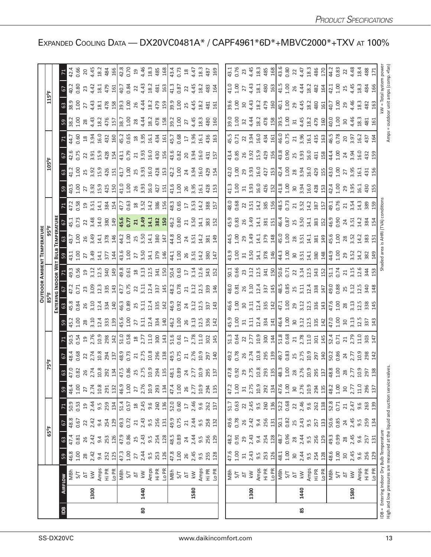|                |      |                                                                                                                                |                                                               |                                             |                                             |                                                                          |                                   |                                                                                                                                                                                                                                                                                                                        |                                                                                                                                                                                                                                                                                                                     |                                                                                                                                                                                                                                                                                                               |                                                                                                                                                                                                                          | <b>OUTDOOR AMBIENT TEMPERATUR</b> |                                                                                                                                                                                                                                                                                                  |               |  |                                                                                                                                                                                                                                                                                               |                                                                                                                                                                                                                                                                                                  |                                                                                                                                                                                                                                                                                                                                                                                                                                                             |                                                                                                                |                                                                                                                                                                                                                                 |                              |                                                                                                                                                                                                                              |
|----------------|------|--------------------------------------------------------------------------------------------------------------------------------|---------------------------------------------------------------|---------------------------------------------|---------------------------------------------|--------------------------------------------------------------------------|-----------------------------------|------------------------------------------------------------------------------------------------------------------------------------------------------------------------------------------------------------------------------------------------------------------------------------------------------------------------|---------------------------------------------------------------------------------------------------------------------------------------------------------------------------------------------------------------------------------------------------------------------------------------------------------------------|---------------------------------------------------------------------------------------------------------------------------------------------------------------------------------------------------------------------------------------------------------------------------------------------------------------|--------------------------------------------------------------------------------------------------------------------------------------------------------------------------------------------------------------------------|-----------------------------------|--------------------------------------------------------------------------------------------------------------------------------------------------------------------------------------------------------------------------------------------------------------------------------------------------|---------------|--|-----------------------------------------------------------------------------------------------------------------------------------------------------------------------------------------------------------------------------------------------------------------------------------------------|--------------------------------------------------------------------------------------------------------------------------------------------------------------------------------------------------------------------------------------------------------------------------------------------------|-------------------------------------------------------------------------------------------------------------------------------------------------------------------------------------------------------------------------------------------------------------------------------------------------------------------------------------------------------------------------------------------------------------------------------------------------------------|----------------------------------------------------------------------------------------------------------------|---------------------------------------------------------------------------------------------------------------------------------------------------------------------------------------------------------------------------------|------------------------------|------------------------------------------------------------------------------------------------------------------------------------------------------------------------------------------------------------------------------|
|                |      |                                                                                                                                |                                                               | 65°F                                        |                                             |                                                                          |                                   | 75°F                                                                                                                                                                                                                                                                                                                   |                                                                                                                                                                                                                                                                                                                     |                                                                                                                                                                                                                                                                                                               |                                                                                                                                                                                                                          |                                   |                                                                                                                                                                                                                                                                                                  |               |  |                                                                                                                                                                                                                                                                                               | 105°F                                                                                                                                                                                                                                                                                            |                                                                                                                                                                                                                                                                                                                                                                                                                                                             |                                                                                                                |                                                                                                                                                                                                                                 | 115°F                        |                                                                                                                                                                                                                              |
|                |      |                                                                                                                                |                                                               |                                             |                                             |                                                                          |                                   |                                                                                                                                                                                                                                                                                                                        |                                                                                                                                                                                                                                                                                                                     |                                                                                                                                                                                                                                                                                                               |                                                                                                                                                                                                                          |                                   |                                                                                                                                                                                                                                                                                                  |               |  |                                                                                                                                                                                                                                                                                               |                                                                                                                                                                                                                                                                                                  |                                                                                                                                                                                                                                                                                                                                                                                                                                                             |                                                                                                                |                                                                                                                                                                                                                                 |                              |                                                                                                                                                                                                                              |
| $\overline{a}$ |      | <b>AIRFLOW</b>                                                                                                                 | 59                                                            | $63\,$                                      | 67                                          | 71                                                                       |                                   |                                                                                                                                                                                                                                                                                                                        |                                                                                                                                                                                                                                                                                                                     |                                                                                                                                                                                                                                                                                                               |                                                                                                                                                                                                                          |                                   |                                                                                                                                                                                                                                                                                                  |               |  |                                                                                                                                                                                                                                                                                               |                                                                                                                                                                                                                                                                                                  |                                                                                                                                                                                                                                                                                                                                                                                                                                                             |                                                                                                                |                                                                                                                                                                                                                                 |                              |                                                                                                                                                                                                                              |
|                |      | MBh                                                                                                                            | 46.8<br>1.00                                                  | 47.4<br>0.81                                | $48.8$<br>0.67<br>22<br>2.42                | 50.53<br>0.53<br>2.4<br>9.59                                             | 59<br>46.4<br>1.00<br>2.74        |                                                                                                                                                                                                                                                                                                                        |                                                                                                                                                                                                                                                                                                                     |                                                                                                                                                                                                                                                                                                               |                                                                                                                                                                                                                          |                                   |                                                                                                                                                                                                                                                                                                  |               |  |                                                                                                                                                                                                                                                                                               |                                                                                                                                                                                                                                                                                                  |                                                                                                                                                                                                                                                                                                                                                                                                                                                             |                                                                                                                |                                                                                                                                                                                                                                 |                              |                                                                                                                                                                                                                              |
|                |      |                                                                                                                                |                                                               |                                             |                                             |                                                                          |                                   |                                                                                                                                                                                                                                                                                                                        |                                                                                                                                                                                                                                                                                                                     |                                                                                                                                                                                                                                                                                                               |                                                                                                                                                                                                                          |                                   |                                                                                                                                                                                                                                                                                                  |               |  |                                                                                                                                                                                                                                                                                               |                                                                                                                                                                                                                                                                                                  |                                                                                                                                                                                                                                                                                                                                                                                                                                                             |                                                                                                                |                                                                                                                                                                                                                                 |                              |                                                                                                                                                                                                                              |
|                | 1300 | $\frac{\Delta T}{k}$                                                                                                           | $\frac{28}{2.42}$                                             | $24.4$<br>$2.4$<br>$9.4$<br>$2.5$           |                                             |                                                                          |                                   |                                                                                                                                                                                                                                                                                                                        |                                                                                                                                                                                                                                                                                                                     |                                                                                                                                                                                                                                                                                                               |                                                                                                                                                                                                                          |                                   |                                                                                                                                                                                                                                                                                                  |               |  |                                                                                                                                                                                                                                                                                               |                                                                                                                                                                                                                                                                                                  |                                                                                                                                                                                                                                                                                                                                                                                                                                                             |                                                                                                                |                                                                                                                                                                                                                                 |                              |                                                                                                                                                                                                                              |
|                |      |                                                                                                                                |                                                               |                                             | $9.4$<br>254                                |                                                                          | $10.8$<br>$291$                   |                                                                                                                                                                                                                                                                                                                        |                                                                                                                                                                                                                                                                                                                     |                                                                                                                                                                                                                                                                                                               |                                                                                                                                                                                                                          |                                   |                                                                                                                                                                                                                                                                                                  |               |  |                                                                                                                                                                                                                                                                                               |                                                                                                                                                                                                                                                                                                  |                                                                                                                                                                                                                                                                                                                                                                                                                                                             |                                                                                                                |                                                                                                                                                                                                                                 |                              |                                                                                                                                                                                                                              |
|                |      | Amps<br>Hi PR                                                                                                                  | $3.3 \frac{11}{3}$<br>$3.5 \frac{11}{3}$<br>$3.5 \frac{1}{3}$ |                                             |                                             |                                                                          |                                   | $\begin{array}{l} 63.83 & 87.73 & 83.73 & 84.73 & 85.73 & 87.73 & 87.73 & 88.73 & 87.73 & 87.73 & 87.73 & 87.73 & 87.73 & 87.73 & 87.73 & 87.73 & 87.73 & 87.73 & 87.73 & 87.73 & 87.73 & 87.73 & 87.73 & 87.73 & 87.73 & 87.73 & 87.73 & 87.73 & 87.73 & 87.73 & 87$                                                  | $\frac{1}{6}$ $\frac{3}{8}$ $\frac{3}{8}$ $\frac{3}{8}$ $\frac{1}{8}$ $\frac{3}{8}$ $\frac{3}{8}$ $\frac{1}{8}$ $\frac{1}{8}$ $\frac{3}{8}$ $\frac{3}{8}$ $\frac{1}{8}$ $\frac{3}{8}$ $\frac{3}{8}$ $\frac{3}{8}$ $\frac{3}{8}$ $\frac{3}{8}$ $\frac{3}{8}$ $\frac{3}{8}$ $\frac{3}{8}$ $\frac{3}{8}$ $\frac{3}{8}$ | z 5 5 5 6 5 6 7 6 7 6 7 7 7 9 6 7 7 7 8 9 7 7 7 9 9 7 7 7 9 9 7 7 7 9 9 7 7 7 9 9 7 7 7 7 9 9 7 7 7 9 9 7 7 7                                                                                                                                                                                                 | <u>ាង ក្នុំ ទី ន ដុ</u> ក្ខុ ង ដាំង ន ដូច ន ដូច ន ដូច ន ដូច ន ដូច ន ដូច ន ដូច ន ដូច ន ដូច ន ដូច ន ដូច ន<br>ន ដូច ន ន ដូច ន ដូច ន ដូច ន ដូច ន ដូច ន ដូច ន ដូច ន ដូច ន ដូច ន ដូច ន ដូច ន ដូច ន ដូច ន ដូច ន ដូច ន ដូច ន ដូច |                                   | $3\frac{13}{32}$ $3\frac{13}{32}$ $3\frac{11}{32}$ $3\frac{11}{32}$ $3\frac{11}{32}$ $3\frac{11}{32}$ $3\frac{11}{32}$ $3\frac{11}{32}$ $3\frac{11}{32}$ $3\frac{11}{32}$ $3\frac{11}{32}$ $3\frac{11}{32}$ $3\frac{11}{32}$ $3\frac{11}{32}$ $3\frac{11}{32}$ $3\frac{11}{32}$ $3\frac{11}{32}$ | $\frac{3}{3}$ |  |                                                                                                                                                                                                                                                                                               | $3\frac{11}{11}$ $3\frac{11}{11}$ $3\frac{11}{11}$ $3\frac{11}{11}$ $3\frac{11}{11}$ $3\frac{11}{11}$ $3\frac{11}{11}$ $3\frac{11}{11}$ $3\frac{11}{11}$ $3\frac{11}{11}$ $3\frac{11}{11}$ $3\frac{11}{11}$ $3\frac{11}{11}$ $3\frac{11}{11}$ $3\frac{11}{11}$ $3\frac{11}{11}$ $3\frac{11}{11}$ |                                                                                                                                                                                                                                                                                                                                                                                                                                                             |                                                                                                                | $\frac{38}{38}$ $\frac{32}{38}$ $\frac{32}{38}$ $\frac{33}{48}$ $\frac{33}{48}$ $\frac{33}{48}$ $\frac{33}{48}$ $\frac{33}{48}$ $\frac{33}{48}$ $\frac{33}{48}$ $\frac{33}{48}$ $\frac{33}{48}$ $\frac{33}{48}$ $\frac{33}{48}$ |                              |                                                                                                                                                                                                                              |
|                |      |                                                                                                                                |                                                               |                                             |                                             |                                                                          |                                   |                                                                                                                                                                                                                                                                                                                        |                                                                                                                                                                                                                                                                                                                     |                                                                                                                                                                                                                                                                                                               |                                                                                                                                                                                                                          |                                   |                                                                                                                                                                                                                                                                                                  |               |  |                                                                                                                                                                                                                                                                                               |                                                                                                                                                                                                                                                                                                  |                                                                                                                                                                                                                                                                                                                                                                                                                                                             |                                                                                                                |                                                                                                                                                                                                                                 |                              |                                                                                                                                                                                                                              |
|                |      | 이들 2년                                                                                                                          |                                                               | $\frac{126}{47.9}$ 85                       | $\frac{29}{49}$ , $\frac{2}{5}$             |                                                                          | $\frac{21}{46.9}$<br>1.00<br>27   |                                                                                                                                                                                                                                                                                                                        |                                                                                                                                                                                                                                                                                                                     |                                                                                                                                                                                                                                                                                                               |                                                                                                                                                                                                                          |                                   |                                                                                                                                                                                                                                                                                                  |               |  |                                                                                                                                                                                                                                                                                               |                                                                                                                                                                                                                                                                                                  |                                                                                                                                                                                                                                                                                                                                                                                                                                                             |                                                                                                                |                                                                                                                                                                                                                                 |                              |                                                                                                                                                                                                                              |
|                |      |                                                                                                                                | 27                                                            |                                             | 21                                          |                                                                          |                                   |                                                                                                                                                                                                                                                                                                                        |                                                                                                                                                                                                                                                                                                                     |                                                                                                                                                                                                                                                                                                               |                                                                                                                                                                                                                          |                                   |                                                                                                                                                                                                                                                                                                  |               |  |                                                                                                                                                                                                                                                                                               |                                                                                                                                                                                                                                                                                                  |                                                                                                                                                                                                                                                                                                                                                                                                                                                             |                                                                                                                |                                                                                                                                                                                                                                 |                              |                                                                                                                                                                                                                              |
| 80             | 1440 | $\overline{k}$                                                                                                                 | 2.44                                                          |                                             |                                             | $\frac{34}{514}$ 5.5 2.45                                                |                                   |                                                                                                                                                                                                                                                                                                                        |                                                                                                                                                                                                                                                                                                                     |                                                                                                                                                                                                                                                                                                               |                                                                                                                                                                                                                          |                                   |                                                                                                                                                                                                                                                                                                  |               |  |                                                                                                                                                                                                                                                                                               |                                                                                                                                                                                                                                                                                                  |                                                                                                                                                                                                                                                                                                                                                                                                                                                             |                                                                                                                |                                                                                                                                                                                                                                 |                              |                                                                                                                                                                                                                              |
|                |      |                                                                                                                                |                                                               | $2.43$<br>9.5                               |                                             |                                                                          |                                   |                                                                                                                                                                                                                                                                                                                        |                                                                                                                                                                                                                                                                                                                     |                                                                                                                                                                                                                                                                                                               |                                                                                                                                                                                                                          |                                   |                                                                                                                                                                                                                                                                                                  |               |  |                                                                                                                                                                                                                                                                                               |                                                                                                                                                                                                                                                                                                  |                                                                                                                                                                                                                                                                                                                                                                                                                                                             |                                                                                                                |                                                                                                                                                                                                                                 |                              |                                                                                                                                                                                                                              |
|                |      | $\begin{array}{c}\n\text{Amps} \\ \text{Hi PR} \\ \text{L0 PR} \\ \hline\n\text{Msh} \\ \text{M3n} \\ \text{S/T}\n\end{array}$ | 9.5<br>253                                                    | 254                                         | 2.43<br>9.5<br>256<br>131                   | 9.6<br>260                                                               | 2.76<br>10.9<br>293               |                                                                                                                                                                                                                                                                                                                        |                                                                                                                                                                                                                                                                                                                     |                                                                                                                                                                                                                                                                                                               |                                                                                                                                                                                                                          |                                   |                                                                                                                                                                                                                                                                                                  |               |  |                                                                                                                                                                                                                                                                                               |                                                                                                                                                                                                                                                                                                  |                                                                                                                                                                                                                                                                                                                                                                                                                                                             |                                                                                                                |                                                                                                                                                                                                                                 |                              |                                                                                                                                                                                                                              |
|                |      |                                                                                                                                | 126                                                           | 128                                         |                                             | 136                                                                      | 134                               |                                                                                                                                                                                                                                                                                                                        |                                                                                                                                                                                                                                                                                                                     |                                                                                                                                                                                                                                                                                                               |                                                                                                                                                                                                                          |                                   |                                                                                                                                                                                                                                                                                                  |               |  |                                                                                                                                                                                                                                                                                               |                                                                                                                                                                                                                                                                                                  |                                                                                                                                                                                                                                                                                                                                                                                                                                                             |                                                                                                                |                                                                                                                                                                                                                                 |                              |                                                                                                                                                                                                                              |
|                |      |                                                                                                                                |                                                               |                                             | 49.9<br>0.75                                |                                                                          | 47.4<br>1.00                      |                                                                                                                                                                                                                                                                                                                        |                                                                                                                                                                                                                                                                                                                     |                                                                                                                                                                                                                                                                                                               |                                                                                                                                                                                                                          |                                   |                                                                                                                                                                                                                                                                                                  |               |  |                                                                                                                                                                                                                                                                                               |                                                                                                                                                                                                                                                                                                  |                                                                                                                                                                                                                                                                                                                                                                                                                                                             |                                                                                                                |                                                                                                                                                                                                                                 |                              |                                                                                                                                                                                                                              |
|                |      |                                                                                                                                | 47.8<br>1.00                                                  | $48.5$<br>0.89<br>2.4<br>2.44               |                                             | $52.0$<br>0.60<br>17<br>2.46                                             |                                   |                                                                                                                                                                                                                                                                                                                        |                                                                                                                                                                                                                                                                                                                     |                                                                                                                                                                                                                                                                                                               |                                                                                                                                                                                                                          |                                   |                                                                                                                                                                                                                                                                                                  |               |  |                                                                                                                                                                                                                                                                                               |                                                                                                                                                                                                                                                                                                  |                                                                                                                                                                                                                                                                                                                                                                                                                                                             |                                                                                                                |                                                                                                                                                                                                                                 |                              |                                                                                                                                                                                                                              |
|                |      | $\overline{\Delta}$                                                                                                            |                                                               |                                             | $21$                                        |                                                                          |                                   |                                                                                                                                                                                                                                                                                                                        |                                                                                                                                                                                                                                                                                                                     |                                                                                                                                                                                                                                                                                                               |                                                                                                                                                                                                                          |                                   |                                                                                                                                                                                                                                                                                                  |               |  |                                                                                                                                                                                                                                                                                               |                                                                                                                                                                                                                                                                                                  |                                                                                                                                                                                                                                                                                                                                                                                                                                                             |                                                                                                                |                                                                                                                                                                                                                                 |                              |                                                                                                                                                                                                                              |
|                | 1580 | $\lesssim$                                                                                                                     | $26$<br>$2.45$                                                |                                             | 2.44                                        |                                                                          | 2.77                              |                                                                                                                                                                                                                                                                                                                        |                                                                                                                                                                                                                                                                                                                     |                                                                                                                                                                                                                                                                                                               |                                                                                                                                                                                                                          |                                   |                                                                                                                                                                                                                                                                                                  |               |  |                                                                                                                                                                                                                                                                                               |                                                                                                                                                                                                                                                                                                  |                                                                                                                                                                                                                                                                                                                                                                                                                                                             |                                                                                                                |                                                                                                                                                                                                                                 |                              |                                                                                                                                                                                                                              |
|                |      | Amps<br>Hi PR<br>Lo PR                                                                                                         | 9.5                                                           | 9.5                                         | $9.58$<br>$132$                             | 9.6                                                                      | 10.9                              |                                                                                                                                                                                                                                                                                                                        |                                                                                                                                                                                                                                                                                                                     |                                                                                                                                                                                                                                                                                                               |                                                                                                                                                                                                                          |                                   |                                                                                                                                                                                                                                                                                                  |               |  |                                                                                                                                                                                                                                                                                               |                                                                                                                                                                                                                                                                                                  |                                                                                                                                                                                                                                                                                                                                                                                                                                                             |                                                                                                                |                                                                                                                                                                                                                                 |                              |                                                                                                                                                                                                                              |
|                |      |                                                                                                                                | 255                                                           | 256<br>129                                  |                                             | 262                                                                      | 294                               |                                                                                                                                                                                                                                                                                                                        |                                                                                                                                                                                                                                                                                                                     |                                                                                                                                                                                                                                                                                                               |                                                                                                                                                                                                                          |                                   |                                                                                                                                                                                                                                                                                                  |               |  |                                                                                                                                                                                                                                                                                               |                                                                                                                                                                                                                                                                                                  |                                                                                                                                                                                                                                                                                                                                                                                                                                                             |                                                                                                                |                                                                                                                                                                                                                                 |                              |                                                                                                                                                                                                                              |
|                |      |                                                                                                                                | 128                                                           |                                             |                                             | 137                                                                      | 135                               |                                                                                                                                                                                                                                                                                                                        |                                                                                                                                                                                                                                                                                                                     |                                                                                                                                                                                                                                                                                                               |                                                                                                                                                                                                                          |                                   |                                                                                                                                                                                                                                                                                                  |               |  |                                                                                                                                                                                                                                                                                               |                                                                                                                                                                                                                                                                                                  |                                                                                                                                                                                                                                                                                                                                                                                                                                                             |                                                                                                                |                                                                                                                                                                                                                                 |                              |                                                                                                                                                                                                                              |
|                |      |                                                                                                                                |                                                               |                                             |                                             |                                                                          |                                   |                                                                                                                                                                                                                                                                                                                        |                                                                                                                                                                                                                                                                                                                     |                                                                                                                                                                                                                                                                                                               |                                                                                                                                                                                                                          |                                   |                                                                                                                                                                                                                                                                                                  |               |  |                                                                                                                                                                                                                                                                                               |                                                                                                                                                                                                                                                                                                  |                                                                                                                                                                                                                                                                                                                                                                                                                                                             |                                                                                                                |                                                                                                                                                                                                                                 |                              |                                                                                                                                                                                                                              |
|                |      |                                                                                                                                |                                                               | 48.3                                        | 49.6<br>0.78                                | 51.7<br>0.63                                                             | 47.2<br>1.00                      |                                                                                                                                                                                                                                                                                                                        |                                                                                                                                                                                                                                                                                                                     |                                                                                                                                                                                                                                                                                                               |                                                                                                                                                                                                                          |                                   |                                                                                                                                                                                                                                                                                                  |               |  |                                                                                                                                                                                                                                                                                               |                                                                                                                                                                                                                                                                                                  |                                                                                                                                                                                                                                                                                                                                                                                                                                                             |                                                                                                                |                                                                                                                                                                                                                                 |                              |                                                                                                                                                                                                                              |
|                |      | 지성<br>지                                                                                                                        | 47.6<br>1.00<br>31                                            |                                             |                                             |                                                                          |                                   |                                                                                                                                                                                                                                                                                                                        |                                                                                                                                                                                                                                                                                                                     |                                                                                                                                                                                                                                                                                                               |                                                                                                                                                                                                                          |                                   |                                                                                                                                                                                                                                                                                                  |               |  |                                                                                                                                                                                                                                                                                               |                                                                                                                                                                                                                                                                                                  |                                                                                                                                                                                                                                                                                                                                                                                                                                                             |                                                                                                                |                                                                                                                                                                                                                                 |                              |                                                                                                                                                                                                                              |
|                |      |                                                                                                                                |                                                               |                                             | $26$<br>$2.42$                              |                                                                          | $\overline{31}$                   |                                                                                                                                                                                                                                                                                                                        |                                                                                                                                                                                                                                                                                                                     |                                                                                                                                                                                                                                                                                                               |                                                                                                                                                                                                                          |                                   |                                                                                                                                                                                                                                                                                                  |               |  |                                                                                                                                                                                                                                                                                               |                                                                                                                                                                                                                                                                                                  |                                                                                                                                                                                                                                                                                                                                                                                                                                                             |                                                                                                                |                                                                                                                                                                                                                                 |                              |                                                                                                                                                                                                                              |
|                | 1300 | $\overline{k}$                                                                                                                 |                                                               |                                             |                                             |                                                                          |                                   |                                                                                                                                                                                                                                                                                                                        |                                                                                                                                                                                                                                                                                                                     |                                                                                                                                                                                                                                                                                                               |                                                                                                                                                                                                                          |                                   |                                                                                                                                                                                                                                                                                                  |               |  |                                                                                                                                                                                                                                                                                               |                                                                                                                                                                                                                                                                                                  |                                                                                                                                                                                                                                                                                                                                                                                                                                                             |                                                                                                                |                                                                                                                                                                                                                                 |                              |                                                                                                                                                                                                                              |
|                |      | Amps<br>Hi PR<br>Lo PI<br>S/T                                                                                                  | $2.43$<br>$9.5$<br>$5.3$<br>$21$                              | $29$<br>$2,43$<br>$9,43$<br>$2,54$<br>$128$ | $9.4$<br>$256$<br>$131$                     | $2\frac{45}{35}$ 5, 8, 9                                                 | $2.75$<br>$10.9$<br>$292$<br>$13$ |                                                                                                                                                                                                                                                                                                                        |                                                                                                                                                                                                                                                                                                                     |                                                                                                                                                                                                                                                                                                               |                                                                                                                                                                                                                          |                                   |                                                                                                                                                                                                                                                                                                  |               |  |                                                                                                                                                                                                                                                                                               |                                                                                                                                                                                                                                                                                                  |                                                                                                                                                                                                                                                                                                                                                                                                                                                             |                                                                                                                |                                                                                                                                                                                                                                 |                              |                                                                                                                                                                                                                              |
|                |      |                                                                                                                                |                                                               |                                             |                                             |                                                                          |                                   |                                                                                                                                                                                                                                                                                                                        |                                                                                                                                                                                                                                                                                                                     |                                                                                                                                                                                                                                                                                                               |                                                                                                                                                                                                                          |                                   |                                                                                                                                                                                                                                                                                                  |               |  |                                                                                                                                                                                                                                                                                               |                                                                                                                                                                                                                                                                                                  |                                                                                                                                                                                                                                                                                                                                                                                                                                                             |                                                                                                                |                                                                                                                                                                                                                                 |                              |                                                                                                                                                                                                                              |
|                |      |                                                                                                                                |                                                               |                                             |                                             |                                                                          |                                   |                                                                                                                                                                                                                                                                                                                        |                                                                                                                                                                                                                                                                                                                     |                                                                                                                                                                                                                                                                                                               |                                                                                                                                                                                                                          |                                   |                                                                                                                                                                                                                                                                                                  |               |  |                                                                                                                                                                                                                                                                                               |                                                                                                                                                                                                                                                                                                  |                                                                                                                                                                                                                                                                                                                                                                                                                                                             |                                                                                                                |                                                                                                                                                                                                                                 |                              |                                                                                                                                                                                                                              |
|                |      |                                                                                                                                | 48.1<br>1.00                                                  | $48.7$<br>0.96<br>2.8<br>2.44<br>9.5        |                                             |                                                                          | 47.6<br>1.00                      |                                                                                                                                                                                                                                                                                                                        |                                                                                                                                                                                                                                                                                                                     |                                                                                                                                                                                                                                                                                                               |                                                                                                                                                                                                                          |                                   |                                                                                                                                                                                                                                                                                                  |               |  |                                                                                                                                                                                                                                                                                               |                                                                                                                                                                                                                                                                                                  |                                                                                                                                                                                                                                                                                                                                                                                                                                                             |                                                                                                                |                                                                                                                                                                                                                                 |                              |                                                                                                                                                                                                                              |
|                |      |                                                                                                                                |                                                               |                                             |                                             |                                                                          |                                   |                                                                                                                                                                                                                                                                                                                        |                                                                                                                                                                                                                                                                                                                     |                                                                                                                                                                                                                                                                                                               |                                                                                                                                                                                                                          |                                   |                                                                                                                                                                                                                                                                                                  |               |  |                                                                                                                                                                                                                                                                                               |                                                                                                                                                                                                                                                                                                  |                                                                                                                                                                                                                                                                                                                                                                                                                                                             |                                                                                                                |                                                                                                                                                                                                                                 |                              |                                                                                                                                                                                                                              |
|                |      | $\frac{\Delta T}{k}$                                                                                                           |                                                               |                                             |                                             |                                                                          | 30                                |                                                                                                                                                                                                                                                                                                                        |                                                                                                                                                                                                                                                                                                                     |                                                                                                                                                                                                                                                                                                               |                                                                                                                                                                                                                          |                                   |                                                                                                                                                                                                                                                                                                  |               |  |                                                                                                                                                                                                                                                                                               |                                                                                                                                                                                                                                                                                                  |                                                                                                                                                                                                                                                                                                                                                                                                                                                             |                                                                                                                |                                                                                                                                                                                                                                 |                              |                                                                                                                                                                                                                              |
| 85             | 1440 |                                                                                                                                |                                                               |                                             |                                             |                                                                          |                                   |                                                                                                                                                                                                                                                                                                                        |                                                                                                                                                                                                                                                                                                                     |                                                                                                                                                                                                                                                                                                               |                                                                                                                                                                                                                          |                                   |                                                                                                                                                                                                                                                                                                  |               |  |                                                                                                                                                                                                                                                                                               |                                                                                                                                                                                                                                                                                                  |                                                                                                                                                                                                                                                                                                                                                                                                                                                             |                                                                                                                |                                                                                                                                                                                                                                 |                              |                                                                                                                                                                                                                              |
|                |      |                                                                                                                                |                                                               |                                             |                                             |                                                                          |                                   |                                                                                                                                                                                                                                                                                                                        |                                                                                                                                                                                                                                                                                                                     |                                                                                                                                                                                                                                                                                                               |                                                                                                                                                                                                                          |                                   |                                                                                                                                                                                                                                                                                                  |               |  |                                                                                                                                                                                                                                                                                               |                                                                                                                                                                                                                                                                                                  |                                                                                                                                                                                                                                                                                                                                                                                                                                                             |                                                                                                                |                                                                                                                                                                                                                                 |                              |                                                                                                                                                                                                                              |
|                |      | Amps<br>Hi PR<br>Lo PR                                                                                                         | $30$ $7.4$ $5.5$ $128$                                        | 256<br>129                                  | 50.32<br>0.82<br>54<br>35<br>55<br>57<br>33 | <br> 2,3<br> 2,3<br> 2,4<br> 9,5<br> 3,8<br> 2,8<br> 2,8<br> 2,8<br> 2,8 | 2.76<br>10.9<br>294<br>135        | $\frac{3}{2}$ 2 3 $\frac{3}{2}$ $\frac{3}{2}$ $\frac{3}{2}$ $\frac{3}{2}$ $\frac{3}{2}$ $\frac{3}{2}$ $\frac{3}{2}$ $\frac{3}{2}$ $\frac{3}{2}$ $\frac{3}{2}$ $\frac{3}{2}$ $\frac{3}{2}$ $\frac{3}{2}$ $\frac{3}{2}$ $\frac{3}{2}$ $\frac{3}{2}$ $\frac{3}{2}$ $\frac{3}{2}$ $\frac{3}{2}$ $\frac{3}{2}$ $\frac{3}{2$ |                                                                                                                                                                                                                                                                                                                     | $\begin{array}{l} 1.36 \\ 1.67 \\ 1.68 \\ 1.79 \\ 1.69 \\ 1.79 \\ 1.80 \\ 1.80 \\ 1.80 \\ 1.80 \\ 1.81 \\ 1.82 \\ 1.81 \\ 1.82 \\ 1.83 \\ 1.84 \\ 1.81 \\ 1.81 \\ 1.82 \\ 1.83 \\ 1.84 \\ 1.85 \\ 1.87 \\ 1.81 \\ 1.82 \\ 1.83 \\ 1.84 \\ 1.85 \\ 1.87 \\ 1.89 \\ 1.81 \\ 1.81 \\ 1.82 \\ 1.83 \\ 1.84 \\ 1.$ |                                                                                                                                                                                                                          |                                   | $3.9$ $3.9$ $3.4$ $3.8$ $4.3$ $5.8$ $5.4$ $5.8$ $5.4$ $5.8$ $5.4$ $5.8$ $5.4$ $5.8$ $5.4$ $5.8$ $5.4$ $5.8$ $5.4$ $5.8$ $5.4$ $5.8$ $5.4$ $5.8$ $5.4$ $5.8$ $5.4$ $5.8$ $5.4$ $5.8$ $5.4$ $5.8$ $5.4$ $5.8$ $5.4$ $5.8$ $5.4$                                                                    |               |  | $\frac{11}{41}$ 5 $\frac{11}{41}$ 3 $\frac{11}{41}$ 5 $\frac{11}{41}$ 6 $\frac{11}{41}$ 6 $\frac{11}{41}$ 6 $\frac{11}{41}$ 6 $\frac{11}{41}$ 6 $\frac{11}{41}$ 6 $\frac{11}{41}$ 6 $\frac{11}{41}$ 6 $\frac{11}{41}$ 6 $\frac{11}{41}$ 6 $\frac{11}{41}$ 6 $\frac{11}{41}$ 6 $\frac{11}{41}$ |                                                                                                                                                                                                                                                                                                  | $\begin{array}{l} \mathfrak{X} \ \text{is} \ \text{is} \ \text{is} \ \text{is} \ \text{is} \ \text{is} \ \text{is} \ \text{is} \ \text{is} \ \text{is} \ \text{is} \ \text{is} \ \text{is} \ \text{is} \ \text{is} \ \text{is} \ \text{is} \ \text{is} \ \text{is} \ \text{is} \ \text{is} \ \text{is} \ \text{is} \ \text{is} \ \text{is} \ \text{is} \ \text{is} \ \text{is} \ \text{is} \ \text{is} \ \text{is} \ \text{is} \ \text{is} \ \text{is} \ \$ | 45 2 3 3 4 5 6 7 7 8 5 7 8 9 7 8 9 7 8 9 7 8 9 7 8 9 7 8 9 7 8 9 7 8 9 7 8 9 7 8 9 7 8 9 7 8 9 7 8 9 7 8 9 7 8 |                                                                                                                                                                                                                                 |                              | $43.6$ 2 3 4 4 2 3 8 8 9 9 9 2 2 4 4 2 3 8 9 2 4 4 4 5 6 2 4 4 2 8 7 4 4 5 6 7 4 5 8 7 7 8 9 6 7 7 8 9 7 7 8 9 7 7 8 9 7 7 8 9 7 7 8 9 7 7 8 9 7 7 8 9 7 7 8 9 7 7 8 9 7 7 8 9 7 7 8 9 7 7 8 9 7 7 8 9 7 7 8 9 7 7 8 9 7 7 8 |
|                |      | MBh<br>S/T                                                                                                                     | 48.6<br>1.00                                                  | 49.3                                        |                                             | 52.8<br>0.71                                                             | 48.2<br>1.00                      |                                                                                                                                                                                                                                                                                                                        |                                                                                                                                                                                                                                                                                                                     |                                                                                                                                                                                                                                                                                                               |                                                                                                                                                                                                                          |                                   |                                                                                                                                                                                                                                                                                                  |               |  |                                                                                                                                                                                                                                                                                               |                                                                                                                                                                                                                                                                                                  |                                                                                                                                                                                                                                                                                                                                                                                                                                                             |                                                                                                                |                                                                                                                                                                                                                                 |                              |                                                                                                                                                                                                                              |
|                |      |                                                                                                                                |                                                               | 0.99                                        | 50.6<br>0.85                                |                                                                          |                                   |                                                                                                                                                                                                                                                                                                                        |                                                                                                                                                                                                                                                                                                                     |                                                                                                                                                                                                                                                                                                               |                                                                                                                                                                                                                          |                                   |                                                                                                                                                                                                                                                                                                  |               |  |                                                                                                                                                                                                                                                                                               |                                                                                                                                                                                                                                                                                                  |                                                                                                                                                                                                                                                                                                                                                                                                                                                             |                                                                                                                |                                                                                                                                                                                                                                 |                              |                                                                                                                                                                                                                              |
|                |      | $\overline{\mathcal{L}}$                                                                                                       | $30\,$                                                        | 28<br>2.45                                  | $24$<br>$2.45$                              | $\frac{21}{2.47}$                                                        | $30$<br>$2.77$                    |                                                                                                                                                                                                                                                                                                                        |                                                                                                                                                                                                                                                                                                                     |                                                                                                                                                                                                                                                                                                               |                                                                                                                                                                                                                          |                                   |                                                                                                                                                                                                                                                                                                  |               |  |                                                                                                                                                                                                                                                                                               |                                                                                                                                                                                                                                                                                                  |                                                                                                                                                                                                                                                                                                                                                                                                                                                             |                                                                                                                |                                                                                                                                                                                                                                 |                              |                                                                                                                                                                                                                              |
|                | 1580 | $\overline{k}$                                                                                                                 | 2.45                                                          |                                             |                                             |                                                                          |                                   |                                                                                                                                                                                                                                                                                                                        |                                                                                                                                                                                                                                                                                                                     |                                                                                                                                                                                                                                                                                                               |                                                                                                                                                                                                                          |                                   |                                                                                                                                                                                                                                                                                                  |               |  |                                                                                                                                                                                                                                                                                               |                                                                                                                                                                                                                                                                                                  |                                                                                                                                                                                                                                                                                                                                                                                                                                                             |                                                                                                                |                                                                                                                                                                                                                                 |                              |                                                                                                                                                                                                                              |
|                |      | Amps<br>Hi PR                                                                                                                  | 9.6                                                           | 9.6                                         |                                             | 9.6<br>263                                                               | 11.0                              |                                                                                                                                                                                                                                                                                                                        |                                                                                                                                                                                                                                                                                                                     |                                                                                                                                                                                                                                                                                                               |                                                                                                                                                                                                                          |                                   |                                                                                                                                                                                                                                                                                                  |               |  |                                                                                                                                                                                                                                                                                               |                                                                                                                                                                                                                                                                                                  |                                                                                                                                                                                                                                                                                                                                                                                                                                                             |                                                                                                                |                                                                                                                                                                                                                                 |                              |                                                                                                                                                                                                                              |
|                |      |                                                                                                                                | 256                                                           | 257                                         | $9.59$<br>$134$                             | 139                                                                      | 296<br>137                        |                                                                                                                                                                                                                                                                                                                        |                                                                                                                                                                                                                                                                                                                     |                                                                                                                                                                                                                                                                                                               |                                                                                                                                                                                                                          |                                   |                                                                                                                                                                                                                                                                                                  |               |  |                                                                                                                                                                                                                                                                                               |                                                                                                                                                                                                                                                                                                  |                                                                                                                                                                                                                                                                                                                                                                                                                                                             |                                                                                                                |                                                                                                                                                                                                                                 |                              |                                                                                                                                                                                                                              |
|                |      | Lo PR                                                                                                                          | 129                                                           | 131                                         |                                             |                                                                          |                                   |                                                                                                                                                                                                                                                                                                                        |                                                                                                                                                                                                                                                                                                                     |                                                                                                                                                                                                                                                                                                               |                                                                                                                                                                                                                          |                                   |                                                                                                                                                                                                                                                                                                  |               |  |                                                                                                                                                                                                                                                                                               |                                                                                                                                                                                                                                                                                                  |                                                                                                                                                                                                                                                                                                                                                                                                                                                             |                                                                                                                |                                                                                                                                                                                                                                 |                              |                                                                                                                                                                                                                              |
|                |      | High and low pressures are measured at the liquid and suction service<br>IDB = Entering Indoor Dry Bulb Temperature            |                                                               |                                             |                                             |                                                                          |                                   | valves                                                                                                                                                                                                                                                                                                                 |                                                                                                                                                                                                                                                                                                                     |                                                                                                                                                                                                                                                                                                               |                                                                                                                                                                                                                          |                                   |                                                                                                                                                                                                                                                                                                  |               |  |                                                                                                                                                                                                                                                                                               |                                                                                                                                                                                                                                                                                                  |                                                                                                                                                                                                                                                                                                                                                                                                                                                             | Amps                                                                                                           |                                                                                                                                                                                                                                 | outdoor unit amps (comp.+fan |                                                                                                                                                                                                                              |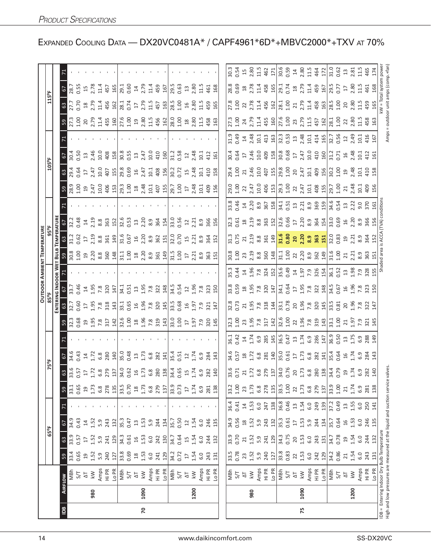|                |      |                                                                                                                    |                                           |                                                  |                   |                    |                          |                                                                                                                                                                                                                                                                                  |                                                                                                                                                                                                                                                                                         |                                                                                                                                                                                                                                        |                                                                                                                                                                                                                                                                                                           |                                                                                                                                                                                                                                                                                                                                                                                                         | <b>OUTDOOR AMBIENT TEMPERATURE</b>                                    |                                                                                                                                                                                                                                                                                                                     |                                                                                                                                                                                                                                                                                                                     |  |                                                                                                                                                                                                                                                                |                |                                                                                                                    |                                                                                                                |                                                                                                                                                                                                                                                                                 |      |  |
|----------------|------|--------------------------------------------------------------------------------------------------------------------|-------------------------------------------|--------------------------------------------------|-------------------|--------------------|--------------------------|----------------------------------------------------------------------------------------------------------------------------------------------------------------------------------------------------------------------------------------------------------------------------------|-----------------------------------------------------------------------------------------------------------------------------------------------------------------------------------------------------------------------------------------------------------------------------------------|----------------------------------------------------------------------------------------------------------------------------------------------------------------------------------------------------------------------------------------|-----------------------------------------------------------------------------------------------------------------------------------------------------------------------------------------------------------------------------------------------------------------------------------------------------------|---------------------------------------------------------------------------------------------------------------------------------------------------------------------------------------------------------------------------------------------------------------------------------------------------------------------------------------------------------------------------------------------------------|-----------------------------------------------------------------------|---------------------------------------------------------------------------------------------------------------------------------------------------------------------------------------------------------------------------------------------------------------------------------------------------------------------|---------------------------------------------------------------------------------------------------------------------------------------------------------------------------------------------------------------------------------------------------------------------------------------------------------------------|--|----------------------------------------------------------------------------------------------------------------------------------------------------------------------------------------------------------------------------------------------------------------|----------------|--------------------------------------------------------------------------------------------------------------------|----------------------------------------------------------------------------------------------------------------|---------------------------------------------------------------------------------------------------------------------------------------------------------------------------------------------------------------------------------------------------------------------------------|------|--|
|                |      |                                                                                                                    |                                           |                                                  | $65^{\circ}$ F    |                    |                          |                                                                                                                                                                                                                                                                                  | 75°F                                                                                                                                                                                                                                                                                    |                                                                                                                                                                                                                                        |                                                                                                                                                                                                                                                                                                           |                                                                                                                                                                                                                                                                                                                                                                                                         |                                                                       |                                                                                                                                                                                                                                                                                                                     |                                                                                                                                                                                                                                                                                                                     |  | 105°F                                                                                                                                                                                                                                                          |                |                                                                                                                    |                                                                                                                | 115°F                                                                                                                                                                                                                                                                           |      |  |
|                |      |                                                                                                                    |                                           |                                                  |                   |                    |                          |                                                                                                                                                                                                                                                                                  |                                                                                                                                                                                                                                                                                         |                                                                                                                                                                                                                                        |                                                                                                                                                                                                                                                                                                           |                                                                                                                                                                                                                                                                                                                                                                                                         |                                                                       |                                                                                                                                                                                                                                                                                                                     |                                                                                                                                                                                                                                                                                                                     |  |                                                                                                                                                                                                                                                                |                |                                                                                                                    |                                                                                                                |                                                                                                                                                                                                                                                                                 |      |  |
| $\overline{a}$ |      | AIRFLOW                                                                                                            |                                           |                                                  | 5                 |                    | 59                       |                                                                                                                                                                                                                                                                                  |                                                                                                                                                                                                                                                                                         |                                                                                                                                                                                                                                        |                                                                                                                                                                                                                                                                                                           |                                                                                                                                                                                                                                                                                                                                                                                                         |                                                                       |                                                                                                                                                                                                                                                                                                                     |                                                                                                                                                                                                                                                                                                                     |  |                                                                                                                                                                                                                                                                | $rac{6}{2}$    |                                                                                                                    |                                                                                                                |                                                                                                                                                                                                                                                                                 |      |  |
|                |      | МBh                                                                                                                |                                           |                                                  |                   |                    | 33.1<br>0.65             |                                                                                                                                                                                                                                                                                  |                                                                                                                                                                                                                                                                                         |                                                                                                                                                                                                                                        |                                                                                                                                                                                                                                                                                                           | 33.7                                                                                                                                                                                                                                                                                                                                                                                                    |                                                                       |                                                                                                                                                                                                                                                                                                                     | 32.2<br>0.48                                                                                                                                                                                                                                                                                                        |  |                                                                                                                                                                                                                                                                |                |                                                                                                                    |                                                                                                                | 67<br>28.7<br>1.55<br>8<br>27.79<br>37.70                                                                                                                                                                                                                                       |      |  |
|                |      | 5/7                                                                                                                | <b>0.65</b>                               | 0.57                                             | 0.43              |                    |                          |                                                                                                                                                                                                                                                                                  |                                                                                                                                                                                                                                                                                         |                                                                                                                                                                                                                                        |                                                                                                                                                                                                                                                                                                           | 0.46                                                                                                                                                                                                                                                                                                                                                                                                    |                                                                       |                                                                                                                                                                                                                                                                                                                     |                                                                                                                                                                                                                                                                                                                     |  |                                                                                                                                                                                                                                                                | <b>D.50</b>    |                                                                                                                    |                                                                                                                |                                                                                                                                                                                                                                                                                 |      |  |
|                |      | $\Delta\mathsf{T}$                                                                                                 | 1.52                                      | $\overline{\mathfrak{u}}$                        | $\Xi$             |                    | 19                       |                                                                                                                                                                                                                                                                                  |                                                                                                                                                                                                                                                                                         |                                                                                                                                                                                                                                        |                                                                                                                                                                                                                                                                                                           |                                                                                                                                                                                                                                                                                                                                                                                                         |                                                                       |                                                                                                                                                                                                                                                                                                                     |                                                                                                                                                                                                                                                                                                                     |  |                                                                                                                                                                                                                                                                |                |                                                                                                                    |                                                                                                                |                                                                                                                                                                                                                                                                                 |      |  |
|                | 980  | $\lesssim$                                                                                                         |                                           | 1.52                                             | 1.52              |                    | 1.73                     |                                                                                                                                                                                                                                                                                  |                                                                                                                                                                                                                                                                                         |                                                                                                                                                                                                                                        |                                                                                                                                                                                                                                                                                                           |                                                                                                                                                                                                                                                                                                                                                                                                         |                                                                       |                                                                                                                                                                                                                                                                                                                     |                                                                                                                                                                                                                                                                                                                     |  |                                                                                                                                                                                                                                                                |                |                                                                                                                    |                                                                                                                |                                                                                                                                                                                                                                                                                 |      |  |
|                |      | Amps<br>Hi PR                                                                                                      | 5.9<br>240                                | 5.9                                              | 5.9               |                    | 6.8<br>278               |                                                                                                                                                                                                                                                                                  | $67.34, 67.38$<br>$1.72, 6.8$<br>$0.43, 1.72, 6.8$                                                                                                                                                                                                                                      |                                                                                                                                                                                                                                        |                                                                                                                                                                                                                                                                                                           |                                                                                                                                                                                                                                                                                                                                                                                                         |                                                                       |                                                                                                                                                                                                                                                                                                                     |                                                                                                                                                                                                                                                                                                                     |  |                                                                                                                                                                                                                                                                |                |                                                                                                                    |                                                                                                                |                                                                                                                                                                                                                                                                                 |      |  |
|                |      |                                                                                                                    |                                           | 241                                              | 243               |                    |                          |                                                                                                                                                                                                                                                                                  |                                                                                                                                                                                                                                                                                         |                                                                                                                                                                                                                                        |                                                                                                                                                                                                                                                                                                           |                                                                                                                                                                                                                                                                                                                                                                                                         |                                                                       |                                                                                                                                                                                                                                                                                                                     |                                                                                                                                                                                                                                                                                                                     |  |                                                                                                                                                                                                                                                                |                |                                                                                                                    |                                                                                                                |                                                                                                                                                                                                                                                                                 |      |  |
|                |      |                                                                                                                    | 127                                       | 129                                              | 132               |                    | 135                      |                                                                                                                                                                                                                                                                                  |                                                                                                                                                                                                                                                                                         |                                                                                                                                                                                                                                        |                                                                                                                                                                                                                                                                                                           |                                                                                                                                                                                                                                                                                                                                                                                                         |                                                                       |                                                                                                                                                                                                                                                                                                                     |                                                                                                                                                                                                                                                                                                                     |  |                                                                                                                                                                                                                                                                |                |                                                                                                                    |                                                                                                                |                                                                                                                                                                                                                                                                                 |      |  |
|                |      | 정희                                                                                                                 | 33.8<br>0.69                              | 34.3                                             | 35.3              |                    | 33.5<br>0.70             |                                                                                                                                                                                                                                                                                  |                                                                                                                                                                                                                                                                                         |                                                                                                                                                                                                                                        |                                                                                                                                                                                                                                                                                                           |                                                                                                                                                                                                                                                                                                                                                                                                         |                                                                       |                                                                                                                                                                                                                                                                                                                     |                                                                                                                                                                                                                                                                                                                     |  |                                                                                                                                                                                                                                                                |                |                                                                                                                    |                                                                                                                |                                                                                                                                                                                                                                                                                 |      |  |
|                |      |                                                                                                                    |                                           | 0.61                                             | 0.47              |                    |                          |                                                                                                                                                                                                                                                                                  |                                                                                                                                                                                                                                                                                         |                                                                                                                                                                                                                                        |                                                                                                                                                                                                                                                                                                           |                                                                                                                                                                                                                                                                                                                                                                                                         |                                                                       |                                                                                                                                                                                                                                                                                                                     |                                                                                                                                                                                                                                                                                                                     |  |                                                                                                                                                                                                                                                                |                |                                                                                                                    |                                                                                                                |                                                                                                                                                                                                                                                                                 |      |  |
|                |      | $\overline{\mathcal{L}}$                                                                                           |                                           | $\mathfrak{a}$                                   | $13$              |                    | $^{28}$                  |                                                                                                                                                                                                                                                                                  |                                                                                                                                                                                                                                                                                         |                                                                                                                                                                                                                                        |                                                                                                                                                                                                                                                                                                           |                                                                                                                                                                                                                                                                                                                                                                                                         |                                                                       |                                                                                                                                                                                                                                                                                                                     |                                                                                                                                                                                                                                                                                                                     |  |                                                                                                                                                                                                                                                                |                |                                                                                                                    |                                                                                                                |                                                                                                                                                                                                                                                                                 |      |  |
| 20             | 1090 | $\lesssim$                                                                                                         | $\begin{array}{c} 18 \\ 1.53 \end{array}$ | 1.53                                             | 1.53              |                    |                          |                                                                                                                                                                                                                                                                                  |                                                                                                                                                                                                                                                                                         |                                                                                                                                                                                                                                        |                                                                                                                                                                                                                                                                                                           |                                                                                                                                                                                                                                                                                                                                                                                                         |                                                                       |                                                                                                                                                                                                                                                                                                                     |                                                                                                                                                                                                                                                                                                                     |  |                                                                                                                                                                                                                                                                |                |                                                                                                                    |                                                                                                                |                                                                                                                                                                                                                                                                                 |      |  |
|                |      | Amps                                                                                                               | $6.0\,$                                   | 6.0                                              | 5.9               |                    | 1.73<br>6.8<br>279       |                                                                                                                                                                                                                                                                                  |                                                                                                                                                                                                                                                                                         |                                                                                                                                                                                                                                        |                                                                                                                                                                                                                                                                                                           |                                                                                                                                                                                                                                                                                                                                                                                                         |                                                                       |                                                                                                                                                                                                                                                                                                                     |                                                                                                                                                                                                                                                                                                                     |  |                                                                                                                                                                                                                                                                |                |                                                                                                                    |                                                                                                                |                                                                                                                                                                                                                                                                                 |      |  |
|                |      | Hi PR                                                                                                              | 241                                       | 242                                              | 244               |                    |                          | $\frac{1}{3}$                                                                                                                                                                                                                                                                    | $\frac{1}{2}$ $\frac{1}{8}$ $\frac{3}{8}$ $\frac{3}{8}$ $\frac{3}{1}$ $\frac{3}{8}$ $\frac{4}{8}$ $\frac{1}{8}$ $\frac{5}{1}$ $\frac{3}{8}$ $\frac{1}{2}$ $\frac{4}{1}$ $\frac{5}{8}$ $\frac{3}{8}$ $\frac{3}{4}$ $\frac{4}{1}$ $\frac{5}{8}$ $\frac{3}{8}$ $\frac{3}{4}$ $\frac{4}{1}$ | <u>ន ប្អូន ទី ដូ ដូ ដូ ដ្ឋាម៉ូ ទី ដូ ដូ ដូ ដូ មី ដូ ដូ ដូ ដូ ដូ ដូ ដូ ដូ</u>                                                                                                                                                           |                                                                                                                                                                                                                                                                                                           | $\frac{1}{3}$ $\frac{1}{6}$ $\frac{1}{6}$ $\frac{1}{6}$ $\frac{1}{6}$ $\frac{1}{6}$ $\frac{1}{12}$ $\frac{1}{3}$ $\frac{1}{6}$ $\frac{1}{3}$ $\frac{1}{6}$ $\frac{1}{6}$ $\frac{1}{6}$ $\frac{1}{6}$ $\frac{1}{6}$ $\frac{1}{6}$ $\frac{1}{6}$ $\frac{1}{6}$ $\frac{1}{6}$ $\frac{1}{6}$ $\frac{1}{6}$ $\frac{1}{6}$                                                                                    |                                                                       | $\frac{1}{2}$ $\frac{1}{2}$ $\frac{1}{2}$ $\frac{1}{2}$ $\frac{1}{3}$ $\frac{1}{3}$ $\frac{1}{3}$ $\frac{1}{3}$ $\frac{1}{5}$ $\frac{1}{2}$ $\frac{1}{2}$ $\frac{1}{3}$ $\frac{1}{2}$ $\frac{1}{2}$ $\frac{1}{2}$ $\frac{1}{2}$ $\frac{1}{2}$ $\frac{1}{2}$ $\frac{1}{2}$ $\frac{1}{2}$ $\frac{1}{2}$ $\frac{1}{2}$ | $\frac{1}{4}$ $\frac{3}{2}$ $\frac{3}{2}$ $\frac{3}{2}$ $\frac{3}{2}$ $\frac{1}{2}$ $\frac{1}{2}$ $\frac{3}{2}$ $\frac{3}{2}$ $\frac{3}{2}$ $\frac{3}{2}$ $\frac{3}{2}$ $\frac{3}{2}$ $\frac{3}{2}$ $\frac{3}{2}$ $\frac{3}{2}$ $\frac{3}{2}$ $\frac{3}{2}$ $\frac{3}{2}$ $\frac{3}{2}$ $\frac{3}{2}$ $\frac{3}{2}$ |  | $3\frac{3}{2}$ $3\frac{5}{2}$ $5\frac{2}{2}$ $5\frac{2}{3}$ $5\frac{2}{3}$ $5\frac{2}{3}$ $5\frac{2}{3}$ $5\frac{2}{3}$ $5\frac{2}{3}$ $5\frac{2}{3}$ $5\frac{2}{3}$ $5\frac{2}{3}$ $5\frac{2}{3}$ $5\frac{2}{3}$ $5\frac{2}{3}$ $5\frac{2}{3}$ $5\frac{2}{3}$ |                |                                                                                                                    |                                                                                                                |                                                                                                                                                                                                                                                                                 |      |  |
|                |      | L <sub>O</sub> PR                                                                                                  | 129                                       | 130                                              | 134               |                    | 137                      |                                                                                                                                                                                                                                                                                  |                                                                                                                                                                                                                                                                                         |                                                                                                                                                                                                                                        |                                                                                                                                                                                                                                                                                                           |                                                                                                                                                                                                                                                                                                                                                                                                         |                                                                       |                                                                                                                                                                                                                                                                                                                     |                                                                                                                                                                                                                                                                                                                     |  |                                                                                                                                                                                                                                                                |                |                                                                                                                    |                                                                                                                |                                                                                                                                                                                                                                                                                 |      |  |
|                |      | MBh                                                                                                                |                                           | 34.7                                             | 35.7              |                    |                          |                                                                                                                                                                                                                                                                                  |                                                                                                                                                                                                                                                                                         |                                                                                                                                                                                                                                        |                                                                                                                                                                                                                                                                                                           |                                                                                                                                                                                                                                                                                                                                                                                                         |                                                                       |                                                                                                                                                                                                                                                                                                                     |                                                                                                                                                                                                                                                                                                                     |  |                                                                                                                                                                                                                                                                |                |                                                                                                                    |                                                                                                                |                                                                                                                                                                                                                                                                                 |      |  |
|                |      | 5/7                                                                                                                | 34.2<br>0.72                              | 0.64                                             | 0.50              |                    | 33.9<br>0.73             |                                                                                                                                                                                                                                                                                  |                                                                                                                                                                                                                                                                                         |                                                                                                                                                                                                                                        |                                                                                                                                                                                                                                                                                                           |                                                                                                                                                                                                                                                                                                                                                                                                         |                                                                       |                                                                                                                                                                                                                                                                                                                     |                                                                                                                                                                                                                                                                                                                     |  |                                                                                                                                                                                                                                                                |                |                                                                                                                    |                                                                                                                |                                                                                                                                                                                                                                                                                 |      |  |
|                |      | $\overline{\Delta}$                                                                                                | $\overline{17}$                           | 15                                               | $\overline{12}$   |                    | $\overline{\mathbb{L}}$  |                                                                                                                                                                                                                                                                                  |                                                                                                                                                                                                                                                                                         |                                                                                                                                                                                                                                        |                                                                                                                                                                                                                                                                                                           |                                                                                                                                                                                                                                                                                                                                                                                                         |                                                                       |                                                                                                                                                                                                                                                                                                                     |                                                                                                                                                                                                                                                                                                                     |  |                                                                                                                                                                                                                                                                |                |                                                                                                                    |                                                                                                                |                                                                                                                                                                                                                                                                                 |      |  |
|                | 1200 | $\overline{k}$                                                                                                     | 1.54                                      | 1.54                                             | 1.54              |                    | 1.74                     |                                                                                                                                                                                                                                                                                  |                                                                                                                                                                                                                                                                                         |                                                                                                                                                                                                                                        |                                                                                                                                                                                                                                                                                                           |                                                                                                                                                                                                                                                                                                                                                                                                         |                                                                       |                                                                                                                                                                                                                                                                                                                     |                                                                                                                                                                                                                                                                                                                     |  |                                                                                                                                                                                                                                                                |                |                                                                                                                    |                                                                                                                |                                                                                                                                                                                                                                                                                 |      |  |
|                |      |                                                                                                                    | 6.0                                       | 6.0                                              | 6.0               |                    |                          |                                                                                                                                                                                                                                                                                  |                                                                                                                                                                                                                                                                                         |                                                                                                                                                                                                                                        |                                                                                                                                                                                                                                                                                                           |                                                                                                                                                                                                                                                                                                                                                                                                         |                                                                       |                                                                                                                                                                                                                                                                                                                     | $2.21$ 8.9                                                                                                                                                                                                                                                                                                          |  |                                                                                                                                                                                                                                                                |                |                                                                                                                    |                                                                                                                |                                                                                                                                                                                                                                                                                 |      |  |
|                |      |                                                                                                                    | 243                                       | 244                                              | 246               |                    |                          |                                                                                                                                                                                                                                                                                  |                                                                                                                                                                                                                                                                                         |                                                                                                                                                                                                                                        |                                                                                                                                                                                                                                                                                                           |                                                                                                                                                                                                                                                                                                                                                                                                         |                                                                       |                                                                                                                                                                                                                                                                                                                     |                                                                                                                                                                                                                                                                                                                     |  |                                                                                                                                                                                                                                                                |                |                                                                                                                    |                                                                                                                |                                                                                                                                                                                                                                                                                 |      |  |
|                |      | Amps<br>Hi PR<br>Lo PR                                                                                             | 131                                       | 132                                              | 135               |                    | $6.9$ $281$ $138$        |                                                                                                                                                                                                                                                                                  |                                                                                                                                                                                                                                                                                         |                                                                                                                                                                                                                                        |                                                                                                                                                                                                                                                                                                           |                                                                                                                                                                                                                                                                                                                                                                                                         |                                                                       | 15.3881                                                                                                                                                                                                                                                                                                             | 366<br>156                                                                                                                                                                                                                                                                                                          |  |                                                                                                                                                                                                                                                                | $412$<br>$161$ |                                                                                                                    |                                                                                                                |                                                                                                                                                                                                                                                                                 |      |  |
|                |      |                                                                                                                    |                                           |                                                  |                   |                    |                          |                                                                                                                                                                                                                                                                                  |                                                                                                                                                                                                                                                                                         |                                                                                                                                                                                                                                        |                                                                                                                                                                                                                                                                                                           |                                                                                                                                                                                                                                                                                                                                                                                                         |                                                                       |                                                                                                                                                                                                                                                                                                                     |                                                                                                                                                                                                                                                                                                                     |  |                                                                                                                                                                                                                                                                |                |                                                                                                                    |                                                                                                                |                                                                                                                                                                                                                                                                                 |      |  |
|                |      |                                                                                                                    |                                           |                                                  |                   |                    |                          |                                                                                                                                                                                                                                                                                  |                                                                                                                                                                                                                                                                                         |                                                                                                                                                                                                                                        |                                                                                                                                                                                                                                                                                                           |                                                                                                                                                                                                                                                                                                                                                                                                         |                                                                       |                                                                                                                                                                                                                                                                                                                     |                                                                                                                                                                                                                                                                                                                     |  |                                                                                                                                                                                                                                                                |                |                                                                                                                    |                                                                                                                |                                                                                                                                                                                                                                                                                 |      |  |
|                |      | Wa<br>27 ≥<br>New                                                                                                  | 33.5<br>0.78                              | 33.9<br>0.70                                     | 34.9<br>0.56      | $36.4$<br>0.41     | 33.2<br>1.00             |                                                                                                                                                                                                                                                                                  |                                                                                                                                                                                                                                                                                         |                                                                                                                                                                                                                                        |                                                                                                                                                                                                                                                                                                           |                                                                                                                                                                                                                                                                                                                                                                                                         |                                                                       |                                                                                                                                                                                                                                                                                                                     |                                                                                                                                                                                                                                                                                                                     |  |                                                                                                                                                                                                                                                                |                |                                                                                                                    |                                                                                                                |                                                                                                                                                                                                                                                                                 |      |  |
|                |      |                                                                                                                    | 23<br>1.52                                | 21                                               | 1.52              | 1.53               | 23                       |                                                                                                                                                                                                                                                                                  |                                                                                                                                                                                                                                                                                         |                                                                                                                                                                                                                                        |                                                                                                                                                                                                                                                                                                           |                                                                                                                                                                                                                                                                                                                                                                                                         |                                                                       |                                                                                                                                                                                                                                                                                                                     |                                                                                                                                                                                                                                                                                                                     |  |                                                                                                                                                                                                                                                                |                |                                                                                                                    |                                                                                                                |                                                                                                                                                                                                                                                                                 |      |  |
|                | 980  |                                                                                                                    |                                           | 1.52                                             |                   |                    | 1.73                     |                                                                                                                                                                                                                                                                                  |                                                                                                                                                                                                                                                                                         |                                                                                                                                                                                                                                        |                                                                                                                                                                                                                                                                                                           |                                                                                                                                                                                                                                                                                                                                                                                                         |                                                                       |                                                                                                                                                                                                                                                                                                                     |                                                                                                                                                                                                                                                                                                                     |  |                                                                                                                                                                                                                                                                |                |                                                                                                                    |                                                                                                                |                                                                                                                                                                                                                                                                                 |      |  |
|                |      | Amps                                                                                                               | $5.9$<br>240                              | $5.9$<br>241                                     | 5.9               | 6.0                | $6.\overline{8}$         |                                                                                                                                                                                                                                                                                  |                                                                                                                                                                                                                                                                                         |                                                                                                                                                                                                                                        |                                                                                                                                                                                                                                                                                                           |                                                                                                                                                                                                                                                                                                                                                                                                         |                                                                       |                                                                                                                                                                                                                                                                                                                     |                                                                                                                                                                                                                                                                                                                     |  |                                                                                                                                                                                                                                                                |                |                                                                                                                    |                                                                                                                |                                                                                                                                                                                                                                                                                 |      |  |
|                |      | Hi PR                                                                                                              |                                           |                                                  | 243               | 247                | 278<br>135               |                                                                                                                                                                                                                                                                                  |                                                                                                                                                                                                                                                                                         |                                                                                                                                                                                                                                        |                                                                                                                                                                                                                                                                                                           |                                                                                                                                                                                                                                                                                                                                                                                                         |                                                                       |                                                                                                                                                                                                                                                                                                                     |                                                                                                                                                                                                                                                                                                                     |  |                                                                                                                                                                                                                                                                |                |                                                                                                                    |                                                                                                                |                                                                                                                                                                                                                                                                                 |      |  |
|                |      |                                                                                                                    | 127                                       | 129                                              | 132               | 138                |                          |                                                                                                                                                                                                                                                                                  |                                                                                                                                                                                                                                                                                         |                                                                                                                                                                                                                                        |                                                                                                                                                                                                                                                                                                           |                                                                                                                                                                                                                                                                                                                                                                                                         |                                                                       |                                                                                                                                                                                                                                                                                                                     |                                                                                                                                                                                                                                                                                                                     |  |                                                                                                                                                                                                                                                                |                |                                                                                                                    |                                                                                                                |                                                                                                                                                                                                                                                                                 |      |  |
|                |      |                                                                                                                    | 33.8                                      | 34.3                                             | $\overline{35.3}$ | $\frac{8}{36.8}$   | $\frac{15}{33.50}$       |                                                                                                                                                                                                                                                                                  |                                                                                                                                                                                                                                                                                         |                                                                                                                                                                                                                                        |                                                                                                                                                                                                                                                                                                           |                                                                                                                                                                                                                                                                                                                                                                                                         |                                                                       |                                                                                                                                                                                                                                                                                                                     |                                                                                                                                                                                                                                                                                                                     |  |                                                                                                                                                                                                                                                                |                |                                                                                                                    |                                                                                                                |                                                                                                                                                                                                                                                                                 |      |  |
|                |      | 있습니다                                                                                                               |                                           | 0.75                                             | 0.61              |                    |                          |                                                                                                                                                                                                                                                                                  |                                                                                                                                                                                                                                                                                         |                                                                                                                                                                                                                                        |                                                                                                                                                                                                                                                                                                           |                                                                                                                                                                                                                                                                                                                                                                                                         |                                                                       |                                                                                                                                                                                                                                                                                                                     |                                                                                                                                                                                                                                                                                                                     |  |                                                                                                                                                                                                                                                                |                |                                                                                                                    |                                                                                                                |                                                                                                                                                                                                                                                                                 |      |  |
|                | 1090 | $\overline{\mathsf{k}}$ W                                                                                          | $22$ 1.53                                 |                                                  | $\overline{17}$   |                    | 22                       |                                                                                                                                                                                                                                                                                  |                                                                                                                                                                                                                                                                                         |                                                                                                                                                                                                                                        |                                                                                                                                                                                                                                                                                                           |                                                                                                                                                                                                                                                                                                                                                                                                         |                                                                       |                                                                                                                                                                                                                                                                                                                     |                                                                                                                                                                                                                                                                                                                     |  |                                                                                                                                                                                                                                                                |                |                                                                                                                    |                                                                                                                |                                                                                                                                                                                                                                                                                 |      |  |
| 54             |      | Amps                                                                                                               | 6.0                                       | $\begin{array}{c} 20 \\ 1.53 \\ 6.0 \end{array}$ | $1.53$<br>5.9     | $13 \n1.54$<br>6.0 | $1.73$<br>$6.8$<br>$279$ |                                                                                                                                                                                                                                                                                  |                                                                                                                                                                                                                                                                                         |                                                                                                                                                                                                                                        |                                                                                                                                                                                                                                                                                                           |                                                                                                                                                                                                                                                                                                                                                                                                         |                                                                       |                                                                                                                                                                                                                                                                                                                     |                                                                                                                                                                                                                                                                                                                     |  |                                                                                                                                                                                                                                                                |                |                                                                                                                    |                                                                                                                |                                                                                                                                                                                                                                                                                 |      |  |
|                |      | Hi PR                                                                                                              | 242                                       | 243                                              | 244               | 249                |                          |                                                                                                                                                                                                                                                                                  |                                                                                                                                                                                                                                                                                         |                                                                                                                                                                                                                                        |                                                                                                                                                                                                                                                                                                           |                                                                                                                                                                                                                                                                                                                                                                                                         |                                                                       |                                                                                                                                                                                                                                                                                                                     |                                                                                                                                                                                                                                                                                                                     |  |                                                                                                                                                                                                                                                                |                |                                                                                                                    |                                                                                                                |                                                                                                                                                                                                                                                                                 |      |  |
|                |      | Lo PR                                                                                                              | 129                                       | 131                                              | 134               | 139                |                          |                                                                                                                                                                                                                                                                                  |                                                                                                                                                                                                                                                                                         |                                                                                                                                                                                                                                        |                                                                                                                                                                                                                                                                                                           |                                                                                                                                                                                                                                                                                                                                                                                                         |                                                                       |                                                                                                                                                                                                                                                                                                                     |                                                                                                                                                                                                                                                                                                                     |  |                                                                                                                                                                                                                                                                |                |                                                                                                                    |                                                                                                                |                                                                                                                                                                                                                                                                                 |      |  |
|                |      | MBh                                                                                                                |                                           | 34.7                                             | 35.7              |                    | $\frac{137}{33.9}$       | $\begin{array}{l} 35.67 & 27.72 & 28.73 \\ 25.7 & 27.72 & 28.73 \\ 25.7 & 29.72 & 29.73 \\ 25.7 & 29.72 & 29.73 \\ 25.7 & 29.72 & 29.73 \\ 25.7 & 29.72 & 29.73 \\ 25.7 & 29.72 & 29.73 \\ 25.7 & 29.72 & 29.73 \\ 25.7 & 29.72 & 29.73 \\ 25.7 & 29.72 & 29.73 \\ 25.7 & 29.72$ | $\frac{46}{36}$ is a state of the state of the state of the state of the state of the state of the state of the state of the state of the state of the state of the state of the state of the state of the state of the state of                                                        | <u>ន</u> ្លី 3 ដុល្ល ដូច 3 ដុល្ល ដូច 3 ដុល្ល ដូច 3 ដុល្ល ដូច 3 ដុល្ល ដូច 3 ដុល្ល ដូច 3 ដុល្ល ដូច 3 ដុល្ល ដូច 3 ដុល្ល<br>ន្ត្រី 3 ដុល្ល ដូច 3 ដុល្ល ដូច 3 ដុល្ល ដូច 3 ដុល្ល ដូច 3 ដុល្ល ដូច 3 ដុល្ល ដូច 3 ដុល្ល ដូច 3 ដុល្ល ដូច 3 ដុល្ល | $\frac{28}{25}$ $\frac{27}{25}$ $\frac{27}{25}$ $\frac{27}{25}$ $\frac{27}{25}$ $\frac{27}{25}$ $\frac{27}{25}$ $\frac{27}{25}$ $\frac{27}{25}$ $\frac{27}{25}$ $\frac{27}{25}$ $\frac{27}{25}$ $\frac{27}{25}$ $\frac{27}{25}$ $\frac{27}{25}$ $\frac{27}{25}$ $\frac{27}{25}$ $\frac{27}{25}$ $\frac{2$ | $\begin{array}{c} 33.93 \text{ } \text{ } 32.9 \text{ } \text{ } 34.9 \text{ } \text{ } 25.9 \text{ } \text{ } 27.9 \text{ } \text{ } 29.9 \text{ } \text{ } 21.9 \text{ } \text{ } 22.9 \text{ } \text{ } 24.9 \text{ } \text{ } 25.9 \text{ } \text{ } 27.9 \text{ } \text{ } 29.9 \text{ } \text{ } 21.9 \text{ } \text{ } 22.9 \text{ } \text{ } 21.9 \text{ } \text{ } 23.9 \text{ } \text{ } 24.$ | <u>8</u><br>8 5 3 3 3 8 9 8 9 9 1 5 9 2 2 3 9 9 9 9 9 9 9 2 3 9 9 9 9 | ជ្ជៈ ក្នុង ដូ <mark>ន ដូ ម្បី ដូ ខ្ញុំ ខ ខ ខ ខ ខ ខ ច</mark> ក្នុង ខ ខ ខ ខ ខ ខ ខ ខ ខ ខ ខ                                                                                                                                                                                                                             |                                                                                                                                                                                                                                                                                                                     |  |                                                                                                                                                                                                                                                                |                | ភ្លួន ដូន ដូន ចៀប្លី ដូន ដូន ដូច ដូច ដូន ដូច ដូន ដូច ដូ<br>ដូន ដូន ដូន ដូន ប្រើ ដូន ដូន ដូន ដូច ដូន ដូច ដូន ដូច ដូ | 21 22 32 32 32 33 34 35 36 36 37 38 36 36 37 37 38 39 30 31 32 33 40 31 32 33 40 31 32 40 31 32 33 40 31 32 40 | $\begin{array}{c} 23.68 & 24.68 & 25.67 \\ 25.61 & 25.67 & 25.67 \\ 25.62 & 25.67 & 25.67 \\ 25.63 & 25.67 & 25.67 \\ 25.64 & 25.67 & 25.67 \\ 25.65 & 25.67 & 25.67 \\ 25.67 & 25.67 & 25.67 \\ 25.67 & 25.67 & 25.67 \\ 25.67 & 25.67 & 25.67 \\ 25.67 & 25.67 & 25.67 \\ 25$ |      |  |
|                |      | 5/7                                                                                                                | 34.2<br>0.86                              | 0.78                                             | 0.64              | 37.2<br>0.49       |                          |                                                                                                                                                                                                                                                                                  |                                                                                                                                                                                                                                                                                         |                                                                                                                                                                                                                                        |                                                                                                                                                                                                                                                                                                           |                                                                                                                                                                                                                                                                                                                                                                                                         |                                                                       |                                                                                                                                                                                                                                                                                                                     |                                                                                                                                                                                                                                                                                                                     |  |                                                                                                                                                                                                                                                                |                |                                                                                                                    |                                                                                                                |                                                                                                                                                                                                                                                                                 |      |  |
|                |      | $\overline{\Delta}$                                                                                                | 21                                        | $\overline{c}$                                   | $\frac{1}{2}$     | $13$               | 21                       |                                                                                                                                                                                                                                                                                  |                                                                                                                                                                                                                                                                                         |                                                                                                                                                                                                                                        |                                                                                                                                                                                                                                                                                                           |                                                                                                                                                                                                                                                                                                                                                                                                         |                                                                       |                                                                                                                                                                                                                                                                                                                     |                                                                                                                                                                                                                                                                                                                     |  |                                                                                                                                                                                                                                                                |                |                                                                                                                    |                                                                                                                |                                                                                                                                                                                                                                                                                 |      |  |
|                | 1200 | $\overline{\mathsf{k}}$ W                                                                                          | 1.54                                      | 1.54                                             | 1.53              | 1.55               | 1.74                     |                                                                                                                                                                                                                                                                                  |                                                                                                                                                                                                                                                                                         |                                                                                                                                                                                                                                        |                                                                                                                                                                                                                                                                                                           |                                                                                                                                                                                                                                                                                                                                                                                                         |                                                                       |                                                                                                                                                                                                                                                                                                                     |                                                                                                                                                                                                                                                                                                                     |  |                                                                                                                                                                                                                                                                |                |                                                                                                                    |                                                                                                                |                                                                                                                                                                                                                                                                                 |      |  |
|                |      | Amps                                                                                                               | 6.0                                       | 6.0                                              | 6.0               | 6.0                | 6.9                      |                                                                                                                                                                                                                                                                                  |                                                                                                                                                                                                                                                                                         |                                                                                                                                                                                                                                        |                                                                                                                                                                                                                                                                                                           |                                                                                                                                                                                                                                                                                                                                                                                                         |                                                                       |                                                                                                                                                                                                                                                                                                                     |                                                                                                                                                                                                                                                                                                                     |  |                                                                                                                                                                                                                                                                |                |                                                                                                                    |                                                                                                                |                                                                                                                                                                                                                                                                                 |      |  |
|                |      | Hi PR                                                                                                              | 243                                       | 244                                              | 246               | 250                | 281<br>138               |                                                                                                                                                                                                                                                                                  |                                                                                                                                                                                                                                                                                         |                                                                                                                                                                                                                                        |                                                                                                                                                                                                                                                                                                           |                                                                                                                                                                                                                                                                                                                                                                                                         |                                                                       |                                                                                                                                                                                                                                                                                                                     |                                                                                                                                                                                                                                                                                                                     |  |                                                                                                                                                                                                                                                                |                |                                                                                                                    |                                                                                                                |                                                                                                                                                                                                                                                                                 |      |  |
|                |      | Lo <sub>PR</sub>                                                                                                   | 131                                       | 132                                              | 135               | 141                |                          |                                                                                                                                                                                                                                                                                  |                                                                                                                                                                                                                                                                                         |                                                                                                                                                                                                                                        |                                                                                                                                                                                                                                                                                                           |                                                                                                                                                                                                                                                                                                                                                                                                         |                                                                       |                                                                                                                                                                                                                                                                                                                     |                                                                                                                                                                                                                                                                                                                     |  |                                                                                                                                                                                                                                                                |                |                                                                                                                    |                                                                                                                |                                                                                                                                                                                                                                                                                 |      |  |
|                |      | High and low pressures are measured at the liquid and suction service<br>DB = Entering Indoor Dry Bulb Temperature |                                           |                                                  |                   |                    |                          |                                                                                                                                                                                                                                                                                  |                                                                                                                                                                                                                                                                                         |                                                                                                                                                                                                                                        |                                                                                                                                                                                                                                                                                                           |                                                                                                                                                                                                                                                                                                                                                                                                         | are be                                                                | <b>SACCA</b>                                                                                                                                                                                                                                                                                                        | $(TVA)$ co                                                                                                                                                                                                                                                                                                          |  |                                                                                                                                                                                                                                                                |                |                                                                                                                    |                                                                                                                | syste<br>os (co                                                                                                                                                                                                                                                                 | powe |  |

EXPANDED COOLING DATA — DX20VC0481A\* / CAPF4961\*6D\*+MBVC2000\*+TXV AT 70%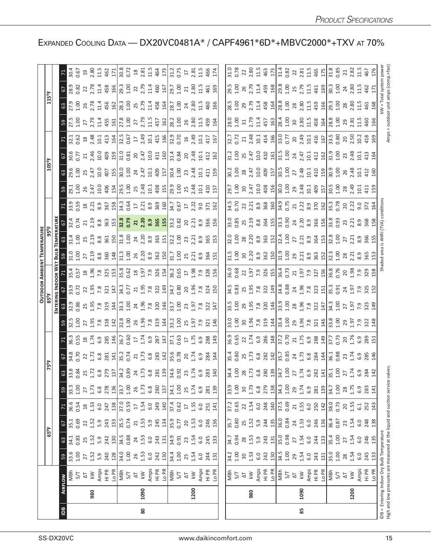|                |      |                                                                       |                     |                                     |                                                         |                                   |                          |                                                                                                                                                                                                                                                                                                                       |                                                                                                                                                                                                                                                                                                                     |                                                                                                                                                                                                                                                                                         |                                                                                                                     | <b>OUTDOOR</b>                                                                                                                                                                                                                                                                                                      |                                                                           |                                                                                                                               |                                                                                                     |                                                                                                                                                                                                                                         |                                                                                                |                                                                                                                            |                                                                                                                                                                                                                                                |                                                                                                                                                                                                                                                                                                                                                      |                                                                                                                                                                                                                                                                                                                                                                                                                                    |                                                                                                                                                                                                                                                                                                                                       |                                                                                                                                                                                                                                                                       |
|----------------|------|-----------------------------------------------------------------------|---------------------|-------------------------------------|---------------------------------------------------------|-----------------------------------|--------------------------|-----------------------------------------------------------------------------------------------------------------------------------------------------------------------------------------------------------------------------------------------------------------------------------------------------------------------|---------------------------------------------------------------------------------------------------------------------------------------------------------------------------------------------------------------------------------------------------------------------------------------------------------------------|-----------------------------------------------------------------------------------------------------------------------------------------------------------------------------------------------------------------------------------------------------------------------------------------|---------------------------------------------------------------------------------------------------------------------|---------------------------------------------------------------------------------------------------------------------------------------------------------------------------------------------------------------------------------------------------------------------------------------------------------------------|---------------------------------------------------------------------------|-------------------------------------------------------------------------------------------------------------------------------|-----------------------------------------------------------------------------------------------------|-----------------------------------------------------------------------------------------------------------------------------------------------------------------------------------------------------------------------------------------|------------------------------------------------------------------------------------------------|----------------------------------------------------------------------------------------------------------------------------|------------------------------------------------------------------------------------------------------------------------------------------------------------------------------------------------------------------------------------------------|------------------------------------------------------------------------------------------------------------------------------------------------------------------------------------------------------------------------------------------------------------------------------------------------------------------------------------------------------|------------------------------------------------------------------------------------------------------------------------------------------------------------------------------------------------------------------------------------------------------------------------------------------------------------------------------------------------------------------------------------------------------------------------------------|---------------------------------------------------------------------------------------------------------------------------------------------------------------------------------------------------------------------------------------------------------------------------------------------------------------------------------------|-----------------------------------------------------------------------------------------------------------------------------------------------------------------------------------------------------------------------------------------------------------------------|
|                |      |                                                                       |                     |                                     | 65°F                                                    |                                   |                          |                                                                                                                                                                                                                                                                                                                       |                                                                                                                                                                                                                                                                                                                     |                                                                                                                                                                                                                                                                                         |                                                                                                                     |                                                                                                                                                                                                                                                                                                                     |                                                                           |                                                                                                                               |                                                                                                     |                                                                                                                                                                                                                                         |                                                                                                |                                                                                                                            |                                                                                                                                                                                                                                                |                                                                                                                                                                                                                                                                                                                                                      |                                                                                                                                                                                                                                                                                                                                                                                                                                    |                                                                                                                                                                                                                                                                                                                                       |                                                                                                                                                                                                                                                                       |
|                |      |                                                                       |                     |                                     |                                                         |                                   |                          |                                                                                                                                                                                                                                                                                                                       |                                                                                                                                                                                                                                                                                                                     |                                                                                                                                                                                                                                                                                         |                                                                                                                     |                                                                                                                                                                                                                                                                                                                     |                                                                           |                                                                                                                               |                                                                                                     |                                                                                                                                                                                                                                         |                                                                                                |                                                                                                                            |                                                                                                                                                                                                                                                |                                                                                                                                                                                                                                                                                                                                                      |                                                                                                                                                                                                                                                                                                                                                                                                                                    |                                                                                                                                                                                                                                                                                                                                       |                                                                                                                                                                                                                                                                       |
| $\overline{a}$ |      | <b>AIRFLOW</b>                                                        | 59                  | $63\,$                              | 67                                                      |                                   |                          |                                                                                                                                                                                                                                                                                                                       |                                                                                                                                                                                                                                                                                                                     |                                                                                                                                                                                                                                                                                         |                                                                                                                     |                                                                                                                                                                                                                                                                                                                     |                                                                           |                                                                                                                               |                                                                                                     |                                                                                                                                                                                                                                         |                                                                                                |                                                                                                                            |                                                                                                                                                                                                                                                |                                                                                                                                                                                                                                                                                                                                                      |                                                                                                                                                                                                                                                                                                                                                                                                                                    |                                                                                                                                                                                                                                                                                                                                       |                                                                                                                                                                                                                                                                       |
|                |      | NBh                                                                   | 33.6<br>1.00        | 34.1<br>0.83                        | 35.1<br>0.69                                            | 36.6<br>0.54                      | $\frac{33.3}{1.00}$      |                                                                                                                                                                                                                                                                                                                       |                                                                                                                                                                                                                                                                                                                     |                                                                                                                                                                                                                                                                                         |                                                                                                                     |                                                                                                                                                                                                                                                                                                                     |                                                                           |                                                                                                                               |                                                                                                     |                                                                                                                                                                                                                                         |                                                                                                |                                                                                                                            |                                                                                                                                                                                                                                                |                                                                                                                                                                                                                                                                                                                                                      |                                                                                                                                                                                                                                                                                                                                                                                                                                    |                                                                                                                                                                                                                                                                                                                                       |                                                                                                                                                                                                                                                                       |
|                |      |                                                                       |                     |                                     |                                                         |                                   |                          |                                                                                                                                                                                                                                                                                                                       |                                                                                                                                                                                                                                                                                                                     |                                                                                                                                                                                                                                                                                         |                                                                                                                     |                                                                                                                                                                                                                                                                                                                     |                                                                           |                                                                                                                               |                                                                                                     |                                                                                                                                                                                                                                         |                                                                                                |                                                                                                                            |                                                                                                                                                                                                                                                |                                                                                                                                                                                                                                                                                                                                                      |                                                                                                                                                                                                                                                                                                                                                                                                                                    |                                                                                                                                                                                                                                                                                                                                       |                                                                                                                                                                                                                                                                       |
|                |      | $\overline{\mathbb{Q}}$                                               | 27                  | 25, 23, 24                          | $22.52$<br>$5.9$<br>$7.53$                              | 1.53                              | $27$<br>$1.73$           |                                                                                                                                                                                                                                                                                                                       |                                                                                                                                                                                                                                                                                                                     |                                                                                                                                                                                                                                                                                         |                                                                                                                     |                                                                                                                                                                                                                                                                                                                     |                                                                           |                                                                                                                               |                                                                                                     |                                                                                                                                                                                                                                         |                                                                                                |                                                                                                                            |                                                                                                                                                                                                                                                |                                                                                                                                                                                                                                                                                                                                                      |                                                                                                                                                                                                                                                                                                                                                                                                                                    |                                                                                                                                                                                                                                                                                                                                       |                                                                                                                                                                                                                                                                       |
|                | 980  | $\lesssim$                                                            | 1.52                |                                     |                                                         |                                   |                          |                                                                                                                                                                                                                                                                                                                       |                                                                                                                                                                                                                                                                                                                     |                                                                                                                                                                                                                                                                                         |                                                                                                                     |                                                                                                                                                                                                                                                                                                                     |                                                                           |                                                                                                                               |                                                                                                     |                                                                                                                                                                                                                                         |                                                                                                |                                                                                                                            |                                                                                                                                                                                                                                                |                                                                                                                                                                                                                                                                                                                                                      |                                                                                                                                                                                                                                                                                                                                                                                                                                    |                                                                                                                                                                                                                                                                                                                                       |                                                                                                                                                                                                                                                                       |
|                |      |                                                                       | 5.9<br>240          |                                     |                                                         | 6.0<br>247                        | 6.8<br>278               |                                                                                                                                                                                                                                                                                                                       |                                                                                                                                                                                                                                                                                                                     |                                                                                                                                                                                                                                                                                         |                                                                                                                     |                                                                                                                                                                                                                                                                                                                     |                                                                           |                                                                                                                               |                                                                                                     |                                                                                                                                                                                                                                         |                                                                                                |                                                                                                                            |                                                                                                                                                                                                                                                |                                                                                                                                                                                                                                                                                                                                                      |                                                                                                                                                                                                                                                                                                                                                                                                                                    |                                                                                                                                                                                                                                                                                                                                       |                                                                                                                                                                                                                                                                       |
|                |      | Amps<br>Hi PR<br>Lo PR                                                | 128                 | 130                                 | 133                                                     | 138                               | 136                      | $\frac{3}{32}$ $\frac{3}{32}$ $\frac{3}{4}$ $\frac{3}{4}$ $\frac{3}{4}$ $\frac{3}{4}$ $\frac{3}{4}$ $\frac{3}{4}$ $\frac{3}{4}$ $\frac{3}{4}$ $\frac{3}{4}$ $\frac{3}{4}$ $\frac{3}{4}$ $\frac{3}{4}$ $\frac{3}{4}$ $\frac{3}{4}$ $\frac{3}{4}$ $\frac{3}{4}$ $\frac{3}{4}$ $\frac{3}{4}$ $\frac{3}{4}$ $\frac{3}{4}$ | $\frac{1}{6}$ $\frac{3}{2}$ $\frac{3}{2}$ $\frac{5}{2}$ $\frac{1}{2}$ $\frac{1}{2}$ $\frac{3}{2}$ $\frac{3}{2}$ $\frac{1}{2}$ $\frac{1}{2}$ $\frac{1}{2}$ $\frac{3}{2}$ $\frac{3}{2}$ $\frac{3}{2}$ $\frac{3}{2}$ $\frac{3}{2}$ $\frac{3}{2}$ $\frac{3}{2}$ $\frac{3}{2}$ $\frac{3}{2}$ $\frac{3}{2}$ $\frac{3}{2}$ | <u>อยู่สำคัญ เรื่อง สามารถ เรื่อง สามารถ เรื่อง สามารถ เรื่อง สามารถ เรื่อง สามารถ เรื่อง สามารถ เรื่อง สามารถ เ</u>                                                                                                                                                                    |                                                                                                                     | $\frac{1}{2}$ $\frac{1}{2}$ $\frac{1}{2}$ $\frac{1}{2}$ $\frac{1}{2}$ $\frac{1}{2}$ $\frac{1}{2}$ $\frac{1}{2}$ $\frac{1}{2}$ $\frac{1}{2}$ $\frac{1}{2}$ $\frac{1}{2}$ $\frac{1}{2}$ $\frac{1}{2}$ $\frac{1}{2}$ $\frac{1}{2}$ $\frac{1}{2}$ $\frac{1}{2}$ $\frac{1}{2}$ $\frac{1}{2}$ $\frac{1}{2}$ $\frac{1}{2}$ |                                                                           | <u>ទ មិន ប្រ</u> សូន មិន អូម៉ូម៉ូម៉ូ និង មិន អូម៉ូម៉ូ និង មិន អូម៉ូ<br>សម្រាប់ និង មិន អូម៉ូម៉ូន មិន អូម៉ូម៉ូម៉ូ និង អូម៉ូម៉ូ | <u>ួន ដី មី</u> ង ដី នី នី ដី ដី មី ដី មី ដី ដី មី នី នី ដី ដី មី ង ដី ដី មី ង ដី ដី ដី នី នី ដី ដី | <mark>ទ ជី ដូ ដូ ដូ និ និ ដូ ដូ <b>ដូ និ និ និ និ ដូ</b> ដូ ដូ និ និ និ និ និ និ និ និ និ និ និ និ និ</mark><br>ក្នុង ដូ ដូ និ និ និ ដូ ដូ <mark>ន និ និ និ និ និ ដូ ដូ</mark> ដូ និ និ និ និ និ និ និ                                  | <u>។ មិនទី មិន ដែលមាន ដែលមាន ដែលមាន ដែលមាន</u><br>ការប្រទេស ដែលមាន ដែលមាន ដែលមាន ដែលមាន ដែលមាន |                                                                                                                            | s gen a gen a gen a gen a gen a gen a gen a gen a gen a gen a gen a gen a gen a gen a gen a gen a gen a gen a g                                                                                                                                |                                                                                                                                                                                                                                                                                                                                                      | $3\overline{1}$<br>$2\overline{1}$<br>$3\overline{1}$<br>$2\overline{1}$<br>$3\overline{1}$<br>$3\overline{1}$<br>$3\overline{1}$<br>$3\overline{1}$<br>$3\overline{1}$<br>$3\overline{1}$<br>$3\overline{1}$<br>$3\overline{1}$<br>$3\overline{1}$<br>$3\overline{1}$<br>$3\overline{1}$<br>$3\overline{1}$<br>$3\overline{1}$<br>$3\overline{1}$<br>$3\overline{1}$<br>$3\overline{1}$<br>$3\overline{1}$<br>$3\overline{1}$<br> | $7\frac{3}{5}$ $5\frac{6}{5}$ $2\frac{8}{5}$ $2\frac{12}{5}$ $3\frac{2}{5}$ $2\frac{8}{5}$ $2\frac{8}{5}$ $2\frac{8}{5}$ $3\frac{12}{5}$ $3\frac{8}{5}$ $3\frac{12}{5}$ $3\frac{8}{5}$ $3\frac{12}{5}$ $3\frac{8}{5}$ $3\frac{12}{5}$ $3\frac{8}{5}$ $3\frac{12}{5}$ $3\frac{12}{5}$ $3\frac{12}{5}$ $3\frac{12}{5}$<br>$\frac{1}{6}$ |                                                                                                                                                                                                                                                                       |
|                |      | 하고                                                                    | $\frac{34.0}{1.06}$ |                                     | 35.5<br>0.74                                            | $\frac{17.0}{0.59}$               | 33.7<br>1.00<br>26       |                                                                                                                                                                                                                                                                                                                       |                                                                                                                                                                                                                                                                                                                     |                                                                                                                                                                                                                                                                                         |                                                                                                                     |                                                                                                                                                                                                                                                                                                                     |                                                                           |                                                                                                                               |                                                                                                     |                                                                                                                                                                                                                                         |                                                                                                |                                                                                                                            |                                                                                                                                                                                                                                                |                                                                                                                                                                                                                                                                                                                                                      |                                                                                                                                                                                                                                                                                                                                                                                                                                    |                                                                                                                                                                                                                                                                                                                                       |                                                                                                                                                                                                                                                                       |
|                |      |                                                                       |                     |                                     |                                                         |                                   |                          |                                                                                                                                                                                                                                                                                                                       |                                                                                                                                                                                                                                                                                                                     |                                                                                                                                                                                                                                                                                         |                                                                                                                     |                                                                                                                                                                                                                                                                                                                     |                                                                           |                                                                                                                               |                                                                                                     |                                                                                                                                                                                                                                         |                                                                                                |                                                                                                                            |                                                                                                                                                                                                                                                |                                                                                                                                                                                                                                                                                                                                                      |                                                                                                                                                                                                                                                                                                                                                                                                                                    |                                                                                                                                                                                                                                                                                                                                       |                                                                                                                                                                                                                                                                       |
|                |      |                                                                       |                     | $34.5$ 0.88<br>0.88<br>1.53<br>1.53 | 21                                                      |                                   |                          |                                                                                                                                                                                                                                                                                                                       |                                                                                                                                                                                                                                                                                                                     |                                                                                                                                                                                                                                                                                         |                                                                                                                     |                                                                                                                                                                                                                                                                                                                     |                                                                           |                                                                                                                               |                                                                                                     |                                                                                                                                                                                                                                         |                                                                                                |                                                                                                                            |                                                                                                                                                                                                                                                |                                                                                                                                                                                                                                                                                                                                                      |                                                                                                                                                                                                                                                                                                                                                                                                                                    |                                                                                                                                                                                                                                                                                                                                       |                                                                                                                                                                                                                                                                       |
| 80             | 1090 | $\overline{\mathsf{k}\mathsf{W}}$                                     | $1.53$<br>$6.0$     |                                     | $1.53$<br>$5.9$                                         | $1.54$<br>6.0                     | $1.73$<br>$6.8$          |                                                                                                                                                                                                                                                                                                                       |                                                                                                                                                                                                                                                                                                                     |                                                                                                                                                                                                                                                                                         |                                                                                                                     |                                                                                                                                                                                                                                                                                                                     |                                                                           |                                                                                                                               |                                                                                                     |                                                                                                                                                                                                                                         |                                                                                                |                                                                                                                            |                                                                                                                                                                                                                                                |                                                                                                                                                                                                                                                                                                                                                      |                                                                                                                                                                                                                                                                                                                                                                                                                                    |                                                                                                                                                                                                                                                                                                                                       |                                                                                                                                                                                                                                                                       |
|                |      | Amps<br>Hi PR<br><u>Lo</u> PI<br>MBh                                  |                     |                                     |                                                         |                                   |                          |                                                                                                                                                                                                                                                                                                                       |                                                                                                                                                                                                                                                                                                                     |                                                                                                                                                                                                                                                                                         |                                                                                                                     |                                                                                                                                                                                                                                                                                                                     |                                                                           |                                                                                                                               |                                                                                                     |                                                                                                                                                                                                                                         |                                                                                                |                                                                                                                            |                                                                                                                                                                                                                                                |                                                                                                                                                                                                                                                                                                                                                      |                                                                                                                                                                                                                                                                                                                                                                                                                                    |                                                                                                                                                                                                                                                                                                                                       |                                                                                                                                                                                                                                                                       |
|                |      |                                                                       | 242                 | 243                                 | 245                                                     | 249                               | 280                      |                                                                                                                                                                                                                                                                                                                       |                                                                                                                                                                                                                                                                                                                     |                                                                                                                                                                                                                                                                                         |                                                                                                                     |                                                                                                                                                                                                                                                                                                                     |                                                                           |                                                                                                                               |                                                                                                     |                                                                                                                                                                                                                                         |                                                                                                |                                                                                                                            |                                                                                                                                                                                                                                                |                                                                                                                                                                                                                                                                                                                                                      |                                                                                                                                                                                                                                                                                                                                                                                                                                    |                                                                                                                                                                                                                                                                                                                                       |                                                                                                                                                                                                                                                                       |
|                |      |                                                                       | 130                 | 131                                 |                                                         | 140                               | 137                      |                                                                                                                                                                                                                                                                                                                       |                                                                                                                                                                                                                                                                                                                     |                                                                                                                                                                                                                                                                                         |                                                                                                                     |                                                                                                                                                                                                                                                                                                                     |                                                                           |                                                                                                                               |                                                                                                     |                                                                                                                                                                                                                                         |                                                                                                |                                                                                                                            |                                                                                                                                                                                                                                                |                                                                                                                                                                                                                                                                                                                                                      |                                                                                                                                                                                                                                                                                                                                                                                                                                    |                                                                                                                                                                                                                                                                                                                                       |                                                                                                                                                                                                                                                                       |
|                |      |                                                                       | 34.4<br>1.00        | 34.9                                | 35.9                                                    | $37.4$<br>0.62<br>17              | $34.1$<br>$1.00$         |                                                                                                                                                                                                                                                                                                                       |                                                                                                                                                                                                                                                                                                                     |                                                                                                                                                                                                                                                                                         |                                                                                                                     |                                                                                                                                                                                                                                                                                                                     |                                                                           |                                                                                                                               |                                                                                                     |                                                                                                                                                                                                                                         |                                                                                                |                                                                                                                            |                                                                                                                                                                                                                                                |                                                                                                                                                                                                                                                                                                                                                      |                                                                                                                                                                                                                                                                                                                                                                                                                                    |                                                                                                                                                                                                                                                                                                                                       |                                                                                                                                                                                                                                                                       |
|                |      | 5/7                                                                   |                     | 0.91                                | 0.77                                                    |                                   |                          |                                                                                                                                                                                                                                                                                                                       |                                                                                                                                                                                                                                                                                                                     |                                                                                                                                                                                                                                                                                         |                                                                                                                     |                                                                                                                                                                                                                                                                                                                     |                                                                           |                                                                                                                               |                                                                                                     |                                                                                                                                                                                                                                         |                                                                                                |                                                                                                                            |                                                                                                                                                                                                                                                |                                                                                                                                                                                                                                                                                                                                                      |                                                                                                                                                                                                                                                                                                                                                                                                                                    |                                                                                                                                                                                                                                                                                                                                       |                                                                                                                                                                                                                                                                       |
|                |      | $\Xi$                                                                 | 25                  | 23                                  | 20                                                      |                                   | $25$<br>1.74             |                                                                                                                                                                                                                                                                                                                       |                                                                                                                                                                                                                                                                                                                     |                                                                                                                                                                                                                                                                                         |                                                                                                                     |                                                                                                                                                                                                                                                                                                                     |                                                                           |                                                                                                                               |                                                                                                     |                                                                                                                                                                                                                                         |                                                                                                |                                                                                                                            |                                                                                                                                                                                                                                                |                                                                                                                                                                                                                                                                                                                                                      |                                                                                                                                                                                                                                                                                                                                                                                                                                    |                                                                                                                                                                                                                                                                                                                                       |                                                                                                                                                                                                                                                                       |
|                | 1200 | $\leq$                                                                | 1.54                | 1.54                                | 1.53                                                    |                                   |                          |                                                                                                                                                                                                                                                                                                                       |                                                                                                                                                                                                                                                                                                                     |                                                                                                                                                                                                                                                                                         |                                                                                                                     |                                                                                                                                                                                                                                                                                                                     |                                                                           |                                                                                                                               |                                                                                                     |                                                                                                                                                                                                                                         |                                                                                                |                                                                                                                            |                                                                                                                                                                                                                                                |                                                                                                                                                                                                                                                                                                                                                      |                                                                                                                                                                                                                                                                                                                                                                                                                                    |                                                                                                                                                                                                                                                                                                                                       |                                                                                                                                                                                                                                                                       |
|                |      |                                                                       | 6.0                 | 6.0                                 | 6.0                                                     | $1.55$<br>$6.0$<br>$251$          | 6.9                      |                                                                                                                                                                                                                                                                                                                       |                                                                                                                                                                                                                                                                                                                     |                                                                                                                                                                                                                                                                                         |                                                                                                                     |                                                                                                                                                                                                                                                                                                                     |                                                                           |                                                                                                                               |                                                                                                     |                                                                                                                                                                                                                                         |                                                                                                |                                                                                                                            |                                                                                                                                                                                                                                                |                                                                                                                                                                                                                                                                                                                                                      |                                                                                                                                                                                                                                                                                                                                                                                                                                    |                                                                                                                                                                                                                                                                                                                                       |                                                                                                                                                                                                                                                                       |
|                |      |                                                                       | 244                 | 245                                 | 246                                                     |                                   | 281                      |                                                                                                                                                                                                                                                                                                                       |                                                                                                                                                                                                                                                                                                                     |                                                                                                                                                                                                                                                                                         |                                                                                                                     |                                                                                                                                                                                                                                                                                                                     |                                                                           |                                                                                                                               |                                                                                                     |                                                                                                                                                                                                                                         |                                                                                                |                                                                                                                            |                                                                                                                                                                                                                                                |                                                                                                                                                                                                                                                                                                                                                      |                                                                                                                                                                                                                                                                                                                                                                                                                                    |                                                                                                                                                                                                                                                                                                                                       |                                                                                                                                                                                                                                                                       |
|                |      | Amps<br>Hi PR<br>Lo PR                                                | 131                 | 133                                 | 136                                                     | 141                               | 139                      |                                                                                                                                                                                                                                                                                                                       |                                                                                                                                                                                                                                                                                                                     |                                                                                                                                                                                                                                                                                         |                                                                                                                     |                                                                                                                                                                                                                                                                                                                     |                                                                           |                                                                                                                               |                                                                                                     |                                                                                                                                                                                                                                         |                                                                                                |                                                                                                                            |                                                                                                                                                                                                                                                |                                                                                                                                                                                                                                                                                                                                                      |                                                                                                                                                                                                                                                                                                                                                                                                                                    |                                                                                                                                                                                                                                                                                                                                       |                                                                                                                                                                                                                                                                       |
|                |      |                                                                       |                     |                                     |                                                         |                                   |                          |                                                                                                                                                                                                                                                                                                                       |                                                                                                                                                                                                                                                                                                                     |                                                                                                                                                                                                                                                                                         |                                                                                                                     |                                                                                                                                                                                                                                                                                                                     |                                                                           |                                                                                                                               |                                                                                                     |                                                                                                                                                                                                                                         |                                                                                                |                                                                                                                            |                                                                                                                                                                                                                                                |                                                                                                                                                                                                                                                                                                                                                      |                                                                                                                                                                                                                                                                                                                                                                                                                                    |                                                                                                                                                                                                                                                                                                                                       |                                                                                                                                                                                                                                                                       |
|                |      | 지<br>S/T<br>작                                                         | 34.2<br>1.00        | 34.7                                | 35.7                                                    | 37.2<br>0.65<br>22                | 33.9<br>1.00             |                                                                                                                                                                                                                                                                                                                       |                                                                                                                                                                                                                                                                                                                     |                                                                                                                                                                                                                                                                                         |                                                                                                                     |                                                                                                                                                                                                                                                                                                                     |                                                                           |                                                                                                                               |                                                                                                     |                                                                                                                                                                                                                                         |                                                                                                |                                                                                                                            |                                                                                                                                                                                                                                                |                                                                                                                                                                                                                                                                                                                                                      |                                                                                                                                                                                                                                                                                                                                                                                                                                    |                                                                                                                                                                                                                                                                                                                                       |                                                                                                                                                                                                                                                                       |
|                |      |                                                                       |                     | 0.94                                | 0.80                                                    |                                   |                          |                                                                                                                                                                                                                                                                                                                       |                                                                                                                                                                                                                                                                                                                     |                                                                                                                                                                                                                                                                                         |                                                                                                                     |                                                                                                                                                                                                                                                                                                                     |                                                                           |                                                                                                                               |                                                                                                     |                                                                                                                                                                                                                                         |                                                                                                |                                                                                                                            |                                                                                                                                                                                                                                                |                                                                                                                                                                                                                                                                                                                                                      |                                                                                                                                                                                                                                                                                                                                                                                                                                    |                                                                                                                                                                                                                                                                                                                                       |                                                                                                                                                                                                                                                                       |
|                |      |                                                                       | $30^{1.53}_{1.50}$  |                                     | 25                                                      |                                   | $30^{1.73}$              |                                                                                                                                                                                                                                                                                                                       |                                                                                                                                                                                                                                                                                                                     |                                                                                                                                                                                                                                                                                         |                                                                                                                     |                                                                                                                                                                                                                                                                                                                     |                                                                           |                                                                                                                               |                                                                                                     |                                                                                                                                                                                                                                         |                                                                                                |                                                                                                                            |                                                                                                                                                                                                                                                |                                                                                                                                                                                                                                                                                                                                                      |                                                                                                                                                                                                                                                                                                                                                                                                                                    |                                                                                                                                                                                                                                                                                                                                       |                                                                                                                                                                                                                                                                       |
|                | 980  | $\lesssim$                                                            |                     |                                     |                                                         |                                   |                          |                                                                                                                                                                                                                                                                                                                       |                                                                                                                                                                                                                                                                                                                     |                                                                                                                                                                                                                                                                                         |                                                                                                                     |                                                                                                                                                                                                                                                                                                                     |                                                                           |                                                                                                                               |                                                                                                     |                                                                                                                                                                                                                                         |                                                                                                |                                                                                                                            |                                                                                                                                                                                                                                                |                                                                                                                                                                                                                                                                                                                                                      |                                                                                                                                                                                                                                                                                                                                                                                                                                    |                                                                                                                                                                                                                                                                                                                                       |                                                                                                                                                                                                                                                                       |
|                |      |                                                                       |                     | 28,15,9                             | $\begin{bmatrix} 5 & 3 \\ 5 & 3 \\ 4 & 5 \end{bmatrix}$ | $1.54$<br>6.0                     | $rac{8}{279}$            |                                                                                                                                                                                                                                                                                                                       |                                                                                                                                                                                                                                                                                                                     |                                                                                                                                                                                                                                                                                         |                                                                                                                     |                                                                                                                                                                                                                                                                                                                     |                                                                           |                                                                                                                               |                                                                                                     |                                                                                                                                                                                                                                         |                                                                                                |                                                                                                                            |                                                                                                                                                                                                                                                |                                                                                                                                                                                                                                                                                                                                                      |                                                                                                                                                                                                                                                                                                                                                                                                                                    |                                                                                                                                                                                                                                                                                                                                       |                                                                                                                                                                                                                                                                       |
|                |      |                                                                       | 242                 | 243                                 |                                                         | 248                               |                          |                                                                                                                                                                                                                                                                                                                       |                                                                                                                                                                                                                                                                                                                     |                                                                                                                                                                                                                                                                                         |                                                                                                                     |                                                                                                                                                                                                                                                                                                                     |                                                                           |                                                                                                                               |                                                                                                     |                                                                                                                                                                                                                                         |                                                                                                |                                                                                                                            |                                                                                                                                                                                                                                                |                                                                                                                                                                                                                                                                                                                                                      |                                                                                                                                                                                                                                                                                                                                                                                                                                    |                                                                                                                                                                                                                                                                                                                                       |                                                                                                                                                                                                                                                                       |
|                |      |                                                                       | $\frac{30}{2}$      |                                     |                                                         | 140                               |                          |                                                                                                                                                                                                                                                                                                                       |                                                                                                                                                                                                                                                                                                                     |                                                                                                                                                                                                                                                                                         |                                                                                                                     |                                                                                                                                                                                                                                                                                                                     |                                                                           |                                                                                                                               |                                                                                                     |                                                                                                                                                                                                                                         |                                                                                                |                                                                                                                            |                                                                                                                                                                                                                                                |                                                                                                                                                                                                                                                                                                                                                      |                                                                                                                                                                                                                                                                                                                                                                                                                                    |                                                                                                                                                                                                                                                                                                                                       |                                                                                                                                                                                                                                                                       |
|                |      | Amps<br>Hi PR<br>Lo PI<br>S/T                                         | 34.5<br>1.00        | 35.0<br>0.98                        | 36.0<br>0.84                                            | 37.5<br>0.69                      | $34.3$<br>$1.00$<br>$29$ |                                                                                                                                                                                                                                                                                                                       |                                                                                                                                                                                                                                                                                                                     |                                                                                                                                                                                                                                                                                         |                                                                                                                     |                                                                                                                                                                                                                                                                                                                     |                                                                           |                                                                                                                               |                                                                                                     |                                                                                                                                                                                                                                         |                                                                                                |                                                                                                                            |                                                                                                                                                                                                                                                |                                                                                                                                                                                                                                                                                                                                                      |                                                                                                                                                                                                                                                                                                                                                                                                                                    |                                                                                                                                                                                                                                                                                                                                       |                                                                                                                                                                                                                                                                       |
|                |      |                                                                       |                     |                                     |                                                         |                                   |                          |                                                                                                                                                                                                                                                                                                                       |                                                                                                                                                                                                                                                                                                                     |                                                                                                                                                                                                                                                                                         |                                                                                                                     |                                                                                                                                                                                                                                                                                                                     |                                                                           |                                                                                                                               |                                                                                                     |                                                                                                                                                                                                                                         |                                                                                                |                                                                                                                            |                                                                                                                                                                                                                                                |                                                                                                                                                                                                                                                                                                                                                      |                                                                                                                                                                                                                                                                                                                                                                                                                                    |                                                                                                                                                                                                                                                                                                                                       |                                                                                                                                                                                                                                                                       |
|                |      | $\overline{\Delta}$                                                   | 29                  | 27                                  | 24                                                      | $\overline{21}$                   |                          |                                                                                                                                                                                                                                                                                                                       |                                                                                                                                                                                                                                                                                                                     |                                                                                                                                                                                                                                                                                         |                                                                                                                     |                                                                                                                                                                                                                                                                                                                     |                                                                           |                                                                                                                               |                                                                                                     |                                                                                                                                                                                                                                         |                                                                                                |                                                                                                                            |                                                                                                                                                                                                                                                |                                                                                                                                                                                                                                                                                                                                                      |                                                                                                                                                                                                                                                                                                                                                                                                                                    |                                                                                                                                                                                                                                                                                                                                       |                                                                                                                                                                                                                                                                       |
| 85             | 1090 | $\overline{\mathsf{k}}\mathsf{W}$                                     | 1.54                | $1.54$<br>6.0                       | $1.53$<br>$6.0$                                         |                                   | 1.74                     |                                                                                                                                                                                                                                                                                                                       |                                                                                                                                                                                                                                                                                                                     |                                                                                                                                                                                                                                                                                         |                                                                                                                     |                                                                                                                                                                                                                                                                                                                     |                                                                           |                                                                                                                               |                                                                                                     |                                                                                                                                                                                                                                         |                                                                                                |                                                                                                                            |                                                                                                                                                                                                                                                |                                                                                                                                                                                                                                                                                                                                                      |                                                                                                                                                                                                                                                                                                                                                                                                                                    |                                                                                                                                                                                                                                                                                                                                       |                                                                                                                                                                                                                                                                       |
|                |      | Amps<br>Hi PR                                                         | 6.0                 |                                     |                                                         |                                   | 6.9                      |                                                                                                                                                                                                                                                                                                                       |                                                                                                                                                                                                                                                                                                                     |                                                                                                                                                                                                                                                                                         |                                                                                                                     |                                                                                                                                                                                                                                                                                                                     |                                                                           |                                                                                                                               |                                                                                                     |                                                                                                                                                                                                                                         |                                                                                                |                                                                                                                            |                                                                                                                                                                                                                                                |                                                                                                                                                                                                                                                                                                                                                      |                                                                                                                                                                                                                                                                                                                                                                                                                                    |                                                                                                                                                                                                                                                                                                                                       |                                                                                                                                                                                                                                                                       |
|                |      | Lo PR                                                                 | 243<br>131          | 244<br>133                          | 246<br>136                                              | $1.55$<br>$6.0$<br>$250$<br>$142$ | 281<br>139               |                                                                                                                                                                                                                                                                                                                       |                                                                                                                                                                                                                                                                                                                     | $\begin{array}{c} 33.56 & 25.56 \\ 35.6 & 36.57 \\ 36.6 & 37.57 \\ 37.6 & 38.57 \\ 38.6 & 39.57 \\ 39.6 & 39.57 \\ 30.6 & 39.57 \\ 30.6 & 39.57 \\ 30.6 & 39.57 \\ 30.6 & 39.57 \\ 30.6 & 39.57 \\ 31.5 & 32.57 \\ 32.5 & 33.57 \\ 33.5 & 33.57 \\ 34.5 & 35.57 \\ 35.5 & 39.57 \\ 36.$ | 33<br>23 23 33 34 35 36 36 36 36 36 37 38 39 30 30 31 32 32 33 4 34 35 4 36 37 4 38 4 39 4 30 4 30 4 30 4 30 4 30 4 |                                                                                                                                                                                                                                                                                                                     | $\begin{array}{l} 36.08\\ 0.68\\ 22\\ 1.9\\ 7.9\\ 8\\ \hline \end{array}$ |                                                                                                                               |                                                                                                     | <u>ន</u><br>ខេត្ត ដូច និង ដូច្រូវ ដូច និង ដូច និង ដូច និង ដូច និង ដូច និង ដូច និង ដូច និង ដូច និង ដូច និង ដូច និង ដូច<br>ដូច និង ដូច និង ដូច និង ដូច និង ដូច និង ដូច និង ដូច និង ដូច និង ដូច និង ដូច និង ដូច និង ដូច និង ដូច និង ដូច និ |                                                                                                | $3.28$ $8.329$ $8.429$ $8.41$<br>$8.429$ $8.41$<br>$8.429$ $8.429$ $8.429$ $8.429$ $8.429$ $8.429$ $8.429$ $8.429$ $8.429$ | $\begin{array}{c} 11.6 \\ 12.6 \end{array}$ and the set of the set of the set of the set of the set of the set of the set of the set of the set of the set of the set of the set of the set of the set of the set of the set of the set of the | $\frac{1}{2}$<br>$\frac{1}{2}$<br>$\frac{1}{2}$<br>$\frac{1}{4}$<br>$\frac{1}{3}$<br>$\frac{1}{4}$<br>$\frac{1}{4}$<br>$\frac{1}{5}$<br>$\frac{1}{6}$<br>$\frac{1}{6}$<br>$\frac{1}{6}$<br>$\frac{1}{6}$<br>$\frac{1}{6}$<br>$\frac{1}{6}$<br>$\frac{1}{6}$<br>$\frac{1}{6}$<br>$\frac{1}{6}$<br>$\frac{1}{6}$<br>$\frac{1}{6}$<br>$\frac{1}{6}$<br> |                                                                                                                                                                                                                                                                                                                                                                                                                                    | $29.5$<br>$29.6$ $29.7$ $11.4$ $9.8$ $10.6$ $9.8$ $10.6$ $9.8$ $10.6$ $10.6$ $10.6$ $10.6$ $10.6$ $10.6$ $10.6$ $10.6$ $10.6$ $10.6$ $10.6$ $10.6$ $10.6$ $10.6$ $10.6$ $10.6$ $10.6$ $10.6$ $10.6$ $10.6$ $10.6$ $10.6$ $10.6$                                                                                                       | $\begin{array}{c} 23.88 & 23.81 & 24.81 & 25.81 & 26.81 & 27.81 & 28.81 & 27.81 & 28.81 & 27.81 & 28.81 & 27.81 & 28.81 & 27.82 & 28.81 & 27.82 & 28.81 & 27.82 & 28.81 & 27.82 & 28.81 & 27.82 & 28.81 & 27.83 & 27.84 & 27.85 & 27.85 & 27.86 & 27.83 & 27.84 & 27$ |
|                |      |                                                                       |                     |                                     |                                                         |                                   |                          |                                                                                                                                                                                                                                                                                                                       |                                                                                                                                                                                                                                                                                                                     |                                                                                                                                                                                                                                                                                         |                                                                                                                     |                                                                                                                                                                                                                                                                                                                     |                                                                           |                                                                                                                               |                                                                                                     |                                                                                                                                                                                                                                         |                                                                                                |                                                                                                                            |                                                                                                                                                                                                                                                |                                                                                                                                                                                                                                                                                                                                                      |                                                                                                                                                                                                                                                                                                                                                                                                                                    |                                                                                                                                                                                                                                                                                                                                       |                                                                                                                                                                                                                                                                       |
|                |      | MBh<br>S/T                                                            | 35.0<br>1.00        | 35.4<br>1.00                        | 36.4<br>0.87                                            | 38.0<br>0.73                      | 34.7<br>1.00             |                                                                                                                                                                                                                                                                                                                       |                                                                                                                                                                                                                                                                                                                     |                                                                                                                                                                                                                                                                                         |                                                                                                                     |                                                                                                                                                                                                                                                                                                                     |                                                                           |                                                                                                                               |                                                                                                     |                                                                                                                                                                                                                                         |                                                                                                |                                                                                                                            |                                                                                                                                                                                                                                                |                                                                                                                                                                                                                                                                                                                                                      |                                                                                                                                                                                                                                                                                                                                                                                                                                    |                                                                                                                                                                                                                                                                                                                                       |                                                                                                                                                                                                                                                                       |
|                |      | $\overline{\mathcal{L}}$                                              | $28$                | 27                                  |                                                         |                                   |                          |                                                                                                                                                                                                                                                                                                                       |                                                                                                                                                                                                                                                                                                                     |                                                                                                                                                                                                                                                                                         |                                                                                                                     |                                                                                                                                                                                                                                                                                                                     |                                                                           |                                                                                                                               |                                                                                                     |                                                                                                                                                                                                                                         |                                                                                                |                                                                                                                            |                                                                                                                                                                                                                                                |                                                                                                                                                                                                                                                                                                                                                      |                                                                                                                                                                                                                                                                                                                                                                                                                                    |                                                                                                                                                                                                                                                                                                                                       |                                                                                                                                                                                                                                                                       |
|                | 1200 | $\overline{\mathsf{k}}$ W                                             | 1.54                | 1.54                                | $23^{1.54}$                                             | $20^{1.5}$                        | 28<br>1.75               |                                                                                                                                                                                                                                                                                                                       |                                                                                                                                                                                                                                                                                                                     |                                                                                                                                                                                                                                                                                         |                                                                                                                     |                                                                                                                                                                                                                                                                                                                     |                                                                           |                                                                                                                               |                                                                                                     |                                                                                                                                                                                                                                         |                                                                                                |                                                                                                                            |                                                                                                                                                                                                                                                |                                                                                                                                                                                                                                                                                                                                                      |                                                                                                                                                                                                                                                                                                                                                                                                                                    |                                                                                                                                                                                                                                                                                                                                       |                                                                                                                                                                                                                                                                       |
|                |      | Amps<br>Hi PR                                                         | 6.0                 | 6.0                                 | 6.0                                                     | 6.1                               | 6.9                      |                                                                                                                                                                                                                                                                                                                       |                                                                                                                                                                                                                                                                                                                     |                                                                                                                                                                                                                                                                                         |                                                                                                                     |                                                                                                                                                                                                                                                                                                                     |                                                                           |                                                                                                                               |                                                                                                     |                                                                                                                                                                                                                                         |                                                                                                |                                                                                                                            |                                                                                                                                                                                                                                                |                                                                                                                                                                                                                                                                                                                                                      |                                                                                                                                                                                                                                                                                                                                                                                                                                    |                                                                                                                                                                                                                                                                                                                                       |                                                                                                                                                                                                                                                                       |
|                |      |                                                                       | 245                 | 246                                 | 248<br>138                                              | 252                               | 283                      |                                                                                                                                                                                                                                                                                                                       |                                                                                                                                                                                                                                                                                                                     |                                                                                                                                                                                                                                                                                         |                                                                                                                     |                                                                                                                                                                                                                                                                                                                     |                                                                           |                                                                                                                               |                                                                                                     |                                                                                                                                                                                                                                         |                                                                                                |                                                                                                                            |                                                                                                                                                                                                                                                |                                                                                                                                                                                                                                                                                                                                                      |                                                                                                                                                                                                                                                                                                                                                                                                                                    |                                                                                                                                                                                                                                                                                                                                       |                                                                                                                                                                                                                                                                       |
|                |      | Lo PR                                                                 | 133                 | 135                                 |                                                         | 143                               | 141                      |                                                                                                                                                                                                                                                                                                                       |                                                                                                                                                                                                                                                                                                                     |                                                                                                                                                                                                                                                                                         |                                                                                                                     |                                                                                                                                                                                                                                                                                                                     |                                                                           |                                                                                                                               |                                                                                                     |                                                                                                                                                                                                                                         |                                                                                                |                                                                                                                            |                                                                                                                                                                                                                                                |                                                                                                                                                                                                                                                                                                                                                      |                                                                                                                                                                                                                                                                                                                                                                                                                                    |                                                                                                                                                                                                                                                                                                                                       |                                                                                                                                                                                                                                                                       |
|                |      | IDB = Entering Indoor Dry Bulb Temperature                            |                     |                                     |                                                         |                                   |                          |                                                                                                                                                                                                                                                                                                                       |                                                                                                                                                                                                                                                                                                                     |                                                                                                                                                                                                                                                                                         |                                                                                                                     |                                                                                                                                                                                                                                                                                                                     |                                                                           |                                                                                                                               |                                                                                                     |                                                                                                                                                                                                                                         |                                                                                                |                                                                                                                            |                                                                                                                                                                                                                                                |                                                                                                                                                                                                                                                                                                                                                      |                                                                                                                                                                                                                                                                                                                                                                                                                                    |                                                                                                                                                                                                                                                                                                                                       |                                                                                                                                                                                                                                                                       |
|                |      | High and low pressures are measured at the liquid and suction service |                     |                                     |                                                         |                                   |                          | valves                                                                                                                                                                                                                                                                                                                |                                                                                                                                                                                                                                                                                                                     |                                                                                                                                                                                                                                                                                         |                                                                                                                     |                                                                                                                                                                                                                                                                                                                     |                                                                           |                                                                                                                               |                                                                                                     |                                                                                                                                                                                                                                         |                                                                                                |                                                                                                                            |                                                                                                                                                                                                                                                |                                                                                                                                                                                                                                                                                                                                                      |                                                                                                                                                                                                                                                                                                                                                                                                                                    |                                                                                                                                                                                                                                                                                                                                       |                                                                                                                                                                                                                                                                       |

EXPANDED COOLING DATA — DX20VC0481A\* / CAPF4961\*6D\*+MBVC2000\*+TXV AT 70%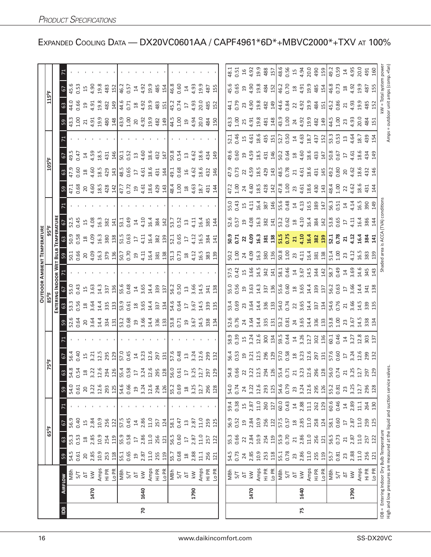|                |      |                                                                                                                  |                     |                    |                         |                   |                            |                                                                                                                                                                                                                                                                                                                     |                                                                                                       |               |                                                                                                                                                                                                                                              |                                                                                                                                                                                                                                                                                                                |                                                                                             |                                                                                                                                                                                                                                                                                                           | <b>OUTDOOR AMBIENT TEMPERATURE</b>  |                                         |                                                                                                                                                                                                                                |                                                                                                                                                                                                                                                                           |                                                                                                                                                                                                                                |                                      |                                                                                                                                                                        |      |                                                                                                                                                                                                                                                                                                               |                                                                                                                         |                |  |
|----------------|------|------------------------------------------------------------------------------------------------------------------|---------------------|--------------------|-------------------------|-------------------|----------------------------|---------------------------------------------------------------------------------------------------------------------------------------------------------------------------------------------------------------------------------------------------------------------------------------------------------------------|-------------------------------------------------------------------------------------------------------|---------------|----------------------------------------------------------------------------------------------------------------------------------------------------------------------------------------------------------------------------------------------|----------------------------------------------------------------------------------------------------------------------------------------------------------------------------------------------------------------------------------------------------------------------------------------------------------------|---------------------------------------------------------------------------------------------|-----------------------------------------------------------------------------------------------------------------------------------------------------------------------------------------------------------------------------------------------------------------------------------------------------------|-------------------------------------|-----------------------------------------|--------------------------------------------------------------------------------------------------------------------------------------------------------------------------------------------------------------------------------|---------------------------------------------------------------------------------------------------------------------------------------------------------------------------------------------------------------------------------------------------------------------------|--------------------------------------------------------------------------------------------------------------------------------------------------------------------------------------------------------------------------------|--------------------------------------|------------------------------------------------------------------------------------------------------------------------------------------------------------------------|------|---------------------------------------------------------------------------------------------------------------------------------------------------------------------------------------------------------------------------------------------------------------------------------------------------------------|-------------------------------------------------------------------------------------------------------------------------|----------------|--|
|                |      |                                                                                                                  |                     |                    | 65°F                    |                   |                            | 75°F                                                                                                                                                                                                                                                                                                                |                                                                                                       |               |                                                                                                                                                                                                                                              |                                                                                                                                                                                                                                                                                                                |                                                                                             |                                                                                                                                                                                                                                                                                                           |                                     |                                         |                                                                                                                                                                                                                                |                                                                                                                                                                                                                                                                           |                                                                                                                                                                                                                                | 105°F                                |                                                                                                                                                                        |      |                                                                                                                                                                                                                                                                                                               | 115°F                                                                                                                   |                |  |
|                |      |                                                                                                                  |                     |                    |                         |                   |                            |                                                                                                                                                                                                                                                                                                                     |                                                                                                       |               |                                                                                                                                                                                                                                              |                                                                                                                                                                                                                                                                                                                | ENTERING INDOOR WET                                                                         |                                                                                                                                                                                                                                                                                                           | Bull                                | <b>TEMPERATURE</b>                      |                                                                                                                                                                                                                                |                                                                                                                                                                                                                                                                           |                                                                                                                                                                                                                                |                                      |                                                                                                                                                                        |      |                                                                                                                                                                                                                                                                                                               |                                                                                                                         |                |  |
| $\overline{a}$ |      | AIRFLOW                                                                                                          | 59                  | 63                 | c,                      |                   |                            |                                                                                                                                                                                                                                                                                                                     | $\frac{6}{ }$                                                                                         |               |                                                                                                                                                                                                                                              | 63                                                                                                                                                                                                                                                                                                             |                                                                                             |                                                                                                                                                                                                                                                                                                           |                                     | යි                                      | 57                                                                                                                                                                                                                             |                                                                                                                                                                                                                                                                           | 59                                                                                                                                                                                                                             | $63$                                 | $\sqrt{6}$                                                                                                                                                             |      | 59                                                                                                                                                                                                                                                                                                            | 57<br>63                                                                                                                |                |  |
|                |      | NBh                                                                                                              | 54.5                | 55.3               | 56.9                    |                   | 54.0<br>0.61               |                                                                                                                                                                                                                                                                                                                     | 56.4                                                                                                  |               | 52.6<br>0.64                                                                                                                                                                                                                                 | 53.3                                                                                                                                                                                                                                                                                                           | 55.0                                                                                        |                                                                                                                                                                                                                                                                                                           | 50.1                                | 50.9                                    | 52.5                                                                                                                                                                                                                           |                                                                                                                                                                                                                                                                           | 47.1                                                                                                                                                                                                                           | 47.9                                 | 49.5                                                                                                                                                                   |      | 43.3                                                                                                                                                                                                                                                                                                          | 45.6<br>44.0                                                                                                            |                |  |
|                |      | 5/7                                                                                                              | 0.61                | 0.53               | 0.40                    |                   |                            |                                                                                                                                                                                                                                                                                                                     | 0.40                                                                                                  |               |                                                                                                                                                                                                                                              | 0.56                                                                                                                                                                                                                                                                                                           | 0.43                                                                                        |                                                                                                                                                                                                                                                                                                           | 0.66                                | 0.58                                    | 0.45                                                                                                                                                                                                                           |                                                                                                                                                                                                                                                                           | 0.68                                                                                                                                                                                                                           | 0.60                                 | 0.47                                                                                                                                                                   |      | 1.00                                                                                                                                                                                                                                                                                                          | 0.53<br>0.66                                                                                                            |                |  |
|                |      | $\overline{\Delta}$                                                                                              | 20                  | $2.\overline{85}$  | 15                      |                   | 20                         |                                                                                                                                                                                                                                                                                                                     | 15                                                                                                    |               |                                                                                                                                                                                                                                              | $\frac{18}{3.64}$                                                                                                                                                                                                                                                                                              | $\overline{15}$                                                                             |                                                                                                                                                                                                                                                                                                           | 20                                  | $\frac{\infty}{2}$                      | 15                                                                                                                                                                                                                             |                                                                                                                                                                                                                                                                           | 20                                                                                                                                                                                                                             | $^{26}$                              | $\overline{4}$                                                                                                                                                         |      | $\overline{21}$                                                                                                                                                                                                                                                                                               | 15<br>$\overline{a}$                                                                                                    |                |  |
|                | 1470 | $\lesssim$                                                                                                       | 2.85                |                    | 2.84                    |                   | 3.22                       |                                                                                                                                                                                                                                                                                                                     | 3.21                                                                                                  |               |                                                                                                                                                                                                                                              |                                                                                                                                                                                                                                                                                                                | 3.63                                                                                        |                                                                                                                                                                                                                                                                                                           |                                     | 4.09                                    | 4.08                                                                                                                                                                                                                           |                                                                                                                                                                                                                                                                           |                                                                                                                                                                                                                                | 4.60<br>18.5<br>429                  | 4.59<br>18.5<br>431                                                                                                                                                    |      |                                                                                                                                                                                                                                                                                                               | $4.90$<br>$19.8$<br>$4.93$<br>$19.8$                                                                                    |                |  |
|                |      | Amps<br>Hi PR                                                                                                    | 10.9                | 10.9               | 10.9<br>256             |                   | 12.6                       |                                                                                                                                                                                                                                                                                                                     |                                                                                                       |               |                                                                                                                                                                                                                                              | 14.4                                                                                                                                                                                                                                                                                                           | 14.3<br>337                                                                                 |                                                                                                                                                                                                                                                                                                           |                                     | 16.3                                    | 16.3<br>382                                                                                                                                                                                                                    |                                                                                                                                                                                                                                                                           |                                                                                                                                                                                                                                |                                      |                                                                                                                                                                        |      |                                                                                                                                                                                                                                                                                                               |                                                                                                                         |                |  |
|                |      | LO PR                                                                                                            | 253<br>118          | 119<br>254         | 122                     |                   | 293<br>125                 | $\frac{3}{3}$ $\frac{3}{3}$ $\frac{3}{2}$ $\frac{3}{2}$ $\frac{3}{2}$ $\frac{3}{2}$ $\frac{3}{2}$ $\frac{3}{2}$ $\frac{3}{2}$ $\frac{3}{2}$ $\frac{3}{2}$ $\frac{3}{2}$ $\frac{3}{2}$ $\frac{3}{2}$ $\frac{3}{2}$ $\frac{3}{2}$ $\frac{3}{2}$ $\frac{3}{2}$ $\frac{3}{2}$ $\frac{3}{2}$ $\frac{3}{2}$ $\frac{3}{2}$ | 12.5<br>295<br>129                                                                                    |               | 20, 24, 34, 21                                                                                                                                                                                                                               | 335<br>133                                                                                                                                                                                                                                                                                                     | 136                                                                                         |                                                                                                                                                                                                                                                                                                           | $4.09$<br>$4.3$ $7.9$<br>$3.79$     | 380<br>138                              | 141                                                                                                                                                                                                                            |                                                                                                                                                                                                                                                                           | $4.60$<br>$18.5$<br>$4.28$<br>$14$                                                                                                                                                                                             | 143                                  | 146                                                                                                                                                                    |      | $4.91$<br>$4.80$<br>$4.80$<br>$14$                                                                                                                                                                                                                                                                            | 483<br>152<br>149<br>482                                                                                                |                |  |
|                |      |                                                                                                                  | 55.1                |                    | 57.5                    |                   |                            |                                                                                                                                                                                                                                                                                                                     |                                                                                                       |               |                                                                                                                                                                                                                                              |                                                                                                                                                                                                                                                                                                                | 55.6                                                                                        |                                                                                                                                                                                                                                                                                                           |                                     |                                         | 53.1                                                                                                                                                                                                                           |                                                                                                                                                                                                                                                                           |                                                                                                                                                                                                                                |                                      | 50.1                                                                                                                                                                   |      |                                                                                                                                                                                                                                                                                                               |                                                                                                                         |                |  |
|                |      | NBh<br>S/T                                                                                                       |                     | 55.9<br>0.58<br>17 | 0.45                    |                   | 54.6<br>0.66<br>19         |                                                                                                                                                                                                                                                                                                                     | 57.0<br>0.45                                                                                          |               | $\frac{33}{100}$<br>$\frac{36}{100}$<br>$\frac{36}{100}$<br>$\frac{36}{100}$<br>$\frac{36}{100}$<br>$\frac{36}{100}$<br>$\frac{36}{100}$<br>$\frac{36}{100}$<br>$\frac{36}{100}$<br>$\frac{36}{100}$<br>$\frac{36}{100}$<br>$\frac{36}{100}$ | $\frac{33.5}{0.61}$ $\frac{83.5}{0.51}$ $\frac{43.7}{0.51}$ $\frac{24}{0.51}$                                                                                                                                                                                                                                  | 0.48                                                                                        |                                                                                                                                                                                                                                                                                                           |                                     | 51.5<br>0.63<br>17                      | 0.49                                                                                                                                                                                                                           |                                                                                                                                                                                                                                                                           | 47.7<br>0.72<br>19                                                                                                                                                                                                             | 48.5<br>0.65<br>17                   | 0.52                                                                                                                                                                   |      | $\begin{array}{c} 1.30 \\ 1.30 \\ 2.31 \\ 3.32 \\ 4.33 \\ 5.34 \\ 6.31 \\ 7.43 \\ 8.43 \\ 1.49 \\ 1.59 \\ 1.59 \\ 1.59 \\ 1.59 \\ 1.59 \\ 1.59 \\ 1.59 \\ 1.59 \\ 1.59 \\ 1.59 \\ 1.59 \\ 1.59 \\ 1.59 \\ 1.59 \\ 1.59 \\ 1.59 \\ 1.59 \\ 1.59 \\ 1.59 \\ 1.59 \\ 1.59 \\ 1.59 \\ 1.59 \\ 1.59 \\ 1.59 \\ 1.$ | $46.2$<br>0.57<br>4.92<br>48<br>48<br>48<br>4<br>44.6<br>0.71                                                           |                |  |
|                |      | $\overline{\Delta}$                                                                                              | $0.65$<br>19        |                    | $\overline{1}4$         |                   |                            |                                                                                                                                                                                                                                                                                                                     |                                                                                                       |               |                                                                                                                                                                                                                                              |                                                                                                                                                                                                                                                                                                                |                                                                                             |                                                                                                                                                                                                                                                                                                           |                                     |                                         | $\Xi$                                                                                                                                                                                                                          |                                                                                                                                                                                                                                                                           |                                                                                                                                                                                                                                |                                      | $\frac{1}{3}$                                                                                                                                                          |      |                                                                                                                                                                                                                                                                                                               |                                                                                                                         |                |  |
| $\mathsf{R}$   | 1640 | $\overline{\mathsf{k}}$                                                                                          | 2.87                | 2.86               | 2.86                    |                   |                            |                                                                                                                                                                                                                                                                                                                     |                                                                                                       |               |                                                                                                                                                                                                                                              |                                                                                                                                                                                                                                                                                                                | $14\phantom{1}3.65$                                                                         |                                                                                                                                                                                                                                                                                                           |                                     | 4.11                                    | 4.10                                                                                                                                                                                                                           |                                                                                                                                                                                                                                                                           |                                                                                                                                                                                                                                |                                      |                                                                                                                                                                        |      |                                                                                                                                                                                                                                                                                                               |                                                                                                                         |                |  |
|                |      | Amps                                                                                                             | $11.0$              | 11.0               | 11.0                    |                   | $3.24$<br>12.6             |                                                                                                                                                                                                                                                                                                                     |                                                                                                       |               |                                                                                                                                                                                                                                              |                                                                                                                                                                                                                                                                                                                | 14.4                                                                                        |                                                                                                                                                                                                                                                                                                           |                                     |                                         | 16.4                                                                                                                                                                                                                           |                                                                                                                                                                                                                                                                           |                                                                                                                                                                                                                                |                                      |                                                                                                                                                                        |      |                                                                                                                                                                                                                                                                                                               |                                                                                                                         |                |  |
|                |      | Hi PR<br>Lo PR                                                                                                   | 255                 | 256                | 257                     |                   | 294<br>126                 |                                                                                                                                                                                                                                                                                                                     | $\frac{14}{3.23}$ $\frac{3}{2}$ $\frac{5}{2}$ $\frac{5}{2}$                                           |               |                                                                                                                                                                                                                                              |                                                                                                                                                                                                                                                                                                                | 339<br>137                                                                                  |                                                                                                                                                                                                                                                                                                           |                                     | $16.4$<br>$38.2$                        | 384                                                                                                                                                                                                                            |                                                                                                                                                                                                                                                                           |                                                                                                                                                                                                                                | $4.51$<br>$4.51$<br>$4.51$<br>$4.41$ | $4.60$<br>$18.6$<br>$432$<br>$147$                                                                                                                                     |      |                                                                                                                                                                                                                                                                                                               |                                                                                                                         |                |  |
|                |      |                                                                                                                  | 119                 | 121                | 124                     |                   |                            |                                                                                                                                                                                                                                                                                                                     |                                                                                                       |               |                                                                                                                                                                                                                                              |                                                                                                                                                                                                                                                                                                                |                                                                                             |                                                                                                                                                                                                                                                                                                           |                                     |                                         | 142                                                                                                                                                                                                                            |                                                                                                                                                                                                                                                                           |                                                                                                                                                                                                                                |                                      |                                                                                                                                                                        |      |                                                                                                                                                                                                                                                                                                               |                                                                                                                         |                |  |
|                |      | MBh<br>S/T                                                                                                       | 55.7<br>0.68        | 56.5               | 58.1                    |                   | 55.2<br>0.69               |                                                                                                                                                                                                                                                                                                                     | 57.6<br>0.48                                                                                          |               |                                                                                                                                                                                                                                              | 54.6<br>0.64<br>17                                                                                                                                                                                                                                                                                             | 56.2<br>0.50                                                                                |                                                                                                                                                                                                                                                                                                           |                                     | $\frac{52.1}{0.65}$                     | 53.7<br>0.52                                                                                                                                                                                                                   |                                                                                                                                                                                                                                                                           | $4.59$ $4.34$ $4.5$ $6.5$ $6.5$ $7.4$ $7.4$ $8.5$ $7.5$ $7.5$ $7.5$ $7.5$ $7.5$ $7.5$ $7.5$ $7.5$ $7.5$ $7.5$ $7.5$ $7.5$ $7.5$ $7.5$ $7.5$ $7.5$ $7.5$ $7.5$ $7.5$ $7.5$ $7.5$ $7.5$ $7.5$ $7.5$ $7.5$ $7.5$ $7.5$ $7.5$ $7.$ | $49.1$<br>0.68                       | 50.8<br>0.54                                                                                                                                                           |      | $4.5$ $9$ $4.9$ $8$ $4.9$ $4.9$ $4.9$ $4.9$ $4.9$                                                                                                                                                                                                                                                             | 46.8<br>0.60<br>$\begin{array}{c} 18 \\ 4.92 \\ 19.3 \\ 4.93 \\ 4.83 \\ 4.51 \\ 4.74 \\ 0.74 \\ \end{array}$            |                |  |
|                |      |                                                                                                                  |                     | 0.60               | 0.47                    |                   |                            |                                                                                                                                                                                                                                                                                                                     |                                                                                                       |               |                                                                                                                                                                                                                                              |                                                                                                                                                                                                                                                                                                                |                                                                                             |                                                                                                                                                                                                                                                                                                           |                                     |                                         |                                                                                                                                                                                                                                |                                                                                                                                                                                                                                                                           |                                                                                                                                                                                                                                |                                      |                                                                                                                                                                        |      |                                                                                                                                                                                                                                                                                                               |                                                                                                                         |                |  |
|                |      | $\overline{\Delta}$                                                                                              | $^{28}$             | $\overline{17}$    | $\Xi$                   |                   | $^{28}$                    |                                                                                                                                                                                                                                                                                                                     |                                                                                                       |               |                                                                                                                                                                                                                                              |                                                                                                                                                                                                                                                                                                                | $\Xi$                                                                                       |                                                                                                                                                                                                                                                                                                           |                                     | $\overline{\mathbb{L}}$                 | $13$                                                                                                                                                                                                                           |                                                                                                                                                                                                                                                                           |                                                                                                                                                                                                                                | $\frac{1}{2}$                        | $\Xi$                                                                                                                                                                  |      |                                                                                                                                                                                                                                                                                                               | $\Xi$<br>$\overline{\mathbb{L}}$                                                                                        |                |  |
|                | 1790 | $\leq$                                                                                                           | 2.88                | 2.87               | 2.87                    |                   | 3.25                       |                                                                                                                                                                                                                                                                                                                     |                                                                                                       |               |                                                                                                                                                                                                                                              |                                                                                                                                                                                                                                                                                                                | 3.66                                                                                        |                                                                                                                                                                                                                                                                                                           |                                     | $^{4.12}_{-4.12}$                       | 4.11                                                                                                                                                                                                                           |                                                                                                                                                                                                                                                                           |                                                                                                                                                                                                                                |                                      |                                                                                                                                                                        |      |                                                                                                                                                                                                                                                                                                               |                                                                                                                         |                |  |
|                |      | Amps                                                                                                             | 11.1                | 11.0               | 11.0                    |                   | 12.7                       |                                                                                                                                                                                                                                                                                                                     | $13,24$<br>$3.24$                                                                                     |               |                                                                                                                                                                                                                                              | 3.67<br>14.5<br>339                                                                                                                                                                                                                                                                                            | 14.5                                                                                        |                                                                                                                                                                                                                                                                                                           |                                     |                                         | 16.4                                                                                                                                                                                                                           |                                                                                                                                                                                                                                                                           |                                                                                                                                                                                                                                | $4.62$<br>$18.6$<br>$432$            | 4.62<br>18.6                                                                                                                                                           |      |                                                                                                                                                                                                                                                                                                               | $4.93$<br>$19.9$<br>4.93<br>20.0<br>485<br>152                                                                          |                |  |
|                |      | Hi PR                                                                                                            | 256                 | 257                | 259                     |                   | 296                        |                                                                                                                                                                                                                                                                                                                     | 299                                                                                                   |               |                                                                                                                                                                                                                                              |                                                                                                                                                                                                                                                                                                                | 341                                                                                         |                                                                                                                                                                                                                                                                                                           |                                     | 16.5<br>384                             | 385                                                                                                                                                                                                                            |                                                                                                                                                                                                                                                                           |                                                                                                                                                                                                                                |                                      | 434                                                                                                                                                                    |      |                                                                                                                                                                                                                                                                                                               | 487                                                                                                                     |                |  |
|                |      | LO PR                                                                                                            | 121                 | 122                | 125                     |                   | 128                        |                                                                                                                                                                                                                                                                                                                     | 132                                                                                                   |               | 134                                                                                                                                                                                                                                          | 135                                                                                                                                                                                                                                                                                                            | 138                                                                                         |                                                                                                                                                                                                                                                                                                           |                                     | 141                                     | $\overline{4}$                                                                                                                                                                                                                 |                                                                                                                                                                                                                                                                           | 144                                                                                                                                                                                                                            | 146                                  | 149                                                                                                                                                                    |      |                                                                                                                                                                                                                                                                                                               | 155                                                                                                                     |                |  |
|                |      |                                                                                                                  |                     |                    |                         |                   |                            |                                                                                                                                                                                                                                                                                                                     |                                                                                                       |               |                                                                                                                                                                                                                                              |                                                                                                                                                                                                                                                                                                                |                                                                                             |                                                                                                                                                                                                                                                                                                           |                                     |                                         |                                                                                                                                                                                                                                |                                                                                                                                                                                                                                                                           |                                                                                                                                                                                                                                |                                      |                                                                                                                                                                        |      |                                                                                                                                                                                                                                                                                                               |                                                                                                                         |                |  |
|                |      |                                                                                                                  | 54.5                | 55.3               | 56.9                    |                   | 54.0<br>0.74               |                                                                                                                                                                                                                                                                                                                     |                                                                                                       |               | 52.6                                                                                                                                                                                                                                         | 53.4                                                                                                                                                                                                                                                                                                           | 55.0                                                                                        | 57.5                                                                                                                                                                                                                                                                                                      |                                     |                                         |                                                                                                                                                                                                                                | 55.0                                                                                                                                                                                                                                                                      |                                                                                                                                                                                                                                | 47.9                                 |                                                                                                                                                                        | 52.1 | $43.3$<br>$1.00$<br>$25$                                                                                                                                                                                                                                                                                      | 45.6<br>44.1                                                                                                            | 48.1           |  |
|                |      | 지<br>S/T                                                                                                         | 0.73                | <b>0.66</b>        | 0.52                    | $59.4$<br>0.38    |                            |                                                                                                                                                                                                                                                                                                                     |                                                                                                       |               | 0.76                                                                                                                                                                                                                                         |                                                                                                                                                                                                                                                                                                                | 0.56<br>19.63<br>14.3                                                                       |                                                                                                                                                                                                                                                                                                           |                                     | 50.3<br>0.71                            | $\frac{52.6}{0.57}$                                                                                                                                                                                                            | $0.43$<br>15                                                                                                                                                                                                                                                              | 47.2<br>1.00                                                                                                                                                                                                                   | 0.73                                 | 49.6<br>0.60                                                                                                                                                           | 0.46 |                                                                                                                                                                                                                                                                                                               | 0.65<br>0.79                                                                                                            | 0.51           |  |
|                |      | $\overline{\Delta}$                                                                                              | $\overline{24}$     | $\overline{2}$     | $\overline{1}9$         | $15$<br>$2.87$    | 24                         |                                                                                                                                                                                                                                                                                                                     |                                                                                                       |               |                                                                                                                                                                                                                                              |                                                                                                                                                                                                                                                                                                                |                                                                                             |                                                                                                                                                                                                                                                                                                           |                                     |                                         |                                                                                                                                                                                                                                |                                                                                                                                                                                                                                                                           | $\overline{24}$                                                                                                                                                                                                                |                                      | $\overline{1}9$                                                                                                                                                        |      |                                                                                                                                                                                                                                                                                                               |                                                                                                                         |                |  |
|                | 1470 | $\leq$                                                                                                           | 2.85<br>10.9        | 2.84               | 2.84                    |                   | 3.22<br>12.6               |                                                                                                                                                                                                                                                                                                                     |                                                                                                       |               |                                                                                                                                                                                                                                              |                                                                                                                                                                                                                                                                                                                |                                                                                             |                                                                                                                                                                                                                                                                                                           |                                     |                                         |                                                                                                                                                                                                                                |                                                                                                                                                                                                                                                                           |                                                                                                                                                                                                                                |                                      |                                                                                                                                                                        |      |                                                                                                                                                                                                                                                                                                               | 9.908<br>$73$<br>$4.90$<br>$19.8$                                                                                       |                |  |
|                |      | $\begin{array}{c}\n\text{Amps} \\ \text{Hi PR} \\ \text{Lo PR} \\ \hline\n\text{NFA} \\ \text{MBr}\n\end{array}$ |                     | 10.9               | 10.9                    | 11.0              |                            |                                                                                                                                                                                                                                                                                                                     |                                                                                                       |               |                                                                                                                                                                                                                                              |                                                                                                                                                                                                                                                                                                                |                                                                                             |                                                                                                                                                                                                                                                                                                           |                                     |                                         |                                                                                                                                                                                                                                |                                                                                                                                                                                                                                                                           |                                                                                                                                                                                                                                |                                      |                                                                                                                                                                        |      |                                                                                                                                                                                                                                                                                                               |                                                                                                                         |                |  |
|                |      |                                                                                                                  | 253                 | 254                | 256                     | 260               | $\frac{293}{125}$          |                                                                                                                                                                                                                                                                                                                     |                                                                                                       |               |                                                                                                                                                                                                                                              |                                                                                                                                                                                                                                                                                                                |                                                                                             |                                                                                                                                                                                                                                                                                                           |                                     |                                         |                                                                                                                                                                                                                                |                                                                                                                                                                                                                                                                           |                                                                                                                                                                                                                                |                                      |                                                                                                                                                                        |      |                                                                                                                                                                                                                                                                                                               |                                                                                                                         |                |  |
|                |      |                                                                                                                  | $\frac{28}{2}$      | 119                | $\frac{12}{57.5}$       | 127               |                            |                                                                                                                                                                                                                                                                                                                     |                                                                                                       |               |                                                                                                                                                                                                                                              |                                                                                                                                                                                                                                                                                                                |                                                                                             |                                                                                                                                                                                                                                                                                                           |                                     |                                         |                                                                                                                                                                                                                                |                                                                                                                                                                                                                                                                           |                                                                                                                                                                                                                                |                                      |                                                                                                                                                                        |      |                                                                                                                                                                                                                                                                                                               | $rac{484}{46.7}$                                                                                                        |                |  |
|                |      |                                                                                                                  | $\frac{55.1}{0.78}$ | 55.9<br>0.70       |                         | $\frac{60}{60}$   | 54.6<br>0.79               |                                                                                                                                                                                                                                                                                                                     |                                                                                                       |               |                                                                                                                                                                                                                                              |                                                                                                                                                                                                                                                                                                                |                                                                                             |                                                                                                                                                                                                                                                                                                           |                                     |                                         |                                                                                                                                                                                                                                |                                                                                                                                                                                                                                                                           |                                                                                                                                                                                                                                |                                      |                                                                                                                                                                        |      |                                                                                                                                                                                                                                                                                                               |                                                                                                                         |                |  |
|                |      |                                                                                                                  |                     |                    |                         |                   |                            |                                                                                                                                                                                                                                                                                                                     |                                                                                                       |               |                                                                                                                                                                                                                                              |                                                                                                                                                                                                                                                                                                                |                                                                                             |                                                                                                                                                                                                                                                                                                           |                                     |                                         |                                                                                                                                                                                                                                |                                                                                                                                                                                                                                                                           |                                                                                                                                                                                                                                |                                      |                                                                                                                                                                        |      |                                                                                                                                                                                                                                                                                                               |                                                                                                                         |                |  |
|                |      | $\overline{\Delta}$                                                                                              | 23                  | 21                 | 2.85                    | $\frac{14}{2.88}$ | 23                         |                                                                                                                                                                                                                                                                                                                     |                                                                                                       |               |                                                                                                                                                                                                                                              |                                                                                                                                                                                                                                                                                                                |                                                                                             |                                                                                                                                                                                                                                                                                                           |                                     |                                         |                                                                                                                                                                                                                                |                                                                                                                                                                                                                                                                           |                                                                                                                                                                                                                                |                                      |                                                                                                                                                                        |      |                                                                                                                                                                                                                                                                                                               |                                                                                                                         |                |  |
| 75             | 1640 | $\lesssim$                                                                                                       | 2.86                | 2.86               |                         |                   |                            |                                                                                                                                                                                                                                                                                                                     |                                                                                                       |               |                                                                                                                                                                                                                                              |                                                                                                                                                                                                                                                                                                                |                                                                                             |                                                                                                                                                                                                                                                                                                           |                                     |                                         |                                                                                                                                                                                                                                |                                                                                                                                                                                                                                                                           |                                                                                                                                                                                                                                |                                      |                                                                                                                                                                        |      |                                                                                                                                                                                                                                                                                                               |                                                                                                                         |                |  |
|                |      |                                                                                                                  | 11.0                | 11.0               | 11.0                    | 11.1              |                            |                                                                                                                                                                                                                                                                                                                     |                                                                                                       |               |                                                                                                                                                                                                                                              |                                                                                                                                                                                                                                                                                                                |                                                                                             |                                                                                                                                                                                                                                                                                                           |                                     |                                         |                                                                                                                                                                                                                                |                                                                                                                                                                                                                                                                           |                                                                                                                                                                                                                                |                                      |                                                                                                                                                                        |      |                                                                                                                                                                                                                                                                                                               |                                                                                                                         |                |  |
|                |      | Amps<br>Hi PR<br>Lo PR                                                                                           | 255<br>119          | 256<br>121         | 258<br>124              | 262<br>129        | 3.24<br>12.6<br>295<br>126 |                                                                                                                                                                                                                                                                                                                     | 56. 13 13 13 13 13 13 13 14 15 16 16 17 18 18 19 10 16 16 17 18 18 19 19 19 19 19 19 19 19 19 19 19 1 |               | $\frac{1}{3}$                                                                                                                                                                                                                                | $0.69$<br>$0.73$<br>$0.54$<br>$0.74$<br>$0.75$<br>$0.75$<br>$0.75$<br>$0.75$<br>$0.75$<br>$0.75$<br>$0.75$<br>$0.75$<br>$0.75$                                                                                                                                                                                 | $\begin{array}{c} 337 \\ 336 \\ 156 \\ 69 \\ 69 \\ 75 \\ 80 \\ 14 \\ 339 \\ 13 \end{array}$ | $35\frac{1}{2}$ $35\frac{1}{2}$ $35\frac{1}{2}$ $36\frac{1}{2}$ $37\frac{1}{2}$ $36\frac{1}{2}$ $36\frac{1}{2}$ $36\frac{1}{2}$ $36\frac{1}{2}$ $36\frac{1}{2}$ $36\frac{1}{2}$ $36\frac{1}{2}$ $36\frac{1}{2}$ $36\frac{1}{2}$ $36\frac{1}{2}$ $36\frac{1}{2}$ $36\frac{1}{2}$ $36\frac{1}{2}$ $36\frac$ |                                     | 2 3 3 3 3 4 5 5 4 5 5 4 6 7 8 9 5 5 6 7 | $4.38$ $2.8$ $1/3$ $3/3$ $2/3$ $3/4$ $1/3$ $3/3$ $3/4$ $1/3$ $3/5$ $3/4$ $3/5$ $3/5$ $3/5$ $3/5$ $3/5$ $3/5$ $3/5$ $3/5$ $3/5$ $3/5$ $3/5$ $3/5$ $3/5$ $3/5$ $3/5$ $3/5$ $3/5$ $3/5$ $3/5$ $3/5$ $3/5$ $3/5$ $3/5$ $3/5$ $3/5$ | $\frac{1}{4}$ $\frac{3}{4}$ $\frac{8}{8}$ $\frac{8}{4}$ $\frac{1}{8}$ $\frac{6}{8}$ $\frac{8}{4}$ $\frac{4}{4}$ $\frac{1}{4}$ $\frac{6}{8}$ $\frac{8}{8}$ $\frac{1}{4}$ $\frac{1}{8}$ $\frac{6}{8}$ $\frac{3}{1}$ $\frac{1}{8}$ $\frac{1}{1}$ $\frac{6}{8}$ $\frac{3}{1}$ | $4.58$ $3.8$ $3.4$ $1.8$ $3.5$ $3.4$ $4.5$ $3.5$ $4.5$ $4.5$ $5.5$ $5.5$ $5.5$ $5.5$ $5.5$ $5.5$ $5.5$ $5.5$ $5.5$ $5.5$ $5.5$ $5.5$ $5.5$ $5.5$ $5.5$ $5.5$ $5.5$ $5.5$ $5.5$ $5.5$ $5.5$ $5.5$ $5.5$ $5.5$ $5.5$ $5.5$ $5.5$ |                                      | $4.59$<br>$1.37$<br>$1.47$<br>$1.67$<br>$1.67$<br>$1.67$<br>$1.67$<br>$1.67$<br>$1.67$<br>$1.67$<br>$1.67$<br>$1.67$<br>$1.67$<br>$1.67$<br>$1.67$<br>$1.67$<br>$1.67$ |      | $4.98$ $8.8$ $8.4$ $8.9$ $8.4$ $8.9$ $8.4$ $9.9$ $8.4$ $9.9$ $8.4$ $9.4$ $9.4$ $9.4$ $9.4$ $9.4$ $9.4$ $9.4$ $9.4$ $9.4$ $9.4$ $9.4$ $9.4$ $9.4$ $9.4$ $9.4$ $9.4$ $9.4$ $9.4$ $9.4$ $9.4$ $9.4$ $9.4$ $9.4$ $9.4$ $9.4$ $9.4$                                                                                | $\frac{12}{3}$ $\frac{12}{3}$ $\frac{16}{3}$ $\frac{12}{3}$ $\frac{12}{3}$ $\frac{12}{3}$ $\frac{12}{3}$ $\frac{12}{3}$ |                |  |
|                |      |                                                                                                                  |                     |                    |                         | 60.6              |                            |                                                                                                                                                                                                                                                                                                                     |                                                                                                       |               |                                                                                                                                                                                                                                              |                                                                                                                                                                                                                                                                                                                |                                                                                             |                                                                                                                                                                                                                                                                                                           |                                     |                                         |                                                                                                                                                                                                                                |                                                                                                                                                                                                                                                                           |                                                                                                                                                                                                                                |                                      |                                                                                                                                                                        |      | $\frac{44.5}{1.00}$                                                                                                                                                                                                                                                                                           | 45.2<br>0.86                                                                                                            |                |  |
|                |      | MBh<br>$5/7$                                                                                                     | 55.7                | 56.5<br>0.73       | 58.1<br>0.60            | 0.46              | 55.2<br>0.81               |                                                                                                                                                                                                                                                                                                                     |                                                                                                       |               |                                                                                                                                                                                                                                              |                                                                                                                                                                                                                                                                                                                |                                                                                             |                                                                                                                                                                                                                                                                                                           |                                     |                                         |                                                                                                                                                                                                                                |                                                                                                                                                                                                                                                                           |                                                                                                                                                                                                                                |                                      |                                                                                                                                                                        |      |                                                                                                                                                                                                                                                                                                               |                                                                                                                         |                |  |
|                |      | $\overline{\Delta}$                                                                                              | 23                  | 21                 | $\overline{\mathbb{L}}$ | $\Xi$             | 23                         |                                                                                                                                                                                                                                                                                                                     |                                                                                                       |               |                                                                                                                                                                                                                                              | $\frac{16}{54.6}$ $\frac{6}{54}$ $\frac{6}{54}$ $\frac{6}{54}$ $\frac{6}{32}$ $\frac{6}{32}$ $\frac{6}{32}$ $\frac{6}{32}$ $\frac{6}{32}$ $\frac{6}{32}$ $\frac{6}{32}$ $\frac{6}{32}$ $\frac{6}{32}$ $\frac{6}{32}$ $\frac{6}{32}$ $\frac{6}{32}$ $\frac{6}{32}$ $\frac{6}{32}$ $\frac{6}{32}$ $\frac{6}{32}$ | $\frac{12}{56}$ $\frac{25}{56}$ $\frac{54}{36}$ $\frac{47}{36}$ $\frac{28}{36}$             |                                                                                                                                                                                                                                                                                                           |                                     | 21,22                                   | $\overline{\mathfrak{u}}$                                                                                                                                                                                                      | $\ensuremath{\mathfrak{a}}$                                                                                                                                                                                                                                               | $22$<br>4.62                                                                                                                                                                                                                   |                                      |                                                                                                                                                                        |      | 23<br>4.93                                                                                                                                                                                                                                                                                                    |                                                                                                                         | $\overline{a}$ |  |
|                | 1790 | $\leq$                                                                                                           | 2.88                | 2.87               | 2.87                    | 2.89              | 3.25                       |                                                                                                                                                                                                                                                                                                                     |                                                                                                       |               |                                                                                                                                                                                                                                              |                                                                                                                                                                                                                                                                                                                |                                                                                             |                                                                                                                                                                                                                                                                                                           |                                     |                                         | 4.11                                                                                                                                                                                                                           | 4.14                                                                                                                                                                                                                                                                      |                                                                                                                                                                                                                                |                                      |                                                                                                                                                                        |      |                                                                                                                                                                                                                                                                                                               | $4.92$<br>$4.9.9$                                                                                                       | 4.95<br>20.0   |  |
|                |      | Amps                                                                                                             | 11.0                | 11.0               | 11.0                    | 11.1              | 12.7                       |                                                                                                                                                                                                                                                                                                                     |                                                                                                       | $12.8$<br>303 |                                                                                                                                                                                                                                              |                                                                                                                                                                                                                                                                                                                |                                                                                             |                                                                                                                                                                                                                                                                                                           |                                     | $16.4$<br>384                           | 16.4<br>386                                                                                                                                                                                                                    | 16.5<br>390                                                                                                                                                                                                                                                               |                                                                                                                                                                                                                                |                                      |                                                                                                                                                                        |      | 20.0                                                                                                                                                                                                                                                                                                          |                                                                                                                         |                |  |
|                |      | Hi PR                                                                                                            | 256                 | 257                | 259                     | 264               | 296                        |                                                                                                                                                                                                                                                                                                                     | $12.6$<br>299<br>132                                                                                  |               |                                                                                                                                                                                                                                              |                                                                                                                                                                                                                                                                                                                |                                                                                             | 14.6<br>345<br>143                                                                                                                                                                                                                                                                                        |                                     |                                         |                                                                                                                                                                                                                                |                                                                                                                                                                                                                                                                           | 18.6<br>431<br>144                                                                                                                                                                                                             | $204.66$<br>$4.66$<br>$4.346$        | $174.54$<br>$4.54$<br>$4.34$<br>$4.34$                                                                                                                                 |      | 484<br>151                                                                                                                                                                                                                                                                                                    | 487<br>$71$ $4.93$ $93$ $485$ $152$                                                                                     | 491            |  |
|                |      | Lo PR                                                                                                            | 121                 | 122                | 125                     | 130               | 128                        |                                                                                                                                                                                                                                                                                                                     |                                                                                                       | 137           |                                                                                                                                                                                                                                              | 135                                                                                                                                                                                                                                                                                                            |                                                                                             |                                                                                                                                                                                                                                                                                                           |                                     | $\ddot{a}$                              | $\overline{4}$                                                                                                                                                                                                                 | $_{149}$                                                                                                                                                                                                                                                                  |                                                                                                                                                                                                                                |                                      |                                                                                                                                                                        |      |                                                                                                                                                                                                                                                                                                               | 155                                                                                                                     | 160            |  |
| BO             |      | ligh and low pressures are measured at the liquid and suction service<br>= Entering Indoor Dry Bulb Temperature  |                     |                    |                         |                   |                            | valves.                                                                                                                                                                                                                                                                                                             |                                                                                                       |               |                                                                                                                                                                                                                                              |                                                                                                                                                                                                                                                                                                                |                                                                                             |                                                                                                                                                                                                                                                                                                           | Shaded area is ACCA (TVA) condition |                                         |                                                                                                                                                                                                                                |                                                                                                                                                                                                                                                                           |                                                                                                                                                                                                                                |                                      |                                                                                                                                                                        | Amps | - outdoor unit amps (comp.+fan)                                                                                                                                                                                                                                                                               | kW = Total system power                                                                                                 |                |  |

EXPANDED COOLING DATA - DX20VC0601AA / CAPF4961\*6D\*+MBVC2000\*+TXV AT 100%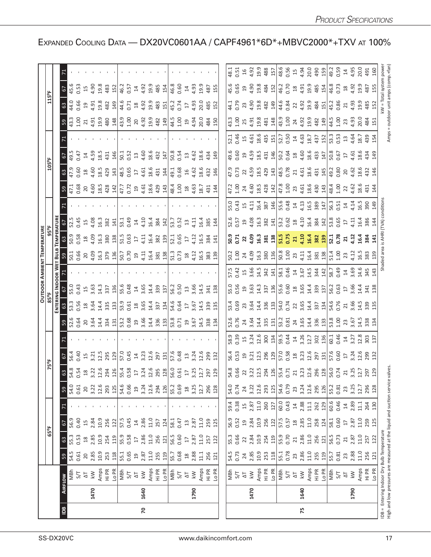|                |      |                                                                                                                           |                 |                         |                              |                |                |                                                                                                                                                                                                                                                                                                               |                                                                                                                                                                                                                                                                                                             |                                                                                                                                                                   |                                                                                                                                                                                                                                                                                                           |                                                                                                                                                                  | <b>OUTDOOR AMBIENT TEMPERATURE</b>                                                                   |                                                                                                                                                                                                                                                                                                           |                                                                                                                                                                                                                                                                                           |                                                                                                                                                                                                                                                                                                             |                |      |                                                           |                                                                                                                                                                                                                                                                                                           |  |
|----------------|------|---------------------------------------------------------------------------------------------------------------------------|-----------------|-------------------------|------------------------------|----------------|----------------|---------------------------------------------------------------------------------------------------------------------------------------------------------------------------------------------------------------------------------------------------------------------------------------------------------------|-------------------------------------------------------------------------------------------------------------------------------------------------------------------------------------------------------------------------------------------------------------------------------------------------------------|-------------------------------------------------------------------------------------------------------------------------------------------------------------------|-----------------------------------------------------------------------------------------------------------------------------------------------------------------------------------------------------------------------------------------------------------------------------------------------------------|------------------------------------------------------------------------------------------------------------------------------------------------------------------|------------------------------------------------------------------------------------------------------|-----------------------------------------------------------------------------------------------------------------------------------------------------------------------------------------------------------------------------------------------------------------------------------------------------------|-------------------------------------------------------------------------------------------------------------------------------------------------------------------------------------------------------------------------------------------------------------------------------------------|-------------------------------------------------------------------------------------------------------------------------------------------------------------------------------------------------------------------------------------------------------------------------------------------------------------|----------------|------|-----------------------------------------------------------|-----------------------------------------------------------------------------------------------------------------------------------------------------------------------------------------------------------------------------------------------------------------------------------------------------------|--|
|                |      |                                                                                                                           |                 |                         | 65°F                         |                |                |                                                                                                                                                                                                                                                                                                               | 75°F                                                                                                                                                                                                                                                                                                        |                                                                                                                                                                   |                                                                                                                                                                                                                                                                                                           |                                                                                                                                                                  |                                                                                                      |                                                                                                                                                                                                                                                                                                           |                                                                                                                                                                                                                                                                                           | 105°F                                                                                                                                                                                                                                                                                                       |                |      | 115°F                                                     |                                                                                                                                                                                                                                                                                                           |  |
|                |      |                                                                                                                           |                 |                         |                              |                |                |                                                                                                                                                                                                                                                                                                               |                                                                                                                                                                                                                                                                                                             |                                                                                                                                                                   |                                                                                                                                                                                                                                                                                                           |                                                                                                                                                                  |                                                                                                      |                                                                                                                                                                                                                                                                                                           |                                                                                                                                                                                                                                                                                           |                                                                                                                                                                                                                                                                                                             |                |      |                                                           |                                                                                                                                                                                                                                                                                                           |  |
| $\overline{a}$ |      | <b>AIRFLOW</b>                                                                                                            | 59              | $63\,$                  | 6                            |                | 59             |                                                                                                                                                                                                                                                                                                               |                                                                                                                                                                                                                                                                                                             |                                                                                                                                                                   |                                                                                                                                                                                                                                                                                                           |                                                                                                                                                                  |                                                                                                      |                                                                                                                                                                                                                                                                                                           |                                                                                                                                                                                                                                                                                           |                                                                                                                                                                                                                                                                                                             |                |      |                                                           |                                                                                                                                                                                                                                                                                                           |  |
|                |      | MBh                                                                                                                       | 54.5            | 55.3                    | 56.9                         |                | 54.0           |                                                                                                                                                                                                                                                                                                               |                                                                                                                                                                                                                                                                                                             |                                                                                                                                                                   |                                                                                                                                                                                                                                                                                                           |                                                                                                                                                                  |                                                                                                      |                                                                                                                                                                                                                                                                                                           |                                                                                                                                                                                                                                                                                           |                                                                                                                                                                                                                                                                                                             | $6\frac{4}{3}$ |      |                                                           |                                                                                                                                                                                                                                                                                                           |  |
|                |      | 5/T                                                                                                                       | 0.61            | 0.53                    | 0.40                         |                | 0.61           |                                                                                                                                                                                                                                                                                                               |                                                                                                                                                                                                                                                                                                             |                                                                                                                                                                   |                                                                                                                                                                                                                                                                                                           |                                                                                                                                                                  |                                                                                                      |                                                                                                                                                                                                                                                                                                           |                                                                                                                                                                                                                                                                                           |                                                                                                                                                                                                                                                                                                             |                |      |                                                           |                                                                                                                                                                                                                                                                                                           |  |
|                |      | $\overline{\Delta}$                                                                                                       | 20              | $^{28}$                 | 15                           |                | 20             |                                                                                                                                                                                                                                                                                                               |                                                                                                                                                                                                                                                                                                             |                                                                                                                                                                   |                                                                                                                                                                                                                                                                                                           |                                                                                                                                                                  |                                                                                                      |                                                                                                                                                                                                                                                                                                           |                                                                                                                                                                                                                                                                                           |                                                                                                                                                                                                                                                                                                             |                |      |                                                           | $645.3$ 5 $43.3$                                                                                                                                                                                                                                                                                          |  |
|                | 1470 | $\overline{\mathsf{k}}$                                                                                                   | 2.85            | 2.85                    | 2.84                         |                | 3.22           |                                                                                                                                                                                                                                                                                                               |                                                                                                                                                                                                                                                                                                             |                                                                                                                                                                   |                                                                                                                                                                                                                                                                                                           |                                                                                                                                                                  |                                                                                                      |                                                                                                                                                                                                                                                                                                           |                                                                                                                                                                                                                                                                                           |                                                                                                                                                                                                                                                                                                             |                |      |                                                           |                                                                                                                                                                                                                                                                                                           |  |
|                |      | Amps<br>Hi PR                                                                                                             | 10.9            | 10.9                    | 10.9                         |                | 12.6           |                                                                                                                                                                                                                                                                                                               |                                                                                                                                                                                                                                                                                                             |                                                                                                                                                                   |                                                                                                                                                                                                                                                                                                           |                                                                                                                                                                  |                                                                                                      |                                                                                                                                                                                                                                                                                                           |                                                                                                                                                                                                                                                                                           |                                                                                                                                                                                                                                                                                                             |                |      |                                                           |                                                                                                                                                                                                                                                                                                           |  |
|                |      |                                                                                                                           | 253             | 254                     | 256                          |                | 293            |                                                                                                                                                                                                                                                                                                               | $5\frac{3}{5}$ $5\frac{4}{5}$ $2\frac{4}{5}$ $2\frac{1}{5}$ $2\frac{1}{5}$ $2\frac{1}{5}$ $2\frac{4}{5}$ $2\frac{4}{5}$ $2\frac{4}{5}$ $2\frac{4}{5}$ $2\frac{4}{5}$ $2\frac{4}{5}$ $2\frac{4}{5}$ $2\frac{4}{5}$ $2\frac{4}{5}$ $2\frac{4}{5}$ $2\frac{4}{5}$ $2\frac{4}{5}$ $2\frac{4}{5}$ $2\frac{4}{5}$ | <u>อยังอัยลัสันปัญจัตร์สันปัญญัญสัน</u> และ<br>อยังอัยลัสันปัญญัติสัน                                                                                             | $\frac{16}{12}$ $\frac{12}{12}$ $\frac{12}{12}$ $\frac{12}{12}$ $\frac{12}{12}$ $\frac{12}{12}$ $\frac{12}{12}$ $\frac{12}{12}$ $\frac{12}{12}$ $\frac{12}{12}$ $\frac{12}{12}$ $\frac{12}{12}$ $\frac{12}{12}$ $\frac{12}{12}$ $\frac{12}{12}$ $\frac{12}{12}$ $\frac{12}{12}$ $\frac{12}{12}$ $\frac{1$ |                                                                                                                                                                  |                                                                                                      | <u>្រុ</u><br>ក្រុម ដូច និយ្ហ និង ដ្ឋាយ និង ដូច និង ដូច និង ដូច និង ដូច និង ដូច និង ដូច និង ដូច និង ដូច និង ដូច និង ដូ                                                                                                                                                                                    |                                                                                                                                                                                                                                                                                           | $3\frac{1}{2}$ $3\frac{1}{2}$ $3\frac{1}{2}$ $3\frac{1}{2}$ $3\frac{1}{2}$ $3\frac{1}{2}$ $3\frac{1}{2}$ $3\frac{1}{2}$ $3\frac{1}{2}$ $3\frac{1}{2}$ $3\frac{1}{2}$ $3\frac{1}{2}$ $3\frac{1}{2}$ $3\frac{1}{2}$ $3\frac{1}{2}$ $3\frac{1}{2}$ $3\frac{1}{2}$ $3\frac{1}{2}$ $3\frac{1}{2}$ $3\frac{1}{2}$ |                |      |                                                           | $\begin{array}{c} 23 & 23 & 24 & 25 \\ 24 & 25 & 25 & 26 \\ 25 & 26 & 27 & 27 \\ 26 & 27 & 28 & 27 \\ 27 & 28 & 29 & 28 \\ 28 & 29 & 29 & 27 \\ 29 & 29 & 29 & 27 \\ 21 & 29 & 29 & 27 \\ 21 & 29 & 29 & 27 \\ 21 & 29 & 29 & 27 \\ 21 & 29 & 29 & 27 \\ 21 & 29 & 29 & 27 \\ 21 & 29 & 29 & 27 \\ 21 & $ |  |
|                |      | Lo PR                                                                                                                     | 118             | 119                     | 122                          |                | 125            |                                                                                                                                                                                                                                                                                                               |                                                                                                                                                                                                                                                                                                             |                                                                                                                                                                   |                                                                                                                                                                                                                                                                                                           |                                                                                                                                                                  |                                                                                                      |                                                                                                                                                                                                                                                                                                           |                                                                                                                                                                                                                                                                                           |                                                                                                                                                                                                                                                                                                             |                |      |                                                           |                                                                                                                                                                                                                                                                                                           |  |
|                |      | 동산 의                                                                                                                      | 55.1            | 55.9                    | 57.5                         |                | 54.6<br>0.66   |                                                                                                                                                                                                                                                                                                               |                                                                                                                                                                                                                                                                                                             |                                                                                                                                                                   |                                                                                                                                                                                                                                                                                                           |                                                                                                                                                                  |                                                                                                      |                                                                                                                                                                                                                                                                                                           |                                                                                                                                                                                                                                                                                           |                                                                                                                                                                                                                                                                                                             |                |      |                                                           |                                                                                                                                                                                                                                                                                                           |  |
|                |      |                                                                                                                           | 0.65            | 0.58                    | 0.45                         |                |                |                                                                                                                                                                                                                                                                                                               |                                                                                                                                                                                                                                                                                                             |                                                                                                                                                                   |                                                                                                                                                                                                                                                                                                           |                                                                                                                                                                  |                                                                                                      |                                                                                                                                                                                                                                                                                                           |                                                                                                                                                                                                                                                                                           |                                                                                                                                                                                                                                                                                                             |                |      |                                                           |                                                                                                                                                                                                                                                                                                           |  |
|                |      |                                                                                                                           | $\Xi$           | $\overline{\mathbb{L}}$ | $\overline{4}$               |                | $\overline{c}$ |                                                                                                                                                                                                                                                                                                               |                                                                                                                                                                                                                                                                                                             |                                                                                                                                                                   |                                                                                                                                                                                                                                                                                                           |                                                                                                                                                                  |                                                                                                      |                                                                                                                                                                                                                                                                                                           |                                                                                                                                                                                                                                                                                           |                                                                                                                                                                                                                                                                                                             |                |      |                                                           |                                                                                                                                                                                                                                                                                                           |  |
| 20             | 1640 | $\lesssim$                                                                                                                | 2.87            | 2.86                    | 2.86                         |                | 3.24           |                                                                                                                                                                                                                                                                                                               |                                                                                                                                                                                                                                                                                                             |                                                                                                                                                                   |                                                                                                                                                                                                                                                                                                           |                                                                                                                                                                  |                                                                                                      |                                                                                                                                                                                                                                                                                                           |                                                                                                                                                                                                                                                                                           |                                                                                                                                                                                                                                                                                                             |                |      |                                                           |                                                                                                                                                                                                                                                                                                           |  |
|                |      | Amps                                                                                                                      | 11.0            | 11.0                    | 11.0                         |                | 12.6           |                                                                                                                                                                                                                                                                                                               |                                                                                                                                                                                                                                                                                                             |                                                                                                                                                                   |                                                                                                                                                                                                                                                                                                           |                                                                                                                                                                  |                                                                                                      |                                                                                                                                                                                                                                                                                                           |                                                                                                                                                                                                                                                                                           |                                                                                                                                                                                                                                                                                                             |                |      |                                                           |                                                                                                                                                                                                                                                                                                           |  |
|                |      | Hi PR                                                                                                                     | 255             | 256                     | 257                          |                | 294            |                                                                                                                                                                                                                                                                                                               |                                                                                                                                                                                                                                                                                                             |                                                                                                                                                                   |                                                                                                                                                                                                                                                                                                           |                                                                                                                                                                  |                                                                                                      |                                                                                                                                                                                                                                                                                                           |                                                                                                                                                                                                                                                                                           |                                                                                                                                                                                                                                                                                                             |                |      |                                                           |                                                                                                                                                                                                                                                                                                           |  |
|                |      | Lo PR                                                                                                                     | 119             | 121                     | 124                          |                | 126            |                                                                                                                                                                                                                                                                                                               |                                                                                                                                                                                                                                                                                                             |                                                                                                                                                                   |                                                                                                                                                                                                                                                                                                           |                                                                                                                                                                  |                                                                                                      |                                                                                                                                                                                                                                                                                                           |                                                                                                                                                                                                                                                                                           |                                                                                                                                                                                                                                                                                                             |                |      |                                                           |                                                                                                                                                                                                                                                                                                           |  |
|                |      | MBh                                                                                                                       | 55.7            | 56.5                    | 58.1                         |                | 55.2           |                                                                                                                                                                                                                                                                                                               |                                                                                                                                                                                                                                                                                                             |                                                                                                                                                                   |                                                                                                                                                                                                                                                                                                           |                                                                                                                                                                  |                                                                                                      |                                                                                                                                                                                                                                                                                                           |                                                                                                                                                                                                                                                                                           |                                                                                                                                                                                                                                                                                                             |                |      |                                                           |                                                                                                                                                                                                                                                                                                           |  |
|                |      | S/T                                                                                                                       | 0.68            | 0.60                    | 0.47                         |                | 0.69           |                                                                                                                                                                                                                                                                                                               |                                                                                                                                                                                                                                                                                                             |                                                                                                                                                                   |                                                                                                                                                                                                                                                                                                           |                                                                                                                                                                  |                                                                                                      |                                                                                                                                                                                                                                                                                                           |                                                                                                                                                                                                                                                                                           |                                                                                                                                                                                                                                                                                                             |                |      |                                                           |                                                                                                                                                                                                                                                                                                           |  |
|                |      | $\overline{\Delta}$                                                                                                       | $^{18}$         | $\overline{\mathbb{L}}$ | $\Xi$                        |                | 18             |                                                                                                                                                                                                                                                                                                               |                                                                                                                                                                                                                                                                                                             |                                                                                                                                                                   |                                                                                                                                                                                                                                                                                                           |                                                                                                                                                                  |                                                                                                      |                                                                                                                                                                                                                                                                                                           |                                                                                                                                                                                                                                                                                           |                                                                                                                                                                                                                                                                                                             |                |      |                                                           |                                                                                                                                                                                                                                                                                                           |  |
|                | 1790 | $\leq$                                                                                                                    | 2.88            | 2.87                    | 2.87                         |                | 3.25           |                                                                                                                                                                                                                                                                                                               |                                                                                                                                                                                                                                                                                                             |                                                                                                                                                                   |                                                                                                                                                                                                                                                                                                           |                                                                                                                                                                  |                                                                                                      |                                                                                                                                                                                                                                                                                                           |                                                                                                                                                                                                                                                                                           |                                                                                                                                                                                                                                                                                                             |                |      |                                                           |                                                                                                                                                                                                                                                                                                           |  |
|                |      | Amps                                                                                                                      | $\frac{11}{11}$ | 11.0                    | 11.0                         |                | 12.7           |                                                                                                                                                                                                                                                                                                               |                                                                                                                                                                                                                                                                                                             |                                                                                                                                                                   |                                                                                                                                                                                                                                                                                                           |                                                                                                                                                                  |                                                                                                      |                                                                                                                                                                                                                                                                                                           |                                                                                                                                                                                                                                                                                           |                                                                                                                                                                                                                                                                                                             |                |      |                                                           |                                                                                                                                                                                                                                                                                                           |  |
|                |      | Hi PR                                                                                                                     | 256             | 257                     | 259                          |                | 296            |                                                                                                                                                                                                                                                                                                               |                                                                                                                                                                                                                                                                                                             |                                                                                                                                                                   |                                                                                                                                                                                                                                                                                                           |                                                                                                                                                                  |                                                                                                      |                                                                                                                                                                                                                                                                                                           |                                                                                                                                                                                                                                                                                           |                                                                                                                                                                                                                                                                                                             |                |      |                                                           |                                                                                                                                                                                                                                                                                                           |  |
|                |      | LO PR                                                                                                                     | 121             | 122                     | 125                          |                | 128            |                                                                                                                                                                                                                                                                                                               |                                                                                                                                                                                                                                                                                                             |                                                                                                                                                                   |                                                                                                                                                                                                                                                                                                           |                                                                                                                                                                  |                                                                                                      |                                                                                                                                                                                                                                                                                                           |                                                                                                                                                                                                                                                                                           |                                                                                                                                                                                                                                                                                                             |                |      |                                                           |                                                                                                                                                                                                                                                                                                           |  |
|                |      |                                                                                                                           |                 |                         |                              |                |                |                                                                                                                                                                                                                                                                                                               |                                                                                                                                                                                                                                                                                                             |                                                                                                                                                                   |                                                                                                                                                                                                                                                                                                           |                                                                                                                                                                  |                                                                                                      |                                                                                                                                                                                                                                                                                                           |                                                                                                                                                                                                                                                                                           |                                                                                                                                                                                                                                                                                                             |                |      |                                                           |                                                                                                                                                                                                                                                                                                           |  |
|                |      | MBh                                                                                                                       | 54.5            | 55.3                    | 56.9                         | 59.4           | 54.0           |                                                                                                                                                                                                                                                                                                               |                                                                                                                                                                                                                                                                                                             |                                                                                                                                                                   |                                                                                                                                                                                                                                                                                                           |                                                                                                                                                                  |                                                                                                      |                                                                                                                                                                                                                                                                                                           |                                                                                                                                                                                                                                                                                           |                                                                                                                                                                                                                                                                                                             |                |      |                                                           |                                                                                                                                                                                                                                                                                                           |  |
|                |      | 5/7                                                                                                                       | 0.73            | 0.66                    | 0.52                         | 0.38           | 0.74           |                                                                                                                                                                                                                                                                                                               |                                                                                                                                                                                                                                                                                                             |                                                                                                                                                                   |                                                                                                                                                                                                                                                                                                           |                                                                                                                                                                  |                                                                                                      |                                                                                                                                                                                                                                                                                                           |                                                                                                                                                                                                                                                                                           |                                                                                                                                                                                                                                                                                                             |                |      |                                                           |                                                                                                                                                                                                                                                                                                           |  |
|                |      | $\overline{\Delta}$                                                                                                       | 24              | $\overline{2}$          | $\overline{19}$              | 15             | 24             |                                                                                                                                                                                                                                                                                                               |                                                                                                                                                                                                                                                                                                             |                                                                                                                                                                   |                                                                                                                                                                                                                                                                                                           |                                                                                                                                                                  |                                                                                                      |                                                                                                                                                                                                                                                                                                           |                                                                                                                                                                                                                                                                                           |                                                                                                                                                                                                                                                                                                             |                |      |                                                           |                                                                                                                                                                                                                                                                                                           |  |
|                | 1470 | $\overline{\mathsf{k}}$                                                                                                   | 2.85            | 2.84                    | 2.84                         | 2.87           | 3.22           |                                                                                                                                                                                                                                                                                                               |                                                                                                                                                                                                                                                                                                             |                                                                                                                                                                   |                                                                                                                                                                                                                                                                                                           |                                                                                                                                                                  |                                                                                                      |                                                                                                                                                                                                                                                                                                           |                                                                                                                                                                                                                                                                                           |                                                                                                                                                                                                                                                                                                             |                |      |                                                           |                                                                                                                                                                                                                                                                                                           |  |
|                |      | Amps<br>Hi PR                                                                                                             | 10.9            | 10.9                    | 10.9                         | 11.0           | 12.6           |                                                                                                                                                                                                                                                                                                               |                                                                                                                                                                                                                                                                                                             |                                                                                                                                                                   |                                                                                                                                                                                                                                                                                                           |                                                                                                                                                                  |                                                                                                      |                                                                                                                                                                                                                                                                                                           |                                                                                                                                                                                                                                                                                           |                                                                                                                                                                                                                                                                                                             |                |      |                                                           |                                                                                                                                                                                                                                                                                                           |  |
|                |      |                                                                                                                           | 253             | 254                     | 256                          | 260            | 293            |                                                                                                                                                                                                                                                                                                               |                                                                                                                                                                                                                                                                                                             |                                                                                                                                                                   |                                                                                                                                                                                                                                                                                                           |                                                                                                                                                                  |                                                                                                      |                                                                                                                                                                                                                                                                                                           |                                                                                                                                                                                                                                                                                           |                                                                                                                                                                                                                                                                                                             |                |      |                                                           |                                                                                                                                                                                                                                                                                                           |  |
|                |      | Lo PR                                                                                                                     | 118             | 119                     | 122                          | 127            | 125            |                                                                                                                                                                                                                                                                                                               |                                                                                                                                                                                                                                                                                                             |                                                                                                                                                                   |                                                                                                                                                                                                                                                                                                           |                                                                                                                                                                  |                                                                                                      |                                                                                                                                                                                                                                                                                                           |                                                                                                                                                                                                                                                                                           |                                                                                                                                                                                                                                                                                                             |                |      |                                                           |                                                                                                                                                                                                                                                                                                           |  |
|                |      | MBh                                                                                                                       | 55.1            | 55.9                    | 57.5                         | 60.0           | 54.6           |                                                                                                                                                                                                                                                                                                               |                                                                                                                                                                                                                                                                                                             |                                                                                                                                                                   |                                                                                                                                                                                                                                                                                                           |                                                                                                                                                                  |                                                                                                      |                                                                                                                                                                                                                                                                                                           |                                                                                                                                                                                                                                                                                           |                                                                                                                                                                                                                                                                                                             |                |      |                                                           |                                                                                                                                                                                                                                                                                                           |  |
|                |      | 5/7                                                                                                                       | 0.78            | 0.70                    | 0.57                         | 0.43           | 0.79           |                                                                                                                                                                                                                                                                                                               |                                                                                                                                                                                                                                                                                                             |                                                                                                                                                                   |                                                                                                                                                                                                                                                                                                           |                                                                                                                                                                  |                                                                                                      |                                                                                                                                                                                                                                                                                                           |                                                                                                                                                                                                                                                                                           |                                                                                                                                                                                                                                                                                                             |                |      |                                                           |                                                                                                                                                                                                                                                                                                           |  |
|                |      | $\overline{\Delta}$                                                                                                       | 23              | 21                      | $\mathop{20}\limits^{\circ}$ | $14$<br>$2.88$ | 23             |                                                                                                                                                                                                                                                                                                               |                                                                                                                                                                                                                                                                                                             |                                                                                                                                                                   |                                                                                                                                                                                                                                                                                                           |                                                                                                                                                                  |                                                                                                      |                                                                                                                                                                                                                                                                                                           |                                                                                                                                                                                                                                                                                           |                                                                                                                                                                                                                                                                                                             |                |      |                                                           |                                                                                                                                                                                                                                                                                                           |  |
| 75             | 1640 | $\overline{\mathsf{k}}$                                                                                                   | 2.86            | 2.86                    | 2.85                         | 11.1           | 3.24           |                                                                                                                                                                                                                                                                                                               |                                                                                                                                                                                                                                                                                                             |                                                                                                                                                                   |                                                                                                                                                                                                                                                                                                           |                                                                                                                                                                  |                                                                                                      |                                                                                                                                                                                                                                                                                                           |                                                                                                                                                                                                                                                                                           |                                                                                                                                                                                                                                                                                                             |                |      |                                                           |                                                                                                                                                                                                                                                                                                           |  |
|                |      | Amps<br>Hi PR                                                                                                             | 11.0<br>255     | 11.0<br>256             | 11.0<br>258                  |                | 12.6<br>295    |                                                                                                                                                                                                                                                                                                               |                                                                                                                                                                                                                                                                                                             |                                                                                                                                                                   |                                                                                                                                                                                                                                                                                                           |                                                                                                                                                                  |                                                                                                      |                                                                                                                                                                                                                                                                                                           |                                                                                                                                                                                                                                                                                           |                                                                                                                                                                                                                                                                                                             |                |      |                                                           |                                                                                                                                                                                                                                                                                                           |  |
|                |      | LO PR                                                                                                                     | 119             | 121                     | 124                          | 262<br>129     | 126            | $\begin{array}{l} 3,66 \\ 3,67 \\ 3,75 \\ 3,86 \\ 4,75 \\ 5,86 \\ 6,75 \\ 7,75 \\ 7,75 \\ 7,75 \\ 7,75 \\ 7,75 \\ 7,75 \\ 7,75 \\ 7,75 \\ 7,75 \\ 7,75 \\ 7,75 \\ 7,75 \\ 7,75 \\ 7,75 \\ 7,75 \\ 7,75 \\ 7,75 \\ 7,75 \\ 7,75 \\ 7,75 \\ 7,75 \\ 7,75 \\ 7,75 \\ 7,75 \\ 7,75 \\ 7,75 \\ 7,75 \\ 7,75 \\ 7,$ |                                                                                                                                                                                                                                                                                                             | s<br>2010 21 31 31 31 31 31 31 31 31 32 33 33 44<br>2010 31 32 33 44 54 55 56 57 32 45 56 57 58 57 58 57 58 57 58 57 58 57 58 57 58 57 58 57 58 57 58 57 58 57 58 |                                                                                                                                                                                                                                                                                                           | n<br>2010 11 2010 11 2010 12 2020 12 303 12 304<br>2020 12 304 12 304 12 304 13 304 13 304 13 405 14 305 14 305 14 305 14 305 14 305 14 305 14 305 12 305 12 305 | 0.2010 10.2010 10.2010 10.2010 10.2010 10.2010 10.2010 10.2010 10.2010 10.2010 10.2010 10.2010 10.20 | $\frac{16}{52}$ $\frac{16}{22}$ $\frac{16}{22}$ $\frac{16}{22}$ $\frac{16}{22}$ $\frac{16}{22}$ $\frac{16}{22}$ $\frac{16}{22}$ $\frac{16}{22}$ $\frac{16}{22}$ $\frac{16}{22}$ $\frac{16}{22}$ $\frac{16}{22}$ $\frac{16}{22}$ $\frac{16}{22}$ $\frac{16}{22}$ $\frac{16}{22}$ $\frac{16}{22}$ $\frac{1$ | $7.8$ 3 4 $\frac{3}{4}$ 3 4 4 4 5 5 7 $\frac{4}{5}$ 3 7 $\frac{4}{5}$ 3 7 $\frac{4}{5}$ 3 7 $\frac{4}{5}$ 3 7 $\frac{4}{5}$ 4 7 $\frac{4}{5}$ 4 7 $\frac{4}{5}$ 4 7 $\frac{4}{5}$ 4 7 $\frac{4}{5}$ 4 7 $\frac{4}{5}$ 4 7 $\frac{4}{5}$ 4 7 $\frac{4}{5}$ 4 7 $\frac{4}{5}$ 4 7 $\frac{4$ |                                                                                                                                                                                                                                                                                                             |                |      |                                                           |                                                                                                                                                                                                                                                                                                           |  |
|                |      | MBh                                                                                                                       | 55.7            | 56.5                    | 58.1                         | 60.6           | 55.2           |                                                                                                                                                                                                                                                                                                               |                                                                                                                                                                                                                                                                                                             |                                                                                                                                                                   |                                                                                                                                                                                                                                                                                                           |                                                                                                                                                                  |                                                                                                      |                                                                                                                                                                                                                                                                                                           |                                                                                                                                                                                                                                                                                           |                                                                                                                                                                                                                                                                                                             |                |      |                                                           |                                                                                                                                                                                                                                                                                                           |  |
|                |      | 5/7                                                                                                                       | 0.81            | 0.73                    | 0.60                         | 0.46           | 0.81           |                                                                                                                                                                                                                                                                                                               |                                                                                                                                                                                                                                                                                                             |                                                                                                                                                                   |                                                                                                                                                                                                                                                                                                           |                                                                                                                                                                  |                                                                                                      |                                                                                                                                                                                                                                                                                                           |                                                                                                                                                                                                                                                                                           |                                                                                                                                                                                                                                                                                                             |                |      |                                                           |                                                                                                                                                                                                                                                                                                           |  |
|                |      | $\overline{\Delta}$                                                                                                       | 23              | 21                      | $\overline{17}$              | $14\,$         | 23             |                                                                                                                                                                                                                                                                                                               |                                                                                                                                                                                                                                                                                                             |                                                                                                                                                                   |                                                                                                                                                                                                                                                                                                           |                                                                                                                                                                  |                                                                                                      |                                                                                                                                                                                                                                                                                                           |                                                                                                                                                                                                                                                                                           |                                                                                                                                                                                                                                                                                                             |                |      |                                                           |                                                                                                                                                                                                                                                                                                           |  |
|                | 1790 | $\leq$                                                                                                                    | 2.88            | 2.87                    | 2.87                         | 2.89           | 3.25           |                                                                                                                                                                                                                                                                                                               |                                                                                                                                                                                                                                                                                                             |                                                                                                                                                                   |                                                                                                                                                                                                                                                                                                           |                                                                                                                                                                  |                                                                                                      |                                                                                                                                                                                                                                                                                                           |                                                                                                                                                                                                                                                                                           |                                                                                                                                                                                                                                                                                                             |                |      |                                                           |                                                                                                                                                                                                                                                                                                           |  |
|                |      | Amps<br>Hi PR                                                                                                             | 11.0            | 11.0                    | 11.0                         | 11.1           | 12.7           |                                                                                                                                                                                                                                                                                                               |                                                                                                                                                                                                                                                                                                             |                                                                                                                                                                   |                                                                                                                                                                                                                                                                                                           |                                                                                                                                                                  |                                                                                                      |                                                                                                                                                                                                                                                                                                           |                                                                                                                                                                                                                                                                                           |                                                                                                                                                                                                                                                                                                             |                |      |                                                           |                                                                                                                                                                                                                                                                                                           |  |
|                |      |                                                                                                                           | 256             | 257                     | 259                          | 264            | 296            |                                                                                                                                                                                                                                                                                                               |                                                                                                                                                                                                                                                                                                             |                                                                                                                                                                   |                                                                                                                                                                                                                                                                                                           |                                                                                                                                                                  |                                                                                                      |                                                                                                                                                                                                                                                                                                           |                                                                                                                                                                                                                                                                                           |                                                                                                                                                                                                                                                                                                             |                |      |                                                           |                                                                                                                                                                                                                                                                                                           |  |
|                |      | Lo PR                                                                                                                     | 121             | 122                     | 125                          | 130            | 128            |                                                                                                                                                                                                                                                                                                               |                                                                                                                                                                                                                                                                                                             |                                                                                                                                                                   |                                                                                                                                                                                                                                                                                                           |                                                                                                                                                                  |                                                                                                      |                                                                                                                                                                                                                                                                                                           |                                                                                                                                                                                                                                                                                           |                                                                                                                                                                                                                                                                                                             |                |      |                                                           |                                                                                                                                                                                                                                                                                                           |  |
|                |      | High and low pressures are measured at the liquid and suction service valves<br>DB = Entering Indoor Dry Bulb Temperature |                 |                         |                              |                |                |                                                                                                                                                                                                                                                                                                               |                                                                                                                                                                                                                                                                                                             |                                                                                                                                                                   |                                                                                                                                                                                                                                                                                                           |                                                                                                                                                                  |                                                                                                      | TVA)                                                                                                                                                                                                                                                                                                      |                                                                                                                                                                                                                                                                                           |                                                                                                                                                                                                                                                                                                             |                | Amps | kW = Total system power<br>= outdoor unit amps (comp.+fan |                                                                                                                                                                                                                                                                                                           |  |

EXPANDED COOLING DATA — DX20VC0601AA / CAPF4961\*6D\*+MBVC2000\*+TXV AT 100%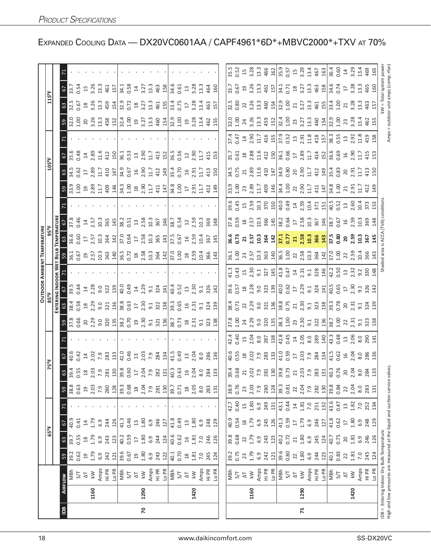|               |      |                                                                                                                 |                |                     |                     |                     |                   |                                                                                                                                                                                                                                                                                                             |                                                                                                                                                                                                                                |                                                                                                                                                                                                                               |                                                                                                                        |                                                                                     |                                                                                                                                                                                                                                                                                                                                                                                                                                                                                                                              | <b>OUTDOOR AMBIENT TEMPERATURE</b>                                                                                                                                                                                                                                                                                  |                                                                                                                                                                                                                                                                                                                     |                                                                                                                                                                                                                                                                                                           |         |                                                                                                                                                                                                                                                                                                                     |                                   |                                                                                                                          |                                                                                                             |                                                                                                                |      |
|---------------|------|-----------------------------------------------------------------------------------------------------------------|----------------|---------------------|---------------------|---------------------|-------------------|-------------------------------------------------------------------------------------------------------------------------------------------------------------------------------------------------------------------------------------------------------------------------------------------------------------|--------------------------------------------------------------------------------------------------------------------------------------------------------------------------------------------------------------------------------|-------------------------------------------------------------------------------------------------------------------------------------------------------------------------------------------------------------------------------|------------------------------------------------------------------------------------------------------------------------|-------------------------------------------------------------------------------------|------------------------------------------------------------------------------------------------------------------------------------------------------------------------------------------------------------------------------------------------------------------------------------------------------------------------------------------------------------------------------------------------------------------------------------------------------------------------------------------------------------------------------|---------------------------------------------------------------------------------------------------------------------------------------------------------------------------------------------------------------------------------------------------------------------------------------------------------------------|---------------------------------------------------------------------------------------------------------------------------------------------------------------------------------------------------------------------------------------------------------------------------------------------------------------------|-----------------------------------------------------------------------------------------------------------------------------------------------------------------------------------------------------------------------------------------------------------------------------------------------------------|---------|---------------------------------------------------------------------------------------------------------------------------------------------------------------------------------------------------------------------------------------------------------------------------------------------------------------------|-----------------------------------|--------------------------------------------------------------------------------------------------------------------------|-------------------------------------------------------------------------------------------------------------|----------------------------------------------------------------------------------------------------------------|------|
|               |      |                                                                                                                 |                |                     | $65^{\circ}$ F      |                     |                   |                                                                                                                                                                                                                                                                                                             | 75°F                                                                                                                                                                                                                           |                                                                                                                                                                                                                               |                                                                                                                        |                                                                                     |                                                                                                                                                                                                                                                                                                                                                                                                                                                                                                                              |                                                                                                                                                                                                                                                                                                                     |                                                                                                                                                                                                                                                                                                                     |                                                                                                                                                                                                                                                                                                           |         | 105°F                                                                                                                                                                                                                                                                                                               |                                   |                                                                                                                          | 115°F                                                                                                       |                                                                                                                |      |
|               |      |                                                                                                                 |                |                     |                     |                     |                   |                                                                                                                                                                                                                                                                                                             |                                                                                                                                                                                                                                |                                                                                                                                                                                                                               |                                                                                                                        |                                                                                     |                                                                                                                                                                                                                                                                                                                                                                                                                                                                                                                              |                                                                                                                                                                                                                                                                                                                     |                                                                                                                                                                                                                                                                                                                     |                                                                                                                                                                                                                                                                                                           |         |                                                                                                                                                                                                                                                                                                                     |                                   |                                                                                                                          |                                                                                                             |                                                                                                                |      |
| $\frac{8}{2}$ |      | AIRFLOW                                                                                                         | 59             | යි                  | P.                  |                     |                   |                                                                                                                                                                                                                                                                                                             | $rac{6}{9}$ $rac{6}{9}$ $rac{3}{5}$                                                                                                                                                                                            |                                                                                                                                                                                                                               |                                                                                                                        |                                                                                     |                                                                                                                                                                                                                                                                                                                                                                                                                                                                                                                              |                                                                                                                                                                                                                                                                                                                     |                                                                                                                                                                                                                                                                                                                     |                                                                                                                                                                                                                                                                                                           |         | 8 34.5                                                                                                                                                                                                                                                                                                              | $rac{67}{35.6}$                   |                                                                                                                          | $\frac{63}{25}$                                                                                             | $rac{67}{33.7}$                                                                                                |      |
|               |      | NBh<br>5/7                                                                                                      | 39.2<br>0.62   | 0.55<br>39.7        | 40.9<br>0.41        |                     | 38.8<br>0.63      |                                                                                                                                                                                                                                                                                                             |                                                                                                                                                                                                                                |                                                                                                                                                                                                                               |                                                                                                                        |                                                                                     |                                                                                                                                                                                                                                                                                                                                                                                                                                                                                                                              |                                                                                                                                                                                                                                                                                                                     | 0.60                                                                                                                                                                                                                                                                                                                |                                                                                                                                                                                                                                                                                                           |         |                                                                                                                                                                                                                                                                                                                     | 0.48                              |                                                                                                                          |                                                                                                             | 0.54                                                                                                           |      |
|               |      | $\overline{\Delta}$                                                                                             | $\overline{a}$ | $18$                | $\overline{1}$      |                     | $\overline{1}9$   |                                                                                                                                                                                                                                                                                                             |                                                                                                                                                                                                                                |                                                                                                                                                                                                                               |                                                                                                                        |                                                                                     |                                                                                                                                                                                                                                                                                                                                                                                                                                                                                                                              |                                                                                                                                                                                                                                                                                                                     |                                                                                                                                                                                                                                                                                                                     |                                                                                                                                                                                                                                                                                                           |         |                                                                                                                                                                                                                                                                                                                     | 14                                |                                                                                                                          |                                                                                                             |                                                                                                                |      |
|               | 1160 | $\lesssim$                                                                                                      | 1.79           | 1.79                | 1.79                |                     | 2.03              |                                                                                                                                                                                                                                                                                                             |                                                                                                                                                                                                                                |                                                                                                                                                                                                                               |                                                                                                                        |                                                                                     |                                                                                                                                                                                                                                                                                                                                                                                                                                                                                                                              |                                                                                                                                                                                                                                                                                                                     |                                                                                                                                                                                                                                                                                                                     |                                                                                                                                                                                                                                                                                                           |         |                                                                                                                                                                                                                                                                                                                     |                                   |                                                                                                                          |                                                                                                             |                                                                                                                |      |
|               |      | Amps                                                                                                            | 6.9            | 6.9                 | 6.9                 |                     | 7.9<br>280        |                                                                                                                                                                                                                                                                                                             | $\frac{1}{2}$ $\frac{1}{2}$ $\frac{1}{2}$ $\frac{1}{2}$ $\frac{1}{2}$ $\frac{1}{2}$ $\frac{1}{2}$                                                                                                                              |                                                                                                                                                                                                                               |                                                                                                                        | $\frac{4}{9}$ $\frac{4}{9}$ $\frac{8}{9}$ $\frac{6}{9}$ $\frac{8}{9}$ $\frac{8}{9}$ |                                                                                                                                                                                                                                                                                                                                                                                                                                                                                                                              |                                                                                                                                                                                                                                                                                                                     |                                                                                                                                                                                                                                                                                                                     | $14.57$<br>$2.57$<br>$365$<br>$14$                                                                                                                                                                                                                                                                        |         |                                                                                                                                                                                                                                                                                                                     |                                   |                                                                                                                          |                                                                                                             |                                                                                                                |      |
|               |      | Hi PR                                                                                                           | 242            | 243                 | 244                 |                     |                   |                                                                                                                                                                                                                                                                                                             |                                                                                                                                                                                                                                |                                                                                                                                                                                                                               |                                                                                                                        |                                                                                     |                                                                                                                                                                                                                                                                                                                                                                                                                                                                                                                              |                                                                                                                                                                                                                                                                                                                     |                                                                                                                                                                                                                                                                                                                     |                                                                                                                                                                                                                                                                                                           |         |                                                                                                                                                                                                                                                                                                                     |                                   |                                                                                                                          |                                                                                                             |                                                                                                                |      |
|               |      | Lo PR                                                                                                           | 121            | 123                 | 126                 |                     | 128               |                                                                                                                                                                                                                                                                                                             |                                                                                                                                                                                                                                |                                                                                                                                                                                                                               |                                                                                                                        |                                                                                     |                                                                                                                                                                                                                                                                                                                                                                                                                                                                                                                              |                                                                                                                                                                                                                                                                                                                     |                                                                                                                                                                                                                                                                                                                     |                                                                                                                                                                                                                                                                                                           |         |                                                                                                                                                                                                                                                                                                                     |                                   |                                                                                                                          |                                                                                                             |                                                                                                                |      |
|               |      | MBh                                                                                                             | 39.6           | 40.2                | 41.3                |                     | 39.3              |                                                                                                                                                                                                                                                                                                             |                                                                                                                                                                                                                                |                                                                                                                                                                                                                               |                                                                                                                        |                                                                                     |                                                                                                                                                                                                                                                                                                                                                                                                                                                                                                                              |                                                                                                                                                                                                                                                                                                                     |                                                                                                                                                                                                                                                                                                                     |                                                                                                                                                                                                                                                                                                           |         |                                                                                                                                                                                                                                                                                                                     |                                   |                                                                                                                          |                                                                                                             |                                                                                                                |      |
|               |      | 5/7                                                                                                             | 0.67           | 0.59                | 0.46                |                     | 0.68              |                                                                                                                                                                                                                                                                                                             |                                                                                                                                                                                                                                |                                                                                                                                                                                                                               |                                                                                                                        |                                                                                     |                                                                                                                                                                                                                                                                                                                                                                                                                                                                                                                              |                                                                                                                                                                                                                                                                                                                     |                                                                                                                                                                                                                                                                                                                     |                                                                                                                                                                                                                                                                                                           |         |                                                                                                                                                                                                                                                                                                                     |                                   |                                                                                                                          |                                                                                                             |                                                                                                                |      |
|               |      | $\overline{\Delta}$                                                                                             |                | $\overline{\Omega}$ | $13$                |                     | $^{28}$           |                                                                                                                                                                                                                                                                                                             |                                                                                                                                                                                                                                |                                                                                                                                                                                                                               |                                                                                                                        |                                                                                     |                                                                                                                                                                                                                                                                                                                                                                                                                                                                                                                              |                                                                                                                                                                                                                                                                                                                     |                                                                                                                                                                                                                                                                                                                     |                                                                                                                                                                                                                                                                                                           |         |                                                                                                                                                                                                                                                                                                                     |                                   |                                                                                                                          |                                                                                                             |                                                                                                                |      |
| 20            | 1290 | $\leq$                                                                                                          | 1.80           | 1.80                | 1.80                |                     | 2.04              |                                                                                                                                                                                                                                                                                                             |                                                                                                                                                                                                                                |                                                                                                                                                                                                                               |                                                                                                                        |                                                                                     |                                                                                                                                                                                                                                                                                                                                                                                                                                                                                                                              |                                                                                                                                                                                                                                                                                                                     |                                                                                                                                                                                                                                                                                                                     |                                                                                                                                                                                                                                                                                                           |         |                                                                                                                                                                                                                                                                                                                     |                                   |                                                                                                                          |                                                                                                             |                                                                                                                |      |
|               |      | Amps<br>Hi PR<br>Lo PR                                                                                          | 243<br>6.9     | 244<br>6.9          | 246<br>6.9          |                     | 7.9<br>281        | $3\frac{3}{2}$ $3\frac{3}{2}$ $3\frac{3}{2}$ $3\frac{3}{2}$ $5\frac{3}{2}$ $5\frac{3}{2}$ $5\frac{3}{2}$ $5\frac{3}{2}$ $5\frac{3}{2}$ $5\frac{3}{2}$ $5\frac{3}{2}$ $5\frac{3}{2}$ $5\frac{3}{2}$ $5\frac{3}{2}$ $5\frac{3}{2}$ $5\frac{3}{2}$ $5\frac{3}{2}$ $5\frac{3}{2}$ $5\frac{3}{2}$ $5\frac{3}{2}$ | $13.6$ $13.7$ $23.7$ $34$ $11.9$ $13.7$ $33.8$ $13.7$ $34.7$ $35.7$ $36.8$ $37.7$                                                                                                                                              |                                                                                                                                                                                                                               | <u>ន ខ្ល</u> ំ ឌ ន ន ន ដ ដ ឡូខ្លែ ៦ ខ្លះ ដ ន ដ ឡូខ្លែ ដ ដ ដ ឡូ<br>ន ខ្លះ ន ន ដ ដ ដ ឡូខ្លែ ៦ ខ្លះ ដ ដ ឡូខ្លែ គ ដ ដ ដ ឡូ |                                                                                     |                                                                                                                                                                                                                                                                                                                                                                                                                                                                                                                              | $\frac{1}{2}$ $\frac{1}{2}$ $\frac{1}{2}$ $\frac{1}{2}$ $\frac{1}{2}$ $\frac{1}{2}$ $\frac{1}{2}$ $\frac{1}{2}$ $\frac{1}{2}$ $\frac{1}{2}$ $\frac{1}{2}$ $\frac{1}{2}$ $\frac{1}{2}$ $\frac{1}{2}$ $\frac{1}{2}$ $\frac{1}{2}$ $\frac{1}{2}$ $\frac{1}{2}$ $\frac{1}{2}$ $\frac{1}{2}$ $\frac{1}{2}$ $\frac{1}{2}$ | $\frac{1}{2}$ $\frac{1}{2}$ $\frac{1}{2}$ $\frac{1}{2}$ $\frac{1}{2}$ $\frac{1}{2}$ $\frac{1}{2}$ $\frac{1}{2}$ $\frac{1}{2}$ $\frac{1}{2}$ $\frac{1}{2}$ $\frac{1}{2}$ $\frac{1}{2}$ $\frac{1}{2}$ $\frac{1}{2}$ $\frac{1}{2}$ $\frac{1}{2}$ $\frac{1}{2}$ $\frac{1}{2}$ $\frac{1}{2}$ $\frac{1}{2}$ $\frac{1}{2}$ | $\frac{22}{35}$ $\frac{25}{35}$ $\frac{25}{35}$ $\frac{25}{35}$ $\frac{25}{35}$ $\frac{25}{35}$ $\frac{25}{35}$ $\frac{25}{35}$ $\frac{25}{35}$ $\frac{25}{35}$ $\frac{25}{35}$ $\frac{25}{35}$ $\frac{25}{35}$ $\frac{25}{35}$ $\frac{25}{35}$ $\frac{25}{35}$ $\frac{25}{35}$ $\frac{25}{35}$ $\frac{2$ |         | $\frac{1}{2}$ $\frac{2}{3}$ $\frac{2}{3}$ $\frac{1}{4}$ $\frac{1}{3}$ $\frac{1}{3}$ $\frac{5}{6}$ $\frac{6}{3}$ $\frac{1}{1}$ $\frac{1}{4}$ $\frac{1}{2}$ $\frac{1}{3}$ $\frac{1}{6}$ $\frac{1}{5}$ $\frac{1}{2}$ $\frac{1}{4}$ $\frac{1}{2}$ $\frac{1}{6}$ $\frac{1}{5}$ $\frac{1}{6}$ $\frac{1}{2}$ $\frac{1}{6}$ |                                   |                                                                                                                          | <u>ិទ្រ ង ដូច ងន្ទ្រី ដូច ង ដូច ង ដូច ង ដូច ង ដូច ង</u><br>ក្នុង ដូច ង ដូន្រី ដូច ង ដូច ង ដូច ង ដូច ង ដូច ង | ta 2011 1920 1920 1920 1930 1931 1932 1933 1934 1935 1936 1936 1937 1938 1939 1930 1931 1932 1933 1934 1935 19 |      |
|               |      |                                                                                                                 | 122            | 124                 | 127                 |                     | 130               |                                                                                                                                                                                                                                                                                                             |                                                                                                                                                                                                                                |                                                                                                                                                                                                                               |                                                                                                                        |                                                                                     |                                                                                                                                                                                                                                                                                                                                                                                                                                                                                                                              |                                                                                                                                                                                                                                                                                                                     |                                                                                                                                                                                                                                                                                                                     |                                                                                                                                                                                                                                                                                                           |         |                                                                                                                                                                                                                                                                                                                     |                                   |                                                                                                                          |                                                                                                             |                                                                                                                |      |
|               |      |                                                                                                                 | 40.1           | 40.6                | 41.8                |                     |                   |                                                                                                                                                                                                                                                                                                             |                                                                                                                                                                                                                                |                                                                                                                                                                                                                               |                                                                                                                        |                                                                                     |                                                                                                                                                                                                                                                                                                                                                                                                                                                                                                                              |                                                                                                                                                                                                                                                                                                                     |                                                                                                                                                                                                                                                                                                                     |                                                                                                                                                                                                                                                                                                           |         |                                                                                                                                                                                                                                                                                                                     |                                   |                                                                                                                          |                                                                                                             |                                                                                                                |      |
|               |      | MBh<br>S/T                                                                                                      | 0.70           | 0.62                | 0.49                |                     | 39.7<br>0.71      |                                                                                                                                                                                                                                                                                                             |                                                                                                                                                                                                                                |                                                                                                                                                                                                                               |                                                                                                                        |                                                                                     |                                                                                                                                                                                                                                                                                                                                                                                                                                                                                                                              |                                                                                                                                                                                                                                                                                                                     |                                                                                                                                                                                                                                                                                                                     |                                                                                                                                                                                                                                                                                                           |         |                                                                                                                                                                                                                                                                                                                     |                                   |                                                                                                                          |                                                                                                             |                                                                                                                |      |
|               |      | $\overline{\Delta}$                                                                                             | $^{28}$        | $\frac{16}{1}$      | $\Xi$               |                     | $^{28}$           |                                                                                                                                                                                                                                                                                                             |                                                                                                                                                                                                                                |                                                                                                                                                                                                                               |                                                                                                                        |                                                                                     |                                                                                                                                                                                                                                                                                                                                                                                                                                                                                                                              |                                                                                                                                                                                                                                                                                                                     |                                                                                                                                                                                                                                                                                                                     |                                                                                                                                                                                                                                                                                                           |         |                                                                                                                                                                                                                                                                                                                     |                                   |                                                                                                                          |                                                                                                             |                                                                                                                |      |
|               | 1420 | $\leq$                                                                                                          | 1.81           | 1.81                | 1.80                |                     | 2.05              |                                                                                                                                                                                                                                                                                                             |                                                                                                                                                                                                                                |                                                                                                                                                                                                                               |                                                                                                                        |                                                                                     |                                                                                                                                                                                                                                                                                                                                                                                                                                                                                                                              |                                                                                                                                                                                                                                                                                                                     |                                                                                                                                                                                                                                                                                                                     |                                                                                                                                                                                                                                                                                                           |         |                                                                                                                                                                                                                                                                                                                     |                                   |                                                                                                                          |                                                                                                             |                                                                                                                |      |
|               |      | Amps                                                                                                            | 7.0            | 7.0                 | 6.9                 |                     | 8.0               |                                                                                                                                                                                                                                                                                                             |                                                                                                                                                                                                                                |                                                                                                                                                                                                                               |                                                                                                                        |                                                                                     |                                                                                                                                                                                                                                                                                                                                                                                                                                                                                                                              |                                                                                                                                                                                                                                                                                                                     |                                                                                                                                                                                                                                                                                                                     | 10.3<br>369                                                                                                                                                                                                                                                                                               |         |                                                                                                                                                                                                                                                                                                                     | $2.90$<br>$1.7$<br>$415$<br>$153$ |                                                                                                                          |                                                                                                             |                                                                                                                |      |
|               |      | Hi PR<br>Lo PR                                                                                                  | 245            | 246                 | 248                 |                     | 283               |                                                                                                                                                                                                                                                                                                             |                                                                                                                                                                                                                                |                                                                                                                                                                                                                               |                                                                                                                        |                                                                                     |                                                                                                                                                                                                                                                                                                                                                                                                                                                                                                                              |                                                                                                                                                                                                                                                                                                                     |                                                                                                                                                                                                                                                                                                                     |                                                                                                                                                                                                                                                                                                           |         |                                                                                                                                                                                                                                                                                                                     |                                   |                                                                                                                          |                                                                                                             |                                                                                                                |      |
|               |      |                                                                                                                 | 124            | 126                 | 129                 |                     | 131               |                                                                                                                                                                                                                                                                                                             |                                                                                                                                                                                                                                |                                                                                                                                                                                                                               |                                                                                                                        |                                                                                     |                                                                                                                                                                                                                                                                                                                                                                                                                                                                                                                              |                                                                                                                                                                                                                                                                                                                     |                                                                                                                                                                                                                                                                                                                     | 148                                                                                                                                                                                                                                                                                                       |         |                                                                                                                                                                                                                                                                                                                     |                                   |                                                                                                                          |                                                                                                             |                                                                                                                |      |
|               |      |                                                                                                                 |                |                     |                     |                     |                   |                                                                                                                                                                                                                                                                                                             |                                                                                                                                                                                                                                |                                                                                                                                                                                                                               |                                                                                                                        |                                                                                     |                                                                                                                                                                                                                                                                                                                                                                                                                                                                                                                              |                                                                                                                                                                                                                                                                                                                     |                                                                                                                                                                                                                                                                                                                     |                                                                                                                                                                                                                                                                                                           |         |                                                                                                                                                                                                                                                                                                                     |                                   |                                                                                                                          |                                                                                                             |                                                                                                                |      |
|               |      | ng<br>S/T                                                                                                       | 39.2           | 39.8                | 40.9                | 42.7                | 38.9<br>0.76      |                                                                                                                                                                                                                                                                                                             |                                                                                                                                                                                                                                |                                                                                                                                                                                                                               |                                                                                                                        |                                                                                     |                                                                                                                                                                                                                                                                                                                                                                                                                                                                                                                              |                                                                                                                                                                                                                                                                                                                     |                                                                                                                                                                                                                                                                                                                     |                                                                                                                                                                                                                                                                                                           |         |                                                                                                                                                                                                                                                                                                                     |                                   |                                                                                                                          |                                                                                                             |                                                                                                                |      |
|               |      |                                                                                                                 | 0.75           | 0.68                | 0.54                | 0.40                |                   |                                                                                                                                                                                                                                                                                                             |                                                                                                                                                                                                                                |                                                                                                                                                                                                                               |                                                                                                                        |                                                                                     |                                                                                                                                                                                                                                                                                                                                                                                                                                                                                                                              |                                                                                                                                                                                                                                                                                                                     |                                                                                                                                                                                                                                                                                                                     |                                                                                                                                                                                                                                                                                                           |         |                                                                                                                                                                                                                                                                                                                     |                                   |                                                                                                                          |                                                                                                             |                                                                                                                |      |
|               |      | $\overline{\Delta}$                                                                                             | 23             | 22                  | $^{28}$             | 1.80                | 23                |                                                                                                                                                                                                                                                                                                             |                                                                                                                                                                                                                                |                                                                                                                                                                                                                               |                                                                                                                        |                                                                                     |                                                                                                                                                                                                                                                                                                                                                                                                                                                                                                                              |                                                                                                                                                                                                                                                                                                                     |                                                                                                                                                                                                                                                                                                                     |                                                                                                                                                                                                                                                                                                           |         |                                                                                                                                                                                                                                                                                                                     |                                   |                                                                                                                          |                                                                                                             |                                                                                                                |      |
|               | 1160 | $\overline{\mathsf{k}}$ W                                                                                       | 1.79           | 1.79                | 1.79                |                     | 2.03              |                                                                                                                                                                                                                                                                                                             |                                                                                                                                                                                                                                |                                                                                                                                                                                                                               |                                                                                                                        |                                                                                     |                                                                                                                                                                                                                                                                                                                                                                                                                                                                                                                              |                                                                                                                                                                                                                                                                                                                     |                                                                                                                                                                                                                                                                                                                     |                                                                                                                                                                                                                                                                                                           |         |                                                                                                                                                                                                                                                                                                                     |                                   |                                                                                                                          |                                                                                                             |                                                                                                                |      |
|               |      | Amps<br>Hi PR                                                                                                   | 6.9            | 6.9                 | 6.9                 | 6.9                 | 7.9               |                                                                                                                                                                                                                                                                                                             |                                                                                                                                                                                                                                |                                                                                                                                                                                                                               |                                                                                                                        |                                                                                     |                                                                                                                                                                                                                                                                                                                                                                                                                                                                                                                              |                                                                                                                                                                                                                                                                                                                     |                                                                                                                                                                                                                                                                                                                     |                                                                                                                                                                                                                                                                                                           |         |                                                                                                                                                                                                                                                                                                                     |                                   |                                                                                                                          |                                                                                                             |                                                                                                                |      |
|               |      |                                                                                                                 | 242            | 243                 | 245                 | 249                 | 280               |                                                                                                                                                                                                                                                                                                             |                                                                                                                                                                                                                                |                                                                                                                                                                                                                               |                                                                                                                        |                                                                                     |                                                                                                                                                                                                                                                                                                                                                                                                                                                                                                                              |                                                                                                                                                                                                                                                                                                                     |                                                                                                                                                                                                                                                                                                                     |                                                                                                                                                                                                                                                                                                           |         |                                                                                                                                                                                                                                                                                                                     |                                   |                                                                                                                          |                                                                                                             |                                                                                                                |      |
|               |      | Lo PR<br>MBh                                                                                                    | 39.6<br>121    | 123                 | 41.3<br>126         | 43.1<br>131         | 128               |                                                                                                                                                                                                                                                                                                             |                                                                                                                                                                                                                                |                                                                                                                                                                                                                               |                                                                                                                        |                                                                                     |                                                                                                                                                                                                                                                                                                                                                                                                                                                                                                                              |                                                                                                                                                                                                                                                                                                                     |                                                                                                                                                                                                                                                                                                                     |                                                                                                                                                                                                                                                                                                           |         |                                                                                                                                                                                                                                                                                                                     |                                   |                                                                                                                          |                                                                                                             |                                                                                                                |      |
|               |      | 5 <sup>T</sup>                                                                                                  | 0.80           | 40.2<br>0.72        | 0.59                | 0.44                | 39.3<br>0.81      |                                                                                                                                                                                                                                                                                                             |                                                                                                                                                                                                                                |                                                                                                                                                                                                                               |                                                                                                                        |                                                                                     |                                                                                                                                                                                                                                                                                                                                                                                                                                                                                                                              |                                                                                                                                                                                                                                                                                                                     |                                                                                                                                                                                                                                                                                                                     |                                                                                                                                                                                                                                                                                                           |         |                                                                                                                                                                                                                                                                                                                     |                                   |                                                                                                                          |                                                                                                             |                                                                                                                |      |
|               |      | $\overline{\Delta}$                                                                                             | 22             | 21                  | $\overline{\Omega}$ | $\overline{1}$      | 22                |                                                                                                                                                                                                                                                                                                             |                                                                                                                                                                                                                                |                                                                                                                                                                                                                               |                                                                                                                        |                                                                                     |                                                                                                                                                                                                                                                                                                                                                                                                                                                                                                                              |                                                                                                                                                                                                                                                                                                                     |                                                                                                                                                                                                                                                                                                                     |                                                                                                                                                                                                                                                                                                           |         |                                                                                                                                                                                                                                                                                                                     |                                   |                                                                                                                          |                                                                                                             |                                                                                                                |      |
| 75            | 1290 | $\overline{\mathsf{k}}$ W                                                                                       | 1.80           | 1.80                | 1.79                |                     | 2.04              |                                                                                                                                                                                                                                                                                                             |                                                                                                                                                                                                                                |                                                                                                                                                                                                                               |                                                                                                                        |                                                                                     |                                                                                                                                                                                                                                                                                                                                                                                                                                                                                                                              |                                                                                                                                                                                                                                                                                                                     |                                                                                                                                                                                                                                                                                                                     |                                                                                                                                                                                                                                                                                                           |         |                                                                                                                                                                                                                                                                                                                     |                                   |                                                                                                                          |                                                                                                             |                                                                                                                |      |
|               |      | Amps                                                                                                            | 6.9            |                     | 6.9                 |                     |                   |                                                                                                                                                                                                                                                                                                             |                                                                                                                                                                                                                                |                                                                                                                                                                                                                               |                                                                                                                        |                                                                                     |                                                                                                                                                                                                                                                                                                                                                                                                                                                                                                                              |                                                                                                                                                                                                                                                                                                                     |                                                                                                                                                                                                                                                                                                                     |                                                                                                                                                                                                                                                                                                           |         |                                                                                                                                                                                                                                                                                                                     |                                   |                                                                                                                          |                                                                                                             |                                                                                                                |      |
|               |      | Hi PR<br>Lo PR                                                                                                  | 244            | G.9<br>245<br>124   | 246                 | 1.81<br>7.51<br>251 | 7.9<br>282<br>130 |                                                                                                                                                                                                                                                                                                             |                                                                                                                                                                                                                                |                                                                                                                                                                                                                               |                                                                                                                        |                                                                                     |                                                                                                                                                                                                                                                                                                                                                                                                                                                                                                                              |                                                                                                                                                                                                                                                                                                                     |                                                                                                                                                                                                                                                                                                                     |                                                                                                                                                                                                                                                                                                           |         |                                                                                                                                                                                                                                                                                                                     |                                   |                                                                                                                          |                                                                                                             |                                                                                                                |      |
|               |      |                                                                                                                 | 123            |                     | 127                 |                     |                   |                                                                                                                                                                                                                                                                                                             |                                                                                                                                                                                                                                |                                                                                                                                                                                                                               |                                                                                                                        |                                                                                     |                                                                                                                                                                                                                                                                                                                                                                                                                                                                                                                              |                                                                                                                                                                                                                                                                                                                     |                                                                                                                                                                                                                                                                                                                     |                                                                                                                                                                                                                                                                                                           |         |                                                                                                                                                                                                                                                                                                                     |                                   |                                                                                                                          |                                                                                                             |                                                                                                                |      |
|               |      | MBh                                                                                                             | 40.1           | 40.7                | 41.8                | 43.6                | 39.8<br>0.84      |                                                                                                                                                                                                                                                                                                             |                                                                                                                                                                                                                                |                                                                                                                                                                                                                               |                                                                                                                        |                                                                                     |                                                                                                                                                                                                                                                                                                                                                                                                                                                                                                                              |                                                                                                                                                                                                                                                                                                                     |                                                                                                                                                                                                                                                                                                                     |                                                                                                                                                                                                                                                                                                           |         |                                                                                                                                                                                                                                                                                                                     |                                   |                                                                                                                          |                                                                                                             |                                                                                                                |      |
|               |      | 5/1                                                                                                             | 0.83           | 0.75                | 0.62                | 0.47                |                   |                                                                                                                                                                                                                                                                                                             |                                                                                                                                                                                                                                |                                                                                                                                                                                                                               |                                                                                                                        |                                                                                     |                                                                                                                                                                                                                                                                                                                                                                                                                                                                                                                              |                                                                                                                                                                                                                                                                                                                     |                                                                                                                                                                                                                                                                                                                     |                                                                                                                                                                                                                                                                                                           |         |                                                                                                                                                                                                                                                                                                                     |                                   |                                                                                                                          |                                                                                                             |                                                                                                                |      |
|               |      | $\overline{\mathcal{L}}$                                                                                        | 22             | 20                  | $17\,$              | $13$                | $\overline{2}$    |                                                                                                                                                                                                                                                                                                             |                                                                                                                                                                                                                                |                                                                                                                                                                                                                               |                                                                                                                        |                                                                                     |                                                                                                                                                                                                                                                                                                                                                                                                                                                                                                                              |                                                                                                                                                                                                                                                                                                                     |                                                                                                                                                                                                                                                                                                                     |                                                                                                                                                                                                                                                                                                           |         |                                                                                                                                                                                                                                                                                                                     |                                   |                                                                                                                          |                                                                                                             |                                                                                                                |      |
|               | 1420 | $\leq$                                                                                                          | 1.81           | 1.81                | 1.80                | 1.82                | 2.04              |                                                                                                                                                                                                                                                                                                             |                                                                                                                                                                                                                                |                                                                                                                                                                                                                               |                                                                                                                        |                                                                                     |                                                                                                                                                                                                                                                                                                                                                                                                                                                                                                                              |                                                                                                                                                                                                                                                                                                                     |                                                                                                                                                                                                                                                                                                                     |                                                                                                                                                                                                                                                                                                           |         |                                                                                                                                                                                                                                                                                                                     |                                   |                                                                                                                          |                                                                                                             |                                                                                                                |      |
|               |      | Amps<br>Hi PR                                                                                                   | 7.0            | 6.9                 | 6.9                 | 7.0                 | 8.0               |                                                                                                                                                                                                                                                                                                             |                                                                                                                                                                                                                                |                                                                                                                                                                                                                               |                                                                                                                        |                                                                                     |                                                                                                                                                                                                                                                                                                                                                                                                                                                                                                                              |                                                                                                                                                                                                                                                                                                                     |                                                                                                                                                                                                                                                                                                                     |                                                                                                                                                                                                                                                                                                           |         |                                                                                                                                                                                                                                                                                                                     |                                   |                                                                                                                          |                                                                                                             |                                                                                                                |      |
|               |      |                                                                                                                 | 245            | 246                 | 248<br>129          | 134<br>252          | 283<br>131        |                                                                                                                                                                                                                                                                                                             | $9.59$ $2.8$ $3.8$ $3.4$ $3.5$ $3.5$ $3.5$ $3.5$ $3.4$ $3.4$ $3.5$ $3.5$ $3.5$ $3.5$ $3.5$ $3.5$ $3.5$ $3.5$ $3.5$ $3.5$ $3.5$ $3.5$ $3.5$ $3.5$ $3.5$ $3.5$ $3.5$ $3.5$ $3.5$ $3.5$ $3.5$ $3.5$ $3.5$ $3.5$ $3.5$ $3.5$ $3.5$ | $7.3$ $3.3$ $3.8$ $3.8$ $3.8$ $3.8$ $3.8$ $3.8$ $3.8$ $3.8$ $3.8$ $3.8$ $3.8$ $3.8$ $3.8$ $3.8$ $3.8$ $3.8$ $3.8$ $3.8$ $3.8$ $3.8$ $3.8$ $3.8$ $3.8$ $3.8$ $3.8$ $3.8$ $3.8$ $3.8$ $3.8$ $3.8$ $3.8$ $3.8$ $3.8$ $3.8$ $3.8$ | ន្លំ 5 ដ 2 3 3 3 3 3 3 3 3 3 3 3 3 3 3 4 4 5 6 7 3 4 5 6 7 4 5 6 7 9 7 4 5 7 9 7 7 7 7 7 7 7 7 7 7 7 7 7 7 7 7         |                                                                                     | $\begin{array}{l} 11\\ 13\\ 14\\ 15\\ \end{array} \begin{array}{l} \Xi \\ \Xi \\ \Xi \\ \end{array} \begin{array}{l} \Xi \\ \Xi \\ \end{array} \begin{array}{l} \Xi \\ \Xi \\ \end{array} \begin{array}{l} \Xi \\ \Xi \\ \end{array} \begin{array}{l} \Xi \\ \Xi \\ \end{array} \begin{array}{l} \Xi \\ \Xi \\ \end{array} \begin{array}{l} \Xi \\ \Xi \\ \end{array} \begin{array}{l} \Xi \\ \Xi \\ \end{array} \begin{array}{l} \Xi \\ \Xi \\ \end{array} \begin{array}{l} \Xi \\ \Xi \\ \end{array} \begin{array}{l} \Xi$ | $\begin{array}{c} 1676 \\ 1767 \\ 1876 \\ 1987 \\ 1997 \\ 1998 \\ 1999 \\ 1999 \\ 1999 \\ 1999 \\ 1999 \\ 1999 \\ 1999 \\ 1999 \\ 1999 \\ 1999 \\ 1999 \\ 1999 \\ 1999 \\ 1999 \\ 1999 \\ 1999 \\ 1999 \\ 1999 \\ 1999 \\ 1999 \\ 1999 \\ 1999 \\ 1999 \\ 1999 \\ 1999 \\ 1999 \\ 1999 \\ 1999 \\ 1999 \\ 19$       |                                                                                                                                                                                                                                                                                                                     | $\begin{array}{c} 0.863 & 0.763 & 0.763 & 0.763 & 0.763 & 0.763 & 0.763 & 0.763 & 0.763 & 0.763 & 0.763 & 0.763 & 0.763 & 0.763 & 0.763 & 0.763 & 0.763 & 0.763 & 0.763 & 0.763 & 0.763 & 0.763 & 0.763 & 0.763 & 0.763 & 0.763 & 0.763 & 0.763 & 0.763 & 0.763 & 0.$                                     |         | 32 52 52 52 52 52 52 52 53 53 54 54 55 55 56 56 57 56 57 57 58 50 51 52 53 54 55 55 56 56 57 57 58 50 51 52 59                                                                                                                                                                                                      |                                   | <u>2000 x 3000 x 3000 x 3000 x 3000 x 3000 x 3000 x 3000 x 3000 x 3000 x 3000 x 3000 x 3000 x 3000 x 3000 x 3000 x 4</u> |                                                                                                             |                                                                                                                |      |
|               |      | Lo PR                                                                                                           | 124            | 126                 |                     |                     |                   |                                                                                                                                                                                                                                                                                                             |                                                                                                                                                                                                                                |                                                                                                                                                                                                                               |                                                                                                                        |                                                                                     |                                                                                                                                                                                                                                                                                                                                                                                                                                                                                                                              |                                                                                                                                                                                                                                                                                                                     |                                                                                                                                                                                                                                                                                                                     |                                                                                                                                                                                                                                                                                                           |         |                                                                                                                                                                                                                                                                                                                     |                                   |                                                                                                                          |                                                                                                             |                                                                                                                |      |
| DВ            |      | High and low pressures are measured at the liquid and suction service<br>= Entering Indoor Dry Bulb Temperature |                |                     |                     |                     |                   |                                                                                                                                                                                                                                                                                                             |                                                                                                                                                                                                                                |                                                                                                                                                                                                                               |                                                                                                                        |                                                                                     |                                                                                                                                                                                                                                                                                                                                                                                                                                                                                                                              |                                                                                                                                                                                                                                                                                                                     | <b>is ACCA</b>                                                                                                                                                                                                                                                                                                      | (TVA)                                                                                                                                                                                                                                                                                                     | ndition |                                                                                                                                                                                                                                                                                                                     |                                   | outdoor unit amps (comp.+fan                                                                                             |                                                                                                             | al syste                                                                                                       | powe |

EXPANDED COOLING DATA - DX20VC0601AA / CAPF4961\*6D\*+MBVC2000\*+TXV AT 70%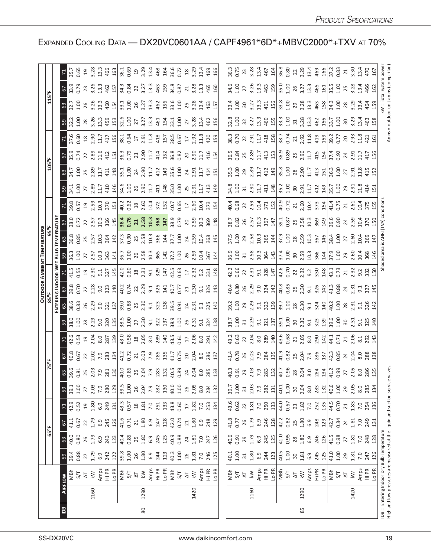|                |      |                                                                                                                     |                                                                               |                                  |                                   |                                                                             |                                                                                                                                                                                                                                                                                                       |                                                                                                                                                                                                                                                                                                              |                                                                                                                                                                                                                                |                                                        |                                                                          | <b>DUTD</b>                                                                                                                                                                                                                            |                                                                                                                                                                                                                                                                                                                                                                                                                                |                                                                                                                                                                                                                                                                                                                        |                 |                                                                                                                                                                                                                                |  |                                                                                                                                                                                                                                                                                                             |                                                                                                                                                                                                                                                                                                             |                                                                                            |                                                                                                                                                                                                                                                                                                                             |                                                                                                                                                                                                                                                                                                             |
|----------------|------|---------------------------------------------------------------------------------------------------------------------|-------------------------------------------------------------------------------|----------------------------------|-----------------------------------|-----------------------------------------------------------------------------|-------------------------------------------------------------------------------------------------------------------------------------------------------------------------------------------------------------------------------------------------------------------------------------------------------|--------------------------------------------------------------------------------------------------------------------------------------------------------------------------------------------------------------------------------------------------------------------------------------------------------------|--------------------------------------------------------------------------------------------------------------------------------------------------------------------------------------------------------------------------------|--------------------------------------------------------|--------------------------------------------------------------------------|----------------------------------------------------------------------------------------------------------------------------------------------------------------------------------------------------------------------------------------|--------------------------------------------------------------------------------------------------------------------------------------------------------------------------------------------------------------------------------------------------------------------------------------------------------------------------------------------------------------------------------------------------------------------------------|------------------------------------------------------------------------------------------------------------------------------------------------------------------------------------------------------------------------------------------------------------------------------------------------------------------------|-----------------|--------------------------------------------------------------------------------------------------------------------------------------------------------------------------------------------------------------------------------|--|-------------------------------------------------------------------------------------------------------------------------------------------------------------------------------------------------------------------------------------------------------------------------------------------------------------|-------------------------------------------------------------------------------------------------------------------------------------------------------------------------------------------------------------------------------------------------------------------------------------------------------------|--------------------------------------------------------------------------------------------|-----------------------------------------------------------------------------------------------------------------------------------------------------------------------------------------------------------------------------------------------------------------------------------------------------------------------------|-------------------------------------------------------------------------------------------------------------------------------------------------------------------------------------------------------------------------------------------------------------------------------------------------------------|
|                |      |                                                                                                                     |                                                                               | $65^{\circ}$ F                   |                                   |                                                                             |                                                                                                                                                                                                                                                                                                       |                                                                                                                                                                                                                                                                                                              |                                                                                                                                                                                                                                |                                                        |                                                                          |                                                                                                                                                                                                                                        |                                                                                                                                                                                                                                                                                                                                                                                                                                |                                                                                                                                                                                                                                                                                                                        |                 |                                                                                                                                                                                                                                |  | 105°F                                                                                                                                                                                                                                                                                                       |                                                                                                                                                                                                                                                                                                             |                                                                                            |                                                                                                                                                                                                                                                                                                                             |                                                                                                                                                                                                                                                                                                             |
|                |      |                                                                                                                     |                                                                               |                                  |                                   |                                                                             |                                                                                                                                                                                                                                                                                                       |                                                                                                                                                                                                                                                                                                              |                                                                                                                                                                                                                                |                                                        |                                                                          |                                                                                                                                                                                                                                        |                                                                                                                                                                                                                                                                                                                                                                                                                                |                                                                                                                                                                                                                                                                                                                        |                 |                                                                                                                                                                                                                                |  |                                                                                                                                                                                                                                                                                                             |                                                                                                                                                                                                                                                                                                             |                                                                                            |                                                                                                                                                                                                                                                                                                                             |                                                                                                                                                                                                                                                                                                             |
| $\overline{B}$ |      | <b>AIRFLOW</b>                                                                                                      | 59                                                                            | $63\,$                           | $\mathfrak{S}$                    |                                                                             | 59                                                                                                                                                                                                                                                                                                    |                                                                                                                                                                                                                                                                                                              |                                                                                                                                                                                                                                |                                                        |                                                                          |                                                                                                                                                                                                                                        |                                                                                                                                                                                                                                                                                                                                                                                                                                |                                                                                                                                                                                                                                                                                                                        |                 |                                                                                                                                                                                                                                |  |                                                                                                                                                                                                                                                                                                             |                                                                                                                                                                                                                                                                                                             |                                                                                            |                                                                                                                                                                                                                                                                                                                             |                                                                                                                                                                                                                                                                                                             |
|                |      | MBh                                                                                                                 | 39.4<br>0.88                                                                  | 40.0<br>0.80                     | 41.1<br>0.67<br>1.79              | 42.9<br>0.52                                                                | 39.1<br>1.00<br>2.7<br>7.9<br>7.80                                                                                                                                                                                                                                                                    |                                                                                                                                                                                                                                                                                                              |                                                                                                                                                                                                                                |                                                        |                                                                          |                                                                                                                                                                                                                                        |                                                                                                                                                                                                                                                                                                                                                                                                                                |                                                                                                                                                                                                                                                                                                                        |                 |                                                                                                                                                                                                                                |  |                                                                                                                                                                                                                                                                                                             |                                                                                                                                                                                                                                                                                                             |                                                                                            |                                                                                                                                                                                                                                                                                                                             |                                                                                                                                                                                                                                                                                                             |
|                |      | 5/7                                                                                                                 |                                                                               |                                  |                                   |                                                                             |                                                                                                                                                                                                                                                                                                       |                                                                                                                                                                                                                                                                                                              |                                                                                                                                                                                                                                |                                                        |                                                                          |                                                                                                                                                                                                                                        |                                                                                                                                                                                                                                                                                                                                                                                                                                |                                                                                                                                                                                                                                                                                                                        |                 |                                                                                                                                                                                                                                |  |                                                                                                                                                                                                                                                                                                             |                                                                                                                                                                                                                                                                                                             |                                                                                            |                                                                                                                                                                                                                                                                                                                             |                                                                                                                                                                                                                                                                                                             |
|                |      | $\overline{\Delta}$                                                                                                 | 27<br>1.79                                                                    | $26$<br>1.79                     |                                   | $9.80$<br>$0.30$<br>$0.30$                                                  |                                                                                                                                                                                                                                                                                                       |                                                                                                                                                                                                                                                                                                              |                                                                                                                                                                                                                                |                                                        |                                                                          |                                                                                                                                                                                                                                        |                                                                                                                                                                                                                                                                                                                                                                                                                                |                                                                                                                                                                                                                                                                                                                        |                 |                                                                                                                                                                                                                                |  |                                                                                                                                                                                                                                                                                                             |                                                                                                                                                                                                                                                                                                             |                                                                                            |                                                                                                                                                                                                                                                                                                                             |                                                                                                                                                                                                                                                                                                             |
|                | 1160 | $\overline{\mathsf{k}\mathsf{W}}$                                                                                   |                                                                               |                                  |                                   |                                                                             |                                                                                                                                                                                                                                                                                                       |                                                                                                                                                                                                                                                                                                              |                                                                                                                                                                                                                                |                                                        |                                                                          |                                                                                                                                                                                                                                        |                                                                                                                                                                                                                                                                                                                                                                                                                                |                                                                                                                                                                                                                                                                                                                        |                 |                                                                                                                                                                                                                                |  |                                                                                                                                                                                                                                                                                                             |                                                                                                                                                                                                                                                                                                             |                                                                                            |                                                                                                                                                                                                                                                                                                                             |                                                                                                                                                                                                                                                                                                             |
|                |      | Amps<br>Hi PR                                                                                                       | 6.9<br>242                                                                    | 6.9<br>243                       | 6.9<br>245                        |                                                                             |                                                                                                                                                                                                                                                                                                       |                                                                                                                                                                                                                                                                                                              |                                                                                                                                                                                                                                |                                                        |                                                                          |                                                                                                                                                                                                                                        |                                                                                                                                                                                                                                                                                                                                                                                                                                |                                                                                                                                                                                                                                                                                                                        |                 |                                                                                                                                                                                                                                |  |                                                                                                                                                                                                                                                                                                             |                                                                                                                                                                                                                                                                                                             |                                                                                            |                                                                                                                                                                                                                                                                                                                             |                                                                                                                                                                                                                                                                                                             |
|                |      |                                                                                                                     |                                                                               |                                  |                                   |                                                                             |                                                                                                                                                                                                                                                                                                       | $3\frac{6}{32}$ $\frac{6}{32}$ $\frac{1}{62}$ $\frac{6}{32}$ $\frac{1}{62}$ $\frac{1}{62}$ $\frac{1}{62}$ $\frac{6}{32}$ $\frac{1}{62}$ $\frac{1}{62}$ $\frac{1}{62}$ $\frac{1}{62}$ $\frac{1}{62}$ $\frac{1}{62}$ $\frac{1}{62}$ $\frac{1}{62}$ $\frac{1}{62}$ $\frac{1}{62}$ $\frac{1}{62}$ $\frac{1}{62}$ | $59.835$ $22.837$ $23.837$ $24.25$ $25.237$ $25.25$ $25.25$ $25.25$ $25.25$ $25.25$ $25.25$ $25.25$ $25.25$ $25.25$ $25.25$ $25.25$ $25.25$ $25.25$ $25.25$ $25.25$ $25.25$ $25.25$ $25.25$ $25.25$ $25.25$ $25.25$ $25.25$    | r G G a g c g g g ll G g a g g g g g l G c g g g g d d | <u>ទាំនី ទី ន ង ទី មី ង ដ្ឋាន ទី ទី ង ដី ង ដី មី ន ទី ង ដី ង ដី ង ដី</u> | <u>្រ ខ្ល</u> ំ ខ្លួ ខ្លួ ខ្លួ ខ្លួ ខ្ញុំ ខ្ញុំ ខ្ញុំ ខ្ញុំ ខ្ញុំ ខ្ញុំ ខ្ញុំ ខ្ញុំ ខ្ញុំ ខ្ញុំ ខ្ញុំ ខ្ញុំ ខ្ញុំ ខ្ញុ<br>ចន្ទ្រី ខ្ញុំ ខ្ញុំ ខ្ញុំ ខ្ញុំ ខ្ញុំ ខ្ញុំ ខ្ញុំ ខ្ញុំ ខ្ញុំ ខ្ញុំ ខ្ញុំ ខ្ញុំ ខ្ញុំ ខ្ញុំ ខ្ញុំ ខ្ញុំ ខ្ញុ | <u>។ ដឹងទី មន្ត្រី មន្ត្រី មន្ត្រី មន្ត្រី មន្ត្រី មន្ត្រី មន្ត្រី មន្ត្រី មន្ត្រី មន្ត្រី មន្ត្រី មន្ត្រី</u>                                                                                                                                                                                                                                                                                                                 | $\frac{1}{2}$<br>$\frac{1}{2}$ $\frac{1}{2}$ $\frac{1}{2}$ $\frac{1}{2}$ $\frac{1}{2}$ $\frac{1}{2}$ $\frac{1}{2}$ $\frac{1}{2}$ $\frac{1}{2}$ $\frac{1}{2}$ $\frac{1}{2}$ $\frac{1}{2}$ $\frac{1}{2}$ $\frac{1}{2}$ $\frac{1}{2}$ $\frac{1}{2}$ $\frac{1}{2}$ $\frac{1}{2}$ $\frac{1}{2}$ $\frac{1}{2}$ $\frac{1}{2}$ | $\frac{36}{36}$ | $580.723$ $25.73$ $25.73$ $25.73$ $25.73$ $25.73$ $25.73$ $25.73$ $25.73$ $25.73$ $25.73$ $25.73$ $25.73$ $25.73$ $25.73$ $25.73$ $25.73$ $25.73$ $25.73$ $25.73$ $25.73$ $25.73$ $25.73$ $25.73$ $25.73$ $25.73$ $25.73$ $25$ |  | $3\frac{1}{3}$ $3\frac{1}{3}$ $3\frac{1}{3}$ $1\frac{1}{3}$ $1\frac{1}{3}$ $1\frac{1}{3}$ $1\frac{1}{3}$ $1\frac{1}{3}$ $1\frac{1}{3}$ $1\frac{1}{3}$ $1\frac{1}{3}$ $1\frac{1}{3}$ $1\frac{1}{3}$ $1\frac{1}{3}$ $1\frac{1}{3}$ $1\frac{1}{3}$ $1\frac{1}{3}$ $1\frac{1}{3}$ $1\frac{1}{3}$ $1\frac{1}{3}$ | $\frac{1}{2}$ $\frac{16}{22}$ $\frac{6}{22}$ $\frac{8}{21}$ $\frac{1}{21}$ $\frac{1}{21}$ $\frac{1}{21}$ $\frac{1}{21}$ $\frac{1}{21}$ $\frac{1}{21}$ $\frac{1}{21}$ $\frac{1}{21}$ $\frac{1}{21}$ $\frac{1}{21}$ $\frac{1}{21}$ $\frac{1}{21}$ $\frac{1}{21}$ $\frac{1}{21}$ $\frac{1}{21}$ $\frac{1}{21}$ | <u>ទ ប្អូ ក្នុង ដូច មី ក្នុង ដូច មី ក្នុង ដូច មី ក្នុង ដូច មី ក្នុង ដូច មី ក្នុង ដូច ម</u> | <u>ទេ ប្លិង ដូចទី ម្ចុយ ដែល ដែល ដែល ដែល ដែល</u><br>ខ្លួន ដូចទី ម្ចុយ ដូចទី ម្ចុយ ដូចទី ម្ចុយ ដូចទី ម្ចាំង ទី ម្ចាំង ទី ម្ចាំង ទី ម្ចាំង ទី ម្ចាំង ទី ម្ចាំង ទី ម្                                                                                                                                                           |                                                                                                                                                                                                                                                                                                             |
|                |      |                                                                                                                     |                                                                               | 123                              | 126                               |                                                                             |                                                                                                                                                                                                                                                                                                       |                                                                                                                                                                                                                                                                                                              |                                                                                                                                                                                                                                |                                                        |                                                                          |                                                                                                                                                                                                                                        |                                                                                                                                                                                                                                                                                                                                                                                                                                |                                                                                                                                                                                                                                                                                                                        |                 |                                                                                                                                                                                                                                |  |                                                                                                                                                                                                                                                                                                             |                                                                                                                                                                                                                                                                                                             |                                                                                            |                                                                                                                                                                                                                                                                                                                             |                                                                                                                                                                                                                                                                                                             |
|                |      | 지 정 <mark>일</mark>                                                                                                  | $\frac{21}{39.8}$ $\frac{8}{11}$ $\frac{8}{11}$ $\frac{8}{11}$ $\frac{6}{11}$ | 40.4<br>0.85<br>25               | 41.6<br>0.71                      | $\frac{15}{43}$ 3 8                                                         | $\frac{29}{39.5}$ 3.00                                                                                                                                                                                                                                                                                |                                                                                                                                                                                                                                                                                                              |                                                                                                                                                                                                                                |                                                        |                                                                          |                                                                                                                                                                                                                                        |                                                                                                                                                                                                                                                                                                                                                                                                                                |                                                                                                                                                                                                                                                                                                                        |                 |                                                                                                                                                                                                                                |  |                                                                                                                                                                                                                                                                                                             |                                                                                                                                                                                                                                                                                                             |                                                                                            |                                                                                                                                                                                                                                                                                                                             |                                                                                                                                                                                                                                                                                                             |
|                |      |                                                                                                                     |                                                                               |                                  |                                   |                                                                             |                                                                                                                                                                                                                                                                                                       |                                                                                                                                                                                                                                                                                                              |                                                                                                                                                                                                                                |                                                        |                                                                          |                                                                                                                                                                                                                                        |                                                                                                                                                                                                                                                                                                                                                                                                                                |                                                                                                                                                                                                                                                                                                                        |                 |                                                                                                                                                                                                                                |  |                                                                                                                                                                                                                                                                                                             |                                                                                                                                                                                                                                                                                                             |                                                                                            |                                                                                                                                                                                                                                                                                                                             |                                                                                                                                                                                                                                                                                                             |
|                |      |                                                                                                                     |                                                                               |                                  | 21                                |                                                                             |                                                                                                                                                                                                                                                                                                       |                                                                                                                                                                                                                                                                                                              |                                                                                                                                                                                                                                |                                                        |                                                                          |                                                                                                                                                                                                                                        |                                                                                                                                                                                                                                                                                                                                                                                                                                |                                                                                                                                                                                                                                                                                                                        |                 |                                                                                                                                                                                                                                |  |                                                                                                                                                                                                                                                                                                             |                                                                                                                                                                                                                                                                                                             |                                                                                            |                                                                                                                                                                                                                                                                                                                             |                                                                                                                                                                                                                                                                                                             |
| 80             | 1290 | $\lesssim$                                                                                                          |                                                                               | 1.80                             | 1.80                              |                                                                             |                                                                                                                                                                                                                                                                                                       |                                                                                                                                                                                                                                                                                                              |                                                                                                                                                                                                                                |                                                        |                                                                          |                                                                                                                                                                                                                                        |                                                                                                                                                                                                                                                                                                                                                                                                                                |                                                                                                                                                                                                                                                                                                                        |                 |                                                                                                                                                                                                                                |  |                                                                                                                                                                                                                                                                                                             |                                                                                                                                                                                                                                                                                                             |                                                                                            |                                                                                                                                                                                                                                                                                                                             |                                                                                                                                                                                                                                                                                                             |
|                |      |                                                                                                                     |                                                                               | 6.9                              | 6.9                               | $\frac{51}{2}$ 25.33                                                        | $2.04$<br>7.9                                                                                                                                                                                                                                                                                         |                                                                                                                                                                                                                                                                                                              |                                                                                                                                                                                                                                |                                                        |                                                                          |                                                                                                                                                                                                                                        |                                                                                                                                                                                                                                                                                                                                                                                                                                |                                                                                                                                                                                                                                                                                                                        |                 |                                                                                                                                                                                                                                |  |                                                                                                                                                                                                                                                                                                             |                                                                                                                                                                                                                                                                                                             |                                                                                            |                                                                                                                                                                                                                                                                                                                             |                                                                                                                                                                                                                                                                                                             |
|                |      | Amps<br>Hi PR                                                                                                       | 244                                                                           | 245                              | 247<br>128                        |                                                                             | 282<br>130                                                                                                                                                                                                                                                                                            |                                                                                                                                                                                                                                                                                                              |                                                                                                                                                                                                                                |                                                        |                                                                          |                                                                                                                                                                                                                                        |                                                                                                                                                                                                                                                                                                                                                                                                                                |                                                                                                                                                                                                                                                                                                                        |                 |                                                                                                                                                                                                                                |  |                                                                                                                                                                                                                                                                                                             |                                                                                                                                                                                                                                                                                                             |                                                                                            |                                                                                                                                                                                                                                                                                                                             |                                                                                                                                                                                                                                                                                                             |
|                |      | Lo PR                                                                                                               | 123                                                                           | 125                              |                                   |                                                                             |                                                                                                                                                                                                                                                                                                       |                                                                                                                                                                                                                                                                                                              |                                                                                                                                                                                                                                |                                                        |                                                                          |                                                                                                                                                                                                                                        |                                                                                                                                                                                                                                                                                                                                                                                                                                |                                                                                                                                                                                                                                                                                                                        |                 |                                                                                                                                                                                                                                |  |                                                                                                                                                                                                                                                                                                             |                                                                                                                                                                                                                                                                                                             |                                                                                            |                                                                                                                                                                                                                                                                                                                             |                                                                                                                                                                                                                                                                                                             |
|                |      |                                                                                                                     |                                                                               | 40.9                             |                                   |                                                                             |                                                                                                                                                                                                                                                                                                       |                                                                                                                                                                                                                                                                                                              |                                                                                                                                                                                                                                |                                                        |                                                                          |                                                                                                                                                                                                                                        |                                                                                                                                                                                                                                                                                                                                                                                                                                |                                                                                                                                                                                                                                                                                                                        |                 |                                                                                                                                                                                                                                |  |                                                                                                                                                                                                                                                                                                             |                                                                                                                                                                                                                                                                                                             |                                                                                            |                                                                                                                                                                                                                                                                                                                             |                                                                                                                                                                                                                                                                                                             |
|                |      | 지<br>상대                                                                                                             |                                                                               | 0.88                             | 42.0<br>0.74                      | $43.8$<br>0.60<br>17                                                        | 40.0<br>1.00                                                                                                                                                                                                                                                                                          |                                                                                                                                                                                                                                                                                                              |                                                                                                                                                                                                                                |                                                        |                                                                          |                                                                                                                                                                                                                                        |                                                                                                                                                                                                                                                                                                                                                                                                                                |                                                                                                                                                                                                                                                                                                                        |                 |                                                                                                                                                                                                                                |  |                                                                                                                                                                                                                                                                                                             |                                                                                                                                                                                                                                                                                                             |                                                                                            |                                                                                                                                                                                                                                                                                                                             |                                                                                                                                                                                                                                                                                                             |
|                |      |                                                                                                                     |                                                                               |                                  | $21$                              |                                                                             | 26                                                                                                                                                                                                                                                                                                    |                                                                                                                                                                                                                                                                                                              |                                                                                                                                                                                                                                |                                                        |                                                                          |                                                                                                                                                                                                                                        |                                                                                                                                                                                                                                                                                                                                                                                                                                |                                                                                                                                                                                                                                                                                                                        |                 |                                                                                                                                                                                                                                |  |                                                                                                                                                                                                                                                                                                             |                                                                                                                                                                                                                                                                                                             |                                                                                            |                                                                                                                                                                                                                                                                                                                             |                                                                                                                                                                                                                                                                                                             |
|                | 1420 | $\lesssim$                                                                                                          | $40.3$<br>$1.00$<br>$26$<br>$1.81$<br>7.0                                     | $24$<br>$1.81$<br>$7.0$<br>$247$ | 1.80                              |                                                                             | 2.05                                                                                                                                                                                                                                                                                                  |                                                                                                                                                                                                                                                                                                              |                                                                                                                                                                                                                                |                                                        |                                                                          |                                                                                                                                                                                                                                        |                                                                                                                                                                                                                                                                                                                                                                                                                                |                                                                                                                                                                                                                                                                                                                        |                 |                                                                                                                                                                                                                                |  |                                                                                                                                                                                                                                                                                                             |                                                                                                                                                                                                                                                                                                             |                                                                                            |                                                                                                                                                                                                                                                                                                                             |                                                                                                                                                                                                                                                                                                             |
|                |      |                                                                                                                     |                                                                               |                                  |                                   | $1.82$<br>7.0<br>7.53                                                       | 8.0                                                                                                                                                                                                                                                                                                   |                                                                                                                                                                                                                                                                                                              |                                                                                                                                                                                                                                |                                                        |                                                                          |                                                                                                                                                                                                                                        |                                                                                                                                                                                                                                                                                                                                                                                                                                |                                                                                                                                                                                                                                                                                                                        |                 |                                                                                                                                                                                                                                |  |                                                                                                                                                                                                                                                                                                             |                                                                                                                                                                                                                                                                                                             |                                                                                            |                                                                                                                                                                                                                                                                                                                             |                                                                                                                                                                                                                                                                                                             |
|                |      | Amps<br>Hi PR<br>Lo PR                                                                                              | 246                                                                           |                                  | $6.9$<br>$248$<br>$129$           |                                                                             |                                                                                                                                                                                                                                                                                                       |                                                                                                                                                                                                                                                                                                              |                                                                                                                                                                                                                                |                                                        |                                                                          |                                                                                                                                                                                                                                        |                                                                                                                                                                                                                                                                                                                                                                                                                                |                                                                                                                                                                                                                                                                                                                        |                 |                                                                                                                                                                                                                                |  |                                                                                                                                                                                                                                                                                                             |                                                                                                                                                                                                                                                                                                             |                                                                                            |                                                                                                                                                                                                                                                                                                                             |                                                                                                                                                                                                                                                                                                             |
|                |      |                                                                                                                     | 125                                                                           | 126                              |                                   | 134                                                                         | 284<br>132                                                                                                                                                                                                                                                                                            |                                                                                                                                                                                                                                                                                                              |                                                                                                                                                                                                                                |                                                        |                                                                          |                                                                                                                                                                                                                                        |                                                                                                                                                                                                                                                                                                                                                                                                                                |                                                                                                                                                                                                                                                                                                                        |                 |                                                                                                                                                                                                                                |  |                                                                                                                                                                                                                                                                                                             |                                                                                                                                                                                                                                                                                                             |                                                                                            |                                                                                                                                                                                                                                                                                                                             |                                                                                                                                                                                                                                                                                                             |
|                |      |                                                                                                                     |                                                                               |                                  |                                   |                                                                             |                                                                                                                                                                                                                                                                                                       |                                                                                                                                                                                                                                                                                                              |                                                                                                                                                                                                                                |                                                        |                                                                          |                                                                                                                                                                                                                                        |                                                                                                                                                                                                                                                                                                                                                                                                                                |                                                                                                                                                                                                                                                                                                                        |                 |                                                                                                                                                                                                                                |  |                                                                                                                                                                                                                                                                                                             |                                                                                                                                                                                                                                                                                                             |                                                                                            |                                                                                                                                                                                                                                                                                                                             |                                                                                                                                                                                                                                                                                                             |
|                |      |                                                                                                                     |                                                                               |                                  |                                   |                                                                             |                                                                                                                                                                                                                                                                                                       |                                                                                                                                                                                                                                                                                                              |                                                                                                                                                                                                                                |                                                        |                                                                          |                                                                                                                                                                                                                                        |                                                                                                                                                                                                                                                                                                                                                                                                                                |                                                                                                                                                                                                                                                                                                                        |                 |                                                                                                                                                                                                                                |  |                                                                                                                                                                                                                                                                                                             |                                                                                                                                                                                                                                                                                                             |                                                                                            |                                                                                                                                                                                                                                                                                                                             |                                                                                                                                                                                                                                                                                                             |
|                |      |                                                                                                                     |                                                                               | $40.6$<br>0.91                   | 41.8<br>0.77                      | 43.6<br>0.62                                                                | $39.7$<br>$1.00$                                                                                                                                                                                                                                                                                      |                                                                                                                                                                                                                                                                                                              |                                                                                                                                                                                                                                |                                                        |                                                                          |                                                                                                                                                                                                                                        |                                                                                                                                                                                                                                                                                                                                                                                                                                |                                                                                                                                                                                                                                                                                                                        |                 |                                                                                                                                                                                                                                |  |                                                                                                                                                                                                                                                                                                             |                                                                                                                                                                                                                                                                                                             |                                                                                            |                                                                                                                                                                                                                                                                                                                             |                                                                                                                                                                                                                                                                                                             |
|                |      | 지<br>2 것                                                                                                            | $\begin{array}{c} 40.1 \\ 1.00 \\ 31 \end{array}$                             |                                  | 26                                | $\overline{2}$                                                              |                                                                                                                                                                                                                                                                                                       |                                                                                                                                                                                                                                                                                                              |                                                                                                                                                                                                                                |                                                        |                                                                          |                                                                                                                                                                                                                                        |                                                                                                                                                                                                                                                                                                                                                                                                                                |                                                                                                                                                                                                                                                                                                                        |                 |                                                                                                                                                                                                                                |  |                                                                                                                                                                                                                                                                                                             |                                                                                                                                                                                                                                                                                                             |                                                                                            |                                                                                                                                                                                                                                                                                                                             |                                                                                                                                                                                                                                                                                                             |
|                | 1160 | $\overline{k}$                                                                                                      |                                                                               | 29.79                            |                                   |                                                                             |                                                                                                                                                                                                                                                                                                       |                                                                                                                                                                                                                                                                                                              |                                                                                                                                                                                                                                |                                                        |                                                                          |                                                                                                                                                                                                                                        |                                                                                                                                                                                                                                                                                                                                                                                                                                |                                                                                                                                                                                                                                                                                                                        |                 |                                                                                                                                                                                                                                |  |                                                                                                                                                                                                                                                                                                             |                                                                                                                                                                                                                                                                                                             |                                                                                            |                                                                                                                                                                                                                                                                                                                             |                                                                                                                                                                                                                                                                                                             |
|                |      |                                                                                                                     | $1.80$<br>$6.9$                                                               |                                  | $1.79$<br>$6.9$                   |                                                                             |                                                                                                                                                                                                                                                                                                       |                                                                                                                                                                                                                                                                                                              |                                                                                                                                                                                                                                |                                                        |                                                                          |                                                                                                                                                                                                                                        |                                                                                                                                                                                                                                                                                                                                                                                                                                |                                                                                                                                                                                                                                                                                                                        |                 |                                                                                                                                                                                                                                |  |                                                                                                                                                                                                                                                                                                             |                                                                                                                                                                                                                                                                                                             |                                                                                            |                                                                                                                                                                                                                                                                                                                             |                                                                                                                                                                                                                                                                                                             |
|                |      |                                                                                                                     | 244                                                                           | 245                              | 246                               |                                                                             |                                                                                                                                                                                                                                                                                                       |                                                                                                                                                                                                                                                                                                              |                                                                                                                                                                                                                                |                                                        |                                                                          |                                                                                                                                                                                                                                        |                                                                                                                                                                                                                                                                                                                                                                                                                                |                                                                                                                                                                                                                                                                                                                        |                 |                                                                                                                                                                                                                                |  |                                                                                                                                                                                                                                                                                                             |                                                                                                                                                                                                                                                                                                             |                                                                                            |                                                                                                                                                                                                                                                                                                                             |                                                                                                                                                                                                                                                                                                             |
|                |      |                                                                                                                     | 123                                                                           | 125                              | 128                               | $\frac{5}{2}$ , $\frac{5}{2}$ , $\frac{5}{2}$                               | $\frac{31}{7}$ , $\frac{3}{7}$ , $\frac{3}{8}$ , $\frac{31}{12}$                                                                                                                                                                                                                                      |                                                                                                                                                                                                                                                                                                              |                                                                                                                                                                                                                                |                                                        |                                                                          |                                                                                                                                                                                                                                        |                                                                                                                                                                                                                                                                                                                                                                                                                                |                                                                                                                                                                                                                                                                                                                        |                 |                                                                                                                                                                                                                                |  |                                                                                                                                                                                                                                                                                                             |                                                                                                                                                                                                                                                                                                             |                                                                                            |                                                                                                                                                                                                                                                                                                                             |                                                                                                                                                                                                                                                                                                             |
|                |      | Amps<br>Hi PR<br>Lo PR<br>S/T<br>S/T                                                                                |                                                                               | 41.0<br>0.95                     |                                   |                                                                             |                                                                                                                                                                                                                                                                                                       |                                                                                                                                                                                                                                                                                                              |                                                                                                                                                                                                                                |                                                        |                                                                          |                                                                                                                                                                                                                                        |                                                                                                                                                                                                                                                                                                                                                                                                                                |                                                                                                                                                                                                                                                                                                                        |                 |                                                                                                                                                                                                                                |  |                                                                                                                                                                                                                                                                                                             |                                                                                                                                                                                                                                                                                                             |                                                                                            |                                                                                                                                                                                                                                                                                                                             |                                                                                                                                                                                                                                                                                                             |
|                |      |                                                                                                                     |                                                                               |                                  | $42.2$<br>0.82<br>25              |                                                                             |                                                                                                                                                                                                                                                                                                       |                                                                                                                                                                                                                                                                                                              |                                                                                                                                                                                                                                |                                                        |                                                                          |                                                                                                                                                                                                                                        |                                                                                                                                                                                                                                                                                                                                                                                                                                |                                                                                                                                                                                                                                                                                                                        |                 |                                                                                                                                                                                                                                |  |                                                                                                                                                                                                                                                                                                             |                                                                                                                                                                                                                                                                                                             |                                                                                            |                                                                                                                                                                                                                                                                                                                             |                                                                                                                                                                                                                                                                                                             |
|                |      |                                                                                                                     |                                                                               | 28                               |                                   |                                                                             |                                                                                                                                                                                                                                                                                                       |                                                                                                                                                                                                                                                                                                              |                                                                                                                                                                                                                                |                                                        |                                                                          |                                                                                                                                                                                                                                        |                                                                                                                                                                                                                                                                                                                                                                                                                                |                                                                                                                                                                                                                                                                                                                        |                 |                                                                                                                                                                                                                                |  |                                                                                                                                                                                                                                                                                                             |                                                                                                                                                                                                                                                                                                             |                                                                                            |                                                                                                                                                                                                                                                                                                                             |                                                                                                                                                                                                                                                                                                             |
| 85             | 1290 | $\lesssim$                                                                                                          | $40.5$<br>$1.00$<br>$3.8$<br>$4.3$<br>$6.3$<br>$745$                          |                                  |                                   |                                                                             |                                                                                                                                                                                                                                                                                                       |                                                                                                                                                                                                                                                                                                              |                                                                                                                                                                                                                                |                                                        |                                                                          |                                                                                                                                                                                                                                        |                                                                                                                                                                                                                                                                                                                                                                                                                                |                                                                                                                                                                                                                                                                                                                        |                 |                                                                                                                                                                                                                                |  |                                                                                                                                                                                                                                                                                                             |                                                                                                                                                                                                                                                                                                             |                                                                                            |                                                                                                                                                                                                                                                                                                                             |                                                                                                                                                                                                                                                                                                             |
|                |      |                                                                                                                     |                                                                               |                                  |                                   |                                                                             |                                                                                                                                                                                                                                                                                                       |                                                                                                                                                                                                                                                                                                              |                                                                                                                                                                                                                                |                                                        |                                                                          |                                                                                                                                                                                                                                        |                                                                                                                                                                                                                                                                                                                                                                                                                                |                                                                                                                                                                                                                                                                                                                        |                 |                                                                                                                                                                                                                                |  |                                                                                                                                                                                                                                                                                                             |                                                                                                                                                                                                                                                                                                             |                                                                                            |                                                                                                                                                                                                                                                                                                                             |                                                                                                                                                                                                                                                                                                             |
|                |      | Amps<br>Hi PR<br>Lo PR                                                                                              |                                                                               | 1.80<br>6.9<br>246<br>126        | $1.80$<br>$6.9$<br>$248$<br>$129$ | $\begin{array}{c} 14.0 \\ 0.67 \\ 2.1 \\ 1.82 \\ 7.0 \\ 1.9 \\ \end{array}$ | $\frac{1}{4}$ 00<br>$\frac{1}{4}$ 00<br>$\frac{1}{4}$ 00<br>$\frac{1}{4}$ 00<br>$\frac{1}{4}$ 00<br>$\frac{1}{4}$ 00<br>$\frac{1}{4}$ 00<br>$\frac{1}{4}$ 00<br>$\frac{1}{4}$ 00<br>$\frac{1}{4}$ 00<br>$\frac{1}{4}$ 00<br>$\frac{1}{4}$ 00<br>$\frac{1}{4}$ 00<br>$\frac{1}{4}$ 00<br>$\frac{1}{4}$ |                                                                                                                                                                                                                                                                                                              |                                                                                                                                                                                                                                |                                                        |                                                                          |                                                                                                                                                                                                                                        |                                                                                                                                                                                                                                                                                                                                                                                                                                |                                                                                                                                                                                                                                                                                                                        |                 |                                                                                                                                                                                                                                |  |                                                                                                                                                                                                                                                                                                             |                                                                                                                                                                                                                                                                                                             |                                                                                            |                                                                                                                                                                                                                                                                                                                             |                                                                                                                                                                                                                                                                                                             |
|                |      |                                                                                                                     | 125                                                                           |                                  |                                   |                                                                             |                                                                                                                                                                                                                                                                                                       |                                                                                                                                                                                                                                                                                                              |                                                                                                                                                                                                                                |                                                        |                                                                          |                                                                                                                                                                                                                                        |                                                                                                                                                                                                                                                                                                                                                                                                                                |                                                                                                                                                                                                                                                                                                                        |                 |                                                                                                                                                                                                                                |  |                                                                                                                                                                                                                                                                                                             |                                                                                                                                                                                                                                                                                                             |                                                                                            |                                                                                                                                                                                                                                                                                                                             |                                                                                                                                                                                                                                                                                                             |
|                |      | MBh<br>S/T                                                                                                          | $41.00$<br>$29$<br>$1.81$                                                     | 41.5<br>0.98                     | 42.7<br>0.84                      | 44.5<br>0.70                                                                | $40.6$<br>$1.00$<br>$2.05$<br>$2.05$                                                                                                                                                                                                                                                                  |                                                                                                                                                                                                                                                                                                              |                                                                                                                                                                                                                                |                                                        |                                                                          |                                                                                                                                                                                                                                        |                                                                                                                                                                                                                                                                                                                                                                                                                                |                                                                                                                                                                                                                                                                                                                        |                 |                                                                                                                                                                                                                                |  |                                                                                                                                                                                                                                                                                                             |                                                                                                                                                                                                                                                                                                             |                                                                                            |                                                                                                                                                                                                                                                                                                                             |                                                                                                                                                                                                                                                                                                             |
|                |      |                                                                                                                     |                                                                               |                                  |                                   |                                                                             |                                                                                                                                                                                                                                                                                                       |                                                                                                                                                                                                                                                                                                              |                                                                                                                                                                                                                                |                                                        |                                                                          |                                                                                                                                                                                                                                        |                                                                                                                                                                                                                                                                                                                                                                                                                                |                                                                                                                                                                                                                                                                                                                        |                 |                                                                                                                                                                                                                                |  |                                                                                                                                                                                                                                                                                                             |                                                                                                                                                                                                                                                                                                             |                                                                                            |                                                                                                                                                                                                                                                                                                                             |                                                                                                                                                                                                                                                                                                             |
|                |      | $\overline{\Delta}$                                                                                                 |                                                                               | $27$<br>$1.81$                   | $24 \over 1.81$                   |                                                                             |                                                                                                                                                                                                                                                                                                       |                                                                                                                                                                                                                                                                                                              |                                                                                                                                                                                                                                |                                                        |                                                                          |                                                                                                                                                                                                                                        |                                                                                                                                                                                                                                                                                                                                                                                                                                |                                                                                                                                                                                                                                                                                                                        |                 |                                                                                                                                                                                                                                |  |                                                                                                                                                                                                                                                                                                             |                                                                                                                                                                                                                                                                                                             |                                                                                            |                                                                                                                                                                                                                                                                                                                             |                                                                                                                                                                                                                                                                                                             |
|                | 1420 | $\kappa$                                                                                                            |                                                                               |                                  |                                   |                                                                             |                                                                                                                                                                                                                                                                                                       |                                                                                                                                                                                                                                                                                                              |                                                                                                                                                                                                                                |                                                        |                                                                          |                                                                                                                                                                                                                                        |                                                                                                                                                                                                                                                                                                                                                                                                                                |                                                                                                                                                                                                                                                                                                                        |                 |                                                                                                                                                                                                                                |  |                                                                                                                                                                                                                                                                                                             |                                                                                                                                                                                                                                                                                                             |                                                                                            |                                                                                                                                                                                                                                                                                                                             |                                                                                                                                                                                                                                                                                                             |
|                |      | Amps<br>Hi PR                                                                                                       | 7.0                                                                           | 7.0                              |                                   |                                                                             | 8.0                                                                                                                                                                                                                                                                                                   |                                                                                                                                                                                                                                                                                                              |                                                                                                                                                                                                                                |                                                        |                                                                          |                                                                                                                                                                                                                                        |                                                                                                                                                                                                                                                                                                                                                                                                                                |                                                                                                                                                                                                                                                                                                                        |                 |                                                                                                                                                                                                                                |  |                                                                                                                                                                                                                                                                                                             |                                                                                                                                                                                                                                                                                                             |                                                                                            |                                                                                                                                                                                                                                                                                                                             |                                                                                                                                                                                                                                                                                                             |
|                |      |                                                                                                                     | 247                                                                           | 248                              | $7.0$<br>249<br>131               | 21<br>283<br>754<br>254<br>256                                              | 285<br>134                                                                                                                                                                                                                                                                                            | $(3, 5, 8, 8, 8, 8)$<br>$(4, 5, 8, 8, 8)$<br>$(5, 8, 8, 8)$<br>$(5, 8, 8, 8)$<br>$(5, 8, 8, 8)$<br>$(5, 8, 8, 8)$<br>$(5, 8, 8, 8)$<br>$(6, 8, 8, 8)$                                                                                                                                                        | $1.785$ $8.83$ $2.783$ $1.233$ $1.233$ $1.233$ $1.233$ $1.233$ $1.233$ $1.233$ $1.233$ $1.233$ $1.233$ $1.233$ $1.233$ $1.233$ $1.233$ $1.233$ $1.233$ $1.233$ $1.233$ $1.233$ $1.233$ $1.233$ $1.233$ $1.233$ $1.233$ $1.233$ |                                                        |                                                                          |                                                                                                                                                                                                                                        | $(3.8 \times 2.3 \times 10^{-4} \times 10^{-4} \times 10^{-4} \times 10^{-4} \times 10^{-4} \times 10^{-4} \times 10^{-4} \times 10^{-4} \times 10^{-4} \times 10^{-4} \times 10^{-4} \times 10^{-4} \times 10^{-4} \times 10^{-4} \times 10^{-4} \times 10^{-4} \times 10^{-4} \times 10^{-4} \times 10^{-4} \times 10^{-4} \times 10^{-4} \times 10^{-4} \times 10^{-4} \times 10^{-4} \times 10^{-4} \times 10^{-4} \times$ | $36.3$ $\frac{3}{2}$ $\frac{3}{2}$ $\frac{3}{2}$ $\frac{3}{2}$ $\frac{3}{2}$ $\frac{3}{2}$ $\frac{3}{2}$ $\frac{3}{2}$ $\frac{3}{2}$ $\frac{3}{2}$ $\frac{3}{2}$ $\frac{3}{2}$ $\frac{3}{2}$ $\frac{3}{2}$ $\frac{3}{2}$ $\frac{3}{2}$ $\frac{3}{2}$ $\frac{3}{2}$ $\frac{3}{2}$ $\frac{3}{2}$ $\frac{3}{2}$ $\frac{$  |                 |                                                                                                                                                                                                                                |  |                                                                                                                                                                                                                                                                                                             |                                                                                                                                                                                                                                                                                                             |                                                                                            | $\frac{4}{31}$ , $\frac{2}{31}$ , $\frac{2}{31}$ , $\frac{2}{31}$ , $\frac{2}{31}$ , $\frac{2}{31}$ , $\frac{2}{31}$ , $\frac{2}{31}$ , $\frac{2}{31}$ , $\frac{2}{31}$ , $\frac{2}{31}$ , $\frac{2}{31}$ , $\frac{2}{31}$ , $\frac{2}{31}$ , $\frac{2}{31}$ , $\frac{2}{31}$ , $\frac{2}{31}$ , $\frac{2}{31}$ , $\frac{2$ | $\frac{36.3}{22.3}$<br>$\frac{36.3}{22.3}$<br>$\frac{36.4}{24.5}$<br>$\frac{46.4}{24.5}$<br>$\frac{36.8}{22.5}$<br>$\frac{36.3}{22.5}$<br>$\frac{36.3}{22.5}$<br>$\frac{36.3}{22.5}$<br>$\frac{36.3}{22.5}$<br>$\frac{36.3}{22.5}$<br>$\frac{36.3}{22.5}$<br>$\frac{36.3}{22.5}$<br>$\frac{36.3}{22.5}$<br> |
|                |      | Lo PR                                                                                                               | 126                                                                           | 128                              |                                   |                                                                             |                                                                                                                                                                                                                                                                                                       |                                                                                                                                                                                                                                                                                                              |                                                                                                                                                                                                                                |                                                        |                                                                          |                                                                                                                                                                                                                                        |                                                                                                                                                                                                                                                                                                                                                                                                                                |                                                                                                                                                                                                                                                                                                                        |                 |                                                                                                                                                                                                                                |  |                                                                                                                                                                                                                                                                                                             |                                                                                                                                                                                                                                                                                                             |                                                                                            |                                                                                                                                                                                                                                                                                                                             |                                                                                                                                                                                                                                                                                                             |
|                |      | High and low pressures are measured at the liquid and suction service<br>IDB = Entering Indoor Dry Bulb Temperature |                                                                               |                                  |                                   |                                                                             |                                                                                                                                                                                                                                                                                                       | valves                                                                                                                                                                                                                                                                                                       |                                                                                                                                                                                                                                |                                                        |                                                                          |                                                                                                                                                                                                                                        |                                                                                                                                                                                                                                                                                                                                                                                                                                |                                                                                                                                                                                                                                                                                                                        |                 |                                                                                                                                                                                                                                |  |                                                                                                                                                                                                                                                                                                             |                                                                                                                                                                                                                                                                                                             |                                                                                            |                                                                                                                                                                                                                                                                                                                             |                                                                                                                                                                                                                                                                                                             |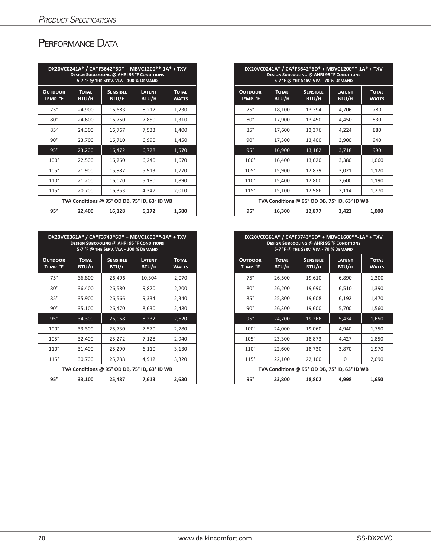## PERFORMANCE DATA

|                                        |                       | <b>DESIGN SUBCOOLING @ AHRI 95 °F CONDITIONS</b><br>5-7 °F @ THE SERV. VLV. - 100 % DEMAND | DX20VC0241A* / CA*F3642*6D* + MBVC1200**-1A* + TXV |                              |
|----------------------------------------|-----------------------|--------------------------------------------------------------------------------------------|----------------------------------------------------|------------------------------|
| <b>OUTDOOR</b><br>TEMP. <sup>°</sup> F | <b>TOTAL</b><br>BTU/H | <b>SENSIBLE</b><br>BTU/H                                                                   | <b>LATENT</b><br><b>BTU/H</b>                      | <b>TOTAL</b><br><b>WATTS</b> |
| $75^\circ$                             | 24,900                | 16,683                                                                                     | 8,217                                              | 1,230                        |
| $80^\circ$                             | 24,600                | 16,750                                                                                     | 7,850                                              | 1,310                        |
| $85^\circ$                             | 24,300                | 16,767                                                                                     | 7,533                                              | 1,400                        |
| $90^{\circ}$                           | 23,700                | 16,710                                                                                     | 6,990                                              | 1,450                        |
| 95°                                    | 23,200                | 16,472                                                                                     | 6,728                                              | 1,570                        |
| $100^\circ$                            | 22,500                | 16,260                                                                                     | 6,240                                              | 1,670                        |
| $105^\circ$                            | 21,900                | 15,987                                                                                     | 5,913                                              | 1,770                        |
| $110^\circ$                            | 21,200                | 16,020                                                                                     | 5,180                                              | 1,890                        |
| 115°                                   | 20,700                | 16,353                                                                                     | 4,347                                              | 2,010                        |
|                                        |                       |                                                                                            | TVA Conditions @ 95° OD DB, 75° ID, 63° ID WB      |                              |
| $95^\circ$                             | 22,400                | 16,128                                                                                     | 6,272                                              | 1,580                        |

|                                        |                              | DX20VC0361A* / CA*F3743*6D* + MBVC1600**-1A* + TXV<br><b>DESIGN SUBCOOLING @ AHRI 95 °F CONDITIONS</b><br>5-7 °F @ THE SERV. VLV. - 100 % DEMAND |                        |                              |
|----------------------------------------|------------------------------|--------------------------------------------------------------------------------------------------------------------------------------------------|------------------------|------------------------------|
| <b>OUTDOOR</b><br>TEMP. <sup>o</sup> F | <b>TOTAL</b><br><b>BTU/H</b> | <b>SENSIBLE</b><br>BTU/H                                                                                                                         | <b>LATENT</b><br>BTU/H | <b>TOTAL</b><br><b>WATTS</b> |
| $75^\circ$                             | 36,800                       | 26,496                                                                                                                                           | 10,304                 | 2,070                        |
| $80^\circ$                             | 36,400                       | 26,580                                                                                                                                           | 9,820                  | 2,200                        |
| $85^\circ$                             | 35,900                       | 26,566                                                                                                                                           | 9,334                  | 2,340                        |
| 90°                                    | 35,100                       | 26,470                                                                                                                                           | 8,630                  | 2,480                        |
| $95^\circ$                             | 34,300                       | 26,068                                                                                                                                           | 8,232                  | 2,620                        |
| $100^\circ$                            | 33,300                       | 25,730                                                                                                                                           | 7,570                  | 2,780                        |
| $105^\circ$                            | 32,400                       | 25,272                                                                                                                                           | 7,128                  | 2,940                        |
| $110^\circ$                            | 31,400                       | 25,290                                                                                                                                           | 6,110                  | 3,130                        |
| 115°                                   | 30,700                       | 25,788                                                                                                                                           | 4,912                  | 3,320                        |
|                                        |                              | TVA Conditions @ 95° OD DB, 75° ID, 63° ID WB                                                                                                    |                        |                              |
| 95°                                    | 33,100                       | 25,487                                                                                                                                           | 7,613                  | 2,630                        |

|                        |                       | DX20VC0241A* / CA*F3642*6D* + MBVC1200**-1A* + TXV<br><b>DESIGN SUBCOOLING @ AHRI 95 °F CONDITIONS</b><br>5-7 °F @ THE SERV. VLV. - 100 % DEMAND |                        |                              |
|------------------------|-----------------------|--------------------------------------------------------------------------------------------------------------------------------------------------|------------------------|------------------------------|
| <b>TDOOR</b><br>MP. °F | <b>TOTAL</b><br>BTU/H | <b>SENSIBLE</b><br>BTU/H                                                                                                                         | <b>LATENT</b><br>BTU/H | <b>TOTAL</b><br><b>WATTS</b> |
| $75^\circ$             | 24,900                | 16,683                                                                                                                                           | 8,217                  | 1,230                        |
| $80^\circ$             | 24,600                | 16,750                                                                                                                                           | 7,850                  | 1,310                        |
| $85^\circ$             | 24,300                | 16,767                                                                                                                                           | 7,533                  | 1,400                        |
| $90^\circ$             | 23,700                | 16,710                                                                                                                                           | 6,990                  | 1,450                        |
| $95^\circ$             | 23,200                | 16,472                                                                                                                                           | 6,728                  | 1,570                        |
| $100^\circ$            | 22,500                | 16,260                                                                                                                                           | 6,240                  | 1,670                        |
| $105^\circ$            | 21,900                | 15,987                                                                                                                                           | 5,913                  | 1,770                        |
| $110^\circ$            | 21,200                | 16,020                                                                                                                                           | 5,180                  | 1,890                        |
| 115°                   | 20,700                | 16,353                                                                                                                                           | 4,347                  | 2,010                        |
|                        |                       | TVA Conditions @ 95° OD DB, 75° ID, 63° ID WB                                                                                                    |                        |                              |
| $95^\circ$             | 22,400                | 16,128                                                                                                                                           | 6,272                  | 1,580                        |

|                        |                       | DX20VC0361A* / CA*F3743*6D* + MBVC1600**-1A* + TXV<br><b>DESIGN SUBCOOLING @ AHRI 95 °F CONDITIONS</b><br>5-7 °F @ THE SERV. VLV. - 100 % DEMAND |                        |                              |
|------------------------|-----------------------|--------------------------------------------------------------------------------------------------------------------------------------------------|------------------------|------------------------------|
| <b>TDOOR</b><br>MP. °F | <b>TOTAL</b><br>BTU/H | <b>SENSIBLE</b><br>BTU/H                                                                                                                         | <b>LATENT</b><br>BTU/H | <b>TOTAL</b><br><b>WATTS</b> |
| $75^\circ$             | 36,800                | 26,496                                                                                                                                           | 10,304                 | 2,070                        |
| $80^\circ$             | 36,400                | 26,580                                                                                                                                           | 9,820                  | 2,200                        |
| $85^\circ$             | 35,900                | 26,566                                                                                                                                           | 9,334                  | 2,340                        |
| $90^\circ$             | 35,100                | 26,470                                                                                                                                           | 8,630                  | 2,480                        |
| 95°                    | 34,300                | 26,068                                                                                                                                           | 8,232                  | 2,620                        |
| $100^\circ$            | 33,300                | 25,730                                                                                                                                           | 7,570                  | 2,780                        |
| $105^\circ$            | 32,400                | 25,272                                                                                                                                           | 7,128                  | 2,940                        |
| $110^\circ$            | 31,400                | 25,290                                                                                                                                           | 6,110                  | 3,130                        |
| 115°                   | 30,700                | 25,788                                                                                                                                           | 4,912                  | 3,320                        |
|                        |                       | TVA Conditions @ 95° OD DB, 75° ID, 63° ID WB                                                                                                    |                        |                              |
| $95^\circ$             | 33,100                | 25,487                                                                                                                                           | 7,613                  | 2,630                        |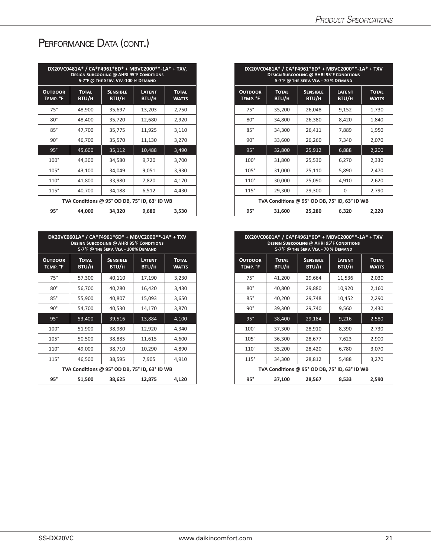# PERFORMANCE DATA (CONT.)

|                            | DX20VC0481A* / CA*F4961*6D* + MBVC2000**-1A* + TXV, | <b>DESIGN SUBCOOLING @ AHRI 95°F CONDITIONS</b><br>5-7°F @ THE SERV. VLV .- 100 % DEMAND |                        |                              |
|----------------------------|-----------------------------------------------------|------------------------------------------------------------------------------------------|------------------------|------------------------------|
| <b>OUTDOOR</b><br>TEMP. °F | <b>TOTAL</b><br>BTU/H                               | <b>SENSIBLE</b><br>BTU/H                                                                 | <b>LATENT</b><br>BTU/H | <b>TOTAL</b><br><b>WATTS</b> |
| $75^\circ$                 | 48,900                                              | 35,697                                                                                   | 13,203                 | 2,750                        |
| $80^{\circ}$               | 48,400                                              | 35,720                                                                                   | 12,680                 | 2,920                        |
| $85^\circ$                 | 47,700                                              | 35,775                                                                                   | 11,925                 | 3,110                        |
| $90^{\circ}$               | 46,700                                              | 35,570                                                                                   | 11,130                 | 3,270                        |
| $95^\circ$                 | 45,600                                              | 35,112                                                                                   | 10,488                 | 3,490                        |
| $100^\circ$                | 44,300                                              | 34,580                                                                                   | 9,720                  | 3,700                        |
| $105^\circ$                | 43,100                                              | 34,049                                                                                   | 9,051                  | 3,930                        |
| $110^\circ$                | 41,800                                              | 33,980                                                                                   | 7,820                  | 4,170                        |
| 115°                       | 40,700                                              | 34,188                                                                                   | 6,512                  | 4,430                        |
|                            | TVA Conditions @ 95° OD DB, 75° ID, 63° ID WB       |                                                                                          |                        |                              |
| $95^\circ$                 | 44,000                                              | 34,320                                                                                   | 9,680                  | 3,530                        |

|                                        | DX20VC0601A* / CA*F4961*6D* + MBVC2000**-1A* + TXV | <b>DESIGN SUBCOOLING @ AHRI 95°F CONDITIONS</b><br>5-7°F @ THE SERV. VLV. - 100% DEMAND |                        |                              |
|----------------------------------------|----------------------------------------------------|-----------------------------------------------------------------------------------------|------------------------|------------------------------|
| <b>OUTDOOR</b><br>TEMP. <sup>o</sup> F | <b>TOTAL</b><br>BTU/H                              | <b>SENSIBLE</b><br><b>BTU/H</b>                                                         | <b>LATENT</b><br>BTU/H | <b>TOTAL</b><br><b>WATTS</b> |
| $75^\circ$                             | 57,300                                             | 40,110                                                                                  | 17,190                 | 3,230                        |
| $80^\circ$                             | 56,700                                             | 40,280                                                                                  | 16,420                 | 3,430                        |
| $85^\circ$                             | 55,900                                             | 40,807                                                                                  | 15,093                 | 3,650                        |
| $90^{\circ}$                           | 54,700                                             | 40,530                                                                                  | 14,170                 | 3,870                        |
| 95°                                    | 53,400                                             | 39,516                                                                                  | 13,884                 | 4,100                        |
| $100^\circ$                            | 51,900                                             | 38,980                                                                                  | 12,920                 | 4,340                        |
| $105^\circ$                            | 50,500                                             | 38,885                                                                                  | 11,615                 | 4,600                        |
| $110^\circ$                            | 49,000                                             | 38,710                                                                                  | 10,290                 | 4,890                        |
| 115°                                   | 46,500                                             | 38,595                                                                                  | 7,905                  | 4,910                        |
|                                        | TVA Conditions @ 95° OD DB, 75° ID, 63° ID WB      |                                                                                         |                        |                              |
| $95^\circ$                             | 51,500                                             | 38,625                                                                                  | 12,875                 | 4,120                        |

|                        |                       | DX20VC0481A* / CA*F4961*6D* + MBVC2000**-1A* + TXV,<br><b>DESIGN SUBCOOLING @ AHRI 95°F CONDITIONS</b><br>5-7°F @ THE SERV. VLV .- 100 % DEMAND |                        |                              |
|------------------------|-----------------------|-------------------------------------------------------------------------------------------------------------------------------------------------|------------------------|------------------------------|
| <b>TDOOR</b><br>MP. °F | <b>TOTAL</b><br>BTU/H | <b>SENSIBLE</b><br>BTU/H                                                                                                                        | <b>LATENT</b><br>BTU/H | <b>TOTAL</b><br><b>WATTS</b> |
| $75^\circ$             | 48,900                | 35,697                                                                                                                                          | 13,203                 | 2,750                        |
| $80^\circ$             | 48,400                | 35,720                                                                                                                                          | 12,680                 | 2,920                        |
| $85^\circ$             | 47,700                | 35,775                                                                                                                                          | 11,925                 | 3,110                        |
| $90^\circ$             | 46,700                | 35,570                                                                                                                                          | 11,130                 | 3,270                        |
| $95^\circ$             | 45,600                | 35,112                                                                                                                                          | 10,488                 | 3,490                        |
| $100^\circ$            | 44,300                | 34,580                                                                                                                                          | 9,720                  | 3,700                        |
| $105^\circ$            | 43,100                | 34,049                                                                                                                                          | 9,051                  | 3,930                        |
| $110^\circ$            | 41,800                | 33,980                                                                                                                                          | 7,820                  | 4,170                        |
| 115°                   | 40,700                | 34,188                                                                                                                                          | 6,512                  | 4,430                        |
|                        |                       | TVA Conditions @ 95° OD DB, 75° ID, 63° ID WB                                                                                                   |                        |                              |
| $95^\circ$             | 44,000                | 34,320                                                                                                                                          | 9,680                  | 3,530                        |

| DX20VC0601A* / CA*F4961*6D* + MBVC2000**-1A* + TXV<br><b>DESIGN SUBCOOLING @ AHRI 95°F CONDITIONS</b><br>5-7°F @ THE SERV. VLV. - 100% DEMAND |                       |                          |                        |                              |
|-----------------------------------------------------------------------------------------------------------------------------------------------|-----------------------|--------------------------|------------------------|------------------------------|
| <b>TDOOR</b><br>MP. °F                                                                                                                        | <b>TOTAL</b><br>BTU/H | <b>SENSIBLE</b><br>BTU/H | <b>LATENT</b><br>BTU/H | <b>TOTAL</b><br><b>WATTS</b> |
| $75^\circ$                                                                                                                                    | 57,300                | 40,110                   | 17,190                 | 3,230                        |
| $80^\circ$                                                                                                                                    | 56,700                | 40,280                   | 16,420                 | 3,430                        |
| $85^\circ$                                                                                                                                    | 55,900                | 40,807                   | 15,093                 | 3,650                        |
| $90^\circ$                                                                                                                                    | 54,700                | 40,530                   | 14,170                 | 3,870                        |
| 95°                                                                                                                                           | 53,400                | 39,516                   | 13,884                 | 4,100                        |
| $100^\circ$                                                                                                                                   | 51,900                | 38,980                   | 12,920                 | 4,340                        |
| $105^\circ$                                                                                                                                   | 50,500                | 38,885                   | 11,615                 | 4,600                        |
| $110^\circ$                                                                                                                                   | 49,000                | 38,710                   | 10,290                 | 4,890                        |
| 115°                                                                                                                                          | 46,500                | 38,595                   | 7,905                  | 4,910                        |
| TVA Conditions @ 95° OD DB, 75° ID, 63° ID WB                                                                                                 |                       |                          |                        |                              |
| $95^\circ$                                                                                                                                    | 51,500                | 38,625                   | 12,875                 | 4,120                        |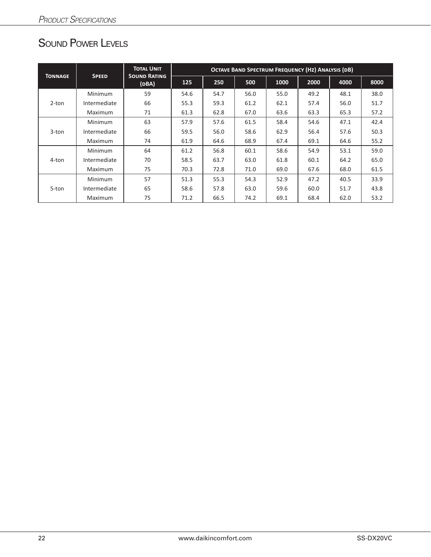# Sound Power Levels

|                |                | <b>TOTAL UNIT</b>            | <b>OCTAVE BAND SPECTRUM FREQUENCY (HZ) ANALYSIS (DB)</b> |      |      |      |      |      |      |  |
|----------------|----------------|------------------------------|----------------------------------------------------------|------|------|------|------|------|------|--|
| <b>TONNAGE</b> | <b>SPEED</b>   | <b>SOUND RATING</b><br>(DBA) | 125                                                      | 250  | 500  | 1000 | 2000 | 4000 | 8000 |  |
|                | <b>Minimum</b> | 59                           | 54.6                                                     | 54.7 | 56.0 | 55.0 | 49.2 | 48.1 | 38.0 |  |
| $2$ -ton       | Intermediate   | 66                           | 55.3                                                     | 59.3 | 61.2 | 62.1 | 57.4 | 56.0 | 51.7 |  |
|                | <b>Maximum</b> | 71                           | 61.3                                                     | 62.8 | 67.0 | 63.6 | 63.3 | 65.3 | 57.2 |  |
|                | <b>Minimum</b> | 63                           | 57.9                                                     | 57.6 | 61.5 | 58.4 | 54.6 | 47.1 | 42.4 |  |
| $3$ -ton       | Intermediate   | 66                           | 59.5                                                     | 56.0 | 58.6 | 62.9 | 56.4 | 57.6 | 50.3 |  |
|                | Maximum        | 74                           | 61.9                                                     | 64.6 | 68.9 | 67.4 | 69.1 | 64.6 | 55.2 |  |
|                | <b>Minimum</b> | 64                           | 61.2                                                     | 56.8 | 60.1 | 58.6 | 54.9 | 53.1 | 59.0 |  |
| 4-ton          | Intermediate   | 70                           | 58.5                                                     | 63.7 | 63.0 | 61.8 | 60.1 | 64.2 | 65.0 |  |
|                | <b>Maximum</b> | 75                           | 70.3                                                     | 72.8 | 71.0 | 69.0 | 67.6 | 68.0 | 61.5 |  |
|                | <b>Minimum</b> | 57                           | 51.3                                                     | 55.3 | 54.3 | 52.9 | 47.2 | 40.5 | 33.9 |  |
| 5-ton          | Intermediate   | 65                           | 58.6                                                     | 57.8 | 63.0 | 59.6 | 60.0 | 51.7 | 43.8 |  |
|                | Maximum        | 75                           | 71.2                                                     | 66.5 | 74.2 | 69.1 | 68.4 | 62.0 | 53.2 |  |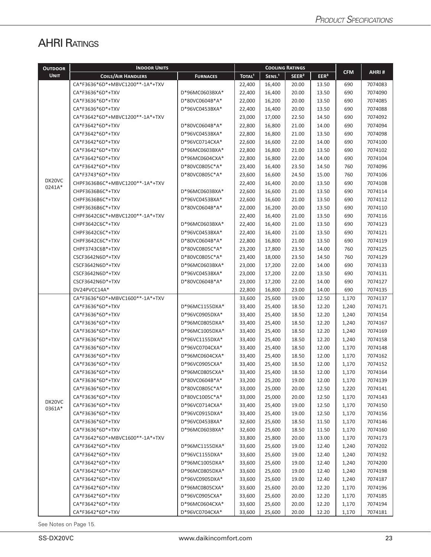# **AHRI RATINGS**

| <b>OUTDOOR</b>   | <b>INDOOR UNITS</b>             |                 | <b>COOLING RATINGS</b> |                    |                   |                  |            |         |
|------------------|---------------------------------|-----------------|------------------------|--------------------|-------------------|------------------|------------|---------|
| <b>UNIT</b>      | <b>COILS/AIR HANDLERS</b>       | <b>FURNACES</b> | TOTAL <sup>1</sup>     | SENS. <sup>1</sup> | SEER <sup>2</sup> | EER <sup>3</sup> | <b>CFM</b> | AHRI#   |
|                  | CA*F3636*6D*+MBVC1200**-1A*+TXV |                 | 22,400                 | 16,400             | 20.00             | 13.50            | 690        | 7074083 |
|                  | CA*F3636*6D*+TXV                | D*96MC0603BXA*  | 22,400                 | 16,400             | 20.00             | 13.50            | 690        | 7074090 |
|                  | CA*F3636*6D*+TXV                | D*80VC0604B*A*  | 22,000                 | 16,200             | 20.00             | 13.50            | 690        | 7074085 |
|                  | CA*F3636*6D*+TXV                | D*96VC0453BXA*  | 22,400                 | 16,400             | 20.00             | 13.50            | 690        | 7074088 |
|                  | CA*F3642*6D*+MBVC1200**-1A*+TXV |                 | 23,000                 | 17,000             | 22.50             | 14.50            | 690        | 7074092 |
|                  | CA*F3642*6D*+TXV                | D*80VC0604B*A*  | 22,800                 | 16,800             | 21.00             | 14.00            | 690        | 7074094 |
|                  | CA*F3642*6D*+TXV                | D*96VC0453BXA*  | 22,800                 | 16,800             | 21.00             | 13.50            | 690        | 7074098 |
|                  | CA*F3642*6D*+TXV                | D*96VC0714CXA*  | 22,600                 | 16,600             | 22.00             | 14.00            | 690        | 7074100 |
|                  | CA*F3642*6D*+TXV                | D*96MC0603BXA*  | 22,800                 | 16,800             | 21.00             | 13.50            | 690        | 7074102 |
|                  | CA*F3642*6D*+TXV                | D*96MC0604CXA*  | 22,800                 | 16,800             | 22.00             | 14.00            | 690        | 7074104 |
|                  | CA*F3642*6D*+TXV                | D*80VC0805C*A*  | 23,400                 | 16,400             | 23.50             | 14.50            | 760        | 7074096 |
|                  | CA*F3743*6D*+TXV                | D*80VC0805C*A*  | 23,600                 | 16,600             | 24.50             | 15.00            | 760        | 7074106 |
| DX20VC           | CHPF3636B6C*+MBVC1200**-1A*+TXV |                 | 22,400                 | 16,400             | 20.00             | 13.50            | 690        | 7074108 |
| 0241A*           | CHPF3636B6C*+TXV                | D*96MC0603BXA*  | 22,600                 | 16,600             | 21.00             | 13.50            | 690        | 7074114 |
|                  | CHPF3636B6C*+TXV                | D*96VC0453BXA*  | 22,600                 | 16,600             | 21.00             | 13.50            | 690        | 7074112 |
|                  | CHPF3636B6C*+TXV                | D*80VC0604B*A*  | 22,000                 | 16,200             | 20.00             | 13.50            | 690        | 7074110 |
|                  | CHPF3642C6C*+MBVC1200**-1A*+TXV |                 | 22,400                 | 16,400             | 21.00             | 13.50            | 690        | 7074116 |
|                  | CHPF3642C6C*+TXV                | D*96MC0603BXA*  | 22,400                 | 16,400             | 21.00             | 13.50            | 690        | 7074123 |
|                  | CHPF3642C6C*+TXV                | D*96VC0453BXA*  | 22,400                 | 16,400             | 21.00             | 13.50            | 690        | 7074121 |
|                  | CHPF3642C6C*+TXV                | D*80VC0604B*A*  | 22,800                 | 16,800             | 21.00             | 13.50            | 690        | 7074119 |
|                  | CHPF3743C6B*+TXV                | D*80VC0805C*A*  | 23,200                 | 17,800             | 23.50             | 14.00            | 760        | 7074125 |
|                  | CSCF3642N6D*+TXV                | D*80VC0805C*A*  | 23,400                 | 18,000             | 23.50             | 14.50            | 760        | 7074129 |
|                  | CSCF3642N6D*+TXV                | D*96MC0603BXA*  | 23,000                 | 17,200             | 22.00             | 14.00            | 690        | 7074133 |
|                  | CSCF3642N6D*+TXV                | D*96VC0453BXA*  | 23,000                 | 17,200             | 22.00             | 13.50            | 690        | 7074131 |
|                  | CSCF3642N6D*+TXV                | D*80VC0604B*A*  | 23,000                 | 17,200             | 22.00             | 14.00            | 690        | 7074127 |
|                  | DV24PVCC14A*                    |                 | 22,800                 | 16,800             | 23.00             | 14.00            | 690        | 7074135 |
|                  | CA*F3636*6D*+MBVC1600**-1A*+TXV |                 | 33,600                 | 25,600             | 19.00             | 12.50            | 1,170      | 7074137 |
|                  | CA*F3636*6D*+TXV                | D*96MC1155DXA*  | 33,400                 | 25,400             | 18.50             | 12.20            | 1,240      | 7074171 |
|                  | CA*F3636*6D*+TXV                | D*96VC0905DXA*  | 33,400                 | 25,400             | 18.50             | 12.20            | 1,240      | 7074154 |
|                  | CA*F3636*6D*+TXV                | D*96MC0805DXA*  | 33,400                 | 25,400             | 18.50             | 12.20            | 1,240      | 7074167 |
|                  | CA*F3636*6D*+TXV                | D*96MC1005DXA*  | 33,400                 | 25,400             | 18.50             | 12.20            | 1,240      | 7074169 |
|                  | CA*F3636*6D*+TXV                | D*96VC1155DXA*  | 33,400                 | 25,400             | 18.50             | 12.20            | 1,240      | 7074158 |
|                  | CA*F3636*6D*+TXV                | D*96VC0704CXA*  | 33,400                 | 25,400             | 18.50             | 12.00            | 1,170      | 7074148 |
|                  | CA*F3636*6D*+TXV                | D*96MC0604CXA*  | 33,400                 | 25,400             | 18.50             | 12.00            | 1,170      | 7074162 |
|                  | CA*F3636*6D*+TXV                | D*96VC0905CXA*  | 33,400                 | 25,400             | 18.50             | 12.00            | 1,170      | 7074152 |
|                  | CA*F3636*6D*+TXV                | D*96MC0805CXA*  | 33,400                 | 25,400             | 18.50             | 12.00            | 1,170      | 7074164 |
|                  | CA*F3636*6D*+TXV                | D*80VC0604B*A*  | 33,200                 | 25,200             | 19.00             | 12.00            | 1,170      | 7074139 |
|                  | CA*F3636*6D*+TXV                | D*80VC0805C*A*  | 33,000                 | 25,000             | 20.00             | 12.50            | 1,220      | 7074141 |
|                  | CA*F3636*6D*+TXV                | D*80VC1005C*A*  | 33,000                 | 25,000             | 20.00             | 12.50            | 1,170      | 7074143 |
| DX20VC<br>0361A* | CA*F3636*6D*+TXV                | D*96VC0714CXA*  | 33,400                 | 25,400             | 19.00             | 12.50            | 1,170      | 7074150 |
|                  | CA*F3636*6D*+TXV                | D*96VC0915DXA*  | 33,400                 | 25,400             | 19.00             | 12.50            | 1,170      | 7074156 |
|                  | CA*F3636*6D*+TXV                | D*96VC0453BXA*  | 32,600                 | 25,600             | 18.50             | 11.50            | 1,170      | 7074146 |
|                  | CA*F3636*6D*+TXV                | D*96MC0603BXA*  | 32,600                 | 25,600             | 18.50             | 11.50            | 1,170      | 7074160 |
|                  | CA*F3642*6D*+MBVC1600**-1A*+TXV |                 | 33,800                 | 25,800             | 20.00             | 13.00            | 1,170      | 7074173 |
|                  | CA*F3642*6D*+TXV                | D*96MC1155DXA*  | 33,600                 | 25,600             | 19.00             | 12.40            | 1,240      | 7074202 |
|                  | CA*F3642*6D*+TXV                | D*96VC1155DXA*  | 33,600                 | 25,600             | 19.00             | 12.40            | 1,240      | 7074192 |
|                  | CA*F3642*6D*+TXV                | D*96MC1005DXA*  | 33,600                 | 25,600             | 19.00             | 12.40            | 1,240      | 7074200 |
|                  | CA*F3642*6D*+TXV                | D*96MC0805DXA*  | 33,600                 | 25,600             | 19.00             | 12.40            | 1,240      | 7074198 |
|                  | CA*F3642*6D*+TXV                | D*96VC0905DXA*  | 33,600                 | 25,600             | 19.00             | 12.40            | 1,240      | 7074187 |
|                  | CA*F3642*6D*+TXV                | D*96MC0805CXA*  | 33,600                 | 25,600             | 20.00             | 12.20            | 1,170      | 7074196 |
|                  | CA*F3642*6D*+TXV                | D*96VC0905CXA*  | 33,600                 | 25,600             | 20.00             | 12.20            | 1,170      | 7074185 |
|                  | CA*F3642*6D*+TXV                | D*96MC0604CXA*  | 33,600                 | 25,600             | 20.00             | 12.20            | 1,170      | 7074194 |
|                  | CA*F3642*6D*+TXV                | D*96VC0704CXA*  | 33,600                 | 25,600             | 20.00             | 12.20            | 1,170      | 7074181 |

See Notes on Page 15.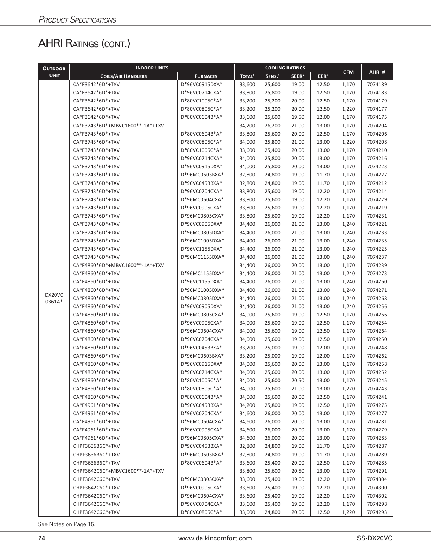# AHRI RATINGS (CONT.)

| <b>OUTDOOR</b> | <b>INDOOR UNITS</b>             |                 | <b>COOLING RATINGS</b> |                    |                   |                  |            |         |
|----------------|---------------------------------|-----------------|------------------------|--------------------|-------------------|------------------|------------|---------|
| <b>UNIT</b>    | <b>COILS/AIR HANDLERS</b>       | <b>FURNACES</b> | TOTAL <sup>1</sup>     | SENS. <sup>1</sup> | SEER <sup>2</sup> | EER <sup>3</sup> | <b>CFM</b> | AHRI#   |
|                | CA*F3642*6D*+TXV                | D*96VC0915DXA*  | 33,600                 | 25,600             | 19.00             | 12.50            | 1,170      | 7074189 |
|                | CA*F3642*6D*+TXV                | D*96VC0714CXA*  | 33,800                 | 25,800             | 19.00             | 12.50            | 1,170      | 7074183 |
|                | CA*F3642*6D*+TXV                | D*80VC1005C*A*  | 33,200                 | 25,200             | 20.00             | 12.50            | 1,170      | 7074179 |
|                | CA*F3642*6D*+TXV                | D*80VC0805C*A*  | 33,200                 | 25,200             | 20.00             | 12.50            | 1,220      | 7074177 |
|                | CA*F3642*6D*+TXV                | D*80VC0604B*A*  | 33,600                 | 25,600             | 19.50             | 12.00            | 1,170      | 7074175 |
|                | CA*F3743*6D*+MBVC1600**-1A*+TXV |                 | 34,200                 | 26,200             | 21.00             | 13.00            | 1,170      | 7074204 |
|                | CA*F3743*6D*+TXV                | D*80VC0604B*A*  | 33,800                 | 25,600             | 20.00             | 12.50            | 1,170      | 7074206 |
|                | CA*F3743*6D*+TXV                | D*80VC0805C*A*  | 34,000                 | 25,800             | 21.00             | 13.00            | 1,220      | 7074208 |
|                | CA*F3743*6D*+TXV                | D*80VC1005C*A*  | 33,600                 | 25,400             | 20.00             | 13.00            | 1,170      | 7074210 |
|                | CA*F3743*6D*+TXV                | D*96VC0714CXA*  | 34,000                 | 25,800             | 20.00             | 13.00            | 1,170      | 7074216 |
|                | CA*F3743*6D*+TXV                | D*96VC0915DXA*  | 34,000                 | 25,800             | 20.00             | 13.00            | 1,170      | 7074223 |
|                | CA*F3743*6D*+TXV                | D*96MC0603BXA*  | 32,800                 | 24,800             | 19.00             | 11.70            | 1,170      | 7074227 |
|                | CA*F3743*6D*+TXV                | D*96VC0453BXA*  | 32,800                 | 24,800             | 19.00             | 11.70            | 1,170      | 7074212 |
|                | CA*F3743*6D*+TXV                | D*96VC0704CXA*  | 33,800                 | 25,600             | 19.00             | 12.20            | 1,170      | 7074214 |
|                | CA*F3743*6D*+TXV                | D*96MC0604CXA*  | 33,800                 | 25,600             | 19.00             | 12.20            | 1,170      | 7074229 |
|                | CA*F3743*6D*+TXV                | D*96VC0905CXA*  | 33,800                 | 25,600             | 19.00             | 12.20            | 1,170      | 7074219 |
|                | CA*F3743*6D*+TXV                | D*96MC0805CXA*  | 33,800                 | 25,600             | 19.00             | 12.20            | 1,170      | 7074231 |
|                | CA*F3743*6D*+TXV                | D*96VC0905DXA*  | 34,400                 | 26,000             | 21.00             | 13.00            | 1,240      | 7074221 |
|                | CA*F3743*6D*+TXV                | D*96MC0805DXA*  | 34,400                 | 26,000             | 21.00             | 13.00            | 1,240      | 7074233 |
|                | CA*F3743*6D*+TXV                | D*96MC1005DXA*  | 34,400                 | 26,000             | 21.00             | 13.00            | 1,240      | 7074235 |
|                | CA*F3743*6D*+TXV                | D*96VC1155DXA*  | 34,400                 | 26,000             | 21.00             | 13.00            | 1,240      | 7074225 |
|                | CA*F3743*6D*+TXV                | D*96MC1155DXA*  | 34,400                 | 26,000             | 21.00             | 13.00            | 1,240      | 7074237 |
|                | CA*F4860*6D*+MBVC1600**-1A*+TXV |                 | 34,400                 | 26,000             | 20.00             | 13.00            | 1,170      | 7074239 |
|                | CA*F4860*6D*+TXV                | D*96MC1155DXA*  | 34,400                 | 26,000             | 21.00             | 13.00            | 1,240      | 7074273 |
|                | CA*F4860*6D*+TXV                | D*96VC1155DXA*  | 34,400                 | 26,000             | 21.00             | 13.00            | 1,240      | 7074260 |
|                | CA*F4860*6D*+TXV                | D*96MC1005DXA*  | 34,400                 | 26,000             | 21.00             | 13.00            | 1,240      | 7074271 |
| DX20VC         | CA*F4860*6D*+TXV                | D*96MC0805DXA*  | 34,400                 | 26,000             | 21.00             | 13.00            | 1,240      | 7074268 |
| 0361A*         | CA*F4860*6D*+TXV                | D*96VC0905DXA*  | 34,400                 | 26,000             | 21.00             | 13.00            | 1,240      | 7074256 |
|                | CA*F4860*6D*+TXV                | D*96MC0805CXA*  | 34,000                 | 25,600             | 19.00             | 12.50            | 1,170      | 7074266 |
|                | CA*F4860*6D*+TXV                | D*96VC0905CXA*  | 34,000                 | 25,600             | 19.00             | 12.50            | 1,170      | 7074254 |
|                | CA*F4860*6D*+TXV                | D*96MC0604CXA*  | 34,000                 | 25,600             | 19.00             | 12.50            | 1,170      | 7074264 |
|                | CA*F4860*6D*+TXV                | D*96VC0704CXA*  | 34,000                 | 25,600             | 19.00             | 12.50            | 1,170      | 7074250 |
|                | CA*F4860*6D*+TXV                | D*96VC0453BXA*  | 33,200                 | 25,000             | 19.00             | 12.00            | 1,170      | 7074248 |
|                | CA*F4860*6D*+TXV                | D*96MC0603BXA*  | 33,200                 | 25,000             | 19.00             | 12.00            | 1,170      | 7074262 |
|                | CA*F4860*6D*+TXV                | D*96VC0915DXA*  | 34,000                 | 25,600             | 20.00             | 13.00            | 1,170      | 7074258 |
|                | CA*F4860*6D*+TXV                | D*96VC0714CXA*  | 34,000                 | 25,600             | 20.00             | 13.00            | 1,170      | 7074252 |
|                | CA*F4860*6D*+TXV                | D*80VC1005C*A*  | 34,000                 | 25,600             | 20.50             | 13.00            | 1,170      | 7074245 |
|                | CA*F4860*6D*+TXV                | D*80VC0805C*A*  | 34,000                 | 25,600             | 21.00             | 13.00            | 1,220      | 7074243 |
|                | CA*F4860*6D*+TXV                | D*80VC0604B*A*  | 34,000                 | 25,600             | 20.00             | 12.50            | 1,170      | 7074241 |
|                | CA*F4961*6D*+TXV                | D*96VC0453BXA*  | 34,200                 | 25,800             | 19.00             | 12.50            | 1,170      | 7074275 |
|                | CA*F4961*6D*+TXV                | D*96VC0704CXA*  | 34,600                 | 26,000             | 20.00             | 13.00            | 1,170      | 7074277 |
|                | CA*F4961*6D*+TXV                | D*96MC0604CXA*  | 34,600                 | 26,000             | 20.00             | 13.00            | 1,170      | 7074281 |
|                | CA*F4961*6D*+TXV                | D*96VC0905CXA*  | 34,600                 | 26,000             | 20.00             | 13.00            | 1,170      | 7074279 |
|                | CA*F4961*6D*+TXV                | D*96MC0805CXA*  | 34,600                 | 26,000             | 20.00             | 13.00            | 1,170      | 7074283 |
|                | CHPF3636B6C*+TXV                | D*96VC0453BXA*  | 32,800                 | 24,800             | 19.00             | 11.70            | 1,170      | 7074287 |
|                | CHPF3636B6C*+TXV                | D*96MC0603BXA*  | 32,800                 | 24,800             | 19.00             | 11.70            | 1,170      | 7074289 |
|                | CHPF3636B6C*+TXV                | D*80VC0604B*A*  | 33,600                 | 25,400             | 20.00             | 12.50            | 1,170      | 7074285 |
|                | CHPF3642C6C*+MBVC1600**-1A*+TXV |                 | 33,800                 | 25,600             | 20.50             | 13.00            | 1,170      | 7074291 |
|                | CHPF3642C6C*+TXV                | D*96MC0805CXA*  | 33,600                 | 25,400             | 19.00             | 12.20            | 1,170      | 7074304 |
|                | CHPF3642C6C*+TXV                | D*96VC0905CXA*  | 33,600                 | 25,400             | 19.00             | 12.20            | 1,170      | 7074300 |
|                | CHPF3642C6C*+TXV                | D*96MC0604CXA*  | 33,600                 | 25,400             | 19.00             | 12.20            | 1,170      | 7074302 |
|                | CHPF3642C6C*+TXV                | D*96VC0704CXA*  | 33,600                 | 25,400             | 19.00             | 12.20            | 1,170      | 7074298 |
|                | CHPF3642C6C*+TXV                | D*80VC0805C*A*  | 33,000                 | 24,800             | 20.00             | 12.50            | 1,220      | 7074293 |

See Notes on Page 15.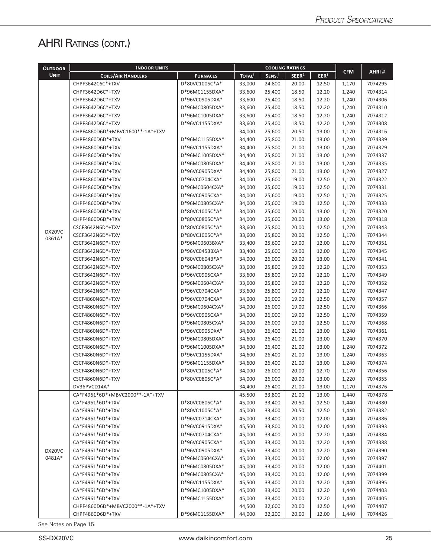# AHRI RATINGS (CONT.)

| <b>OUTDOOR</b> | <b>INDOOR UNITS</b>             |                 |                    |                   | <b>COOLING RATINGS</b> |                  |            |         |
|----------------|---------------------------------|-----------------|--------------------|-------------------|------------------------|------------------|------------|---------|
| <b>UNIT</b>    | <b>COILS/AIR HANDLERS</b>       | <b>FURNACES</b> | TOTAL <sup>1</sup> | SENS <sup>1</sup> | SEER <sup>2</sup>      | EER <sup>3</sup> | <b>CFM</b> | AHRI#   |
|                | CHPF3642C6C*+TXV                | D*80VC1005C*A*  | 33,000             | 24,800            | 20.00                  | 12.50            | 1,170      | 7074295 |
|                | CHPF3642D6C*+TXV                | D*96MC1155DXA*  | 33,600             | 25,400            | 18.50                  | 12.20            | 1,240      | 7074314 |
|                | CHPF3642D6C*+TXV                | D*96VC0905DXA*  | 33,600             | 25,400            | 18.50                  | 12.20            | 1,240      | 7074306 |
|                | CHPF3642D6C*+TXV                | D*96MC0805DXA*  | 33,600             | 25,400            | 18.50                  | 12.20            | 1,240      | 7074310 |
|                | CHPF3642D6C*+TXV                | D*96MC1005DXA*  | 33,600             | 25,400            | 18.50                  | 12.20            | 1,240      | 7074312 |
|                | CHPF3642D6C*+TXV                | D*96VC1155DXA*  | 33,600             | 25,400            | 18.50                  | 12.20            | 1,240      | 7074308 |
|                | CHPF4860D6D*+MBVC1600**-1A*+TXV |                 | 34,000             | 25,600            | 20.50                  | 13.00            | 1,170      | 7074316 |
|                | CHPF4860D6D*+TXV                | D*96MC1155DXA*  | 34,400             | 25,800            | 21.00                  | 13.00            | 1,240      | 7074339 |
|                | CHPF4860D6D*+TXV                | D*96VC1155DXA*  | 34,400             | 25,800            | 21.00                  | 13.00            | 1,240      | 7074329 |
|                | CHPF4860D6D*+TXV                | D*96MC1005DXA*  | 34,400             | 25,800            | 21.00                  | 13.00            | 1,240      | 7074337 |
|                | CHPF4860D6D*+TXV                | D*96MC0805DXA*  | 34,400             | 25,800            | 21.00                  | 13.00            | 1,240      | 7074335 |
|                | CHPF4860D6D*+TXV                | D*96VC0905DXA*  | 34,400             | 25,800            | 21.00                  | 13.00            | 1,240      | 7074327 |
|                | CHPF4860D6D*+TXV                | D*96VC0704CXA*  | 34,000             | 25,600            | 19.00                  | 12.50            | 1,170      | 7074322 |
|                | CHPF4860D6D*+TXV                | D*96MC0604CXA*  | 34,000             | 25,600            | 19.00                  | 12.50            | 1,170      | 7074331 |
|                | CHPF4860D6D*+TXV                | D*96VC0905CXA*  | 34,000             | 25,600            | 19.00                  | 12.50            | 1,170      | 7074325 |
|                | CHPF4860D6D*+TXV                | D*96MC0805CXA*  | 34,000             | 25,600            | 19.00                  | 12.50            | 1,170      | 7074333 |
|                | CHPF4860D6D*+TXV                | D*80VC1005C*A*  | 34,000             | 25,600            | 20.00                  | 13.00            | 1,170      | 7074320 |
|                | CHPF4860D6D*+TXV                | D*80VC0805C*A*  | 34,000             | 25,600            | 20.00                  | 13.00            | 1,220      | 7074318 |
|                | CSCF3642N6D*+TXV                | D*80VC0805C*A*  | 33,600             | 25,800            | 20.00                  | 12.50            | 1,220      | 7074343 |
| DX20VC         | CSCF3642N6D*+TXV                | D*80VC1005C*A*  | 33,600             | 25,800            | 20.00                  | 12.50            | 1,170      | 7074344 |
| 0361A*         | CSCF3642N6D*+TXV                | D*96MC0603BXA*  | 33,400             | 25,600            | 19.00                  | 12.00            | 1,170      | 7074351 |
|                | CSCF3642N6D*+TXV                | D*96VC0453BXA*  | 33,400             | 25,600            | 19.00                  | 12.00            | 1,170      | 7074345 |
|                | CSCF3642N6D*+TXV                | D*80VC0604B*A*  | 34,000             | 26,000            | 20.00                  | 13.00            | 1,170      | 7074341 |
|                | CSCF3642N6D*+TXV                | D*96MC0805CXA*  | 33,600             | 25,800            | 19.00                  | 12.20            | 1,170      | 7074353 |
|                | CSCF3642N6D*+TXV                | D*96VC0905CXA*  | 33,600             | 25,800            | 19.00                  | 12.20            | 1,170      | 7074349 |
|                | CSCF3642N6D*+TXV                | D*96MC0604CXA*  | 33,600             | 25,800            | 19.00                  | 12.20            | 1,170      | 7074352 |
|                | CSCF3642N6D*+TXV                | D*96VC0704CXA*  | 33,600             | 25,800            | 19.00                  | 12.20            | 1,170      | 7074347 |
|                | CSCF4860N6D*+TXV                | D*96VC0704CXA*  | 34,000             | 26,000            | 19.00                  | 12.50            | 1,170      | 7074357 |
|                | CSCF4860N6D*+TXV                | D*96MC0604CXA*  | 34,000             | 26,000            | 19.00                  | 12.50            | 1,170      | 7074366 |
|                | CSCF4860N6D*+TXV                | D*96VC0905CXA*  | 34,000             | 26,000            | 19.00                  | 12.50            | 1,170      | 7074359 |
|                | CSCF4860N6D*+TXV                | D*96MC0805CXA*  | 34,000             | 26,000            | 19.00                  | 12.50            | 1,170      | 7074368 |
|                | CSCF4860N6D*+TXV                | D*96VC0905DXA*  | 34,600             | 26,400            | 21.00                  | 13.00            | 1,240      | 7074361 |
|                | CSCF4860N6D*+TXV                | D*96MC0805DXA*  | 34,600             | 26,400            | 21.00                  | 13.00            | 1,240      | 7074370 |
|                | CSCF4860N6D*+TXV                | D*96MC1005DXA*  | 34,600             | 26,400            | 21.00                  | 13.00            | 1,240      | 7074372 |
|                | CSCF4860N6D*+TXV                | D*96VC1155DXA*  | 34,600             | 26,400            | 21.00                  | 13.00            | 1,240      | 7074363 |
|                | CSCF4860N6D*+TXV                | D*96MC1155DXA*  | 34,600             | 26,400            | 21.00                  | 13.00            | 1,240      | 7074374 |
|                | CSCF4860N6D*+TXV                | D*80VC1005C*A*  | 34,000             | 26,000            | 20.00                  | 12.70            | 1,170      | 7074356 |
|                | CSCF4860N6D*+TXV                | D*80VC0805C*A*  | 34,000             | 26,000            | 20.00                  | 13.00            | 1,220      | 7074355 |
|                | DV36PVCD14A*                    |                 | 34,400             | 26,400            | 21.00                  | 13.00            | 1,170      | 7074376 |
|                | CA*F4961*6D*+MBVC2000**-1A*+TXV |                 | 45,500             | 33,800            | 21.00                  | 13.00            | 1,440      | 7074378 |
|                | CA*F4961*6D*+TXV                | D*80VC0805C*A*  | 45,000             | 33,400            | 20.50                  | 12.50            | 1,440      | 7074380 |
|                | CA*F4961*6D*+TXV                | D*80VC1005C*A*  | 45,000             | 33,400            | 20.50                  | 12.50            | 1,440      | 7074382 |
|                | CA*F4961*6D*+TXV                | D*96VC0714CXA*  | 45,000             | 33,400            | 20.00                  | 12.00            | 1,440      | 7074386 |
|                | CA*F4961*6D*+TXV                | D*96VC0915DXA*  | 45,500             | 33,800            | 20.00                  | 12.00            | 1,440      | 7074393 |
|                | CA*F4961*6D*+TXV                | D*96VC0704CXA*  | 45,000             | 33,400            | 20.00                  | 12.20            | 1,440      | 7074384 |
|                | CA*F4961*6D*+TXV                | D*96VC0905CXA*  | 45,000             | 33,400            | 20.00                  | 12.20            | 1,440      | 7074388 |
| DX20VC         | CA*F4961*6D*+TXV                | D*96VC0905DXA*  | 45,500             | 33,400            | 20.00                  | 12.20            | 1,480      | 7074390 |
| 0481A*         | CA*F4961*6D*+TXV                | D*96MC0604CXA*  | 45,000             | 33,400            | 20.00                  | 12.00            | 1,440      | 7074397 |
|                | CA*F4961*6D*+TXV                | D*96MC0805DXA*  | 45,000             | 33,400            | 20.00                  | 12.00            | 1,440      | 7074401 |
|                | CA*F4961*6D*+TXV                | D*96MC0805CXA*  | 45,000             | 33,400            | 20.00                  | 12.00            | 1,440      | 7074399 |
|                | CA*F4961*6D*+TXV                | D*96VC1155DXA*  | 45,500             | 33,400            | 20.00                  | 12.20            | 1,440      | 7074395 |
|                | CA*F4961*6D*+TXV                | D*96MC1005DXA*  | 45,000             | 33,400            | 20.00                  | 12.20            | 1,440      | 7074403 |
|                | CA*F4961*6D*+TXV                | D*96MC1155DXA*  | 45,000             | 33,400            | 20.00                  | 12.20            | 1,440      | 7074405 |
|                | CHPF4860D6D*+MBVC2000**-1A*+TXV |                 | 44,500             | 32,600            | 20.00                  | 12.50            | 1,440      | 7074407 |
|                | CHPF4860D6D*+TXV                | D*96MC1155DXA*  | 44,000             | 32,200            | 20.00                  | 12.00            | 1,440      | 7074426 |
|                |                                 |                 |                    |                   |                        |                  |            |         |

See Notes on Page 15.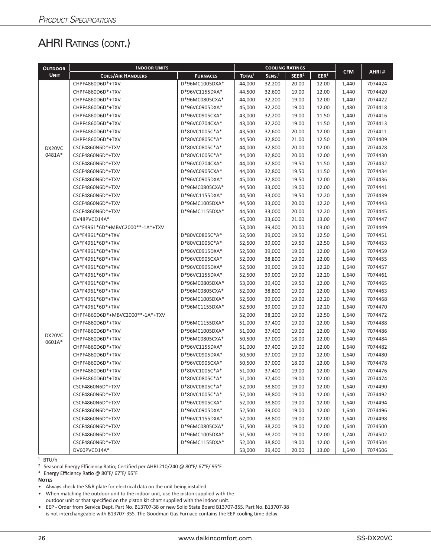# AHRI RATINGS (CONT.)

| <b>OUTDOOR</b> | <b>INDOOR UNITS</b>             |                 |                    |                    | <b>COOLING RATINGS</b> |                  |                                                                                                                                                                                                                                                                                                                                                                                                      |         |
|----------------|---------------------------------|-----------------|--------------------|--------------------|------------------------|------------------|------------------------------------------------------------------------------------------------------------------------------------------------------------------------------------------------------------------------------------------------------------------------------------------------------------------------------------------------------------------------------------------------------|---------|
| <b>UNIT</b>    | <b>COILS/AIR HANDLERS</b>       | <b>FURNACES</b> | TOTAL <sup>1</sup> | SENS. <sup>1</sup> | SEER <sup>2</sup>      | EER <sup>3</sup> | <b>CFM</b><br>1,440<br>1,440<br>1,440<br>1,480<br>1,440<br>1,440<br>1,440<br>1,440<br>1,440<br>1,440<br>1,440<br>1,440<br>1,480<br>1,440<br>1,440<br>1,440<br>1,440<br>1,440<br>1,640<br>1,640<br>1,640<br>1,640<br>1,640<br>1,640<br>1,640<br>1,740<br>1,640<br>1,740<br>1,640<br>1,640<br>1,640<br>1,740<br>1,640<br>1,640<br>1,640<br>1,640<br>1,640<br>1,640<br>1,640<br>1,640<br>1,640<br>1,640 | AHRI#   |
|                | CHPF4860D6D*+TXV                | D*96MC1005DXA*  | 44.000             | 32,200             | 20.00                  | 12.00            |                                                                                                                                                                                                                                                                                                                                                                                                      | 7074424 |
|                | CHPF4860D6D*+TXV                | D*96VC1155DXA*  | 44,500             | 32,600             | 19.00                  | 12.00            |                                                                                                                                                                                                                                                                                                                                                                                                      | 7074420 |
|                | CHPF4860D6D*+TXV                | D*96MC0805CXA*  | 44,000             | 32,200             | 19.00                  | 12.00            |                                                                                                                                                                                                                                                                                                                                                                                                      | 7074422 |
|                | CHPF4860D6D*+TXV                | D*96VC0905DXA*  | 45,000             | 32,200             | 19.00                  | 12.00            |                                                                                                                                                                                                                                                                                                                                                                                                      | 7074418 |
|                | CHPF4860D6D*+TXV                | D*96VC0905CXA*  | 43,000             | 32,200             | 19.00                  | 11.50            |                                                                                                                                                                                                                                                                                                                                                                                                      | 7074416 |
|                | CHPF4860D6D*+TXV                | D*96VC0704CXA*  | 43,000             | 32,200             | 19.00                  | 11.50            |                                                                                                                                                                                                                                                                                                                                                                                                      | 7074413 |
|                | CHPF4860D6D*+TXV                | D*80VC1005C*A*  | 43,500             | 32,600             | 20.00                  | 12.00            |                                                                                                                                                                                                                                                                                                                                                                                                      | 7074411 |
|                | CHPF4860D6D*+TXV                | D*80VC0805C*A*  | 44,500             | 32,800             | 21.00                  | 12.50            |                                                                                                                                                                                                                                                                                                                                                                                                      | 7074409 |
| DX20VC         | CSCF4860N6D*+TXV                | D*80VC0805C*A*  | 44,000             | 32,800             | 20.00                  | 12.00            |                                                                                                                                                                                                                                                                                                                                                                                                      | 7074428 |
| 0481A*         | CSCF4860N6D*+TXV                | D*80VC1005C*A*  | 44,000             | 32,800             | 20.00                  | 12.00            |                                                                                                                                                                                                                                                                                                                                                                                                      | 7074430 |
|                | CSCF4860N6D*+TXV                | D*96VC0704CXA*  | 44,000             | 32,800             | 19.50                  | 11.50            |                                                                                                                                                                                                                                                                                                                                                                                                      | 7074432 |
|                | CSCF4860N6D*+TXV                | D*96VC0905CXA*  | 44,000             | 32,800             | 19.50                  | 11.50            |                                                                                                                                                                                                                                                                                                                                                                                                      | 7074434 |
|                | CSCF4860N6D*+TXV                | D*96VC0905DXA*  | 45,000             | 32,800             | 19.50                  | 12.00            |                                                                                                                                                                                                                                                                                                                                                                                                      | 7074436 |
|                | CSCF4860N6D*+TXV                | D*96MC0805CXA*  | 44,500             | 33,000             | 19.00                  | 12.00            |                                                                                                                                                                                                                                                                                                                                                                                                      | 7074441 |
|                | CSCF4860N6D*+TXV                | D*96VC1155DXA*  | 44,500             | 33,000             | 19.50                  | 12.20            |                                                                                                                                                                                                                                                                                                                                                                                                      | 7074439 |
|                | CSCF4860N6D*+TXV                | D*96MC1005DXA*  | 44,500             | 33,000             | 20.00                  | 12.20            |                                                                                                                                                                                                                                                                                                                                                                                                      | 7074443 |
|                | CSCF4860N6D*+TXV                | D*96MC1155DXA*  | 44,500             | 33,000             | 20.00                  | 12.20            |                                                                                                                                                                                                                                                                                                                                                                                                      | 7074445 |
|                | DV48PVCD14A*                    |                 | 45,000             | 33,600             | 21.00                  | 13.00            |                                                                                                                                                                                                                                                                                                                                                                                                      | 7074447 |
|                | CA*F4961*6D*+MBVC2000**-1A*+TXV |                 | 53,000             | 39,400             | 20.00                  | 13.00            |                                                                                                                                                                                                                                                                                                                                                                                                      | 7074449 |
|                | CA*F4961*6D*+TXV                | D*80VC0805C*A*  | 52,500             | 39,000             | 19.50                  | 12.50            |                                                                                                                                                                                                                                                                                                                                                                                                      | 7074451 |
|                | CA*F4961*6D*+TXV                | D*80VC1005C*A*  | 52,500             | 39,000             | 19.50                  | 12.50            |                                                                                                                                                                                                                                                                                                                                                                                                      | 7074453 |
|                | CA*F4961*6D*+TXV                | D*96VC0915DXA*  | 52,500             | 39,000             | 19.00                  | 12.00            |                                                                                                                                                                                                                                                                                                                                                                                                      | 7074459 |
|                | CA*F4961*6D*+TXV                | D*96VC0905CXA*  | 52,000             | 38,800             | 19.00                  | 12.00            |                                                                                                                                                                                                                                                                                                                                                                                                      | 7074455 |
|                | CA*F4961*6D*+TXV                | D*96VC0905DXA*  | 52,500             | 39,000             | 19.00                  | 12.20            |                                                                                                                                                                                                                                                                                                                                                                                                      | 7074457 |
|                | CA*F4961*6D*+TXV                | D*96VC1155DXA*  | 52,500             | 39,000             | 19.00                  | 12.20            |                                                                                                                                                                                                                                                                                                                                                                                                      | 7074461 |
|                | CA*F4961*6D*+TXV                | D*96MC0805DXA*  | 53,000             | 39,400             | 19.50                  | 12.00            |                                                                                                                                                                                                                                                                                                                                                                                                      | 7074465 |
|                | CA*F4961*6D*+TXV                | D*96MC0805CXA*  | 52,000             | 38,800             | 19.00                  | 12.00            |                                                                                                                                                                                                                                                                                                                                                                                                      | 7074463 |
|                | CA*F4961*6D*+TXV                | D*96MC1005DXA*  | 52,500             | 39,000             | 19.00                  | 12.20            |                                                                                                                                                                                                                                                                                                                                                                                                      | 7074468 |
|                | CA*F4961*6D*+TXV                | D*96MC1155DXA*  | 52,500             | 39,000             | 19.00                  | 12.20            |                                                                                                                                                                                                                                                                                                                                                                                                      | 7074470 |
|                | CHPF4860D6D*+MBVC2000**-1A*+TXV |                 | 52,000             | 38,200             | 19.00                  | 12.50            |                                                                                                                                                                                                                                                                                                                                                                                                      | 7074472 |
|                | CHPF4860D6D*+TXV                | D*96MC1155DXA*  | 51,000             | 37,400             | 19.00                  | 12.00            |                                                                                                                                                                                                                                                                                                                                                                                                      | 7074488 |
| DX20VC         | CHPF4860D6D*+TXV                | D*96MC1005DXA*  | 51,000             | 37,400             | 19.00                  | 12.00            |                                                                                                                                                                                                                                                                                                                                                                                                      | 7074486 |
| 0601A*         | CHPF4860D6D*+TXV                | D*96MC0805CXA*  | 50,500             | 37,000             | 18.00                  | 12.00            |                                                                                                                                                                                                                                                                                                                                                                                                      | 7074484 |
|                | CHPF4860D6D*+TXV                | D*96VC1155DXA*  | 51,000             | 37,400             | 19.00                  | 12.00            |                                                                                                                                                                                                                                                                                                                                                                                                      | 7074482 |
|                | CHPF4860D6D*+TXV                | D*96VC0905DXA*  | 50,500             | 37,000             | 19.00                  | 12.00            |                                                                                                                                                                                                                                                                                                                                                                                                      | 7074480 |
|                | CHPF4860D6D*+TXV                | D*96VC0905CXA*  | 50,500             | 37,000             | 18.00                  | 12.00            |                                                                                                                                                                                                                                                                                                                                                                                                      | 7074478 |
|                | CHPF4860D6D*+TXV                | D*80VC1005C*A*  | 51,000             | 37,400             | 19.00                  | 12.00            |                                                                                                                                                                                                                                                                                                                                                                                                      | 7074476 |
|                | CHPF4860D6D*+TXV                | D*80VC0805C*A*  | 51,000             | 37,400             | 19.00                  | 12.00            |                                                                                                                                                                                                                                                                                                                                                                                                      | 7074474 |
|                | CSCF4860N6D*+TXV                | D*80VC0805C*A*  | 52,000             | 38,800             | 19.00                  | 12.00            |                                                                                                                                                                                                                                                                                                                                                                                                      | 7074490 |
|                | CSCF4860N6D*+TXV                | D*80VC1005C*A*  | 52,000             | 38,800             | 19.00                  | 12.00            |                                                                                                                                                                                                                                                                                                                                                                                                      | 7074492 |
|                | CSCF4860N6D*+TXV                | D*96VC0905CXA*  | 52,000             | 38,800             | 19.00                  | 12.00            |                                                                                                                                                                                                                                                                                                                                                                                                      | 7074494 |
|                | CSCF4860N6D*+TXV                | D*96VC0905DXA*  | 52,500             | 39,000             | 19.00                  | 12.00            |                                                                                                                                                                                                                                                                                                                                                                                                      | 7074496 |
|                | CSCF4860N6D*+TXV                | D*96VC1155DXA*  | 52,000             | 38,800             | 19.00                  | 12.00            | 1,640                                                                                                                                                                                                                                                                                                                                                                                                | 7074498 |
|                | CSCF4860N6D*+TXV                | D*96MC0805CXA*  | 51,500             | 38,200             | 19.00                  | 12.00            | 1,640                                                                                                                                                                                                                                                                                                                                                                                                | 7074500 |
|                | CSCF4860N6D*+TXV                | D*96MC1005DXA*  | 51,500             | 38,200             | 19.00                  | 12.00            | 1,740                                                                                                                                                                                                                                                                                                                                                                                                | 7074502 |
|                | CSCF4860N6D*+TXV                | D*96MC1155DXA*  | 52,000             | 38,800             | 19.00                  | 12.00            | 1,640                                                                                                                                                                                                                                                                                                                                                                                                | 7074504 |
|                | DV60PVCD14A*                    |                 | 53,000             | 39,400             | 20.00                  | 13.00            | 1,640                                                                                                                                                                                                                                                                                                                                                                                                | 7074506 |

 $1$  BTU/h

² Seasonal Energy Efficiency Ratio; Certified per AHRI 210/240 @ 80°F/ 67°F/ 95°F

³ Energy Efficiency Ratio @ 80°F/ 67°F/ 95°F

**Notes**

• Always check the S&R plate for electrical data on the unit being installed.

• When matching the outdoor unit to the indoor unit, use the piston supplied with the

outdoor unit or that specified on the piston kit chart supplied with the indoor unit.

• EEP - Order from Service Dept. Part No. B13707-38 or new Solid State Board B13707-35S. Part No. B13707-38 is not interchangeable with B13707-35S. The Goodman Gas Furnace contains the EEP cooling time delay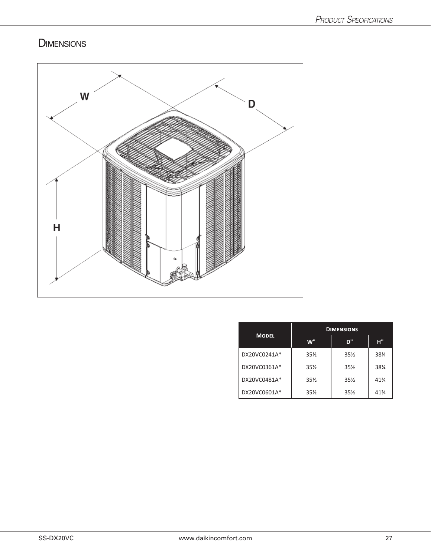# **DIMENSIONS**



|              | <b>DIMENSIONS</b> |                 |        |  |  |  |  |
|--------------|-------------------|-----------------|--------|--|--|--|--|
| <b>MODEL</b> | w"                | D"              | н"     |  |  |  |  |
| DX20VC0241A* | $35\%$            | $35\%$          | 38%    |  |  |  |  |
| DX20VC0361A* | $35\%$            | 35%             | 38%    |  |  |  |  |
| DX20VC0481A* | 35%               | $35\frac{1}{2}$ | $41\%$ |  |  |  |  |
| DX20VC0601A* | 35%               | 35%             | 41%    |  |  |  |  |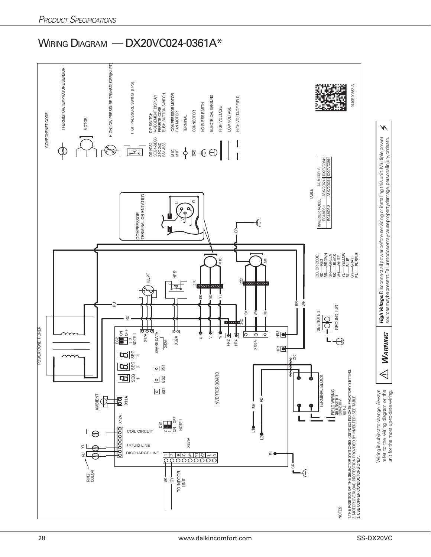## WIRING DIAGRAM — DX20VC024-0361A\*

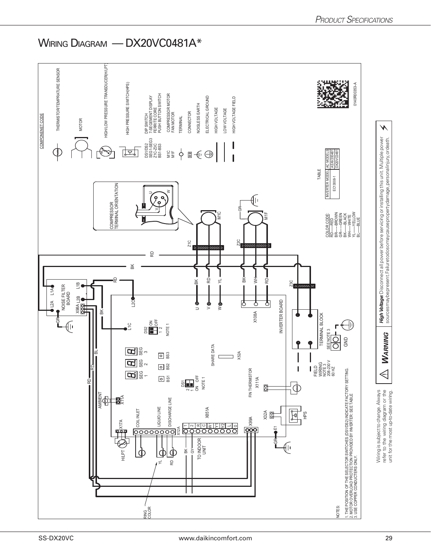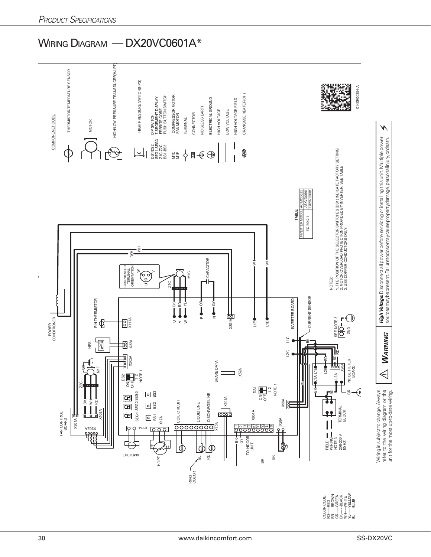## WIRING DIAGRAM — DX20VC0601A\*

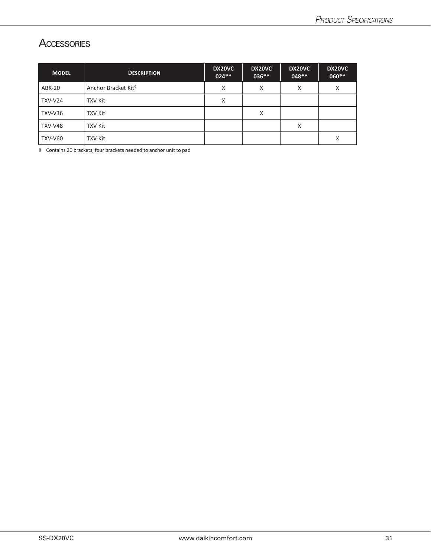#### **ACCESSORIES**

| <b>MODEL</b>   | <b>DESCRIPTION</b>              | DX20VC<br>$024**$ | DX20VC<br>036** | DX20VC<br>$048**$ | DX20VC<br>060** |
|----------------|---------------------------------|-------------------|-----------------|-------------------|-----------------|
| ABK-20         | Anchor Bracket Kit <sup>®</sup> | Χ                 | X               | X                 | X               |
| TXV-V24        | TXV Kit                         | Χ                 |                 |                   |                 |
| TXV-V36        | <b>TXV Kit</b>                  |                   | X               |                   |                 |
| TXV-V48        | <b>TXV Kit</b>                  |                   |                 | X                 |                 |
| <b>TXV-V60</b> | <b>TXV Kit</b>                  |                   |                 |                   | X               |

◊ Contains 20 brackets; four brackets needed to anchor unit to pad